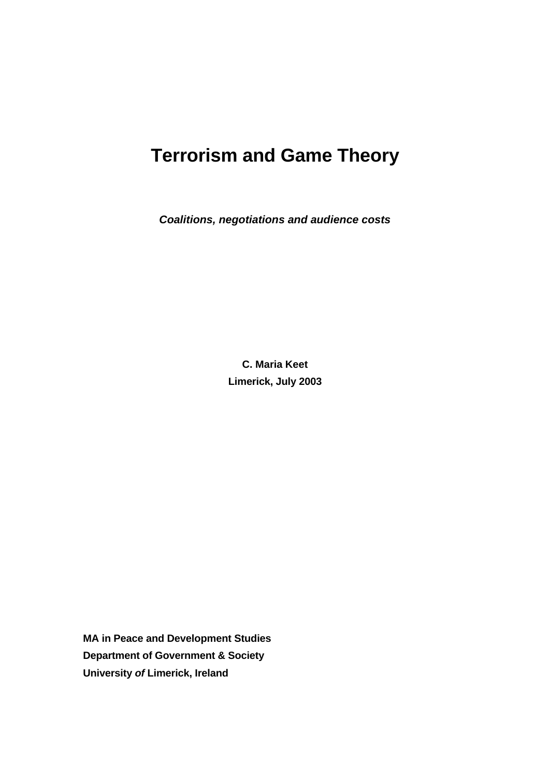# **Terrorism and Game Theory**

*Coalitions, negotiations and audience costs* 

**C. Maria Keet Limerick, July 2003**

**MA in Peace and Development Studies Department of Government & Society University** *of* **Limerick, Ireland**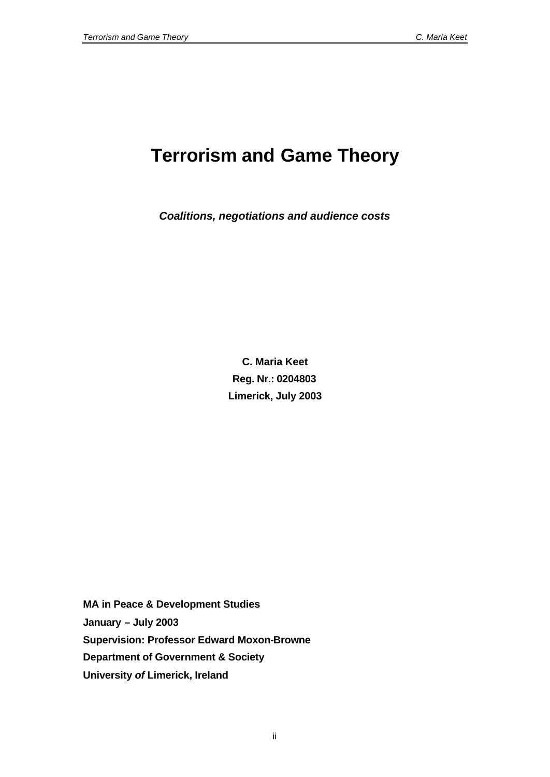# **Terrorism and Game Theory**

*Coalitions, negotiations and audience costs*

**C. Maria Keet Reg. Nr.: 0204803 Limerick, July 2003**

**MA in Peace & Development Studies January – July 2003 Supervision: Professor Edward Moxon-Browne Department of Government & Society University** *of* **Limerick, Ireland**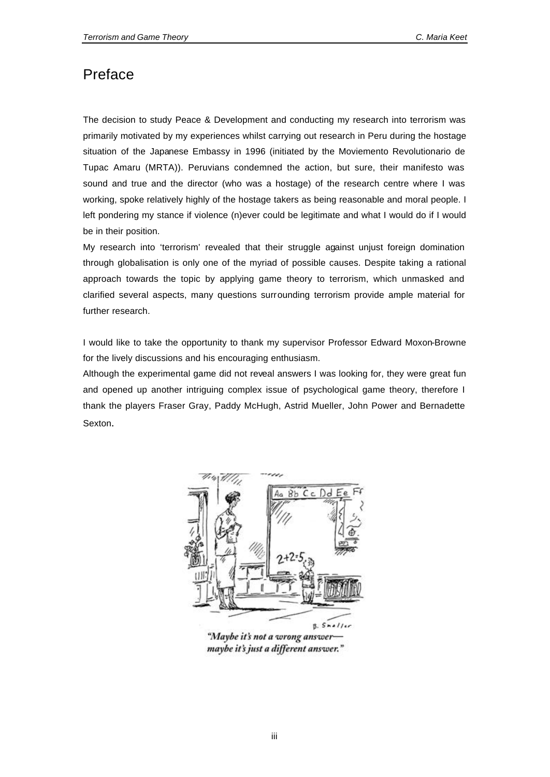### Preface

The decision to study Peace & Development and conducting my research into terrorism was primarily motivated by my experiences whilst carrying out research in Peru during the hostage situation of the Japanese Embassy in 1996 (initiated by the Moviemento Revolutionario de Tupac Amaru (MRTA)). Peruvians condemned the action, but sure, their manifesto was sound and true and the director (who was a hostage) of the research centre where I was working, spoke relatively highly of the hostage takers as being reasonable and moral people. I left pondering my stance if violence (n)ever could be legitimate and what I would do if I would be in their position.

My research into 'terrorism' revealed that their struggle against unjust foreign domination through globalisation is only one of the myriad of possible causes. Despite taking a rational approach towards the topic by applying game theory to terrorism, which unmasked and clarified several aspects, many questions surrounding terrorism provide ample material for further research.

I would like to take the opportunity to thank my supervisor Professor Edward Moxon-Browne for the lively discussions and his encouraging enthusiasm.

Although the experimental game did not reveal answers I was looking for, they were great fun and opened up another intriguing complex issue of psychological game theory, therefore I thank the players Fraser Gray, Paddy McHugh, Astrid Mueller, John Power and Bernadette Sexton.



"Maybe it's not a wrong answer maybe it's just a different answer."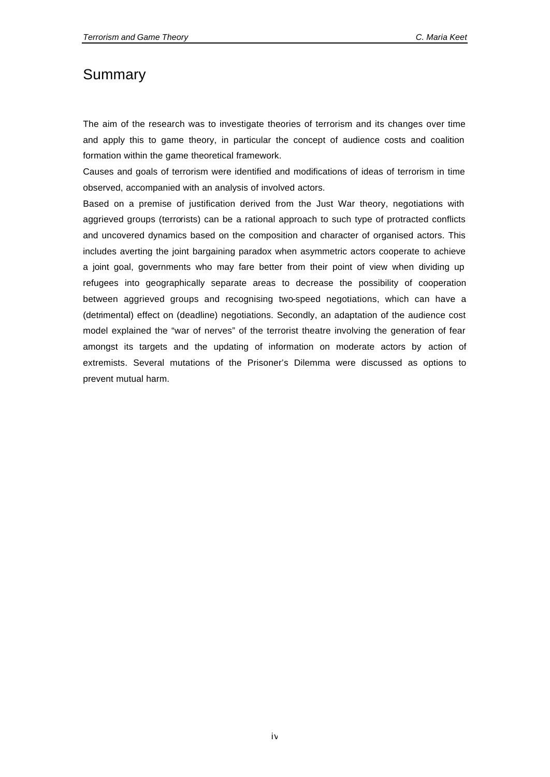### Summary

The aim of the research was to investigate theories of terrorism and its changes over time and apply this to game theory, in particular the concept of audience costs and coalition formation within the game theoretical framework.

Causes and goals of terrorism were identified and modifications of ideas of terrorism in time observed, accompanied with an analysis of involved actors.

Based on a premise of justification derived from the Just War theory, negotiations with aggrieved groups (terrorists) can be a rational approach to such type of protracted conflicts and uncovered dynamics based on the composition and character of organised actors. This includes averting the joint bargaining paradox when asymmetric actors cooperate to achieve a joint goal, governments who may fare better from their point of view when dividing up refugees into geographically separate areas to decrease the possibility of cooperation between aggrieved groups and recognising two-speed negotiations, which can have a (detrimental) effect on (deadline) negotiations. Secondly, an adaptation of the audience cost model explained the "war of nerves" of the terrorist theatre involving the generation of fear amongst its targets and the updating of information on moderate actors by action of extremists. Several mutations of the Prisoner's Dilemma were discussed as options to prevent mutual harm.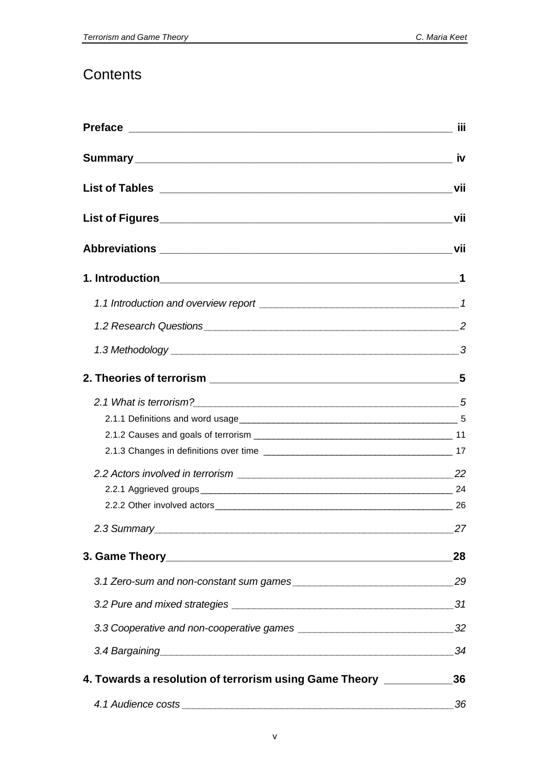## **Contents**

|                                                                                                                                                                                                                                | in a shekarar 1971 daga wasan ƙwallon ƙafa ta ƙasar Ingila.<br>'Yun a shekarar 1972 daga wasan ƙwallon ƙasar Ingila. |
|--------------------------------------------------------------------------------------------------------------------------------------------------------------------------------------------------------------------------------|----------------------------------------------------------------------------------------------------------------------|
|                                                                                                                                                                                                                                |                                                                                                                      |
|                                                                                                                                                                                                                                |                                                                                                                      |
|                                                                                                                                                                                                                                |                                                                                                                      |
|                                                                                                                                                                                                                                |                                                                                                                      |
|                                                                                                                                                                                                                                |                                                                                                                      |
|                                                                                                                                                                                                                                |                                                                                                                      |
|                                                                                                                                                                                                                                |                                                                                                                      |
|                                                                                                                                                                                                                                |                                                                                                                      |
|                                                                                                                                                                                                                                |                                                                                                                      |
|                                                                                                                                                                                                                                |                                                                                                                      |
|                                                                                                                                                                                                                                |                                                                                                                      |
|                                                                                                                                                                                                                                |                                                                                                                      |
| 2.2.2 Other involved actors 26 and 20 and 20 and 20 and 20 and 20 and 20 and 20 and 20 and 20 and 20 and 20 and 20 and 20 and 20 and 20 and 20 and 20 and 20 and 20 and 20 and 20 and 20 and 20 and 20 and 20 and 20 and 20 an |                                                                                                                      |
| 2.3 Summary 27                                                                                                                                                                                                                 |                                                                                                                      |
|                                                                                                                                                                                                                                | 28                                                                                                                   |
|                                                                                                                                                                                                                                | 29                                                                                                                   |
|                                                                                                                                                                                                                                | 31                                                                                                                   |
|                                                                                                                                                                                                                                | 32                                                                                                                   |
|                                                                                                                                                                                                                                | 34                                                                                                                   |
| 4. Towards a resolution of terrorism using Game Theory ________                                                                                                                                                                | 36                                                                                                                   |
|                                                                                                                                                                                                                                | 36                                                                                                                   |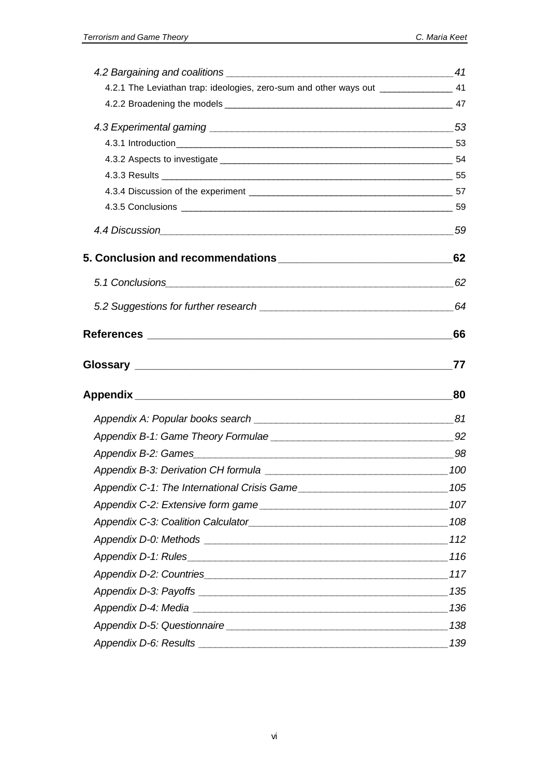| 4.2.1 The Leviathan trap: ideologies, zero-sum and other ways out _______________ 41 |    |
|--------------------------------------------------------------------------------------|----|
|                                                                                      |    |
|                                                                                      |    |
|                                                                                      |    |
|                                                                                      |    |
|                                                                                      |    |
|                                                                                      |    |
|                                                                                      |    |
|                                                                                      |    |
|                                                                                      | 62 |
|                                                                                      |    |
|                                                                                      |    |
|                                                                                      | 66 |
|                                                                                      | 77 |
|                                                                                      |    |
|                                                                                      |    |
|                                                                                      |    |
|                                                                                      |    |
|                                                                                      |    |
| Appendix C-1: The International Crisis Game__________________________________105     |    |
|                                                                                      |    |
|                                                                                      |    |
|                                                                                      |    |
|                                                                                      |    |
|                                                                                      |    |
|                                                                                      |    |
|                                                                                      |    |
|                                                                                      |    |
|                                                                                      |    |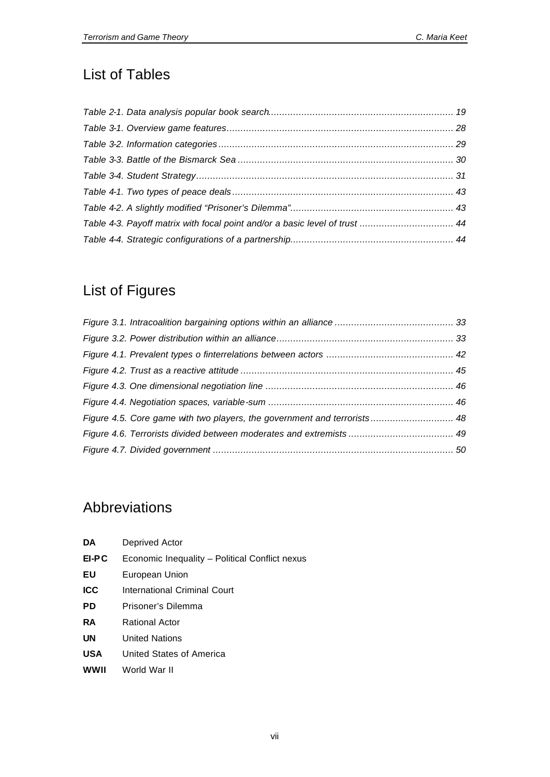## List of Tables

| Table 4-3. Payoff matrix with focal point and/or a basic level of trust  44 |  |
|-----------------------------------------------------------------------------|--|
|                                                                             |  |

## List of Figures

| Figure 4.5. Core game with two players, the government and terrorists 48 |  |  |
|--------------------------------------------------------------------------|--|--|
|                                                                          |  |  |
|                                                                          |  |  |
|                                                                          |  |  |
|                                                                          |  |  |
|                                                                          |  |  |
|                                                                          |  |  |
|                                                                          |  |  |
|                                                                          |  |  |

## Abbreviations

| DA.   | Deprived Actor                                 |
|-------|------------------------------------------------|
| EI-PC | Economic Inequality - Political Conflict nexus |
| ΕU    | European Union                                 |
| ICC   | International Criminal Court                   |
| PD    | Prisoner's Dilemma                             |
| RA    | <b>Rational Actor</b>                          |
| UN    | <b>United Nations</b>                          |
| USA   | United States of America                       |
| wwii  | World War II                                   |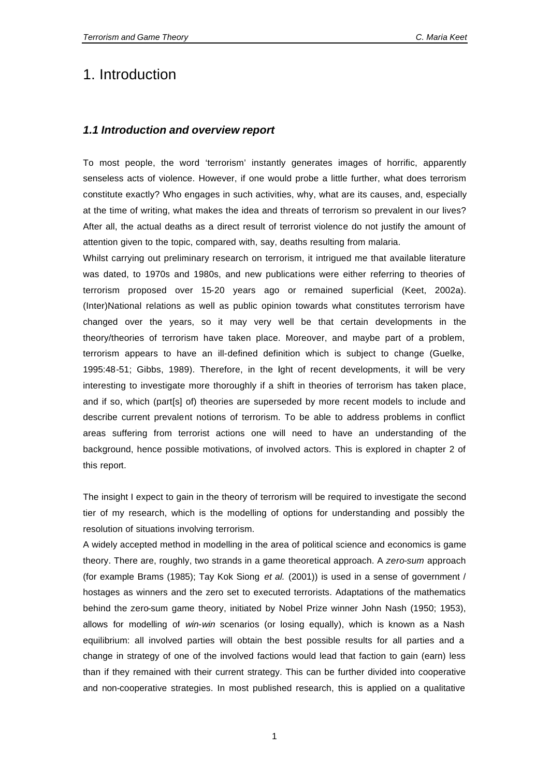### 1. Introduction

#### *1.1 Introduction and overview report*

To most people, the word 'terrorism' instantly generates images of horrific, apparently senseless acts of violence. However, if one would probe a little further, what does terrorism constitute exactly? Who engages in such activities, why, what are its causes, and, especially at the time of writing, what makes the idea and threats of terrorism so prevalent in our lives? After all, the actual deaths as a direct result of terrorist violence do not justify the amount of attention given to the topic, compared with, say, deaths resulting from malaria.

Whilst carrying out preliminary research on terrorism, it intrigued me that available literature was dated, to 1970s and 1980s, and new publications were either referring to theories of terrorism proposed over 15-20 years ago or remained superficial (Keet, 2002a). (Inter)National relations as well as public opinion towards what constitutes terrorism have changed over the years, so it may very well be that certain developments in the theory/theories of terrorism have taken place. Moreover, and maybe part of a problem, terrorism appears to have an ill-defined definition which is subject to change (Guelke, 1995:48-51; Gibbs, 1989). Therefore, in the light of recent developments, it will be very interesting to investigate more thoroughly if a shift in theories of terrorism has taken place, and if so, which (part[s] of) theories are superseded by more recent models to include and describe current prevalent notions of terrorism. To be able to address problems in conflict areas suffering from terrorist actions one will need to have an understanding of the background, hence possible motivations, of involved actors. This is explored in chapter 2 of this report.

The insight I expect to gain in the theory of terrorism will be required to investigate the second tier of my research, which is the modelling of options for understanding and possibly the resolution of situations involving terrorism.

A widely accepted method in modelling in the area of political science and economics is game theory. There are, roughly, two strands in a game theoretical approach. A *zero-sum* approach (for example Brams (1985); Tay Kok Siong *et al.* (2001)) is used in a sense of government / hostages as winners and the zero set to executed terrorists. Adaptations of the mathematics behind the zero-sum game theory, initiated by Nobel Prize winner John Nash (1950; 1953), allows for modelling of *win-win* scenarios (or losing equally), which is known as a Nash equilibrium: all involved parties will obtain the best possible results for all parties and a change in strategy of one of the involved factions would lead that faction to gain (earn) less than if they remained with their current strategy. This can be further divided into cooperative and non-cooperative strategies. In most published research, this is applied on a qualitative

1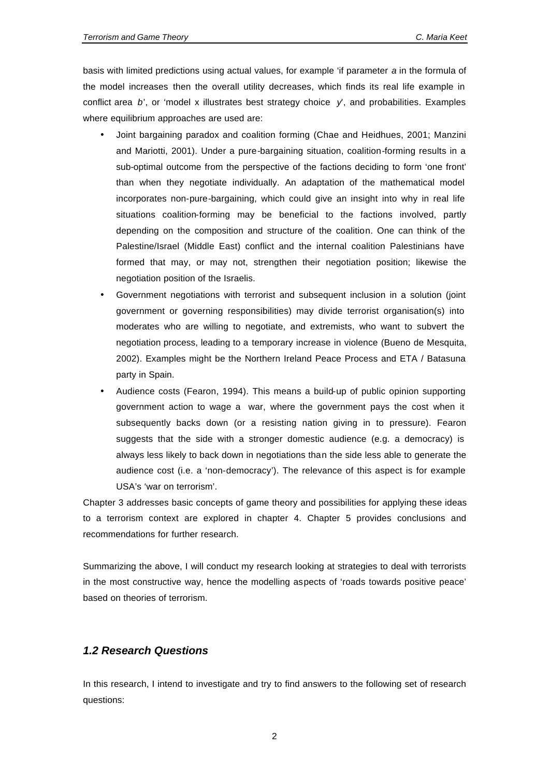basis with limited predictions using actual values, for example 'if parameter *a* in the formula of the model increases then the overall utility decreases, which finds its real life example in conflict area  $b'$ , or 'model x illustrates best strategy choice  $y'$ , and probabilities. Examples where equilibrium approaches are used are:

- Joint bargaining paradox and coalition forming (Chae and Heidhues, 2001; Manzini and Mariotti, 2001). Under a pure-bargaining situation, coalition-forming results in a sub-optimal outcome from the perspective of the factions deciding to form 'one front' than when they negotiate individually. An adaptation of the mathematical model incorporates non-pure-bargaining, which could give an insight into why in real life situations coalition-forming may be beneficial to the factions involved, partly depending on the composition and structure of the coalition. One can think of the Palestine/Israel (Middle East) conflict and the internal coalition Palestinians have formed that may, or may not, strengthen their negotiation position; likewise the negotiation position of the Israelis.
- Government negotiations with terrorist and subsequent inclusion in a solution (joint government or governing responsibilities) may divide terrorist organisation(s) into moderates who are willing to negotiate, and extremists, who want to subvert the negotiation process, leading to a temporary increase in violence (Bueno de Mesquita, 2002). Examples might be the Northern Ireland Peace Process and ETA / Batasuna party in Spain.
- Audience costs (Fearon, 1994). This means a build-up of public opinion supporting government action to wage a war, where the government pays the cost when it subsequently backs down (or a resisting nation giving in to pressure). Fearon suggests that the side with a stronger domestic audience (e.g. a democracy) is always less likely to back down in negotiations than the side less able to generate the audience cost (i.e. a 'non-democracy'). The relevance of this aspect is for example USA's 'war on terrorism'.

Chapter 3 addresses basic concepts of game theory and possibilities for applying these ideas to a terrorism context are explored in chapter 4. Chapter 5 provides conclusions and recommendations for further research.

Summarizing the above, I will conduct my research looking at strategies to deal with terrorists in the most constructive way, hence the modelling aspects of 'roads towards positive peace' based on theories of terrorism.

#### *1.2 Research Questions*

In this research, I intend to investigate and try to find answers to the following set of research questions:

2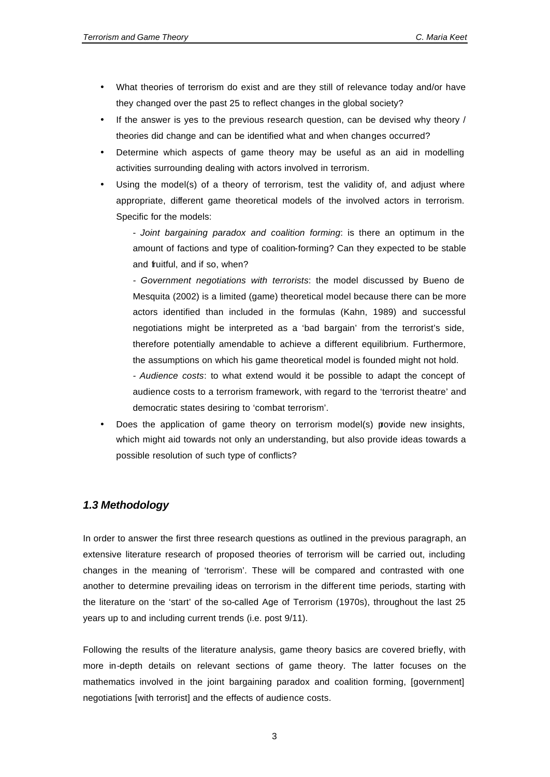- What theories of terrorism do exist and are they still of relevance today and/or have they changed over the past 25 to reflect changes in the global society?
- If the answer is yes to the previous research question, can be devised why theory / theories did change and can be identified what and when changes occurred?
- Determine which aspects of game theory may be useful as an aid in modelling activities surrounding dealing with actors involved in terrorism.
- Using the model(s) of a theory of terrorism, test the validity of, and adjust where appropriate, different game theoretical models of the involved actors in terrorism. Specific for the models:

- *Joint bargaining paradox and coalition forming*: is there an optimum in the amount of factions and type of coalition-forming? Can they expected to be stable and fruitful, and if so, when?

*- Government negotiations with terrorists*: the model discussed by Bueno de Mesquita (2002) is a limited (game) theoretical model because there can be more actors identified than included in the formulas (Kahn, 1989) and successful negotiations might be interpreted as a 'bad bargain' from the terrorist's side, therefore potentially amendable to achieve a different equilibrium. Furthermore, the assumptions on which his game theoretical model is founded might not hold.

*- Audience costs*: to what extend would it be possible to adapt the concept of audience costs to a terrorism framework, with regard to the 'terrorist theatre' and democratic states desiring to 'combat terrorism'.

Does the application of game theory on terrorism model(s) provide new insights, which might aid towards not only an understanding, but also provide ideas towards a possible resolution of such type of conflicts?

### *1.3 Methodology*

In order to answer the first three research questions as outlined in the previous paragraph, an extensive literature research of proposed theories of terrorism will be carried out, including changes in the meaning of 'terrorism'. These will be compared and contrasted with one another to determine prevailing ideas on terrorism in the different time periods, starting with the literature on the 'start' of the so-called Age of Terrorism (1970s), throughout the last 25 years up to and including current trends (i.e. post 9/11).

Following the results of the literature analysis, game theory basics are covered briefly, with more in-depth details on relevant sections of game theory. The latter focuses on the mathematics involved in the joint bargaining paradox and coalition forming, [government] negotiations [with terrorist] and the effects of audience costs.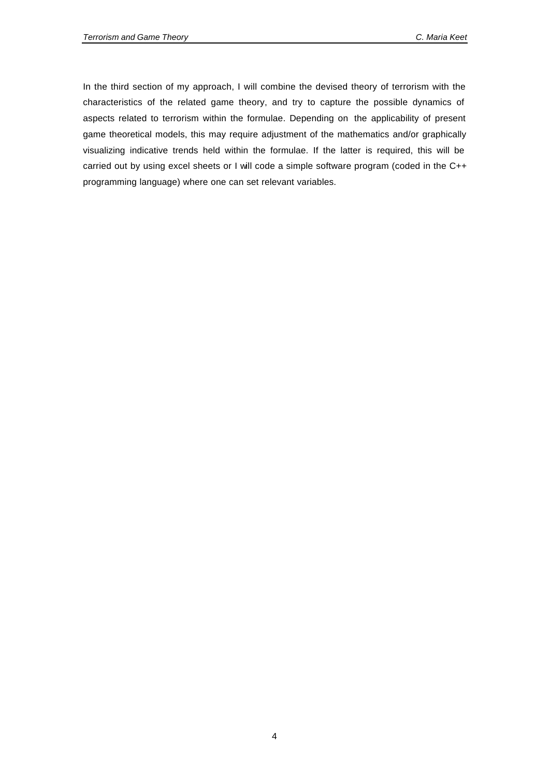In the third section of my approach, I will combine the devised theory of terrorism with the characteristics of the related game theory, and try to capture the possible dynamics of aspects related to terrorism within the formulae. Depending on the applicability of present game theoretical models, this may require adjustment of the mathematics and/or graphically visualizing indicative trends held within the formulae. If the latter is required, this will be carried out by using excel sheets or I will code a simple software program (coded in the C++ programming language) where one can set relevant variables.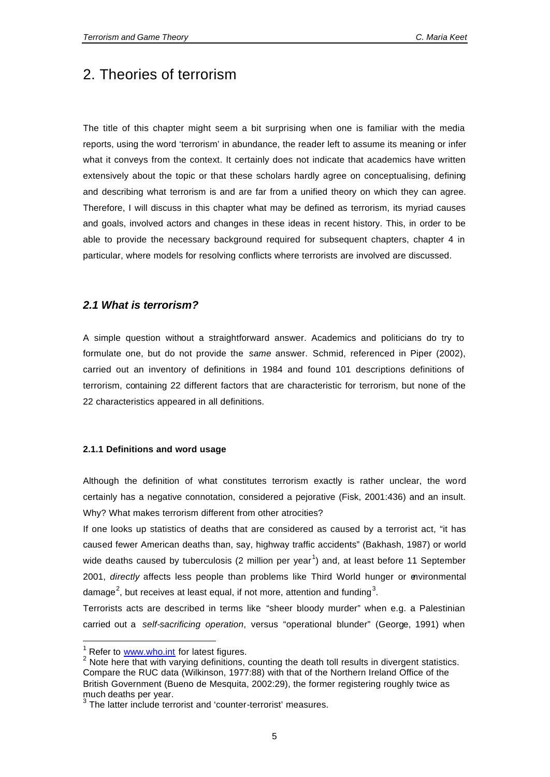## 2. Theories of terrorism

The title of this chapter might seem a bit surprising when one is familiar with the media reports, using the word 'terrorism' in abundance, the reader left to assume its meaning or infer what it conveys from the context. It certainly does not indicate that academics have written extensively about the topic or that these scholars hardly agree on conceptualising, defining and describing what terrorism is and are far from a unified theory on which they can agree. Therefore, I will discuss in this chapter what may be defined as terrorism, its myriad causes and goals, involved actors and changes in these ideas in recent history. This, in order to be able to provide the necessary background required for subsequent chapters, chapter 4 in particular, where models for resolving conflicts where terrorists are involved are discussed.

#### *2.1 What is terrorism?*

A simple question without a straightforward answer. Academics and politicians do try to formulate one, but do not provide the *same* answer. Schmid, referenced in Piper (2002), carried out an inventory of definitions in 1984 and found 101 descriptions definitions of terrorism, containing 22 different factors that are characteristic for terrorism, but none of the 22 characteristics appeared in all definitions.

#### **2.1.1 Definitions and word usage**

Although the definition of what constitutes terrorism exactly is rather unclear, the word certainly has a negative connotation, considered a pejorative (Fisk, 2001:436) and an insult. Why? What makes terrorism different from other atrocities?

If one looks up statistics of deaths that are considered as caused by a terrorist act, "it has caused fewer American deaths than, say, highway traffic accidents" (Bakhash, 1987) or world wide deaths caused by tuberculosis (2 million per year<sup>1</sup>) and, at least before 11 September 2001, *directly* affects less people than problems like Third World hunger or environmental damage<sup>2</sup>, but receives at least equal, if not more, attention and funding<sup>3</sup>.

Terrorists acts are described in terms like "sheer bloody murder" when e.g. a Palestinian carried out a *self-sacrificing operation*, versus "operational blunder" (George, 1991) when

l

 $1$  Refer to  $www.who.int$  for latest figures.

 $2$  Note here that with varying definitions, counting the death toll results in divergent statistics. Compare the RUC data (Wilkinson, 1977:88) with that of the Northern Ireland Office of the British Government (Bueno de Mesquita, 2002:29), the former registering roughly twice as

much deaths per year. 3 The latter include terrorist and 'counter-terrorist' measures.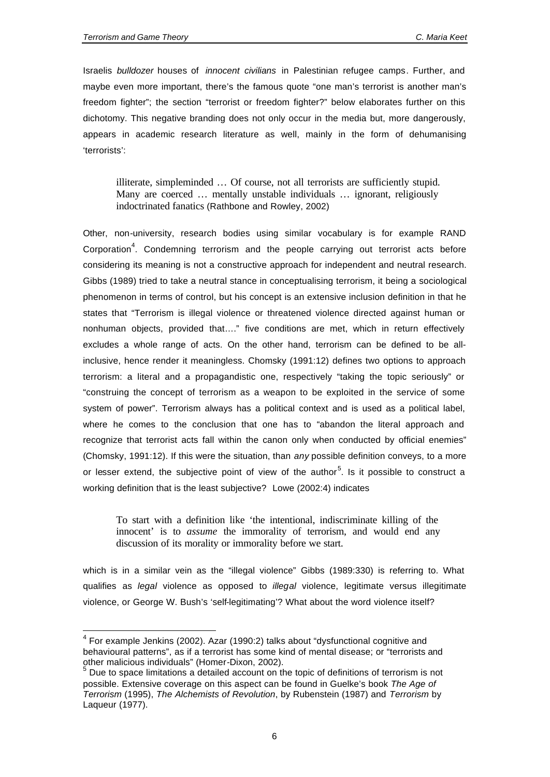$\overline{\phantom{a}}$ 

Israelis *bulldozer* houses of *innocent civilians* in Palestinian refugee camps. Further, and maybe even more important, there's the famous quote "one man's terrorist is another man's freedom fighter"; the section "terrorist or freedom fighter?" below elaborates further on this dichotomy. This negative branding does not only occur in the media but, more dangerously, appears in academic research literature as well, mainly in the form of dehumanising 'terrorists':

illiterate, simpleminded … Of course, not all terrorists are sufficiently stupid. Many are coerced … mentally unstable individuals … ignorant, religiously indoctrinated fanatics (Rathbone and Rowley, 2002)

Other, non-university, research bodies using similar vocabulary is for example RAND Corporation<sup>4</sup>. Condemning terrorism and the people carrying out terrorist acts before considering its meaning is not a constructive approach for independent and neutral research. Gibbs (1989) tried to take a neutral stance in conceptualising terrorism, it being a sociological phenomenon in terms of control, but his concept is an extensive inclusion definition in that he states that "Terrorism is illegal violence or threatened violence directed against human or nonhuman objects, provided that…." five conditions are met, which in return effectively excludes a whole range of acts. On the other hand, terrorism can be defined to be allinclusive, hence render it meaningless. Chomsky (1991:12) defines two options to approach terrorism: a literal and a propagandistic one, respectively "taking the topic seriously" or "construing the concept of terrorism as a weapon to be exploited in the service of some system of power". Terrorism always has a political context and is used as a political label, where he comes to the conclusion that one has to "abandon the literal approach and recognize that terrorist acts fall within the canon only when conducted by official enemies" (Chomsky, 1991:12). If this were the situation, than *any* possible definition conveys, to a more or lesser extend, the subjective point of view of the author<sup>5</sup>. Is it possible to construct a working definition that is the least subjective? Lowe (2002:4) indicates

To start with a definition like 'the intentional, indiscriminate killing of the innocent' is to *assume* the immorality of terrorism, and would end any discussion of its morality or immorality before we start.

which is in a similar vein as the "illegal violence" Gibbs (1989:330) is referring to. What qualifies as *legal* violence as opposed to *illegal* violence, legitimate versus illegitimate violence, or George W. Bush's 'self-legitimating'? What about the word violence itself?

 $4$  For example Jenkins (2002). Azar (1990:2) talks about "dysfunctional cognitive and behavioural patterns", as if a terrorist has some kind of mental disease; or "terrorists and other malicious individuals" (Homer-Dixon, 2002). 5

Due to space limitations a detailed account on the topic of definitions of terrorism is not possible. Extensive coverage on this aspect can be found in Guelke's book *The Age of Terrorism* (1995), *The Alchemists of Revolution*, by Rubenstein (1987) and *Terrorism* by Laqueur (1977).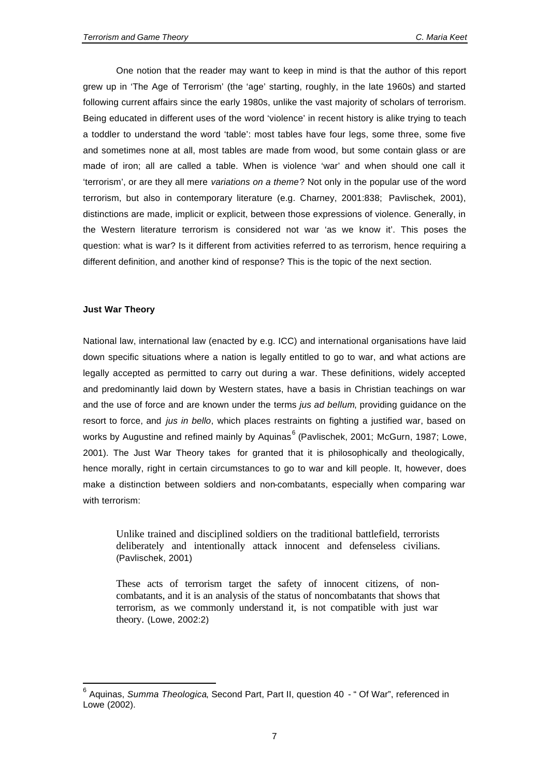One notion that the reader may want to keep in mind is that the author of this report grew up in 'The Age of Terrorism' (the 'age' starting, roughly, in the late 1960s) and started following current affairs since the early 1980s, unlike the vast majority of scholars of terrorism. Being educated in different uses of the word 'violence' in recent history is alike trying to teach a toddler to understand the word 'table': most tables have four legs, some three, some five and sometimes none at all, most tables are made from wood, but some contain glass or are made of iron; all are called a table. When is violence 'war' and when should one call it 'terrorism', or are they all mere *variations on a theme*? Not only in the popular use of the word terrorism, but also in contemporary literature (e.g. Charney, 2001:838; Pavlischek, 2001), distinctions are made, implicit or explicit, between those expressions of violence. Generally, in the Western literature terrorism is considered not war 'as we know it'. This poses the question: what is war? Is it different from activities referred to as terrorism, hence requiring a different definition, and another kind of response? This is the topic of the next section.

#### **Just War Theory**

l

National law, international law (enacted by e.g. ICC) and international organisations have laid down specific situations where a nation is legally entitled to go to war, and what actions are legally accepted as permitted to carry out during a war. These definitions, widely accepted and predominantly laid down by Western states, have a basis in Christian teachings on war and the use of force and are known under the terms *jus ad bellum*, providing guidance on the resort to force, and *jus in bello*, which places restraints on fighting a justified war, based on works by Augustine and refined mainly by Aquinas<sup>6</sup> (Pavlischek, 2001; McGurn, 1987; Lowe, 2001). The Just War Theory takes for granted that it is philosophically and theologically, hence morally, right in certain circumstances to go to war and kill people. It, however, does make a distinction between soldiers and non-combatants, especially when comparing war with terrorism:

Unlike trained and disciplined soldiers on the traditional battlefield, terrorists deliberately and intentionally attack innocent and defenseless civilians. (Pavlischek, 2001)

These acts of terrorism target the safety of innocent citizens, of noncombatants, and it is an analysis of the status of noncombatants that shows that terrorism, as we commonly understand it, is not compatible with just war theory. (Lowe, 2002:2)

<sup>6</sup> Aquinas, *Summa Theologica*, Second Part, Part II, question 40 - " Of War", referenced in Lowe (2002).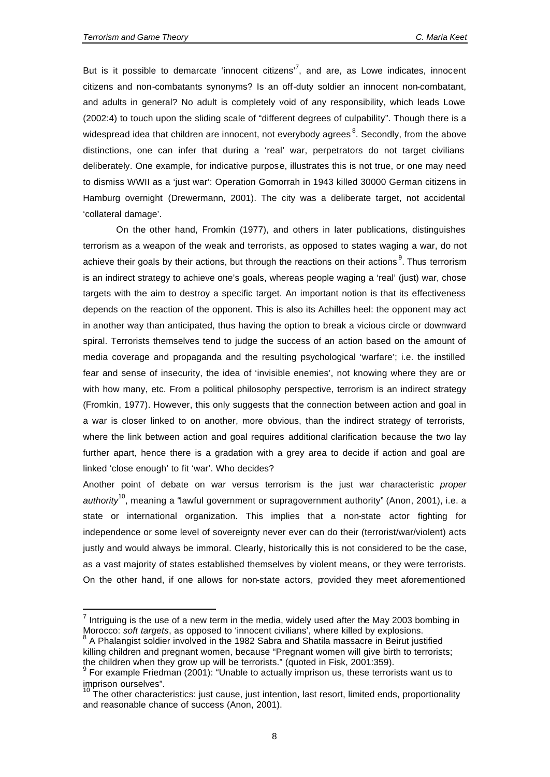l

But is it possible to demarcate 'innocent citizens'<sup>7</sup>, and are, as Lowe indicates, innocent citizens and non-combatants synonyms? Is an off-duty soldier an innocent non-combatant, and adults in general? No adult is completely void of any responsibility, which leads Lowe (2002:4) to touch upon the sliding scale of "different degrees of culpability". Though there is a widespread idea that children are innocent, not everybody agrees ${}^{8}$ . Secondly, from the above distinctions, one can infer that during a 'real' war, perpetrators do not target civilians deliberately. One example, for indicative purpose, illustrates this is not true, or one may need to dismiss WWII as a 'just war': Operation Gomorrah in 1943 killed 30000 German citizens in Hamburg overnight (Drewermann, 2001). The city was a deliberate target, not accidental 'collateral damage'.

On the other hand, Fromkin (1977), and others in later publications, distinguishes terrorism as a weapon of the weak and terrorists, as opposed to states waging a war, do not achieve their goals by their actions, but through the reactions on their actions  $9$ . Thus terrorism is an indirect strategy to achieve one's goals, whereas people waging a 'real' (just) war, chose targets with the aim to destroy a specific target. An important notion is that its effectiveness depends on the reaction of the opponent. This is also its Achilles heel: the opponent may act in another way than anticipated, thus having the option to break a vicious circle or downward spiral. Terrorists themselves tend to judge the success of an action based on the amount of media coverage and propaganda and the resulting psychological 'warfare'; i.e. the instilled fear and sense of insecurity, the idea of 'invisible enemies', not knowing where they are or with how many, etc. From a political philosophy perspective, terrorism is an indirect strategy (Fromkin, 1977). However, this only suggests that the connection between action and goal in a war is closer linked to on another, more obvious, than the indirect strategy of terrorists, where the link between action and goal requires additional clarification because the two lay further apart, hence there is a gradation with a grey area to decide if action and goal are linked 'close enough' to fit 'war'. Who decides?

Another point of debate on war versus terrorism is the just war characteristic *proper authority*<sup>10</sup>, meaning a "lawful government or supragovernment authority" (Anon, 2001), i.e. a state or international organization. This implies that a non-state actor fighting for independence or some level of sovereignty never ever can do their (terrorist/war/violent) acts justly and would always be immoral. Clearly, historically this is not considered to be the case, as a vast majority of states established themselves by violent means, or they were terrorists. On the other hand, if one allows for non-state actors, provided they meet aforementioned

 $<sup>7</sup>$  Intriguing is the use of a new term in the media, widely used after the May 2003 bombing in</sup> Morocco: *soft targets*, as opposed to 'innocent civilians', where killed by explosions.<br><sup>8</sup> A Phelangist soldier involved in the 4083 Sohre and Shetile massesses in Reigut ive

A Phalangist soldier involved in the 1982 Sabra and Shatila massacre in Beirut justified killing children and pregnant women, because "Pregnant women will give birth to terrorists; the children when they grow up will be terrorists." (quoted in Fisk, 2001:359).

 $9$  For example Friedman (2001): "Unable to actually imprison us, these terrorists want us to imprison ourselves".

<sup>&</sup>lt;sup>10</sup> The other characteristics: just cause, just intention, last resort, limited ends, proportionality and reasonable chance of success (Anon, 2001).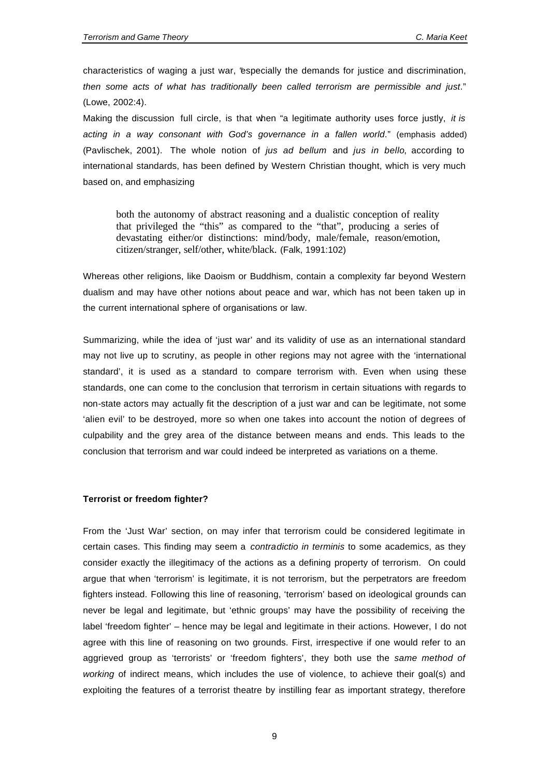characteristics of waging a just war, "especially the demands for justice and discrimination, *then some acts of what has traditionally been called terrorism are permissible and just*." (Lowe, 2002:4).

Making the discussion full circle, is that when "a legitimate authority uses force justly, *it is acting in a way consonant with God's governance in a fallen world*." (emphasis added) (Pavlischek, 2001). The whole notion of *jus ad bellum* and *jus in bello*, according to international standards, has been defined by Western Christian thought, which is very much based on, and emphasizing

both the autonomy of abstract reasoning and a dualistic conception of reality that privileged the "this" as compared to the "that", producing a series of devastating either/or distinctions: mind/body, male/female, reason/emotion, citizen/stranger, self/other, white/black. (Falk, 1991:102)

Whereas other religions, like Daoism or Buddhism, contain a complexity far beyond Western dualism and may have other notions about peace and war, which has not been taken up in the current international sphere of organisations or law.

Summarizing, while the idea of 'just war' and its validity of use as an international standard may not live up to scrutiny, as people in other regions may not agree with the 'international standard', it is used as a standard to compare terrorism with. Even when using these standards, one can come to the conclusion that terrorism in certain situations with regards to non-state actors may actually fit the description of a just war and can be legitimate, not some 'alien evil' to be destroyed, more so when one takes into account the notion of degrees of culpability and the grey area of the distance between means and ends. This leads to the conclusion that terrorism and war could indeed be interpreted as variations on a theme.

#### **Terrorist or freedom fighter?**

From the 'Just War' section, on may infer that terrorism could be considered legitimate in certain cases. This finding may seem a *contradictio in terminis* to some academics, as they consider exactly the illegitimacy of the actions as a defining property of terrorism. On could argue that when 'terrorism' is legitimate, it is not terrorism, but the perpetrators are freedom fighters instead. Following this line of reasoning, 'terrorism' based on ideological grounds can never be legal and legitimate, but 'ethnic groups' may have the possibility of receiving the label 'freedom fighter' – hence may be legal and legitimate in their actions. However, I do not agree with this line of reasoning on two grounds. First, irrespective if one would refer to an aggrieved group as 'terrorists' or 'freedom fighters', they both use the *same method of working* of indirect means, which includes the use of violence, to achieve their goal(s) and exploiting the features of a terrorist theatre by instilling fear as important strategy, therefore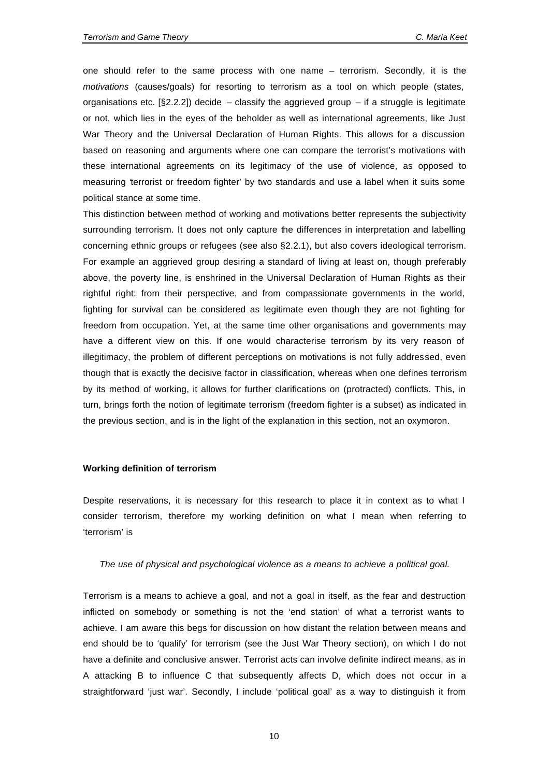one should refer to the same process with one name – terrorism. Secondly, it is the *motivations* (causes/goals) for resorting to terrorism as a tool on which people (states, organisations etc.  $\S$ 2.2.2]) decide – classify the aggrieved group – if a struggle is legitimate or not, which lies in the eyes of the beholder as well as international agreements, like Just War Theory and the Universal Declaration of Human Rights. This allows for a discussion based on reasoning and arguments where one can compare the terrorist's motivations with these international agreements on its legitimacy of the use of violence, as opposed to measuring 'terrorist or freedom fighter' by two standards and use a label when it suits some political stance at some time.

This distinction between method of working and motivations better represents the subjectivity surrounding terrorism. It does not only capture the differences in interpretation and labelling concerning ethnic groups or refugees (see also §2.2.1), but also covers ideological terrorism. For example an aggrieved group desiring a standard of living at least on, though preferably above, the poverty line, is enshrined in the Universal Declaration of Human Rights as their rightful right: from their perspective, and from compassionate governments in the world, fighting for survival can be considered as legitimate even though they are not fighting for freedom from occupation. Yet, at the same time other organisations and governments may have a different view on this. If one would characterise terrorism by its very reason of illegitimacy, the problem of different perceptions on motivations is not fully addressed, even though that is exactly the decisive factor in classification, whereas when one defines terrorism by its method of working, it allows for further clarifications on (protracted) conflicts. This, in turn, brings forth the notion of legitimate terrorism (freedom fighter is a subset) as indicated in the previous section, and is in the light of the explanation in this section, not an oxymoron.

#### **Working definition of terrorism**

Despite reservations, it is necessary for this research to place it in context as to what I consider terrorism, therefore my working definition on what I mean when referring to 'terrorism' is

#### *The use of physical and psychological violence as a means to achieve a political goal.*

Terrorism is a means to achieve a goal, and not a goal in itself, as the fear and destruction inflicted on somebody or something is not the 'end station' of what a terrorist wants to achieve. I am aware this begs for discussion on how distant the relation between means and end should be to 'qualify' for terrorism (see the Just War Theory section), on which I do not have a definite and conclusive answer. Terrorist acts can involve definite indirect means, as in A attacking B to influence C that subsequently affects D, which does not occur in a straightforward 'just war'. Secondly, I include 'political goal' as a way to distinguish it from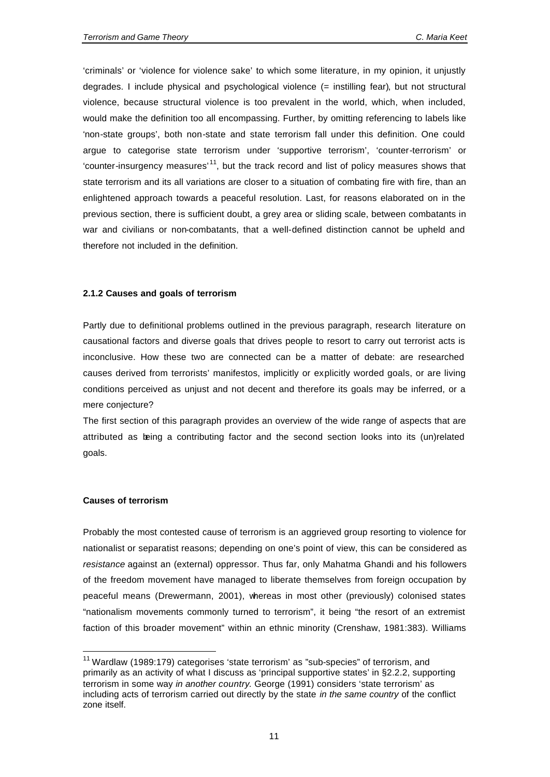'criminals' or 'violence for violence sake' to which some literature, in my opinion, it unjustly degrades. I include physical and psychological violence (= instilling fear), but not structural violence, because structural violence is too prevalent in the world, which, when included, would make the definition too all encompassing. Further, by omitting referencing to labels like 'non-state groups', both non-state and state terrorism fall under this definition. One could argue to categorise state terrorism under 'supportive terrorism', 'counter-terrorism' or 'counter-insurgency measures'<sup>11</sup>, but the track record and list of policy measures shows that state terrorism and its all variations are closer to a situation of combating fire with fire, than an enlightened approach towards a peaceful resolution. Last, for reasons elaborated on in the previous section, there is sufficient doubt, a grey area or sliding scale, between combatants in war and civilians or non-combatants, that a well-defined distinction cannot be upheld and therefore not included in the definition.

#### **2.1.2 Causes and goals of terrorism**

Partly due to definitional problems outlined in the previous paragraph, research literature on causational factors and diverse goals that drives people to resort to carry out terrorist acts is inconclusive. How these two are connected can be a matter of debate: are researched causes derived from terrorists' manifestos, implicitly or explicitly worded goals, or are living conditions perceived as unjust and not decent and therefore its goals may be inferred, or a mere conjecture?

The first section of this paragraph provides an overview of the wide range of aspects that are attributed as being a contributing factor and the second section looks into its (un)related goals.

#### **Causes of terrorism**

l

Probably the most contested cause of terrorism is an aggrieved group resorting to violence for nationalist or separatist reasons; depending on one's point of view, this can be considered as *resistance* against an (external) oppressor. Thus far, only Mahatma Ghandi and his followers of the freedom movement have managed to liberate themselves from foreign occupation by peaceful means (Drewermann, 2001), whereas in most other (previously) colonised states "nationalism movements commonly turned to terrorism", it being "the resort of an extremist faction of this broader movement" within an ethnic minority (Crenshaw, 1981:383). Williams

<sup>&</sup>lt;sup>11</sup> Wardlaw (1989:179) categorises 'state terrorism' as "sub-species" of terrorism, and primarily as an activity of what I discuss as 'principal supportive states' in §2.2.2, supporting terrorism in some way *in another country*. George (1991) considers 'state terrorism' as including acts of terrorism carried out directly by the state *in the same country* of the conflict zone itself.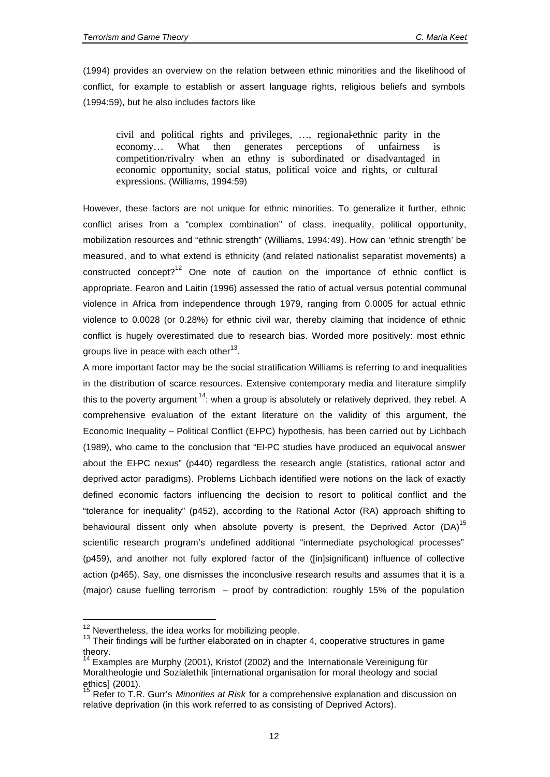(1994) provides an overview on the relation between ethnic minorities and the likelihood of conflict, for example to establish or assert language rights, religious beliefs and symbols (1994:59), but he also includes factors like

civil and political rights and privileges, …, regional-ethnic parity in the economy… What then generates perceptions of unfairness is competition/rivalry when an ethny is subordinated or disadvantaged in economic opportunity, social status, political voice and rights, or cultural expressions. (Williams, 1994:59)

However, these factors are not unique for ethnic minorities. To generalize it further, ethnic conflict arises from a "complex combination" of class, inequality, political opportunity, mobilization resources and "ethnic strength" (Williams, 1994:49). How can 'ethnic strength' be measured, and to what extend is ethnicity (and related nationalist separatist movements) a constructed concept?<sup>12</sup> One note of caution on the importance of ethnic conflict is appropriate. Fearon and Laitin (1996) assessed the ratio of actual versus potential communal violence in Africa from independence through 1979, ranging from 0.0005 for actual ethnic violence to 0.0028 (or 0.28%) for ethnic civil war, thereby claiming that incidence of ethnic conflict is hugely overestimated due to research bias. Worded more positively: most ethnic groups live in peace with each other $^{13}$ .

A more important factor may be the social stratification Williams is referring to and inequalities in the distribution of scarce resources. Extensive contemporary media and literature simplify this to the poverty argument<sup>14</sup>: when a group is absolutely or relatively deprived, they rebel. A comprehensive evaluation of the extant literature on the validity of this argument, the Economic Inequality – Political Conflict (EI-PC) hypothesis, has been carried out by Lichbach (1989), who came to the conclusion that "EI-PC studies have produced an equivocal answer about the EI-PC nexus" (p440) regardless the research angle (statistics, rational actor and deprived actor paradigms). Problems Lichbach identified were notions on the lack of exactly defined economic factors influencing the decision to resort to political conflict and the "tolerance for inequality" (p452), according to the Rational Actor (RA) approach shifting to behavioural dissent only when absolute poverty is present, the Deprived Actor  $(DA)^{15}$ scientific research program's undefined additional "intermediate psychological processes" (p459), and another not fully explored factor of the ([in]significant) influence of collective action (p465). Say, one dismisses the inconclusive research results and assumes that it is a (major) cause fuelling terrorism – proof by contradiction: roughly 15% of the population

l

 $12$  Nevertheless, the idea works for mobilizing people.

<sup>&</sup>lt;sup>13</sup> Their findings will be further elaborated on in chapter 4, cooperative structures in game theory.

<sup>14</sup> Examples are Murphy (2001), Kristof (2002) and the Internationale Vereinigung für Moraltheologie und Sozialethik [international organisation for moral theology and social ethics] (2001).

<sup>&</sup>lt;sup>15</sup> Refer to T.R. Gurr's *Minorities at Risk* for a comprehensive explanation and discussion on relative deprivation (in this work referred to as consisting of Deprived Actors).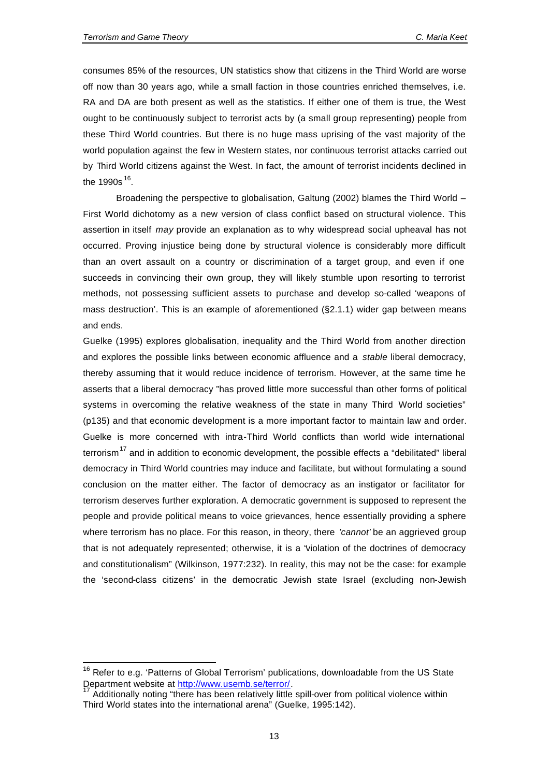$\overline{a}$ 

consumes 85% of the resources, UN statistics show that citizens in the Third World are worse off now than 30 years ago, while a small faction in those countries enriched themselves, i.e. RA and DA are both present as well as the statistics. If either one of them is true, the West ought to be continuously subject to terrorist acts by (a small group representing) people from these Third World countries. But there is no huge mass uprising of the vast majority of the world population against the few in Western states, nor continuous terrorist attacks carried out by Third World citizens against the West. In fact, the amount of terrorist incidents declined in the 1990s <sup>16</sup>.

Broadening the perspective to globalisation, Galtung (2002) blames the Third World – First World dichotomy as a new version of class conflict based on structural violence. This assertion in itself *may* provide an explanation as to why widespread social upheaval has not occurred. Proving injustice being done by structural violence is considerably more difficult than an overt assault on a country or discrimination of a target group, and even if one succeeds in convincing their own group, they will likely stumble upon resorting to terrorist methods, not possessing sufficient assets to purchase and develop so-called 'weapons of mass destruction'. This is an example of aforementioned (§2.1.1) wider gap between means and ends.

Guelke (1995) explores globalisation, inequality and the Third World from another direction and explores the possible links between economic affluence and a *stable* liberal democracy, thereby assuming that it would reduce incidence of terrorism. However, at the same time he asserts that a liberal democracy "has proved little more successful than other forms of political systems in overcoming the relative weakness of the state in many Third World societies" (p135) and that economic development is a more important factor to maintain law and order. Guelke is more concerned with intra-Third World conflicts than world wide international terrorism<sup>17</sup> and in addition to economic development, the possible effects a "debilitated" liberal democracy in Third World countries may induce and facilitate, but without formulating a sound conclusion on the matter either. The factor of democracy as an instigator or facilitator for terrorism deserves further exploration. A democratic government is supposed to represent the people and provide political means to voice grievances, hence essentially providing a sphere where terrorism has no place. For this reason, in theory, there *'cannot'* be an aggrieved group that is not adequately represented; otherwise, it is a "violation of the doctrines of democracy and constitutionalism" (Wilkinson, 1977:232). In reality, this may not be the case: for example the 'second-class citizens' in the democratic Jewish state Israel (excluding non-Jewish

 $16$  Refer to e.g. 'Patterns of Global Terrorism' publications, downloadable from the US State Department website at http://www.usemb.se/terror/.

<sup>17</sup> Additionally noting "there has been relatively little spill-over from political violence within Third World states into the international arena" (Guelke, 1995:142).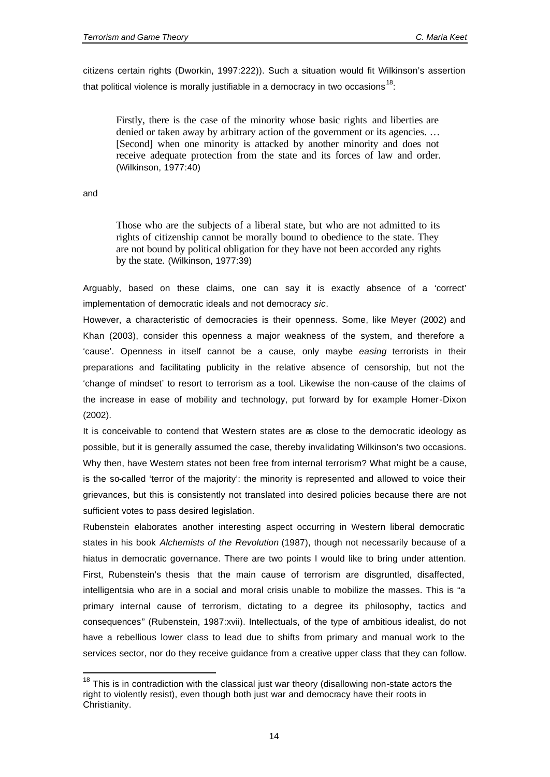citizens certain rights (Dworkin, 1997:222)). Such a situation would fit Wilkinson's assertion that political violence is morally justifiable in a democracy in two occasions  $^{18}$ :

Firstly, there is the case of the minority whose basic rights and liberties are denied or taken away by arbitrary action of the government or its agencies. … [Second] when one minority is attacked by another minority and does not receive adequate protection from the state and its forces of law and order. (Wilkinson, 1977:40)

and

l

Those who are the subjects of a liberal state, but who are not admitted to its rights of citizenship cannot be morally bound to obedience to the state. They are not bound by political obligation for they have not been accorded any rights by the state. (Wilkinson, 1977:39)

Arguably, based on these claims, one can say it is exactly absence of a 'correct' implementation of democratic ideals and not democracy *sic*.

However, a characteristic of democracies is their openness. Some, like Meyer (2002) and Khan (2003), consider this openness a major weakness of the system, and therefore a 'cause'. Openness in itself cannot be a cause, only maybe *easing* terrorists in their preparations and facilitating publicity in the relative absence of censorship, but not the 'change of mindset' to resort to terrorism as a tool. Likewise the non-cause of the claims of the increase in ease of mobility and technology, put forward by for example Homer-Dixon (2002).

It is conceivable to contend that Western states are as close to the democratic ideology as possible, but it is generally assumed the case, thereby invalidating Wilkinson's two occasions. Why then, have Western states not been free from internal terrorism? What might be a cause, is the so-called 'terror of the majority': the minority is represented and allowed to voice their grievances, but this is consistently not translated into desired policies because there are not sufficient votes to pass desired legislation.

Rubenstein elaborates another interesting aspect occurring in Western liberal democratic states in his book *Alchemists of the Revolution* (1987), though not necessarily because of a hiatus in democratic governance. There are two points I would like to bring under attention. First, Rubenstein's thesis that the main cause of terrorism are disgruntled, disaffected, intelligentsia who are in a social and moral crisis unable to mobilize the masses. This is "a primary internal cause of terrorism, dictating to a degree its philosophy, tactics and consequences" (Rubenstein, 1987:xvii). Intellectuals, of the type of ambitious idealist, do not have a rebellious lower class to lead due to shifts from primary and manual work to the services sector, nor do they receive guidance from a creative upper class that they can follow.

 $18$  This is in contradiction with the classical just war theory (disallowing non-state actors the right to violently resist), even though both just war and democracy have their roots in Christianity.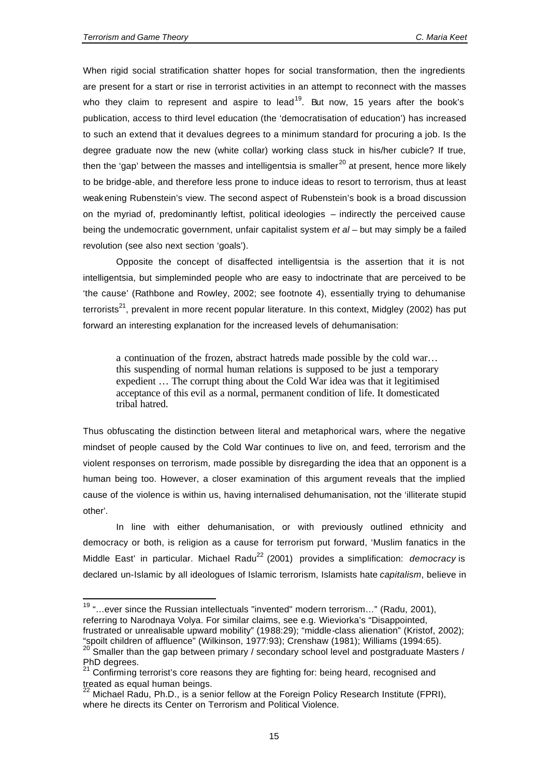$\overline{a}$ 

When rigid social stratification shatter hopes for social transformation, then the ingredients are present for a start or rise in terrorist activities in an attempt to reconnect with the masses who they claim to represent and aspire to lead<sup>19</sup>. But now, 15 years after the book's publication, access to third level education (the 'democratisation of education') has increased to such an extend that it devalues degrees to a minimum standard for procuring a job. Is the degree graduate now the new (white collar) working class stuck in his/her cubicle? If true, then the 'gap' between the masses and intelligentsia is smaller<sup>20</sup> at present, hence more likely to be bridge-able, and therefore less prone to induce ideas to resort to terrorism, thus at least weakening Rubenstein's view. The second aspect of Rubenstein's book is a broad discussion on the myriad of, predominantly leftist, political ideologies – indirectly the perceived cause being the undemocratic government, unfair capitalist system *et al* – but may simply be a failed revolution (see also next section 'goals').

Opposite the concept of disaffected intelligentsia is the assertion that it is not intelligentsia, but simpleminded people who are easy to indoctrinate that are perceived to be 'the cause' (Rathbone and Rowley, 2002; see footnote 4), essentially trying to dehumanise terrorists<sup>21</sup>, prevalent in more recent popular literature. In this context, Midgley (2002) has put forward an interesting explanation for the increased levels of dehumanisation:

a continuation of the frozen, abstract hatreds made possible by the cold war… this suspending of normal human relations is supposed to be just a temporary expedient … The corrupt thing about the Cold War idea was that it legitimised acceptance of this evil as a normal, permanent condition of life. It domesticated tribal hatred.

Thus obfuscating the distinction between literal and metaphorical wars, where the negative mindset of people caused by the Cold War continues to live on, and feed, terrorism and the violent responses on terrorism, made possible by disregarding the idea that an opponent is a human being too. However, a closer examination of this argument reveals that the implied cause of the violence is within us, having internalised dehumanisation, not the 'illiterate stupid other'.

In line with either dehumanisation, or with previously outlined ethnicity and democracy or both, is religion as a cause for terrorism put forward, 'Muslim fanatics in the Middle East' in particular. Michael Radu<sup>22</sup> (2001) provides a simplification: *democracy* is declared un-Islamic by all ideologues of Islamic terrorism, Islamists hate *capitalism*, believe in

 $19$  "...ever since the Russian intellectuals "invented" modern terrorism..." (Radu, 2001), referring to Narodnaya Volya. For similar claims, see e.g. Wieviorka's "Disappointed,

frustrated or unrealisable upward mobility" (1988:29); "middle-class alienation" (Kristof, 2002); "spoilt children of affluence" (Wilkinson, 1977:93); Crenshaw (1981); Williams (1994:65).

<sup>20</sup> Smaller than the gap between primary / secondary school level and postgraduate Masters / PhD degrees.

<sup>21</sup> Confirming terrorist's core reasons they are fighting for: being heard, recognised and treated as equal human beings.

<sup>&</sup>lt;sup>2</sup> Michael Radu, Ph.D., is a senior fellow at the Foreign Policy Research Institute (FPRI), where he directs its Center on Terrorism and Political Violence.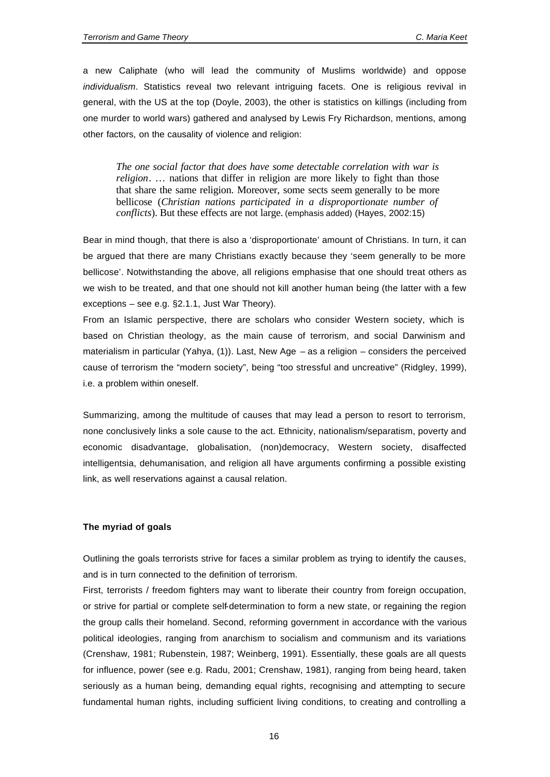a new Caliphate (who will lead the community of Muslims worldwide) and oppose *individualism*. Statistics reveal two relevant intriguing facets. One is religious revival in general, with the US at the top (Doyle, 2003), the other is statistics on killings (including from one murder to world wars) gathered and analysed by Lewis Fry Richardson, mentions, among other factors, on the causality of violence and religion:

*The one social factor that does have some detectable correlation with war is religion*. … nations that differ in religion are more likely to fight than those that share the same religion. Moreover, some sects seem generally to be more bellicose (*Christian nations participated in a disproportionate number of conflicts*). But these effects are not large. (emphasis added) (Hayes, 2002:15)

Bear in mind though, that there is also a 'disproportionate' amount of Christians. In turn, it can be argued that there are many Christians exactly because they 'seem generally to be more bellicose'. Notwithstanding the above, all religions emphasise that one should treat others as we wish to be treated, and that one should not kill another human being (the latter with a few exceptions – see e.g. §2.1.1, Just War Theory).

From an Islamic perspective, there are scholars who consider Western society, which is based on Christian theology, as the main cause of terrorism, and social Darwinism and materialism in particular (Yahya, (1)). Last, New Age – as a religion – considers the perceived cause of terrorism the "modern society", being "too stressful and uncreative" (Ridgley, 1999), i.e. a problem within oneself.

Summarizing, among the multitude of causes that may lead a person to resort to terrorism, none conclusively links a sole cause to the act. Ethnicity, nationalism/separatism, poverty and economic disadvantage, globalisation, (non)democracy, Western society, disaffected intelligentsia, dehumanisation, and religion all have arguments confirming a possible existing link, as well reservations against a causal relation.

#### **The myriad of goals**

Outlining the goals terrorists strive for faces a similar problem as trying to identify the causes, and is in turn connected to the definition of terrorism.

First, terrorists / freedom fighters may want to liberate their country from foreign occupation, or strive for partial or complete self-determination to form a new state, or regaining the region the group calls their homeland. Second, reforming government in accordance with the various political ideologies, ranging from anarchism to socialism and communism and its variations (Crenshaw, 1981; Rubenstein, 1987; Weinberg, 1991). Essentially, these goals are all quests for influence, power (see e.g. Radu, 2001; Crenshaw, 1981), ranging from being heard, taken seriously as a human being, demanding equal rights, recognising and attempting to secure fundamental human rights, including sufficient living conditions, to creating and controlling a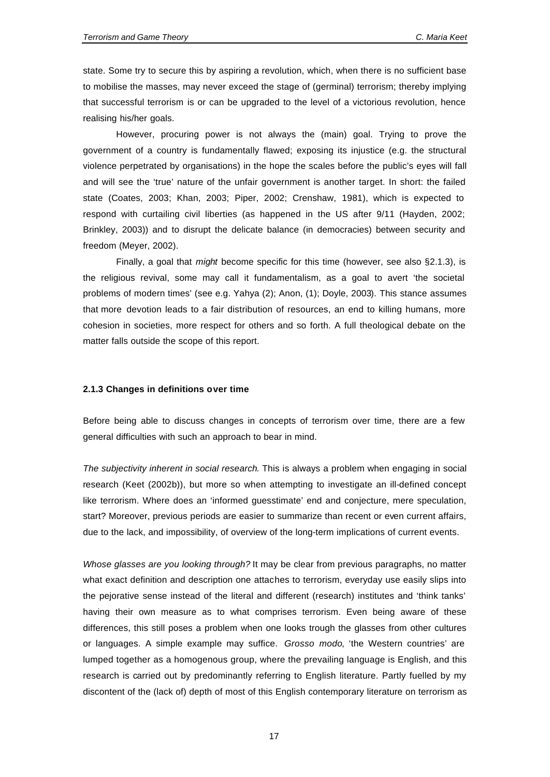state. Some try to secure this by aspiring a revolution, which, when there is no sufficient base to mobilise the masses, may never exceed the stage of (germinal) terrorism; thereby implying that successful terrorism is or can be upgraded to the level of a victorious revolution, hence realising his/her goals.

However, procuring power is not always the (main) goal. Trying to prove the government of a country is fundamentally flawed; exposing its injustice (e.g. the structural violence perpetrated by organisations) in the hope the scales before the public's eyes will fall and will see the 'true' nature of the unfair government is another target. In short: the failed state (Coates, 2003; Khan, 2003; Piper, 2002; Crenshaw, 1981), which is expected to respond with curtailing civil liberties (as happened in the US after 9/11 (Hayden, 2002; Brinkley, 2003)) and to disrupt the delicate balance (in democracies) between security and freedom (Meyer, 2002).

Finally, a goal that *might* become specific for this time (however, see also §2.1.3), is the religious revival, some may call it fundamentalism, as a goal to avert 'the societal problems of modern times' (see e.g. Yahya (2); Anon, (1); Doyle, 2003). This stance assumes that more devotion leads to a fair distribution of resources, an end to killing humans, more cohesion in societies, more respect for others and so forth. A full theological debate on the matter falls outside the scope of this report.

#### **2.1.3 Changes in definitions over time**

Before being able to discuss changes in concepts of terrorism over time, there are a few general difficulties with such an approach to bear in mind.

*The subjectivity inherent in social research*. This is always a problem when engaging in social research (Keet (2002b)), but more so when attempting to investigate an ill-defined concept like terrorism. Where does an 'informed guesstimate' end and conjecture, mere speculation, start? Moreover, previous periods are easier to summarize than recent or even current affairs, due to the lack, and impossibility, of overview of the long-term implications of current events.

*Whose glasses are you looking through?* It may be clear from previous paragraphs, no matter what exact definition and description one attaches to terrorism, everyday use easily slips into the pejorative sense instead of the literal and different (research) institutes and 'think tanks' having their own measure as to what comprises terrorism. Even being aware of these differences, this still poses a problem when one looks trough the glasses from other cultures or languages. A simple example may suffice. *Grosso modo*, 'the Western countries' are lumped together as a homogenous group, where the prevailing language is English, and this research is carried out by predominantly referring to English literature. Partly fuelled by my discontent of the (lack of) depth of most of this English contemporary literature on terrorism as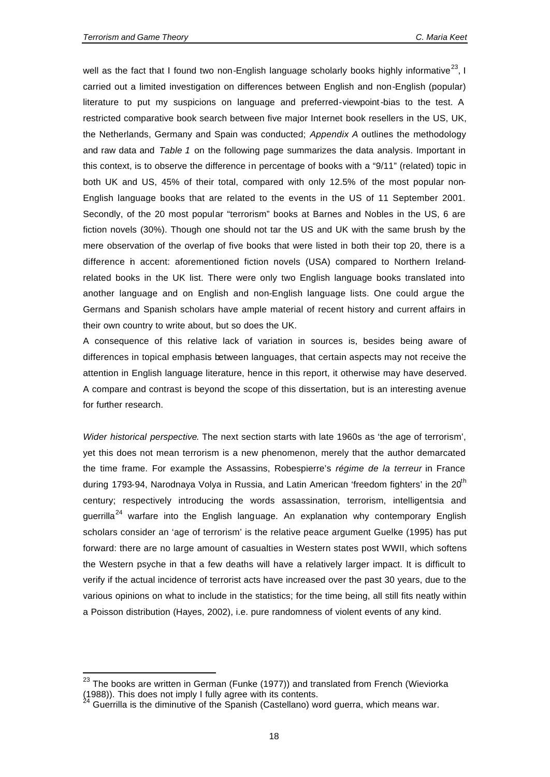l

well as the fact that I found two non-English language scholarly books highly informative<sup>23</sup>, I carried out a limited investigation on differences between English and non-English (popular) literature to put my suspicions on language and preferred-viewpoint-bias to the test. A restricted comparative book search between five major Internet book resellers in the US, UK, the Netherlands, Germany and Spain was conducted; *Appendix A* outlines the methodology and raw data and *Table 1* on the following page summarizes the data analysis. Important in this context, is to observe the difference in percentage of books with a "9/11" (related) topic in both UK and US, 45% of their total, compared with only 12.5% of the most popular non-English language books that are related to the events in the US of 11 September 2001. Secondly, of the 20 most popular "terrorism" books at Barnes and Nobles in the US, 6 are fiction novels (30%). Though one should not tar the US and UK with the same brush by the mere observation of the overlap of five books that were listed in both their top 20, there is a difference in accent: aforementioned fiction novels (USA) compared to Northern Irelandrelated books in the UK list. There were only two English language books translated into another language and on English and non-English language lists. One could argue the Germans and Spanish scholars have ample material of recent history and current affairs in their own country to write about, but so does the UK.

A consequence of this relative lack of variation in sources is, besides being aware of differences in topical emphasis between languages, that certain aspects may not receive the attention in English language literature, hence in this report, it otherwise may have deserved. A compare and contrast is beyond the scope of this dissertation, but is an interesting avenue for further research.

*Wider historical perspective*. The next section starts with late 1960s as 'the age of terrorism', yet this does not mean terrorism is a new phenomenon, merely that the author demarcated the time frame. For example the Assassins, Robespierre's *régime de la terreur* in France during 1793-94, Narodnaya Volya in Russia, and Latin American 'freedom fighters' in the 20<sup>th</sup> century; respectively introducing the words assassination, terrorism, intelligentsia and guerrilla<sup>24</sup> warfare into the English language. An explanation why contemporary English scholars consider an 'age of terrorism' is the relative peace argument Guelke (1995) has put forward: there are no large amount of casualties in Western states post WWII, which softens the Western psyche in that a few deaths will have a relatively larger impact. It is difficult to verify if the actual incidence of terrorist acts have increased over the past 30 years, due to the various opinions on what to include in the statistics; for the time being, all still fits neatly within a Poisson distribution (Hayes, 2002), i.e. pure randomness of violent events of any kind.

 $23$  The books are written in German (Funke (1977)) and translated from French (Wieviorka (1988)). This does not imply I fully agree with its contents.

 $24$  Guerrilla is the diminutive of the Spanish (Castellano) word guerra, which means war.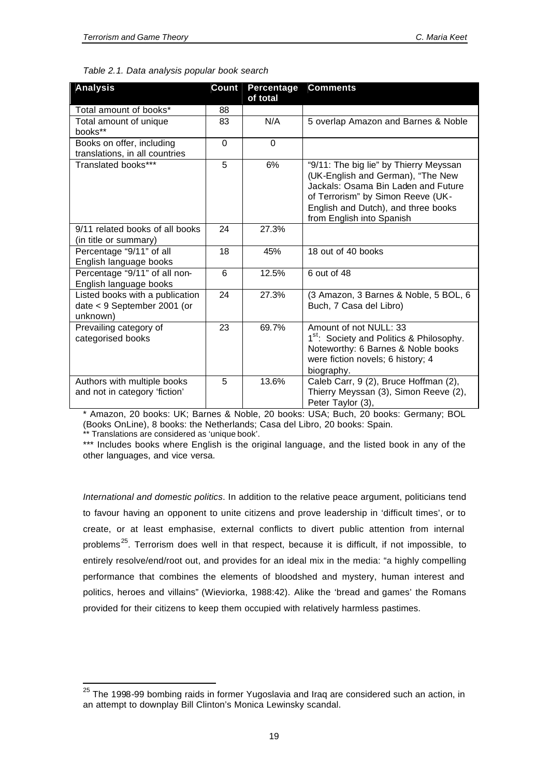l

| <b>Analysis</b>                                                            | Count    | <b>Percentage</b><br>of total | <b>Comments</b>                                                                                                                                                                                                             |
|----------------------------------------------------------------------------|----------|-------------------------------|-----------------------------------------------------------------------------------------------------------------------------------------------------------------------------------------------------------------------------|
| Total amount of books*                                                     | 88       |                               |                                                                                                                                                                                                                             |
| Total amount of unique<br>books**                                          | 83       | N/A                           | 5 overlap Amazon and Barnes & Noble                                                                                                                                                                                         |
| Books on offer, including<br>translations, in all countries                | $\Omega$ | $\Omega$                      |                                                                                                                                                                                                                             |
| Translated books***                                                        | 5        | 6%                            | "9/11: The big lie" by Thierry Meyssan<br>(UK-English and German), "The New<br>Jackals: Osama Bin Laden and Future<br>of Terrorism" by Simon Reeve (UK-<br>English and Dutch), and three books<br>from English into Spanish |
| 9/11 related books of all books<br>(in title or summary)                   | 24       | 27.3%                         |                                                                                                                                                                                                                             |
| Percentage "9/11" of all<br>English language books                         | 18       | 45%                           | 18 out of 40 books                                                                                                                                                                                                          |
| Percentage "9/11" of all non-<br>English language books                    | 6        | 12.5%                         | 6 out of 48                                                                                                                                                                                                                 |
| Listed books with a publication<br>date < 9 September 2001 (or<br>unknown) | 24       | 27.3%                         | (3 Amazon, 3 Barnes & Noble, 5 BOL, 6<br>Buch, 7 Casa del Libro)                                                                                                                                                            |
| Prevailing category of<br>categorised books                                | 23       | 69.7%                         | Amount of not NULL: 33<br>1 <sup>st</sup> : Society and Politics & Philosophy.<br>Noteworthy: 6 Barnes & Noble books<br>were fiction novels; 6 history; 4<br>biography.                                                     |
| Authors with multiple books<br>and not in category 'fiction'               | 5        | 13.6%                         | Caleb Carr, 9 (2), Bruce Hoffman (2),<br>Thierry Meyssan (3), Simon Reeve (2),<br>Peter Taylor (3).                                                                                                                         |

|  | Table 2.1. Data analysis popular book search |
|--|----------------------------------------------|
|--|----------------------------------------------|

\* Amazon, 20 books: UK; Barnes & Noble, 20 books: USA; Buch, 20 books: Germany; BOL (Books OnLine), 8 books: the Netherlands; Casa del Libro, 20 books: Spain. <sup>'</sup> Translations are considered as 'unique book'.

\*\*\* Includes books where English is the original language, and the listed book in any of the

other languages, and vice versa.

*International and domestic politics*. In addition to the relative peace argument, politicians tend to favour having an opponent to unite citizens and prove leadership in 'difficult times', or to create, or at least emphasise, external conflicts to divert public attention from internal problems<sup>25</sup>. Terrorism does well in that respect, because it is difficult, if not impossible, to entirely resolve/end/root out, and provides for an ideal mix in the media: "a highly compelling performance that combines the elements of bloodshed and mystery, human interest and politics, heroes and villains" (Wieviorka, 1988:42). Alike the 'bread and games' the Romans provided for their citizens to keep them occupied with relatively harmless pastimes.

 $25$  The 1998-99 bombing raids in former Yugoslavia and Iraq are considered such an action, in an attempt to downplay Bill Clinton's Monica Lewinsky scandal.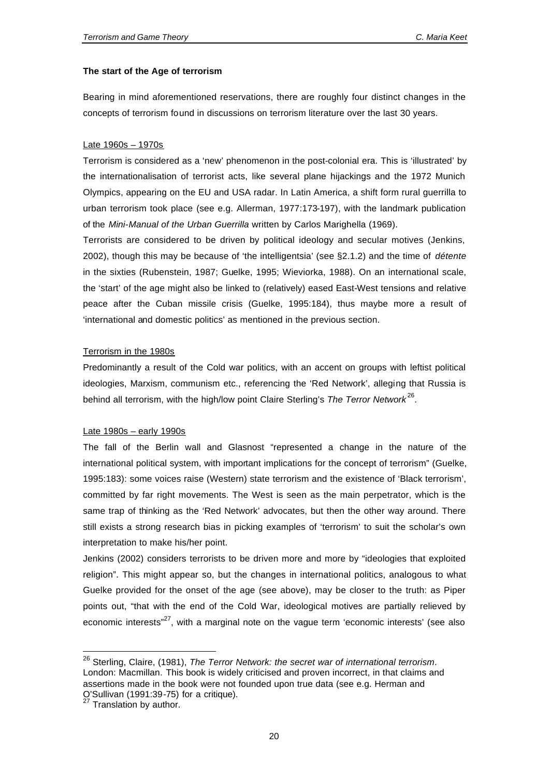#### **The start of the Age of terrorism**

Bearing in mind aforementioned reservations, there are roughly four distinct changes in the concepts of terrorism found in discussions on terrorism literature over the last 30 years.

#### Late 1960s – 1970s

Terrorism is considered as a 'new' phenomenon in the post-colonial era. This is 'illustrated' by the internationalisation of terrorist acts, like several plane hijackings and the 1972 Munich Olympics, appearing on the EU and USA radar. In Latin America, a shift form rural guerrilla to urban terrorism took place (see e.g. Allerman, 1977:173-197), with the landmark publication of the *Mini-Manual of the Urban Guerrilla* written by Carlos Marighella (1969).

Terrorists are considered to be driven by political ideology and secular motives (Jenkins, 2002), though this may be because of 'the intelligentsia' (see §2.1.2) and the time of *détente* in the sixties (Rubenstein, 1987; Guelke, 1995; Wieviorka, 1988). On an international scale, the 'start' of the age might also be linked to (relatively) eased East-West tensions and relative peace after the Cuban missile crisis (Guelke, 1995:184), thus maybe more a result of 'international and domestic politics' as mentioned in the previous section.

#### Terrorism in the 1980s

Predominantly a result of the Cold war politics, with an accent on groups with leftist political ideologies, Marxism, communism etc., referencing the 'Red Network', alleging that Russia is behind all terrorism, with the high/low point Claire Sterling's *The Terror Network*<sup>26</sup>.

#### Late 1980s – early 1990s

The fall of the Berlin wall and Glasnost "represented a change in the nature of the international political system, with important implications for the concept of terrorism" (Guelke, 1995:183): some voices raise (Western) state terrorism and the existence of 'Black terrorism', committed by far right movements. The West is seen as the main perpetrator, which is the same trap of thinking as the 'Red Network' advocates, but then the other way around. There still exists a strong research bias in picking examples of 'terrorism' to suit the scholar's own interpretation to make his/her point.

Jenkins (2002) considers terrorists to be driven more and more by "ideologies that exploited religion". This might appear so, but the changes in international politics, analogous to what Guelke provided for the onset of the age (see above), may be closer to the truth: as Piper points out, "that with the end of the Cold War, ideological motives are partially relieved by economic interests<sup> $n^2$ </sup>, with a marginal note on the vague term 'economic interests' (see also

l

<sup>26</sup> Sterling, Claire, (1981), *The Terror Network: the secret war of international terrorism*. London: Macmillan. This book is widely criticised and proven incorrect, in that claims and assertions made in the book were not founded upon true data (see e.g. Herman and O'Sullivan (1991:39-75) for a critique).

 $27$  Translation by author.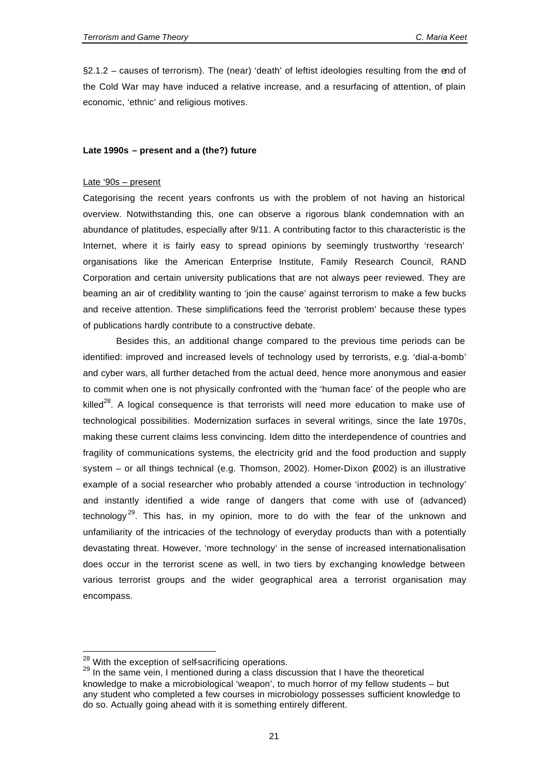§2.1.2 – causes of terrorism). The (near) 'death' of leftist ideologies resulting from the end of the Cold War may have induced a relative increase, and a resurfacing of attention, of plain economic, 'ethnic' and religious motives.

#### **Late 1990s – present and a (the?) future**

#### Late '90s – present

Categorising the recent years confronts us with the problem of not having an historical overview. Notwithstanding this, one can observe a rigorous blank condemnation with an abundance of platitudes, especially after 9/11. A contributing factor to this characteristic is the Internet, where it is fairly easy to spread opinions by seemingly trustworthy 'research' organisations like the American Enterprise Institute, Family Research Council, RAND Corporation and certain university publications that are not always peer reviewed. They are beaming an air of credibility wanting to 'join the cause' against terrorism to make a few bucks and receive attention. These simplifications feed the 'terrorist problem' because these types of publications hardly contribute to a constructive debate.

Besides this, an additional change compared to the previous time periods can be identified: improved and increased levels of technology used by terrorists, e.g. 'dial-a-bomb' and cyber wars, all further detached from the actual deed, hence more anonymous and easier to commit when one is not physically confronted with the 'human face' of the people who are killed $^{28}$ . A logical consequence is that terrorists will need more education to make use of technological possibilities. Modernization surfaces in several writings, since the late 1970s, making these current claims less convincing. Idem ditto the interdependence of countries and fragility of communications systems, the electricity grid and the food production and supply system – or all things technical (e.g. Thomson, 2002). Homer-Dixon (2002) is an illustrative example of a social researcher who probably attended a course 'introduction in technology' and instantly identified a wide range of dangers that come with use of (advanced) technology<sup>29</sup>. This has, in my opinion, more to do with the fear of the unknown and unfamiliarity of the intricacies of the technology of everyday products than with a potentially devastating threat. However, 'more technology' in the sense of increased internationalisation does occur in the terrorist scene as well, in two tiers by exchanging knowledge between various terrorist groups and the wider geographical area a terrorist organisation may encompass.

l

<sup>&</sup>lt;sup>28</sup> With the exception of self-sacrificing operations.

 $29$  In the same vein, I mentioned during a class discussion that I have the theoretical knowledge to make a microbiological 'weapon', to much horror of my fellow students – but any student who completed a few courses in microbiology possesses sufficient knowledge to do so. Actually going ahead with it is something entirely different.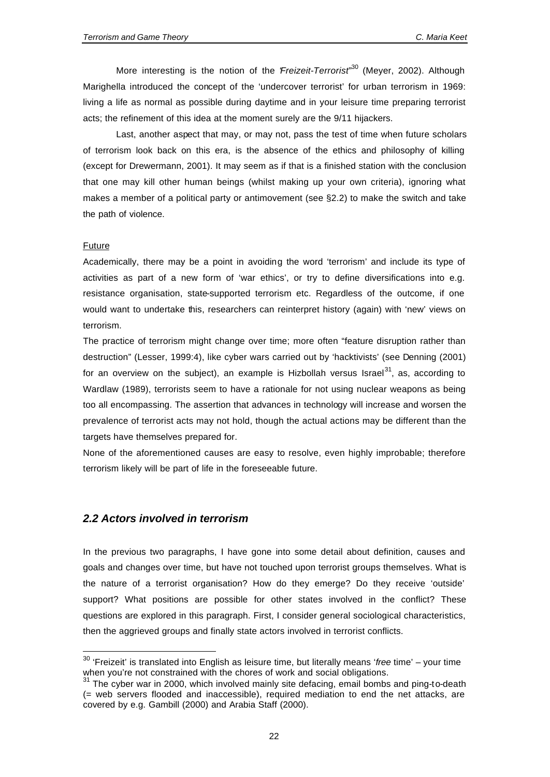More interesting is the notion of the "*Freizeit-Terrorist*" <sup>30</sup> (Meyer, 2002). Although Marighella introduced the concept of the 'undercover terrorist' for urban terrorism in 1969: living a life as normal as possible during daytime and in your leisure time preparing terrorist acts; the refinement of this idea at the moment surely are the 9/11 hijackers.

Last, another aspect that may, or may not, pass the test of time when future scholars of terrorism look back on this era, is the absence of the ethics and philosophy of killing (except for Drewermann, 2001). It may seem as if that is a finished station with the conclusion that one may kill other human beings (whilst making up your own criteria), ignoring what makes a member of a political party or antimovement (see §2.2) to make the switch and take the path of violence.

#### **Future**

l

Academically, there may be a point in avoiding the word 'terrorism' and include its type of activities as part of a new form of 'war ethics', or try to define diversifications into e.g. resistance organisation, state-supported terrorism etc. Regardless of the outcome, if one would want to undertake this, researchers can reinterpret history (again) with 'new' views on terrorism.

The practice of terrorism might change over time; more often "feature disruption rather than destruction" (Lesser, 1999:4), like cyber wars carried out by 'hacktivists' (see Denning (2001) for an overview on the subject), an example is Hizbollah versus Israel<sup>31</sup>, as, according to Wardlaw (1989), terrorists seem to have a rationale for not using nuclear weapons as being too all encompassing. The assertion that advances in technology will increase and worsen the prevalence of terrorist acts may not hold, though the actual actions may be different than the targets have themselves prepared for.

None of the aforementioned causes are easy to resolve, even highly improbable; therefore terrorism likely will be part of life in the foreseeable future.

#### *2.2 Actors involved in terrorism*

In the previous two paragraphs, I have gone into some detail about definition, causes and goals and changes over time, but have not touched upon terrorist groups themselves. What is the nature of a terrorist organisation? How do they emerge? Do they receive 'outside' support? What positions are possible for other states involved in the conflict? These questions are explored in this paragraph. First, I consider general sociological characteristics, then the aggrieved groups and finally state actors involved in terrorist conflicts.

<sup>30</sup> 'Freizeit' is translated into English as leisure time, but literally means '*free* time' – your time when you're not constrained with the chores of work and social obligations.

 $31$  The cyber war in 2000, which involved mainly site defacing, email bombs and ping-to-death (= web servers flooded and inaccessible), required mediation to end the net attacks, are covered by e.g. Gambill (2000) and Arabia Staff (2000).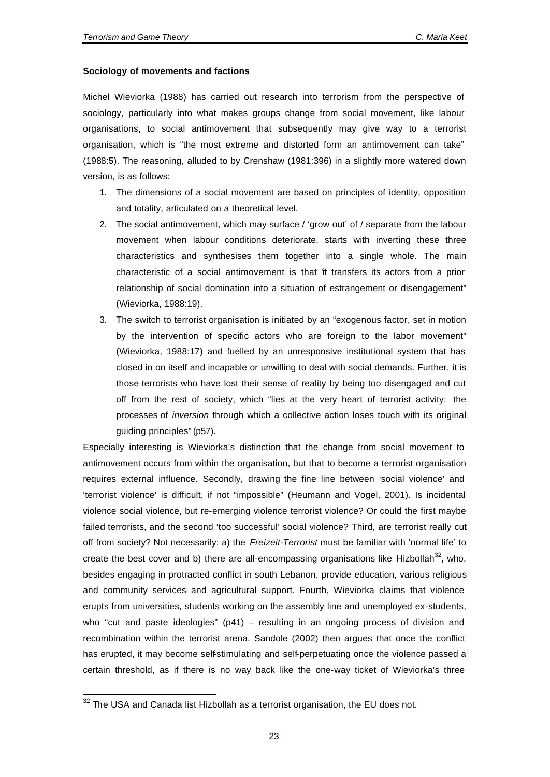#### **Sociology of movements and factions**

Michel Wieviorka (1988) has carried out research into terrorism from the perspective of sociology, particularly into what makes groups change from social movement, like labour organisations, to social antimovement that subsequently may give way to a terrorist organisation, which is "the most extreme and distorted form an antimovement can take" (1988:5). The reasoning, alluded to by Crenshaw (1981:396) in a slightly more watered down version, is as follows:

- 1. The dimensions of a social movement are based on principles of identity, opposition and totality, articulated on a theoretical level.
- 2. The social antimovement, which may surface / 'grow out' of / separate from the labour movement when labour conditions deteriorate, starts with inverting these three characteristics and synthesises them together into a single whole. The main characteristic of a social antimovement is that  $\ddot{\text{t}}$  transfers its actors from a prior relationship of social domination into a situation of estrangement or disengagement" (Wieviorka, 1988:19).
- 3. The switch to terrorist organisation is initiated by an "exogenous factor, set in motion by the intervention of specific actors who are foreign to the labor movement" (Wieviorka, 1988:17) and fuelled by an unresponsive institutional system that has closed in on itself and incapable or unwilling to deal with social demands. Further, it is those terrorists who have lost their sense of reality by being too disengaged and cut off from the rest of society, which "lies at the very heart of terrorist activity: the processes of *inversion* through which a collective action loses touch with its original guiding principles" (p57).

Especially interesting is Wieviorka's distinction that the change from social movement to antimovement occurs from within the organisation, but that to become a terrorist organisation requires external influence. Secondly, drawing the fine line between 'social violence' and 'terrorist violence' is difficult, if not "impossible" (Heumann and Vogel, 2001). Is incidental violence social violence, but re-emerging violence terrorist violence? Or could the first maybe failed terrorists, and the second 'too successful' social violence? Third, are terrorist really cut off from society? Not necessarily: a) the *Freizeit-Terrorist* must be familiar with 'normal life' to create the best cover and b) there are all-encompassing organisations like Hizbollah $32$ , who, besides engaging in protracted conflict in south Lebanon, provide education, various religious and community services and agricultural support. Fourth, Wieviorka claims that violence erupts from universities, students working on the assembly line and unemployed ex-students, who "cut and paste ideologies"  $(p41)$  – resulting in an ongoing process of division and recombination within the terrorist arena. Sandole (2002) then argues that once the conflict has erupted, it may become self-stimulating and self-perpetuating once the violence passed a certain threshold, as if there is no way back like the one-way ticket of Wieviorka's three

 $\overline{\phantom{a}}$ 

 $32$  The USA and Canada list Hizbollah as a terrorist organisation, the EU does not.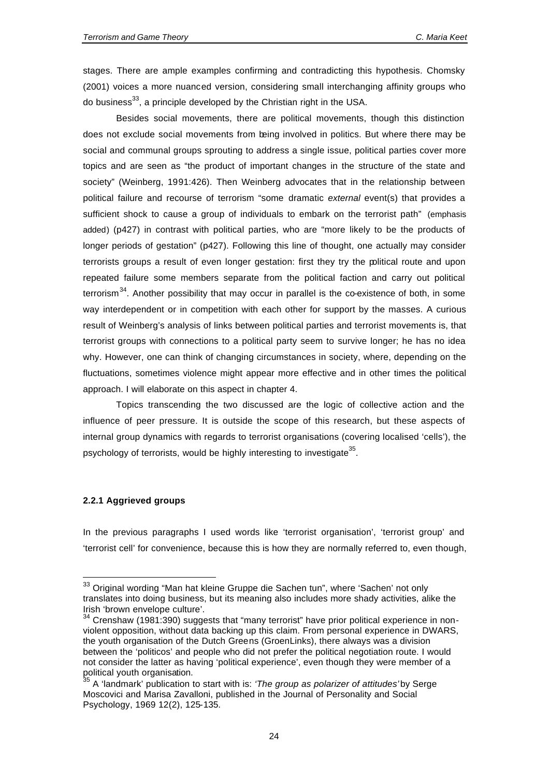stages. There are ample examples confirming and contradicting this hypothesis. Chomsky (2001) voices a more nuanced version, considering small interchanging affinity groups who do business $^{33}$ , a principle developed by the Christian right in the USA.

Besides social movements, there are political movements, though this distinction does not exclude social movements from being involved in politics. But where there may be social and communal groups sprouting to address a single issue, political parties cover more topics and are seen as "the product of important changes in the structure of the state and society" (Weinberg, 1991:426). Then Weinberg advocates that in the relationship between political failure and recourse of terrorism "some dramatic *external* event(s) that provides a sufficient shock to cause a group of individuals to embark on the terrorist path" (emphasis added) (p427) in contrast with political parties, who are "more likely to be the products of longer periods of gestation" (p427). Following this line of thought, one actually may consider terrorists groups a result of even longer gestation: first they try the political route and upon repeated failure some members separate from the political faction and carry out political terrorism $34$ . Another possibility that may occur in parallel is the co-existence of both, in some way interdependent or in competition with each other for support by the masses. A curious result of Weinberg's analysis of links between political parties and terrorist movements is, that terrorist groups with connections to a political party seem to survive longer; he has no idea why. However, one can think of changing circumstances in society, where, depending on the fluctuations, sometimes violence might appear more effective and in other times the political approach. I will elaborate on this aspect in chapter 4.

Topics transcending the two discussed are the logic of collective action and the influence of peer pressure. It is outside the scope of this research, but these aspects of internal group dynamics with regards to terrorist organisations (covering localised 'cells'), the psychology of terrorists, would be highly interesting to investigate<sup>35</sup>.

#### **2.2.1 Aggrieved groups**

l

In the previous paragraphs I used words like 'terrorist organisation', 'terrorist group' and 'terrorist cell' for convenience, because this is how they are normally referred to, even though,

<sup>&</sup>lt;sup>33</sup> Original wording "Man hat kleine Gruppe die Sachen tun", where 'Sachen' not only translates into doing business, but its meaning also includes more shady activities, alike the Irish 'brown envelope culture'.

 $34$  Crenshaw (1981:390) suggests that "many terrorist" have prior political experience in nonviolent opposition, without data backing up this claim. From personal experience in DWARS, the youth organisation of the Dutch Greens (GroenLinks), there always was a division between the 'politicos' and people who did not prefer the political negotiation route. I would not consider the latter as having 'political experience', even though they were member of a political youth organisation.

<sup>35</sup> A 'landmark' publication to start with is: *'The group as polarizer of attitudes'* by Serge Moscovici and Marisa Zavalloni, published in the Journal of Personality and Social Psychology, 1969 12(2), 125-135.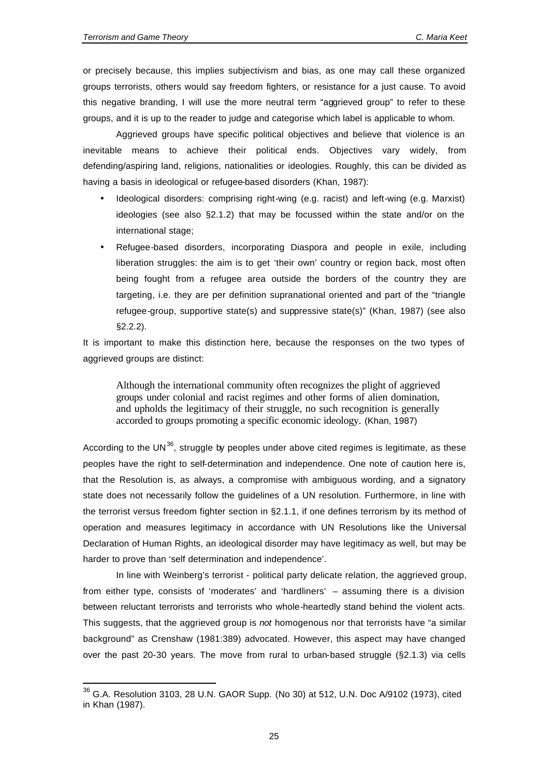l

or precisely because, this implies subjectivism and bias, as one may call these organized groups terrorists, others would say freedom fighters, or resistance for a just cause. To avoid this negative branding, I will use the more neutral term "aggrieved group" to refer to these groups, and it is up to the reader to judge and categorise which label is applicable to whom.

Aggrieved groups have specific political objectives and believe that violence is an inevitable means to achieve their political ends. Objectives vary widely, from defending/aspiring land, religions, nationalities or ideologies. Roughly, this can be divided as having a basis in ideological or refugee-based disorders (Khan, 1987):

- Ideological disorders: comprising right-wing (e.g. racist) and left-wing (e.g. Marxist) ideologies (see also §2.1.2) that may be focussed within the state and/or on the international stage;
- Refugee-based disorders, incorporating Diaspora and people in exile, including liberation struggles: the aim is to get 'their own' country or region back, most often being fought from a refugee area outside the borders of the country they are targeting, i.e. they are per definition supranational oriented and part of the "triangle refugee-group, supportive state(s) and suppressive state(s)" (Khan, 1987) (see also §2.2.2).

It is important to make this distinction here, because the responses on the two types of aggrieved groups are distinct:

Although the international community often recognizes the plight of aggrieved groups under colonial and racist regimes and other forms of alien domination, and upholds the legitimacy of their struggle, no such recognition is generally accorded to groups promoting a specific economic ideology. (Khan, 1987)

According to the UN $^{36}$ , struggle by peoples under above cited regimes is legitimate, as these peoples have the right to self-determination and independence. One note of caution here is, that the Resolution is, as always, a compromise with ambiguous wording, and a signatory state does not necessarily follow the guidelines of a UN resolution. Furthermore, in line with the terrorist versus freedom fighter section in §2.1.1, if one defines terrorism by its method of operation and measures legitimacy in accordance with UN Resolutions like the Universal Declaration of Human Rights, an ideological disorder may have legitimacy as well, but may be harder to prove than 'self determination and independence'.

In line with Weinberg's terrorist - political party delicate relation, the aggrieved group, from either type, consists of 'moderates' and 'hardliners' – assuming there is a division between reluctant terrorists and terrorists who whole-heartedly stand behind the violent acts. This suggests, that the aggrieved group is *not* homogenous nor that terrorists have "a similar background" as Crenshaw (1981:389) advocated. However, this aspect may have changed over the past 20-30 years. The move from rural to urban-based struggle (§2.1.3) via cells

<sup>36</sup> G.A. Resolution 3103, 28 U.N. GAOR Supp. (No 30) at 512, U.N. Doc A/9102 (1973), cited in Khan (1987).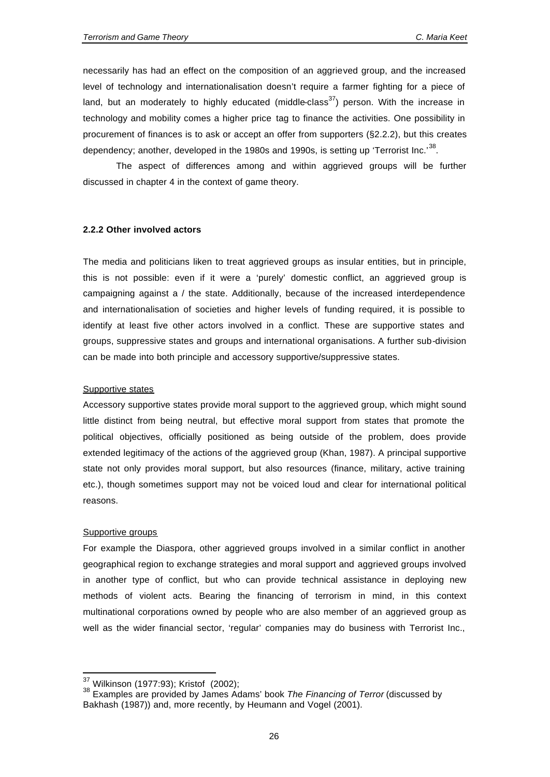necessarily has had an effect on the composition of an aggrieved group, and the increased level of technology and internationalisation doesn't require a farmer fighting for a piece of land, but an moderately to highly educated (middle-class<sup>37</sup>) person. With the increase in technology and mobility comes a higher price tag to finance the activities. One possibility in procurement of finances is to ask or accept an offer from supporters (§2.2.2), but this creates dependency; another, developed in the 1980s and 1990s, is setting up 'Terrorist Inc.'<sup>38</sup>.

The aspect of differences among and within aggrieved groups will be further discussed in chapter 4 in the context of game theory.

#### **2.2.2 Other involved actors**

The media and politicians liken to treat aggrieved groups as insular entities, but in principle, this is not possible: even if it were a 'purely' domestic conflict, an aggrieved group is campaigning against a / the state. Additionally, because of the increased interdependence and internationalisation of societies and higher levels of funding required, it is possible to identify at least five other actors involved in a conflict. These are supportive states and groups, suppressive states and groups and international organisations. A further sub-division can be made into both principle and accessory supportive/suppressive states.

#### Supportive states

Accessory supportive states provide moral support to the aggrieved group, which might sound little distinct from being neutral, but effective moral support from states that promote the political objectives, officially positioned as being outside of the problem, does provide extended legitimacy of the actions of the aggrieved group (Khan, 1987). A principal supportive state not only provides moral support, but also resources (finance, military, active training etc.), though sometimes support may not be voiced loud and clear for international political reasons.

#### Supportive groups

l

For example the Diaspora, other aggrieved groups involved in a similar conflict in another geographical region to exchange strategies and moral support and aggrieved groups involved in another type of conflict, but who can provide technical assistance in deploying new methods of violent acts. Bearing the financing of terrorism in mind, in this context multinational corporations owned by people who are also member of an aggrieved group as well as the wider financial sector, 'regular' companies may do business with Terrorist Inc.,

<sup>&</sup>lt;sup>37</sup> Wilkinson (1977:93); Kristof (2002);

<sup>38</sup> Examples are provided by James Adams' book *The Financing of Terror* (discussed by Bakhash (1987)) and, more recently, by Heumann and Vogel (2001).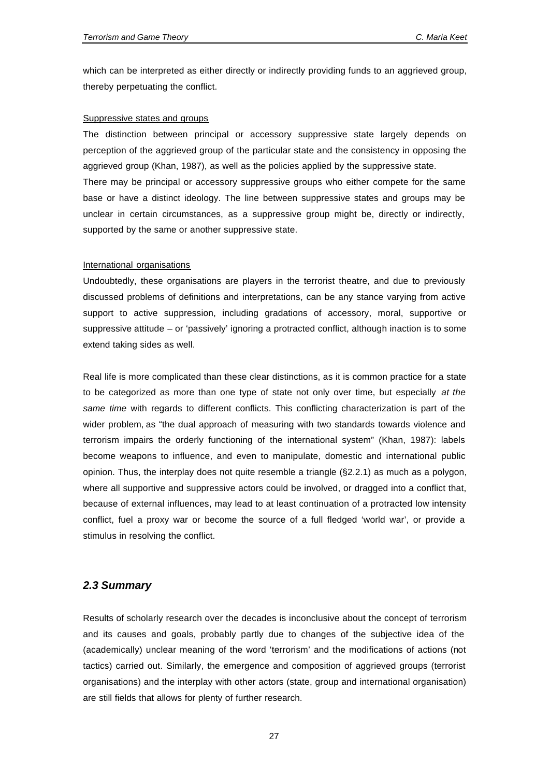which can be interpreted as either directly or indirectly providing funds to an aggrieved group, thereby perpetuating the conflict.

#### Suppressive states and groups

The distinction between principal or accessory suppressive state largely depends on perception of the aggrieved group of the particular state and the consistency in opposing the aggrieved group (Khan, 1987), as well as the policies applied by the suppressive state. There may be principal or accessory suppressive groups who either compete for the same base or have a distinct ideology. The line between suppressive states and groups may be unclear in certain circumstances, as a suppressive group might be, directly or indirectly, supported by the same or another suppressive state.

#### International organisations

Undoubtedly, these organisations are players in the terrorist theatre, and due to previously discussed problems of definitions and interpretations, can be any stance varying from active support to active suppression, including gradations of accessory, moral, supportive or suppressive attitude – or 'passively' ignoring a protracted conflict, although inaction is to some extend taking sides as well.

Real life is more complicated than these clear distinctions, as it is common practice for a state to be categorized as more than one type of state not only over time, but especially *at the same time* with regards to different conflicts. This conflicting characterization is part of the wider problem, as "the dual approach of measuring with two standards towards violence and terrorism impairs the orderly functioning of the international system" (Khan, 1987): labels become weapons to influence, and even to manipulate, domestic and international public opinion. Thus, the interplay does not quite resemble a triangle (§2.2.1) as much as a polygon, where all supportive and suppressive actors could be involved, or dragged into a conflict that, because of external influences, may lead to at least continuation of a protracted low intensity conflict, fuel a proxy war or become the source of a full fledged 'world war', or provide a stimulus in resolving the conflict.

#### *2.3 Summary*

Results of scholarly research over the decades is inconclusive about the concept of terrorism and its causes and goals, probably partly due to changes of the subjective idea of the (academically) unclear meaning of the word 'terrorism' and the modifications of actions (not tactics) carried out. Similarly, the emergence and composition of aggrieved groups (terrorist organisations) and the interplay with other actors (state, group and international organisation) are still fields that allows for plenty of further research.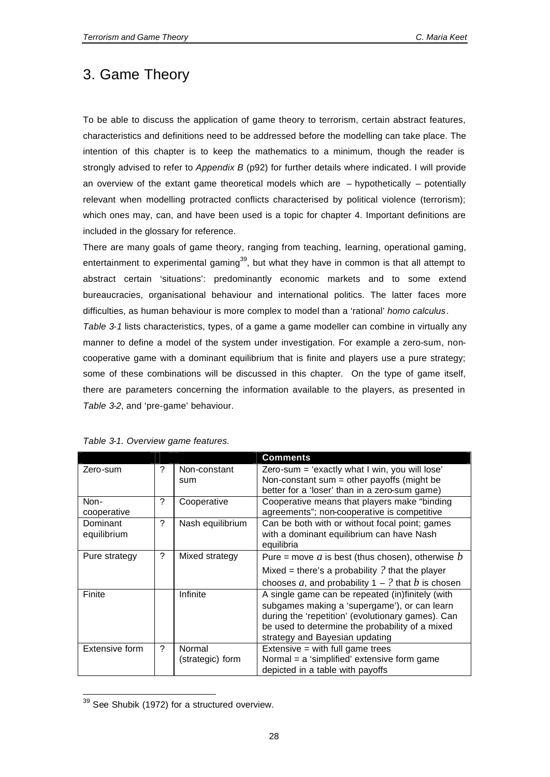## 3. Game Theory

To be able to discuss the application of game theory to terrorism, certain abstract features, characteristics and definitions need to be addressed before the modelling can take place. The intention of this chapter is to keep the mathematics to a minimum, though the reader is strongly advised to refer to *Appendix B* (p92) for further details where indicated. I will provide an overview of the extant game theoretical models which are  $-$  hypothetically  $-$  potentially relevant when modelling protracted conflicts characterised by political violence (terrorism); which ones may, can, and have been used is a topic for chapter 4. Important definitions are included in the glossary for reference.

There are many goals of game theory, ranging from teaching, learning, operational gaming, entertainment to experimental gaming<sup>39</sup>, but what they have in common is that all attempt to abstract certain 'situations': predominantly economic markets and to some extend bureaucracies, organisational behaviour and international politics. The latter faces more difficulties, as human behaviour is more complex to model than a 'rational' *homo calculus*. *Table 3-1* lists characteristics, types, of a game a game modeller can combine in virtually any manner to define a model of the system under investigation. For example a zero-sum, noncooperative game with a dominant equilibrium that is finite and players use a pure strategy; some of these combinations will be discussed in this chapter. On the type of game itself, there are parameters concerning the information available to the players, as presented in *Table 3-2*, and 'pre-game' behaviour.

|                         |   |                            | Comments                                                                                                                                                                                                                                   |
|-------------------------|---|----------------------------|--------------------------------------------------------------------------------------------------------------------------------------------------------------------------------------------------------------------------------------------|
| Zero-sum                | ? | Non-constant<br>sum        | Zero-sum = 'exactly what I win, you will lose'<br>Non-constant sum = other payoffs (might be<br>better for a 'loser' than in a zero-sum game)                                                                                              |
| Non-<br>cooperative     | ? | Cooperative                | Cooperative means that players make "binding<br>agreements"; non-cooperative is competitive                                                                                                                                                |
| Dominant<br>equilibrium | ? | Nash equilibrium           | Can be both with or without focal point; games<br>with a dominant equilibrium can have Nash<br>equilibria                                                                                                                                  |
| Pure strategy           | ? | Mixed strategy             | Pure = move a is best (thus chosen), otherwise $b$<br>Mixed = there's a probability $?$ that the player<br>chooses a, and probability $1 - ?$ that b is chosen                                                                             |
| Finite                  |   | Infinite                   | A single game can be repeated (in)finitely (with<br>subgames making a 'supergame'), or can learn<br>during the 'repetition' (evolutionary games). Can<br>be used to determine the probability of a mixed<br>strategy and Bayesian updating |
| Extensive form          | ? | Normal<br>(strategic) form | Extensive $=$ with full game trees<br>Normal = a 'simplified' extensive form game<br>depicted in a table with payoffs                                                                                                                      |

*Table 3-1. Overview game features.*

 $\overline{\phantom{a}}$ 

 $39$  See Shubik (1972) for a structured overview.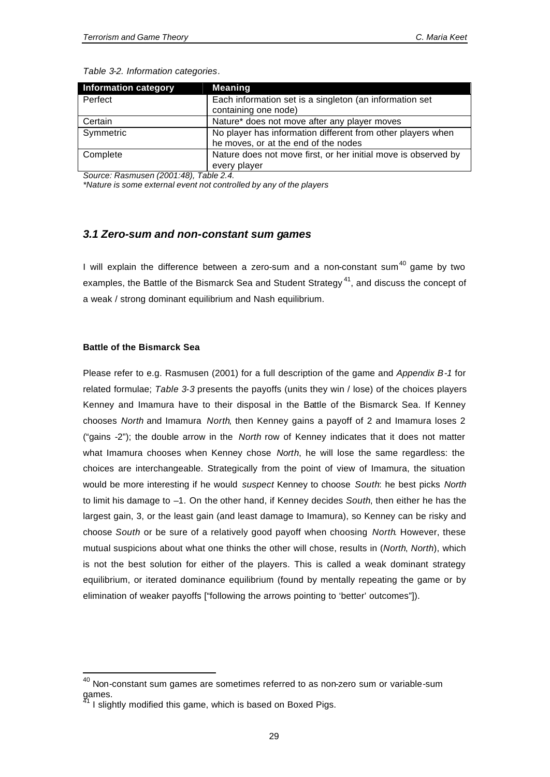| <b>Information category</b> | <b>Meaning</b>                                                 |
|-----------------------------|----------------------------------------------------------------|
| Perfect                     | Each information set is a singleton (an information set        |
|                             | containing one node)                                           |
| Certain                     | Nature* does not move after any player moves                   |
| Symmetric                   | No player has information different from other players when    |
|                             | he moves, or at the end of the nodes                           |
| Complete                    | Nature does not move first, or her initial move is observed by |
|                             | every player                                                   |

*Source: Rasmusen (2001:48), Table 2.4.*

*\*Nature is some external event not controlled by any of the players*

#### *3.1 Zero-sum and non-constant sum games*

I will explain the difference between a zero-sum and a non-constant sum $40$  game by two examples, the Battle of the Bismarck Sea and Student Strategy<sup>41</sup>, and discuss the concept of a weak / strong dominant equilibrium and Nash equilibrium.

#### **Battle of the Bismarck Sea**

l

Please refer to e.g. Rasmusen (2001) for a full description of the game and *Appendix B-1* for related formulae; *Table 3-3* presents the payoffs (units they win / lose) of the choices players Kenney and Imamura have to their disposal in the Battle of the Bismarck Sea. If Kenney chooses *North* and Imamura *North*, then Kenney gains a payoff of 2 and Imamura loses 2 ("gains -2"); the double arrow in the *North* row of Kenney indicates that it does not matter what Imamura chooses when Kenney chose *North*, he will lose the same regardless: the choices are interchangeable. Strategically from the point of view of Imamura, the situation would be more interesting if he would *suspect* Kenney to choose *South*: he best picks *North* to limit his damage to –1. On the other hand, if Kenney decides *South*, then either he has the largest gain, 3, or the least gain (and least damage to Imamura), so Kenney can be risky and choose *South* or be sure of a relatively good payoff when choosing *North*. However, these mutual suspicions about what one thinks the other will chose, results in (*North*, *North*), which is not the best solution for either of the players. This is called a weak dominant strategy equilibrium, or iterated dominance equilibrium (found by mentally repeating the game or by elimination of weaker payoffs ["following the arrows pointing to 'better' outcomes"]).

 $^{40}$  Non-constant sum games are sometimes referred to as non-zero sum or variable-sum games.

<sup>41</sup> I slightly modified this game, which is based on Boxed Pigs.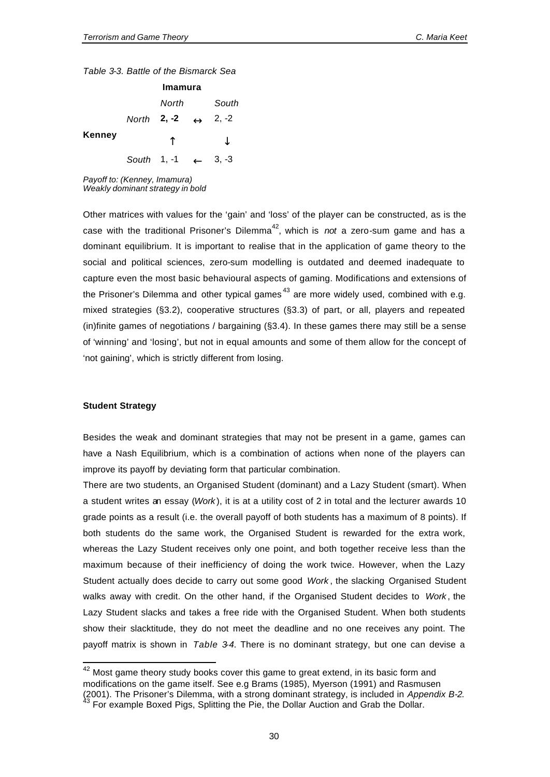*Table 3-3. Battle of the Bismarck Sea*

|               | Imamura |                                            |  |         |
|---------------|---------|--------------------------------------------|--|---------|
|               |         | North                                      |  | South   |
|               |         | North <b>2, -2</b> $\leftrightarrow$ 2, -2 |  |         |
| <b>Kenney</b> |         |                                            |  |         |
|               |         | South 1, -1                                |  | $3, -3$ |

*Payoff to: (Kenney, Imamura) Weakly dominant strategy in bold*

Other matrices with values for the 'gain' and 'loss' of the player can be constructed, as is the case with the traditional Prisoner's Dilemma<sup>42</sup>, which is *not* a zero-sum game and has a dominant equilibrium. It is important to realise that in the application of game theory to the social and political sciences, zero-sum modelling is outdated and deemed inadequate to capture even the most basic behavioural aspects of gaming. Modifications and extensions of the Prisoner's Dilemma and other typical games<sup>43</sup> are more widely used, combined with e.g. mixed strategies (§3.2), cooperative structures (§3.3) of part, or all, players and repeated (in)finite games of negotiations / bargaining (§3.4). In these games there may still be a sense of 'winning' and 'losing', but not in equal amounts and some of them allow for the concept of 'not gaining', which is strictly different from losing.

#### **Student Strategy**

 $\overline{\phantom{a}}$ 

Besides the weak and dominant strategies that may not be present in a game, games can have a Nash Equilibrium, which is a combination of actions when none of the players can improve its payoff by deviating form that particular combination.

There are two students, an Organised Student (dominant) and a Lazy Student (smart). When a student writes an essay (*Work* ), it is at a utility cost of 2 in total and the lecturer awards 10 grade points as a result (i.e. the overall payoff of both students has a maximum of 8 points). If both students do the same work, the Organised Student is rewarded for the extra work, whereas the Lazy Student receives only one point, and both together receive less than the maximum because of their inefficiency of doing the work twice. However, when the Lazy Student actually does decide to carry out some good *Work* , the slacking Organised Student walks away with credit. On the other hand, if the Organised Student decides to *Work* , the Lazy Student slacks and takes a free ride with the Organised Student. When both students show their slacktitude, they do not meet the deadline and no one receives any point. The payoff matrix is shown in *Table 3-4*. There is no dominant strategy, but one can devise a

 $42$  Most game theory study books cover this game to great extend, in its basic form and modifications on the game itself. See e.g Brams (1985), Myerson (1991) and Rasmusen (2001). The Prisoner's Dilemma, with a strong dominant strategy, is included in *Appendix B-2.*

 $43$  For example Boxed Pigs, Splitting the Pie, the Dollar Auction and Grab the Dollar.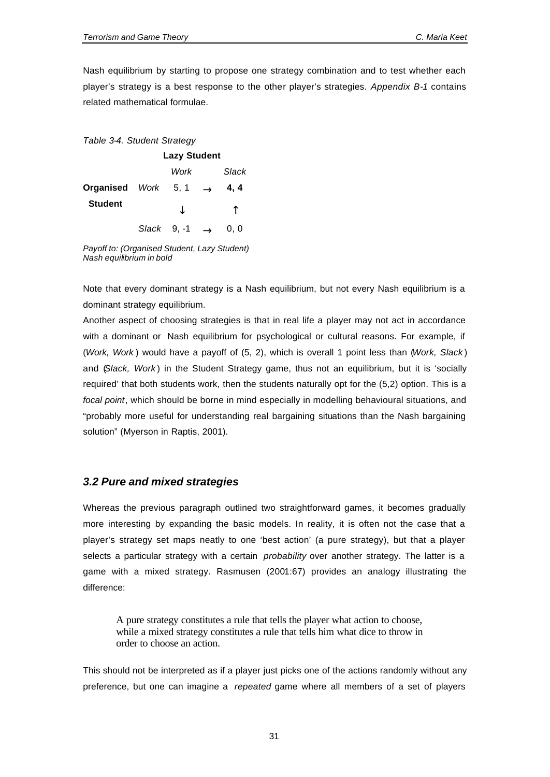Nash equilibrium by starting to propose one strategy combination and to test whether each player's strategy is a best response to the other player's strategies. *Appendix B-1* contains related mathematical formulae.

## *Table 3-4. Student Strategy*

|                     |             | <b>Lazy Student</b> |               |       |
|---------------------|-------------|---------------------|---------------|-------|
|                     |             | Work                |               | Slack |
| Organised Work 5, 1 |             |                     | $\rightarrow$ | 4, 4  |
| <b>Student</b>      |             |                     |               |       |
|                     | Slack 9, -1 |                     |               | 0.0   |

*Payoff to: (Organised Student, Lazy Student) Nash equilibrium in bold*

Note that every dominant strategy is a Nash equilibrium, but not every Nash equilibrium is a dominant strategy equilibrium.

Another aspect of choosing strategies is that in real life a player may not act in accordance with a dominant or Nash equilibrium for psychological or cultural reasons. For example, if (*Work, Work* ) would have a payoff of (5, 2), which is overall 1 point less than (*Work, Slack* ) and (*Slack, Work* ) in the Student Strategy game, thus not an equilibrium, but it is 'socially required' that both students work, then the students naturally opt for the (5,2) option. This is a *focal point*, which should be borne in mind especially in modelling behavioural situations, and "probably more useful for understanding real bargaining situations than the Nash bargaining solution" (Myerson in Raptis, 2001).

# *3.2 Pure and mixed strategies*

Whereas the previous paragraph outlined two straightforward games, it becomes gradually more interesting by expanding the basic models. In reality, it is often not the case that a player's strategy set maps neatly to one 'best action' (a pure strategy), but that a player selects a particular strategy with a certain *probability* over another strategy. The latter is a game with a mixed strategy. Rasmusen (2001:67) provides an analogy illustrating the difference:

A pure strategy constitutes a rule that tells the player what action to choose, while a mixed strategy constitutes a rule that tells him what dice to throw in order to choose an action.

This should not be interpreted as if a player just picks one of the actions randomly without any preference, but one can imagine a *repeated* game where all members of a set of players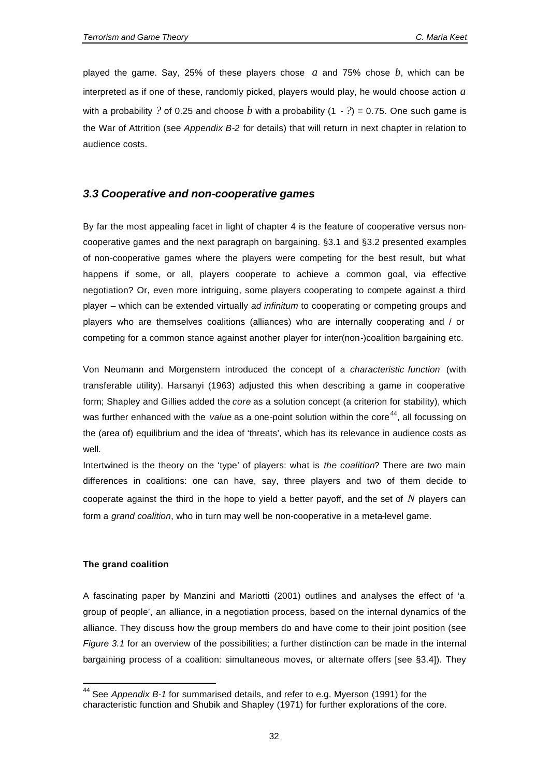played the game. Say, 25% of these players chose *a* and 75% chose *b*, which can be interpreted as if one of these, randomly picked, players would play, he would choose action *a* with a probability ? of 0.25 and choose b with a probability  $(1 - ?) = 0.75$ . One such game is the War of Attrition (see *Appendix B-2* for details) that will return in next chapter in relation to audience costs.

# *3.3 Cooperative and non-cooperative games*

By far the most appealing facet in light of chapter 4 is the feature of cooperative versus noncooperative games and the next paragraph on bargaining. §3.1 and §3.2 presented examples of non-cooperative games where the players were competing for the best result, but what happens if some, or all, players cooperate to achieve a common goal, via effective negotiation? Or, even more intriguing, some players cooperating to compete against a third player – which can be extended virtually *ad infinitum* to cooperating or competing groups and players who are themselves coalitions (alliances) who are internally cooperating and / or competing for a common stance against another player for inter(non-)coalition bargaining etc.

Von Neumann and Morgenstern introduced the concept of a *characteristic function* (with transferable utility). Harsanyi (1963) adjusted this when describing a game in cooperative form; Shapley and Gillies added the *core* as a solution concept (a criterion for stability), which was further enhanced with the *value* as a one-point solution within the core<sup>44</sup>, all focussing on the (area of) equilibrium and the idea of 'threats', which has its relevance in audience costs as well.

Intertwined is the theory on the 'type' of players: what is *the coalition*? There are two main differences in coalitions: one can have, say, three players and two of them decide to cooperate against the third in the hope to yield a better payoff, and the set of *N* players can form a *grand coalition*, who in turn may well be non-cooperative in a meta-level game.

### **The grand coalition**

l

A fascinating paper by Manzini and Mariotti (2001) outlines and analyses the effect of 'a group of people', an alliance, in a negotiation process, based on the internal dynamics of the alliance. They discuss how the group members do and have come to their joint position (see *Figure 3.1* for an overview of the possibilities; a further distinction can be made in the internal bargaining process of a coalition: simultaneous moves, or alternate offers [see §3.4]). They

<sup>44</sup> See *Appendix B-1* for summarised details, and refer to e.g. Myerson (1991) for the characteristic function and Shubik and Shapley (1971) for further explorations of the core.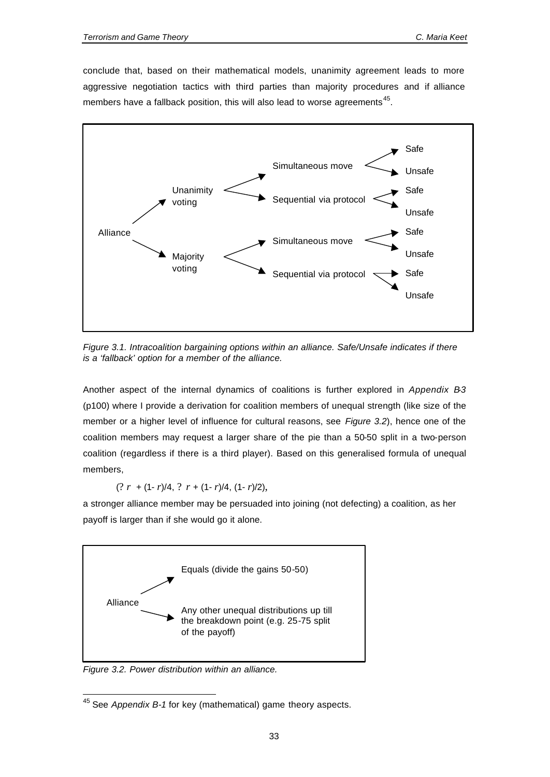conclude that, based on their mathematical models, unanimity agreement leads to more aggressive negotiation tactics with third parties than majority procedures and if alliance members have a fallback position, this will also lead to worse agreements  $45$ .



*Figure 3.1. Intracoalition bargaining options within an alliance. Safe/Unsafe indicates if there is a 'fallback' option for a member of the alliance.* 

Another aspect of the internal dynamics of coalitions is further explored in *Appendix B-3* (p100) where I provide a derivation for coalition members of unequal strength (like size of the member or a higher level of influence for cultural reasons, see *Figure 3.2*), hence one of the coalition members may request a larger share of the pie than a 50-50 split in a two-person coalition (regardless if there is a third player). Based on this generalised formula of unequal members,

(? *r* + (1- *r*)/4, ? *r* + (1- *r*)/4, (1- *r*)/2),

a stronger alliance member may be persuaded into joining (not defecting) a coalition, as her payoff is larger than if she would go it alone.



*Figure 3.2. Power distribution within an alliance.*

 $\overline{\phantom{a}}$ 

<sup>45</sup> See *Appendix B-1* for key (mathematical) game theory aspects.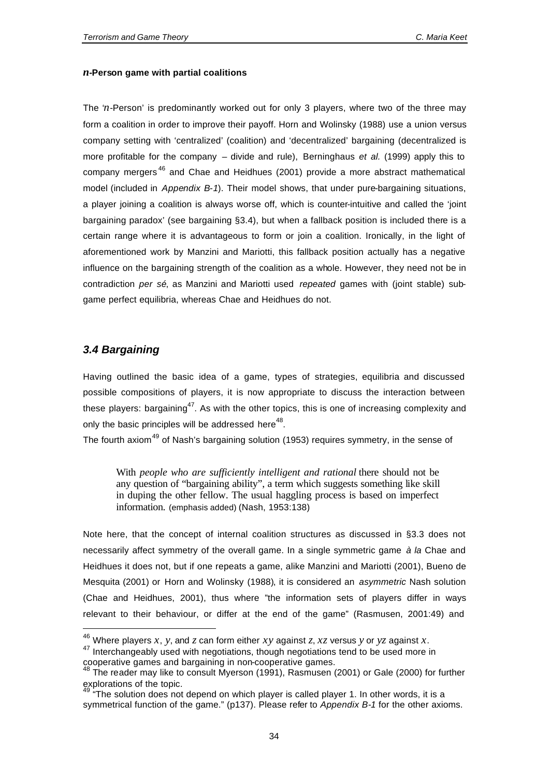## *n***-Person game with partial coalitions**

The '*n*-Person' is predominantly worked out for only 3 players, where two of the three may form a coalition in order to improve their payoff. Horn and Wolinsky (1988) use a union versus company setting with 'centralized' (coalition) and 'decentralized' bargaining (decentralized is more profitable for the company – divide and rule), Berninghaus *et al.* (1999) apply this to company mergers<sup>46</sup> and Chae and Heidhues (2001) provide a more abstract mathematical model (included in *Appendix B-1*). Their model shows, that under pure-bargaining situations, a player joining a coalition is always worse off, which is counter-intuitive and called the 'joint bargaining paradox' (see bargaining §3.4), but when a fallback position is included there is a certain range where it is advantageous to form or join a coalition. Ironically, in the light of aforementioned work by Manzini and Mariotti, this fallback position actually has a negative influence on the bargaining strength of the coalition as a whole. However, they need not be in contradiction *per sé*, as Manzini and Mariotti used *repeated* games with (joint stable) subgame perfect equilibria, whereas Chae and Heidhues do not.

# *3.4 Bargaining*

l

Having outlined the basic idea of a game, types of strategies, equilibria and discussed possible compositions of players, it is now appropriate to discuss the interaction between these players: bargaining<sup>47</sup>. As with the other topics, this is one of increasing complexity and only the basic principles will be addressed here<sup>48</sup>.

The fourth axiom<sup>49</sup> of Nash's bargaining solution (1953) requires symmetry, in the sense of

With *people who are sufficiently intelligent and rational* there should not be any question of "bargaining ability", a term which suggests something like skill in duping the other fellow. The usual haggling process is based on imperfect information. (emphasis added) (Nash, 1953:138)

Note here, that the concept of internal coalition structures as discussed in §3.3 does not necessarily affect symmetry of the overall game. In a single symmetric game *à la* Chae and Heidhues it does not, but if one repeats a game, alike Manzini and Mariotti (2001), Bueno de Mesquita (2001) or Horn and Wolinsky (1988), it is considered an *asymmetric* Nash solution (Chae and Heidhues, 2001), thus where "the information sets of players differ in ways relevant to their behaviour, or differ at the end of the game" (Rasmusen, 2001:49) and

<sup>46</sup> Where players *x*, *y*, and *z* can form either *xy* against *z*, *xz* versus *y* or *yz* against *x*.

<sup>&</sup>lt;sup>47</sup> Interchangeably used with negotiations, though negotiations tend to be used more in cooperative games and bargaining in non-cooperative games.

 $48$  The reader may like to consult Myerson (1991), Rasmusen (2001) or Gale (2000) for further explorations of the topic.

<sup>&</sup>lt;sup>4</sup>The solution does not depend on which player is called player 1. In other words, it is a symmetrical function of the game." (p137). Please refer to *Appendix B-1* for the other axioms.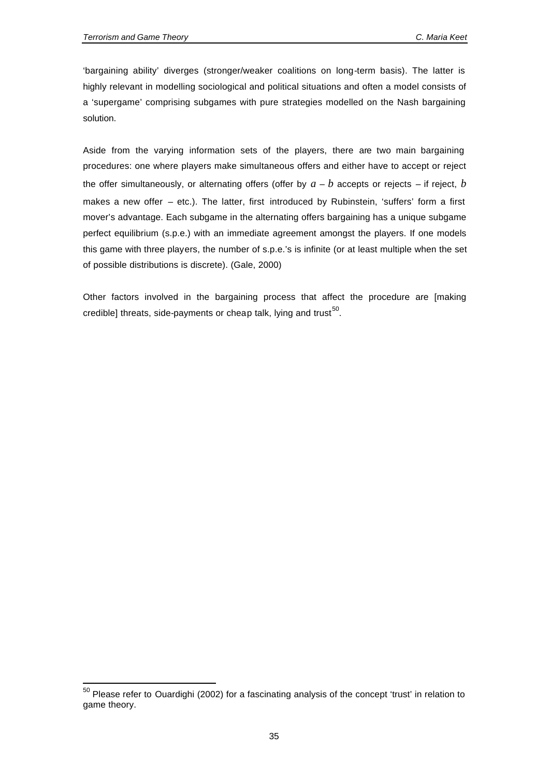l

'bargaining ability' diverges (stronger/weaker coalitions on long-term basis). The latter is highly relevant in modelling sociological and political situations and often a model consists of a 'supergame' comprising subgames with pure strategies modelled on the Nash bargaining solution.

Aside from the varying information sets of the players, there are two main bargaining procedures: one where players make simultaneous offers and either have to accept or reject the offer simultaneously, or alternating offers (offer by  $a - b$  accepts or rejects – if reject, *b* makes a new offer – etc.). The latter, first introduced by Rubinstein, 'suffers' form a first mover's advantage. Each subgame in the alternating offers bargaining has a unique subgame perfect equilibrium (s.p.e.) with an immediate agreement amongst the players. If one models this game with three players, the number of s.p.e.'s is infinite (or at least multiple when the set of possible distributions is discrete). (Gale, 2000)

Other factors involved in the bargaining process that affect the procedure are [making credible] threats, side-payments or cheap talk, lying and trust<sup>50</sup>.

<sup>&</sup>lt;sup>50</sup> Please refer to Ouardighi (2002) for a fascinating analysis of the concept 'trust' in relation to game theory.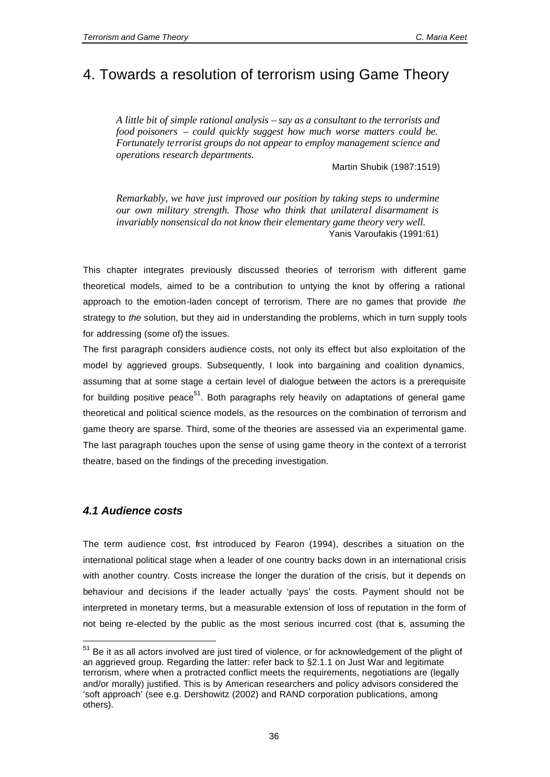# 4. Towards a resolution of terrorism using Game Theory

*A little bit of simple rational analysis – say as a consultant to the terrorists and food poisoners – could quickly suggest how much worse matters could be. Fortunately terrorist groups do not appear to employ management science and operations research departments.*

Martin Shubik (1987:1519)

*Remarkably, we have just improved our position by taking steps to undermine our own military strength. Those who think that unilateral disarmament is invariably nonsensical do not know their elementary game theory very well.* Yanis Varoufakis (1991:61)

This chapter integrates previously discussed theories of terrorism with different game theoretical models, aimed to be a contribution to untying the knot by offering a rational approach to the emotion-laden concept of terrorism. There are no games that provide *the* strategy to *the* solution, but they aid in understanding the problems, which in turn supply tools for addressing (some of) the issues.

The first paragraph considers audience costs, not only its effect but also exploitation of the model by aggrieved groups. Subsequently, I look into bargaining and coalition dynamics, assuming that at some stage a certain level of dialogue between the actors is a prerequisite for building positive peace<sup>51</sup>. Both paragraphs rely heavily on adaptations of general game theoretical and political science models, as the resources on the combination of terrorism and game theory are sparse. Third, some of the theories are assessed via an experimental game. The last paragraph touches upon the sense of using game theory in the context of a terrorist theatre, based on the findings of the preceding investigation.

# *4.1 Audience costs*

l

The term audience cost, first introduced by Fearon (1994), describes a situation on the international political stage when a leader of one country backs down in an international crisis with another country. Costs increase the longer the duration of the crisis, but it depends on behaviour and decisions if the leader actually 'pays' the costs. Payment should not be interpreted in monetary terms, but a measurable extension of loss of reputation in the form of not being re-elected by the public as the most serious incurred cost (that is, assuming the

<sup>&</sup>lt;sup>51</sup> Be it as all actors involved are just tired of violence, or for acknowledgement of the plight of an aggrieved group. Regarding the latter: refer back to §2.1.1 on Just War and legitimate terrorism, where when a protracted conflict meets the requirements, negotiations are (legally and/or morally) justified. This is by American researchers and policy advisors considered the 'soft approach' (see e.g. Dershowitz (2002) and RAND corporation publications, among others).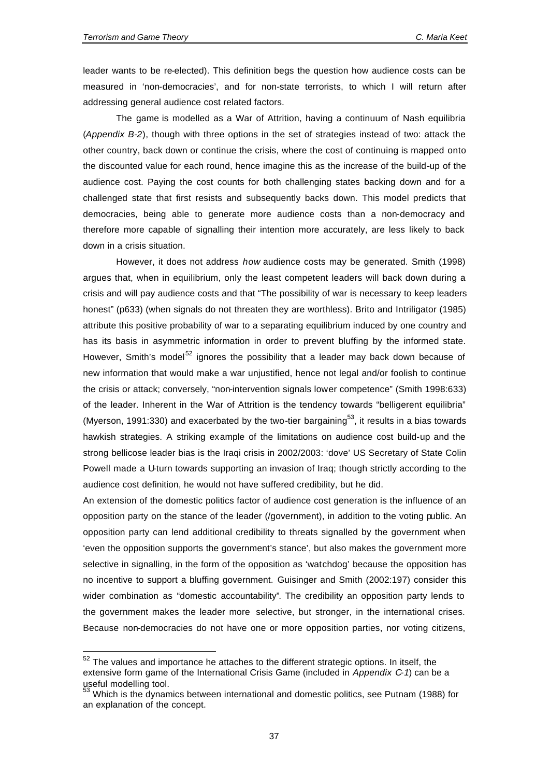l

leader wants to be re-elected). This definition begs the question how audience costs can be measured in 'non-democracies', and for non-state terrorists, to which I will return after addressing general audience cost related factors.

The game is modelled as a War of Attrition, having a continuum of Nash equilibria (*Appendix B-2*), though with three options in the set of strategies instead of two: attack the other country, back down or continue the crisis, where the cost of continuing is mapped onto the discounted value for each round, hence imagine this as the increase of the build-up of the audience cost. Paying the cost counts for both challenging states backing down and for a challenged state that first resists and subsequently backs down. This model predicts that democracies, being able to generate more audience costs than a non-democracy and therefore more capable of signalling their intention more accurately, are less likely to back down in a crisis situation.

However, it does not address *how* audience costs may be generated. Smith (1998) argues that, when in equilibrium, only the least competent leaders will back down during a crisis and will pay audience costs and that "The possibility of war is necessary to keep leaders honest" (p633) (when signals do not threaten they are worthless). Brito and Intriligator (1985) attribute this positive probability of war to a separating equilibrium induced by one country and has its basis in asymmetric information in order to prevent bluffing by the informed state. However, Smith's model<sup>52</sup> ignores the possibility that a leader may back down because of new information that would make a war unjustified, hence not legal and/or foolish to continue the crisis or attack; conversely, "non-intervention signals lower competence" (Smith 1998:633) of the leader. Inherent in the War of Attrition is the tendency towards "belligerent equilibria" (Myerson, 1991:330) and exacerbated by the two-tier bargaining<sup>53</sup>, it results in a bias towards hawkish strategies. A striking example of the limitations on audience cost build-up and the strong bellicose leader bias is the Iraqi crisis in 2002/2003: 'dove' US Secretary of State Colin Powell made a U-turn towards supporting an invasion of Iraq; though strictly according to the audience cost definition, he would not have suffered credibility, but he did.

An extension of the domestic politics factor of audience cost generation is the influence of an opposition party on the stance of the leader (/government), in addition to the voting public. An opposition party can lend additional credibility to threats signalled by the government when 'even the opposition supports the government's stance', but also makes the government more selective in signalling, in the form of the opposition as 'watchdog' because the opposition has no incentive to support a bluffing government. Guisinger and Smith (2002:197) consider this wider combination as "domestic accountability". The credibility an opposition party lends to the government makes the leader more selective, but stronger, in the international crises. Because non-democracies do not have one or more opposition parties, nor voting citizens,

 $52$  The values and importance he attaches to the different strategic options. In itself, the extensive form game of the International Crisis Game (included in *Appendix C-1*) can be a useful modelling tool.

 $53$  Which is the dynamics between international and domestic politics, see Putnam (1988) for an explanation of the concept.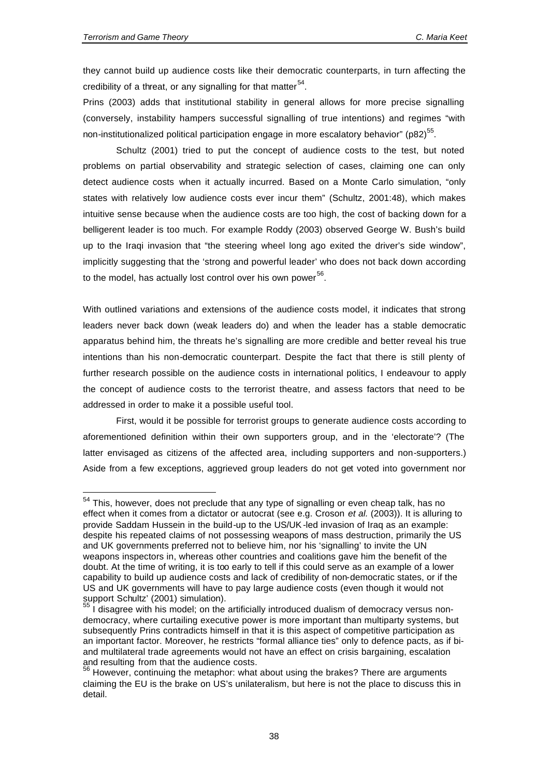they cannot build up audience costs like their democratic counterparts, in turn affecting the credibility of a threat, or any signalling for that matter $^{54}$ .

Prins (2003) adds that institutional stability in general allows for more precise signalling (conversely, instability hampers successful signalling of true intentions) and regimes "with non-institutionalized political participation engage in more escalatory behavior" (p82) $^{55}$ .

Schultz (2001) tried to put the concept of audience costs to the test, but noted problems on partial observability and strategic selection of cases, claiming one can only detect audience costs when it actually incurred. Based on a Monte Carlo simulation, "only states with relatively low audience costs ever incur them" (Schultz, 2001:48), which makes intuitive sense because when the audience costs are too high, the cost of backing down for a belligerent leader is too much. For example Roddy (2003) observed George W. Bush's build up to the Iraqi invasion that "the steering wheel long ago exited the driver's side window", implicitly suggesting that the 'strong and powerful leader' who does not back down according to the model, has actually lost control over his own power<sup>56</sup>.

With outlined variations and extensions of the audience costs model, it indicates that strong leaders never back down (weak leaders do) and when the leader has a stable democratic apparatus behind him, the threats he's signalling are more credible and better reveal his true intentions than his non-democratic counterpart. Despite the fact that there is still plenty of further research possible on the audience costs in international politics, I endeavour to apply the concept of audience costs to the terrorist theatre, and assess factors that need to be addressed in order to make it a possible useful tool.

First, would it be possible for terrorist groups to generate audience costs according to aforementioned definition within their own supporters group, and in the 'electorate'? (The latter envisaged as citizens of the affected area, including supporters and non-supporters.) Aside from a few exceptions, aggrieved group leaders do not get voted into government nor

<sup>&</sup>lt;sup>54</sup> This. however, does not preclude that any type of signalling or even cheap talk, has no effect when it comes from a dictator or autocrat (see e.g. Croson *et al.* (2003)). It is alluring to provide Saddam Hussein in the build-up to the US/UK-led invasion of Iraq as an example: despite his repeated claims of not possessing weapons of mass destruction, primarily the US and UK governments preferred not to believe him, nor his 'signalling' to invite the UN weapons inspectors in, whereas other countries and coalitions gave him the benefit of the doubt. At the time of writing, it is too early to tell if this could serve as an example of a lower capability to build up audience costs and lack of credibility of non-democratic states, or if the US and UK governments will have to pay large audience costs (even though it would not support Schultz' (2001) simulation).

I disagree with his model; on the artificially introduced dualism of democracy versus nondemocracy, where curtailing executive power is more important than multiparty systems, but subsequently Prins contradicts himself in that it is this aspect of competitive participation as an important factor. Moreover, he restricts "formal alliance ties" only to defence pacts, as if biand multilateral trade agreements would not have an effect on crisis bargaining, escalation and resulting from that the audience costs.

 $56$  However, continuing the metaphor: what about using the brakes? There are arguments claiming the EU is the brake on US's unilateralism, but here is not the place to discuss this in detail.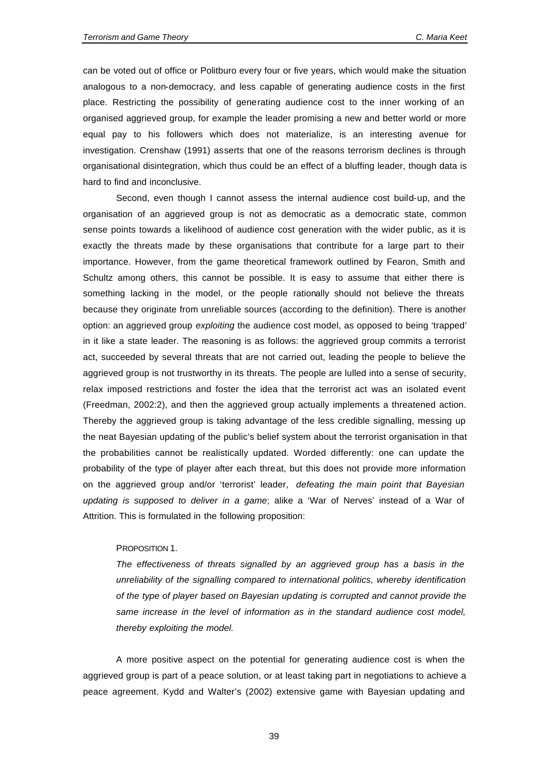can be voted out of office or Politburo every four or five years, which would make the situation analogous to a non-democracy, and less capable of generating audience costs in the first place. Restricting the possibility of generating audience cost to the inner working of an organised aggrieved group, for example the leader promising a new and better world or more equal pay to his followers which does not materialize, is an interesting avenue for investigation. Crenshaw (1991) asserts that one of the reasons terrorism declines is through organisational disintegration, which thus could be an effect of a bluffing leader, though data is hard to find and inconclusive.

Second, even though I cannot assess the internal audience cost build-up, and the organisation of an aggrieved group is not as democratic as a democratic state, common sense points towards a likelihood of audience cost generation with the wider public, as it is exactly the threats made by these organisations that contribute for a large part to their importance. However, from the game theoretical framework outlined by Fearon, Smith and Schultz among others, this cannot be possible. It is easy to assume that either there is something lacking in the model, or the people rationally should not believe the threats because they originate from unreliable sources (according to the definition). There is another option: an aggrieved group *exploiting* the audience cost model, as opposed to being 'trapped' in it like a state leader. The reasoning is as follows: the aggrieved group commits a terrorist act, succeeded by several threats that are not carried out, leading the people to believe the aggrieved group is not trustworthy in its threats. The people are lulled into a sense of security, relax imposed restrictions and foster the idea that the terrorist act was an isolated event (Freedman, 2002:2), and then the aggrieved group actually implements a threatened action. Thereby the aggrieved group is taking advantage of the less credible signalling, messing up the neat Bayesian updating of the public's belief system about the terrorist organisation in that the probabilities cannot be realistically updated. Worded differently: one can update the probability of the type of player after each threat, but this does not provide more information on the aggrieved group and/or 'terrorist' leader, *defeating the main point that Bayesian updating is supposed to deliver in a game*; alike a 'War of Nerves' instead of a War of Attrition. This is formulated in the following proposition:

#### PROPOSITION 1.

*The effectiveness of threats signalled by an aggrieved group has a basis in the unreliability of the signalling compared to international politics, whereby identification of the type of player based on Bayesian updating is corrupted and cannot provide the same increase in the level of information as in the standard audience cost model, thereby exploiting the model.* 

A more positive aspect on the potential for generating audience cost is when the aggrieved group is part of a peace solution, or at least taking part in negotiations to achieve a peace agreement. Kydd and Walter's (2002) extensive game with Bayesian updating and

39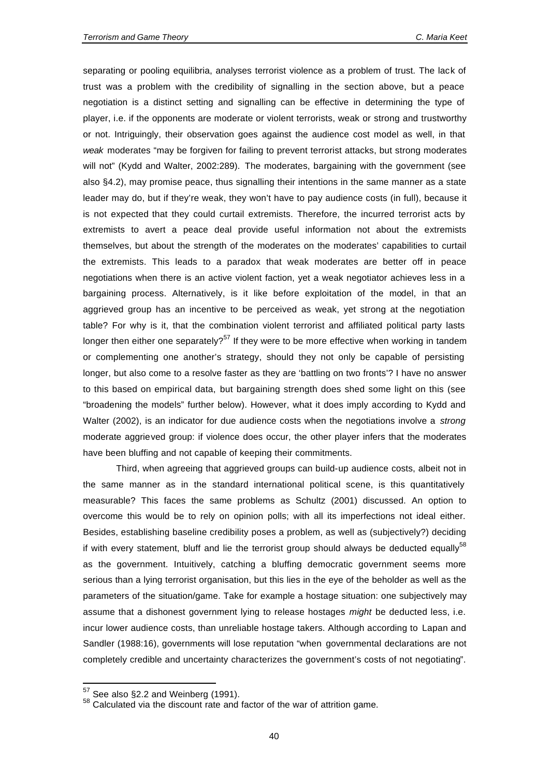separating or pooling equilibria, analyses terrorist violence as a problem of trust. The lack of trust was a problem with the credibility of signalling in the section above, but a peace negotiation is a distinct setting and signalling can be effective in determining the type of player, i.e. if the opponents are moderate or violent terrorists, weak or strong and trustworthy or not. Intriguingly, their observation goes against the audience cost model as well, in that *weak* moderates "may be forgiven for failing to prevent terrorist attacks, but strong moderates will not" (Kydd and Walter, 2002:289). The moderates, bargaining with the government (see also §4.2), may promise peace, thus signalling their intentions in the same manner as a state leader may do, but if they're weak, they won't have to pay audience costs (in full), because it is not expected that they could curtail extremists. Therefore, the incurred terrorist acts by extremists to avert a peace deal provide useful information not about the extremists themselves, but about the strength of the moderates on the moderates' capabilities to curtail the extremists. This leads to a paradox that weak moderates are better off in peace negotiations when there is an active violent faction, yet a weak negotiator achieves less in a bargaining process. Alternatively, is it like before exploitation of the model, in that an aggrieved group has an incentive to be perceived as weak, yet strong at the negotiation table? For why is it, that the combination violent terrorist and affiliated political party lasts longer then either one separately?<sup>57</sup> If they were to be more effective when working in tandem or complementing one another's strategy, should they not only be capable of persisting longer, but also come to a resolve faster as they are 'battling on two fronts'? I have no answer to this based on empirical data, but bargaining strength does shed some light on this (see "broadening the models" further below). However, what it does imply according to Kydd and Walter (2002), is an indicator for due audience costs when the negotiations involve a *strong* moderate aggrieved group: if violence does occur, the other player infers that the moderates have been bluffing and not capable of keeping their commitments.

Third, when agreeing that aggrieved groups can build-up audience costs, albeit not in the same manner as in the standard international political scene, is this quantitatively measurable? This faces the same problems as Schultz (2001) discussed. An option to overcome this would be to rely on opinion polls; with all its imperfections not ideal either. Besides, establishing baseline credibility poses a problem, as well as (subjectively?) deciding if with every statement, bluff and lie the terrorist group should always be deducted equally<sup>58</sup> as the government. Intuitively, catching a bluffing democratic government seems more serious than a lying terrorist organisation, but this lies in the eye of the beholder as well as the parameters of the situation/game. Take for example a hostage situation: one subjectively may assume that a dishonest government lying to release hostages *might* be deducted less, i.e. incur lower audience costs, than unreliable hostage takers. Although according to Lapan and Sandler (1988:16), governments will lose reputation "when governmental declarations are not completely credible and uncertainty characterizes the government's costs of not negotiating".

l

 $57$  See also §2.2 and Weinberg (1991).

 $58$  Calculated via the discount rate and factor of the war of attrition game.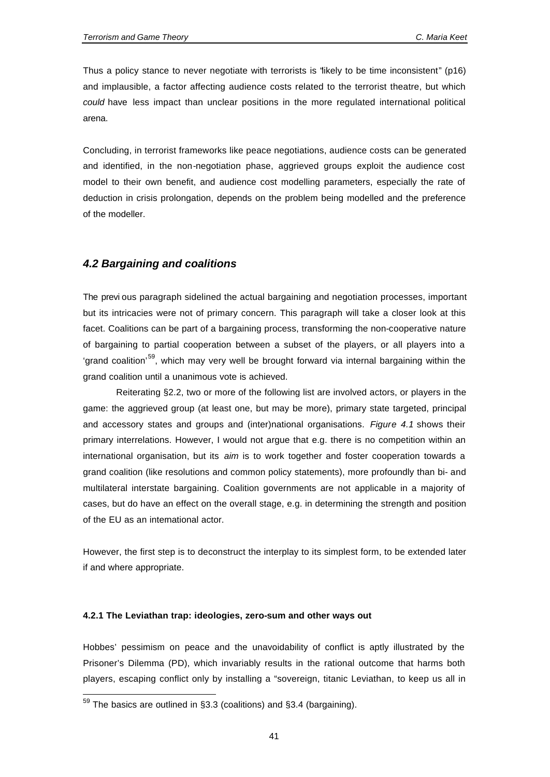Thus a policy stance to never negotiate with terrorists is "likely to be time inconsistent" (p16) and implausible, a factor affecting audience costs related to the terrorist theatre, but which *could* have less impact than unclear positions in the more regulated international political arena.

Concluding, in terrorist frameworks like peace negotiations, audience costs can be generated and identified, in the non-negotiation phase, aggrieved groups exploit the audience cost model to their own benefit, and audience cost modelling parameters, especially the rate of deduction in crisis prolongation, depends on the problem being modelled and the preference of the modeller.

# *4.2 Bargaining and coalitions*

The previ ous paragraph sidelined the actual bargaining and negotiation processes, important but its intricacies were not of primary concern. This paragraph will take a closer look at this facet. Coalitions can be part of a bargaining process, transforming the non-cooperative nature of bargaining to partial cooperation between a subset of the players, or all players into a 'grand coalition'<sup>59</sup>, which may very well be brought forward via internal bargaining within the grand coalition until a unanimous vote is achieved.

Reiterating §2.2, two or more of the following list are involved actors, or players in the game: the aggrieved group (at least one, but may be more), primary state targeted, principal and accessory states and groups and (inter)national organisations. *Figure 4.1* shows their primary interrelations. However, I would not argue that e.g. there is no competition within an international organisation, but its *aim* is to work together and foster cooperation towards a grand coalition (like resolutions and common policy statements), more profoundly than bi- and multilateral interstate bargaining. Coalition governments are not applicable in a majority of cases, but do have an effect on the overall stage, e.g. in determining the strength and position of the EU as an intemational actor.

However, the first step is to deconstruct the interplay to its simplest form, to be extended later if and where appropriate.

### **4.2.1 The Leviathan trap: ideologies, zero-sum and other ways out**

Hobbes' pessimism on peace and the unavoidability of conflict is aptly illustrated by the Prisoner's Dilemma (PD), which invariably results in the rational outcome that harms both players, escaping conflict only by installing a "sovereign, titanic Leviathan, to keep us all in

 $\overline{a}$ 

 $^{59}$  The basics are outlined in §3.3 (coalitions) and §3.4 (bargaining).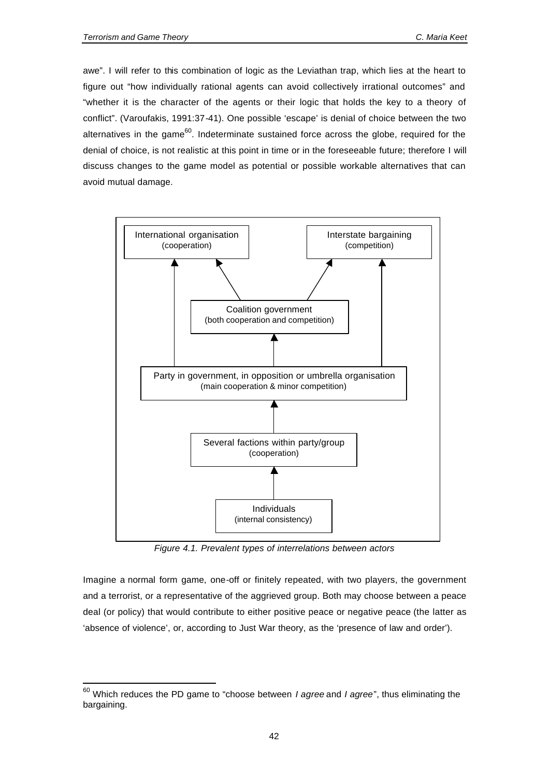l

awe". I will refer to this combination of logic as the Leviathan trap, which lies at the heart to figure out "how individually rational agents can avoid collectively irrational outcomes" and "whether it is the character of the agents or their logic that holds the key to a theory of conflict". (Varoufakis, 1991:37-41). One possible 'escape' is denial of choice between the two alternatives in the game<sup>60</sup>. Indeterminate sustained force across the globe, required for the denial of choice, is not realistic at this point in time or in the foreseeable future; therefore I will discuss changes to the game model as potential or possible workable alternatives that can avoid mutual damage.



*Figure 4.1. Prevalent types of interrelations between actors*

Imagine a normal form game, one-off or finitely repeated, with two players, the government and a terrorist, or a representative of the aggrieved group. Both may choose between a peace deal (or policy) that would contribute to either positive peace or negative peace (the latter as 'absence of violence', or, according to Just War theory, as the 'presence of law and order').

<sup>60</sup> Which reduces the PD game to "choose between *I agree* and *I agree*", thus eliminating the bargaining.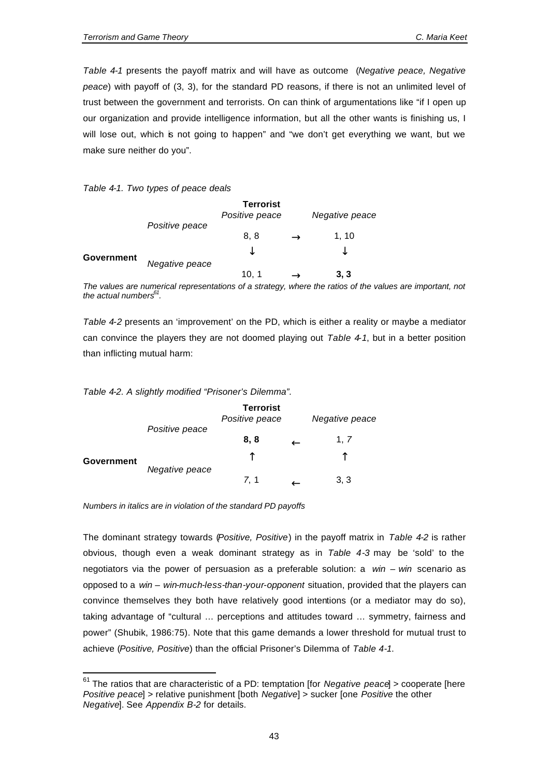*Table 4-1* presents the payoff matrix and will have as outcome (*Negative peace, Negative peace*) with payoff of (3, 3), for the standard PD reasons, if there is not an unlimited level of trust between the government and terrorists. On can think of argumentations like "if I open up our organization and provide intelligence information, but all the other wants is finishing us, I will lose out, which is not going to happen" and "we don't get everything we want, but we make sure neither do you".

## *Table 4-1. Two types of peace deals*

|            |                | <b>Terrorist</b><br>Positive peace | Negative peace |
|------------|----------------|------------------------------------|----------------|
| Government | Positive peace | 8, 8<br>◡                          | 1, 10<br>◡     |
|            | Negative peace | 10.1                               | 3, 3           |

*The values are numerical representations of a strategy, where the ratios of the values are important, not the actual numbers<sup>61</sup> .*

*Table 4-2* presents an 'improvement' on the PD, which is either a reality or maybe a mediator can convince the players they are not doomed playing out *Table 4-1*, but in a better position than inflicting mutual harm:

### *Table 4-2. A slightly modified "Prisoner's Dilemma".*

|            |                | <b>Terrorist</b><br>Positive peace | Negative peace |
|------------|----------------|------------------------------------|----------------|
| Government | Positive peace | 8, 8<br>↑                          | 1, 7<br>↑      |
|            | Negative peace | 7, 1                               | 3, 3           |

*Numbers in italics are in violation of the standard PD payoffs*

l

The dominant strategy towards (*Positive, Positive*) in the payoff matrix in *Table 4-2* is rather obvious, though even a weak dominant strategy as in *Table 4-3* may be 'sold' to the negotiators via the power of persuasion as a preferable solution: a *win – win* scenario as opposed to a *win – win-much-less-than-your-opponent* situation, provided that the players can convince themselves they both have relatively good intentions (or a mediator may do so), taking advantage of "cultural … perceptions and attitudes toward … symmetry, fairness and power" (Shubik, 1986:75). Note that this game demands a lower threshold for mutual trust to achieve (*Positive, Positive*) than the official Prisoner's Dilemma of *Table 4-1*.

<sup>61</sup> The ratios that are characteristic of a PD: temptation [for *Negative peace*] > cooperate [here *Positive peace*] > relative punishment [both *Negative*] > sucker [one *Positive* the other *Negative*]. See *Appendix B-2* for details.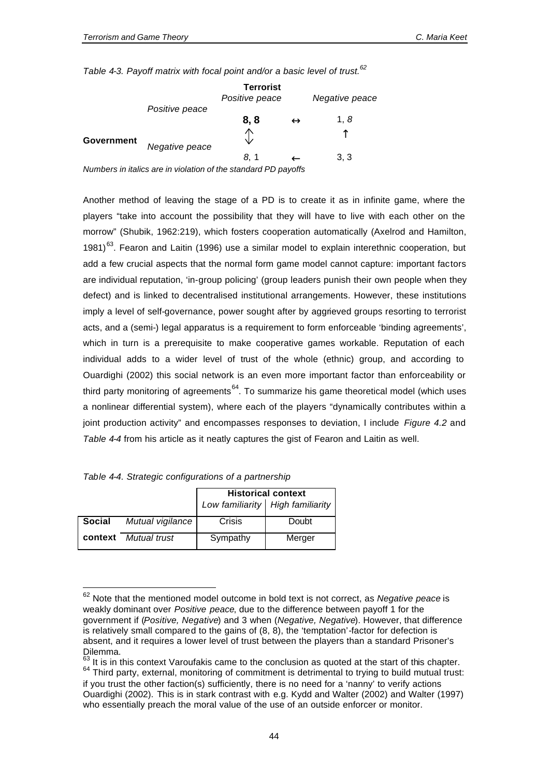*Table 4-3. Payoff matrix with focal point and/or a basic level of trust.<sup>62</sup>*

|            |                                                                | <b>Terrorist</b><br>Positive peace |                   | Negative peace |
|------------|----------------------------------------------------------------|------------------------------------|-------------------|----------------|
|            | Positive peace                                                 | 8, 8                               | $\leftrightarrow$ | 1.8            |
| Government | Negative peace                                                 | ∧                                  |                   |                |
|            | Numbers in italics are in violation of the standard PD payoffs | 8.1                                |                   | 3, 3           |

*Numbers in italics are in violation of the standard PD payoffs*

Another method of leaving the stage of a PD is to create it as in infinite game, where the players "take into account the possibility that they will have to live with each other on the morrow" (Shubik, 1962:219), which fosters cooperation automatically (Axelrod and Hamilton, 1981)<sup>63</sup>. Fearon and Laitin (1996) use a similar model to explain interethnic cooperation, but add a few crucial aspects that the normal form game model cannot capture: important factors are individual reputation, 'in-group policing' (group leaders punish their own people when they defect) and is linked to decentralised institutional arrangements. However, these institutions imply a level of self-governance, power sought after by aggrieved groups resorting to terrorist acts, and a (semi-) legal apparatus is a requirement to form enforceable 'binding agreements', which in turn is a prerequisite to make cooperative games workable. Reputation of each individual adds to a wider level of trust of the whole (ethnic) group, and according to Ouardighi (2002) this social network is an even more important factor than enforceability or third party monitoring of agreements<sup>64</sup>. To summarize his game theoretical model (which uses a nonlinear differential system), where each of the players "dynamically contributes within a joint production activity" and encompasses responses to deviation, I include *Figure 4.2* and *Table 4-4* from his article as it neatly captures the gist of Fearon and Laitin as well.

|         |                  | <b>Historical context</b> |                                  |  |
|---------|------------------|---------------------------|----------------------------------|--|
|         |                  |                           | Low familiarity High familiarity |  |
| Social  | Mutual vigilance | Crisis                    | Doubt                            |  |
| context | Mutual trust     | Sympathy                  | Merger                           |  |

|  | Table 4-4. Strategic configurations of a partnership |  |  |
|--|------------------------------------------------------|--|--|
|  |                                                      |  |  |

l

<sup>62</sup> Note that the mentioned model outcome in bold text is not correct, as *Negative peace* is weakly dominant over *Positive peace*, due to the difference between payoff 1 for the government if (*Positive, Negative*) and 3 when (*Negative, Negative*). However, that difference is relatively small compared to the gains of (8, 8), the 'temptation'-factor for defection is absent, and it requires a lower level of trust between the players than a standard Prisoner's Dilemma.

It is in this context Varoufakis came to the conclusion as quoted at the start of this chapter. <sup>64</sup> Third party, external, monitoring of commitment is detrimental to trying to build mutual trust: if you trust the other faction(s) sufficiently, there is no need for a 'nanny' to verify actions Ouardighi (2002). This is in stark contrast with e.g. Kydd and Walter (2002) and Walter (1997) who essentially preach the moral value of the use of an outside enforcer or monitor.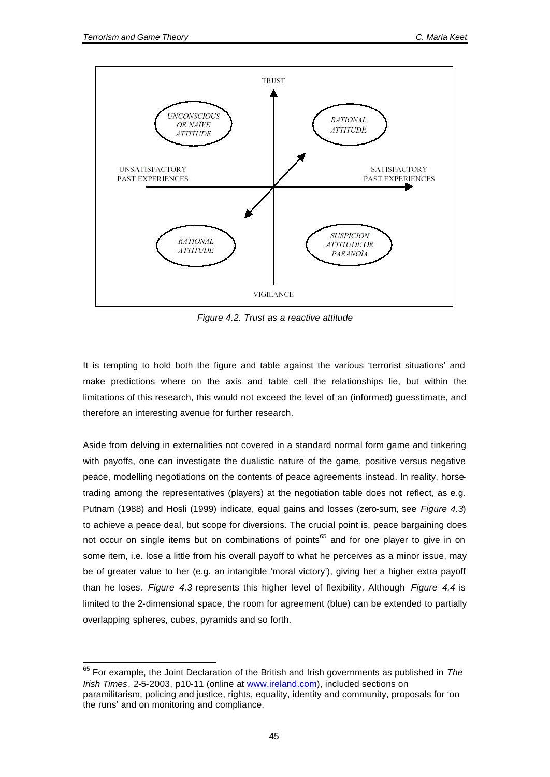$\overline{a}$ 



*Figure 4.2. Trust as a reactive attitude*

It is tempting to hold both the figure and table against the various 'terrorist situations' and make predictions where on the axis and table cell the relationships lie, but within the limitations of this research, this would not exceed the level of an (informed) guesstimate, and therefore an interesting avenue for further research.

Aside from delving in externalities not covered in a standard normal form game and tinkering with payoffs, one can investigate the dualistic nature of the game, positive versus negative peace, modelling negotiations on the contents of peace agreements instead. In reality, horsetrading among the representatives (players) at the negotiation table does not reflect, as e.g. Putnam (1988) and Hosli (1999) indicate, equal gains and losses (zero-sum, see *Figure 4.3*) to achieve a peace deal, but scope for diversions. The crucial point is, peace bargaining does not occur on single items but on combinations of points<sup>65</sup> and for one player to give in on some item, i.e. lose a little from his overall payoff to what he perceives as a minor issue, may be of greater value to her (e.g. an intangible 'moral victory'), giving her a higher extra payoff than he loses. *Figure 4.3* represents this higher level of flexibility. Although *Figure 4.4* is limited to the 2-dimensional space, the room for agreement (blue) can be extended to partially overlapping spheres, cubes, pyramids and so forth.

<sup>65</sup> For example, the Joint Declaration of the British and Irish governments as published in *The Irish Times*, 2-5-2003, p10-11 (online at www.ireland.com), included sections on paramilitarism, policing and justice, rights, equality, identity and community, proposals for 'on the runs' and on monitoring and compliance.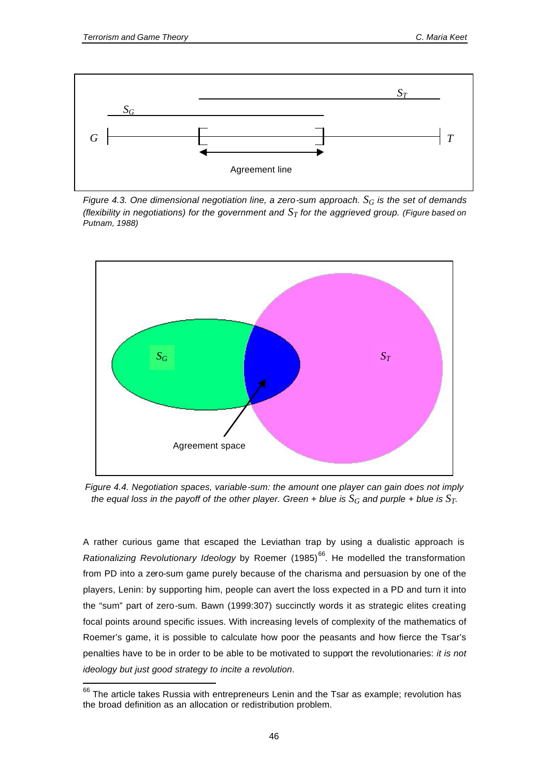l



*Figure 4.3. One dimensional negotiation line, a zero-sum approach.*  $S_G$  *is the set of demands (flexibility in negotiations) for the government and ST for the aggrieved group. (Figure based on Putnam, 1988)*



*Figure 4.4. Negotiation spaces, variable-sum: the amount one player can gain does not imply the equal loss in the payoff of the other player. Green + blue is*  $S_G$  *and purple + blue is*  $S_T$ *.* 

A rather curious game that escaped the Leviathan trap by using a dualistic approach is *Rationalizing Revolutionary Ideology* by Roemer (1985)<sup>66</sup>. He modelled the transformation from PD into a zero-sum game purely because of the charisma and persuasion by one of the players, Lenin: by supporting him, people can avert the loss expected in a PD and turn it into the "sum" part of zero-sum. Bawn (1999:307) succinctly words it as strategic elites creating focal points around specific issues. With increasing levels of complexity of the mathematics of Roemer's game, it is possible to calculate how poor the peasants and how fierce the Tsar's penalties have to be in order to be able to be motivated to support the revolutionaries: *it is not ideology but just good strategy to incite a revolution*.

 $66$  The article takes Russia with entrepreneurs Lenin and the Tsar as example; revolution has the broad definition as an allocation or redistribution problem.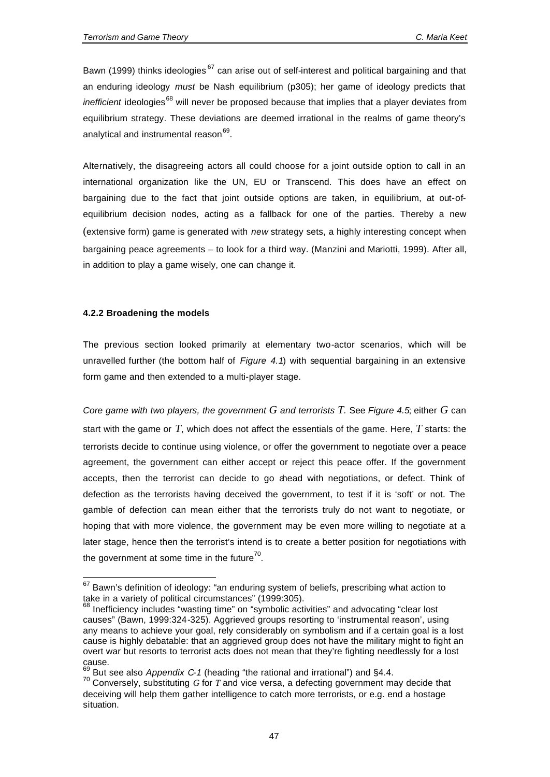Bawn (1999) thinks ideologies<sup>67</sup> can arise out of self-interest and political bargaining and that an enduring ideology *must* be Nash equilibrium (p305); her game of ideology predicts that *inefficient* ideologies<sup>68</sup> will never be proposed because that implies that a player deviates from equilibrium strategy. These deviations are deemed irrational in the realms of game theory's analytical and instrumental reason<sup>69</sup>.

Alternatively, the disagreeing actors all could choose for a joint outside option to call in an international organization like the UN, EU or Transcend. This does have an effect on bargaining due to the fact that joint outside options are taken, in equilibrium, at out-ofequilibrium decision nodes, acting as a fallback for one of the parties. Thereby a new (extensive form) game is generated with *new* strategy sets, a highly interesting concept when bargaining peace agreements – to look for a third way. (Manzini and Mariotti, 1999). After all, in addition to play a game wisely, one can change it.

## **4.2.2 Broadening the models**

 $\overline{a}$ 

The previous section looked primarily at elementary two-actor scenarios, which will be unravelled further (the bottom half of *Figure 4.1*) with sequential bargaining in an extensive form game and then extended to a multi-player stage.

*Core game with two players, the government G and terrorists T.* See *Figure 4.5*; either *G* can start with the game or *T*, which does not affect the essentials of the game. Here, *T* starts: the terrorists decide to continue using violence, or offer the government to negotiate over a peace agreement, the government can either accept or reject this peace offer. If the government accepts, then the terrorist can decide to go ahead with negotiations, or defect. Think of defection as the terrorists having deceived the government, to test if it is 'soft' or not. The gamble of defection can mean either that the terrorists truly do not want to negotiate, or hoping that with more violence, the government may be even more willing to negotiate at a later stage, hence then the terrorist's intend is to create a better position for negotiations with the government at some time in the future<sup>70</sup>.

 $67$  Bawn's definition of ideology: "an enduring system of beliefs, prescribing what action to take in a variety of political circumstances" (1999:305).

<sup>68</sup> Inefficiency includes "wasting time" on "symbolic activities" and advocating "clear lost causes" (Bawn, 1999:324-325). Aggrieved groups resorting to 'instrumental reason', using any means to achieve your goal, rely considerably on symbolism and if a certain goal is a lost cause is highly debatable: that an aggrieved group does not have the military might to fight an overt war but resorts to terrorist acts does not mean that they're fighting needlessly for a lost cause.

<sup>69</sup> But see also *Appendix C-1* (heading "the rational and irrational") and §4.4.

<sup>70</sup> Conversely, substituting *G* for *T* and vice versa, a defecting government may decide that deceiving will help them gather intelligence to catch more terrorists, or e.g. end a hostage situation.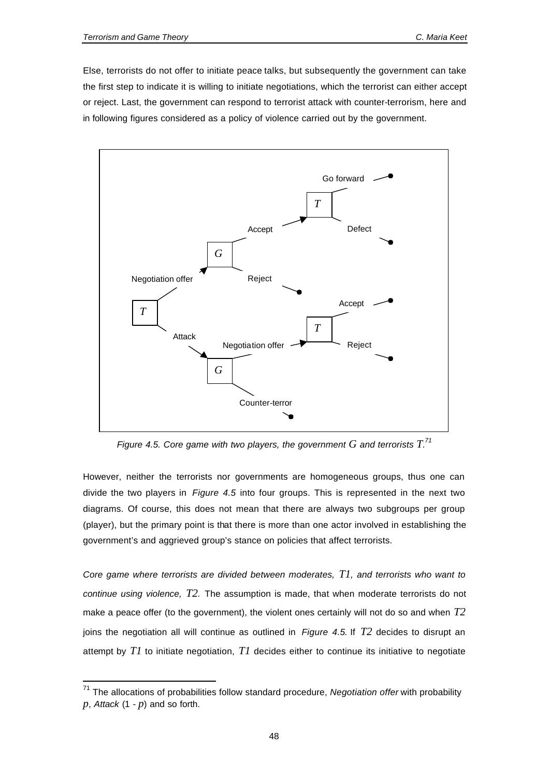l

Else, terrorists do not offer to initiate peace talks, but subsequently the government can take the first step to indicate it is willing to initiate negotiations, which the terrorist can either accept or reject. Last, the government can respond to terrorist attack with counter-terrorism, here and in following figures considered as a policy of violence carried out by the government.



*Figure 4.5. Core game with two players, the government*  $G$  *and terrorists*  $T$ *.*<sup>71</sup>

However, neither the terrorists nor governments are homogeneous groups, thus one can divide the two players in *Figure 4.5* into four groups. This is represented in the next two diagrams. Of course, this does not mean that there are always two subgroups per group (player), but the primary point is that there is more than one actor involved in establishing the government's and aggrieved group's stance on policies that affect terrorists.

*Core game where terrorists are divided between moderates, T1, and terrorists who want to continue using violence, T2.* The assumption is made, that when moderate terrorists do not make a peace offer (to the government), the violent ones certainly will not do so and when *T2* joins the negotiation all will continue as outlined in *Figure 4.5*. If *T2* decides to disrupt an attempt by *T1* to initiate negotiation, *T1* decides either to continue its initiative to negotiate

<sup>71</sup> The allocations of probabilities follow standard procedure, *Negotiation offer* with probability *p*, *Attack* (1 - *p*) and so forth.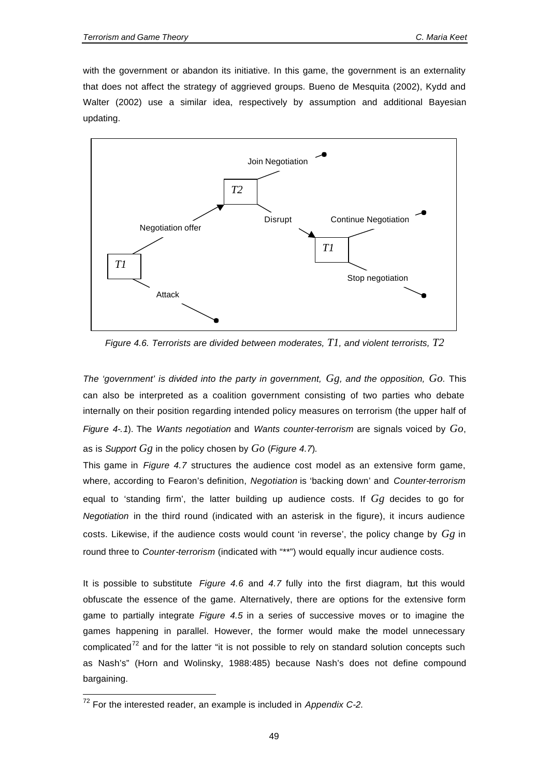with the government or abandon its initiative. In this game, the government is an externality that does not affect the strategy of aggrieved groups. Bueno de Mesquita (2002), Kydd and Walter (2002) use a similar idea, respectively by assumption and additional Bayesian updating.



*Figure 4.6. Terrorists are divided between moderates, T1, and violent terrorists, T2*

*The 'government' is divided into the party in government, Gg, and the opposition, Go.* This can also be interpreted as a coalition government consisting of two parties who debate internally on their position regarding intended policy measures on terrorism (the upper half of *Figure 4-.1*). The *Wants negotiation* and *Wants counter-terrorism* are signals voiced by *Go*, as is *Support Gg* in the policy chosen by *Go* (*Figure 4.7*).

This game in *Figure 4.7* structures the audience cost model as an extensive form game, where, according to Fearon's definition, *Negotiation* is 'backing down' and *Counter-terrorism* equal to 'standing firm', the latter building up audience costs. If *Gg* decides to go for *Negotiation* in the third round (indicated with an asterisk in the figure), it incurs audience costs. Likewise, if the audience costs would count 'in reverse', the policy change by *Gg* in round three to *Counter-terrorism* (indicated with "\*\*") would equally incur audience costs.

It is possible to substitute *Figure 4.6* and *4.7* fully into the first diagram, but this would obfuscate the essence of the game. Alternatively, there are options for the extensive form game to partially integrate *Figure 4.5* in a series of successive moves or to imagine the games happening in parallel. However, the former would make the model unnecessary complicated $72$  and for the latter "it is not possible to rely on standard solution concepts such as Nash's" (Horn and Wolinsky, 1988:485) because Nash's does not define compound bargaining.

 $\overline{a}$ 

<sup>72</sup> For the interested reader, an example is included in *Appendix C-2*.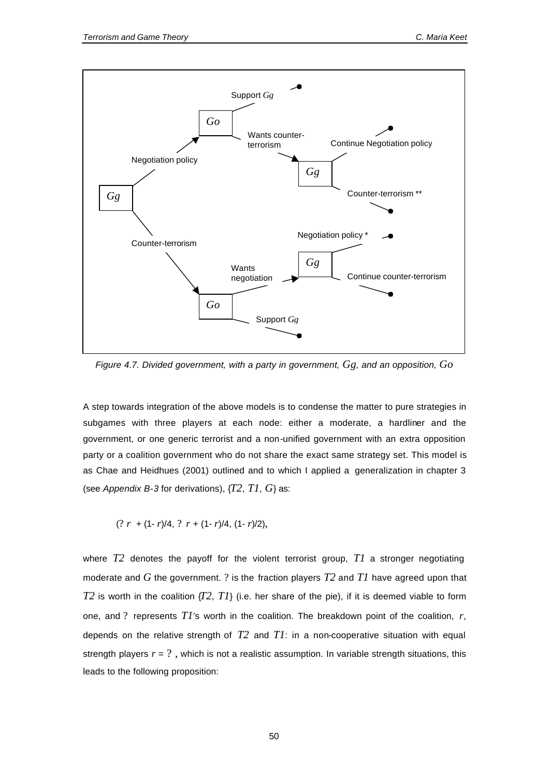

*Figure 4.7. Divided government, with a party in government, Gg, and an opposition, Go*

A step towards integration of the above models is to condense the matter to pure strategies in subgames with three players at each node: either a moderate, a hardliner and the government, or one generic terrorist and a non-unified government with an extra opposition party or a coalition government who do not share the exact same strategy set. This model is as Chae and Heidhues (2001) outlined and to which I applied a generalization in chapter 3 (see *Appendix B-3* for derivations), {*T2*, *T1*, *G*} as:

$$
(? r + (1 - r)/4, ? r + (1 - r)/4, (1 - r)/2),
$$

where *T2* denotes the payoff for the violent terrorist group, *T1* a stronger negotiating moderate and *G* the government. ? is the fraction players *T2* and *T1* have agreed upon that *T2* is worth in the coalition  $\{T2, T1\}$  (i.e. her share of the pie), if it is deemed viable to form one, and ? represents *T1*'s worth in the coalition. The breakdown point of the coalition, *r*, depends on the relative strength of *T2* and *T1*: in a non-cooperative situation with equal strength players  $r = ?$ , which is not a realistic assumption. In variable strength situations, this leads to the following proposition: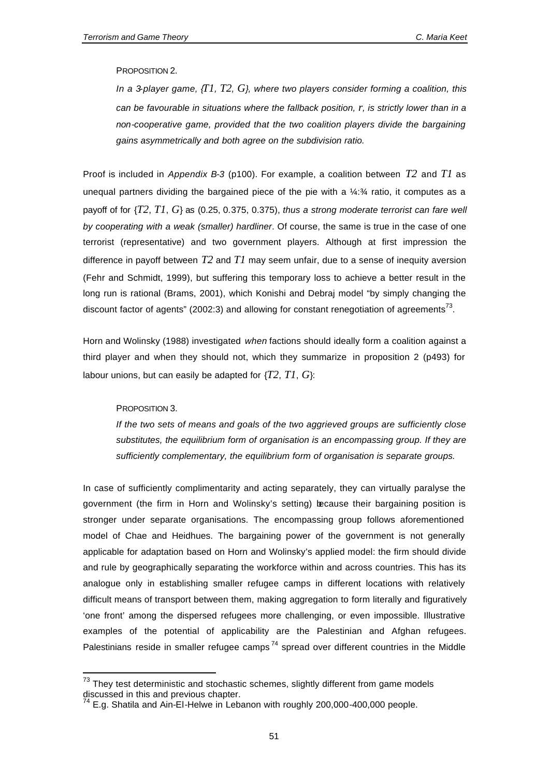## PROPOSITION 2.

*In a 3-player game, {T1, T2, G}, where two players consider forming a coalition, this can be favourable in situations where the fallback position, r, is strictly lower than in a non-cooperative game, provided that the two coalition players divide the bargaining gains asymmetrically and both agree on the subdivision ratio.*

Proof is included in *Appendix B-3* (p100). For example, a coalition between *T2* and *T1* as unequal partners dividing the bargained piece of the pie with a ¼:¾ ratio, it computes as a payoff of for {*T2*, *T1*, *G*} as (0.25, 0.375, 0.375), *thus a strong moderate terrorist can fare well by cooperating with a weak (smaller) hardliner*. Of course, the same is true in the case of one terrorist (representative) and two government players. Although at first impression the difference in payoff between *T2* and *T1* may seem unfair, due to a sense of inequity aversion (Fehr and Schmidt, 1999), but suffering this temporary loss to achieve a better result in the long run is rational (Brams, 2001), which Konishi and Debraj model "by simply changing the discount factor of agents" (2002:3) and allowing for constant renegotiation of agreements<sup>73</sup>.

Horn and Wolinsky (1988) investigated *when* factions should ideally form a coalition against a third player and when they should not, which they summarize in proposition 2 (p493) for labour unions, but can easily be adapted for {*T2*, *T1*, *G*}:

#### PROPOSITION 3.

l

*If the two sets of means and goals of the two aggrieved groups are sufficiently close substitutes, the equilibrium form of organisation is an encompassing group. If they are sufficiently complementary, the equilibrium form of organisation is separate groups.*

In case of sufficiently complimentarity and acting separately, they can virtually paralyse the government (the firm in Horn and Wolinsky's setting) because their bargaining position is stronger under separate organisations. The encompassing group follows aforementioned model of Chae and Heidhues. The bargaining power of the government is not generally applicable for adaptation based on Horn and Wolinsky's applied model: the firm should divide and rule by geographically separating the workforce within and across countries. This has its analogue only in establishing smaller refugee camps in different locations with relatively difficult means of transport between them, making aggregation to form literally and figuratively 'one front' among the dispersed refugees more challenging, or even impossible. Illustrative examples of the potential of applicability are the Palestinian and Afghan refugees. Palestinians reside in smaller refugee camps<sup>74</sup> spread over different countries in the Middle

 $73$  They test deterministic and stochastic schemes, slightly different from game models discussed in this and previous chapter.

 $74$  E.g. Shatila and Ain-El-Helwe in Lebanon with roughly 200,000-400,000 people.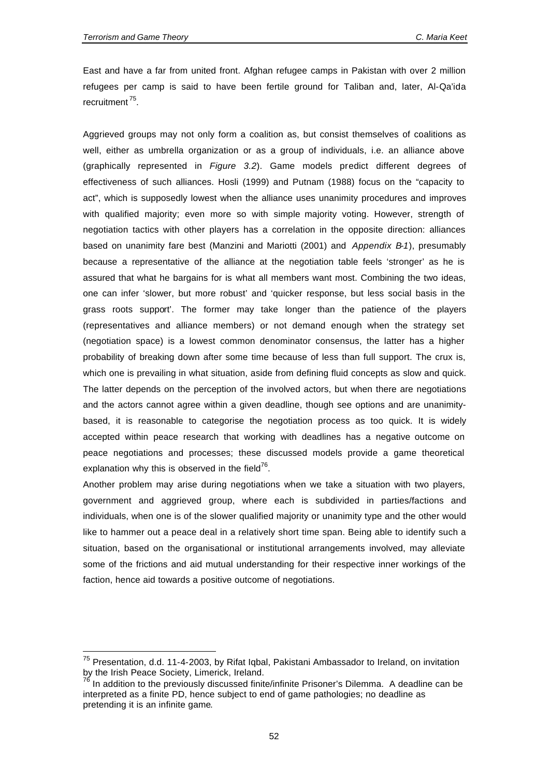l

East and have a far from united front. Afghan refugee camps in Pakistan with over 2 million refugees per camp is said to have been fertile ground for Taliban and, later, Al-Qa'ida recruitment<sup>75</sup>.

Aggrieved groups may not only form a coalition as, but consist themselves of coalitions as well, either as umbrella organization or as a group of individuals, i.e. an alliance above (graphically represented in *Figure 3.2*). Game models predict different degrees of effectiveness of such alliances. Hosli (1999) and Putnam (1988) focus on the "capacity to act", which is supposedly lowest when the alliance uses unanimity procedures and improves with qualified majority; even more so with simple majority voting. However, strength of negotiation tactics with other players has a correlation in the opposite direction: alliances based on unanimity fare best (Manzini and Mariotti (2001) and *Appendix B-1*), presumably because a representative of the alliance at the negotiation table feels 'stronger' as he is assured that what he bargains for is what all members want most. Combining the two ideas, one can infer 'slower, but more robust' and 'quicker response, but less social basis in the grass roots support'. The former may take longer than the patience of the players (representatives and alliance members) or not demand enough when the strategy set (negotiation space) is a lowest common denominator consensus, the latter has a higher probability of breaking down after some time because of less than full support. The crux is, which one is prevailing in what situation, aside from defining fluid concepts as slow and quick. The latter depends on the perception of the involved actors, but when there are negotiations and the actors cannot agree within a given deadline, though see options and are unanimitybased, it is reasonable to categorise the negotiation process as too quick. It is widely accepted within peace research that working with deadlines has a negative outcome on peace negotiations and processes; these discussed models provide a game theoretical explanation why this is observed in the field<sup>76</sup>.

Another problem may arise during negotiations when we take a situation with two players, government and aggrieved group, where each is subdivided in parties/factions and individuals, when one is of the slower qualified majority or unanimity type and the other would like to hammer out a peace deal in a relatively short time span. Being able to identify such a situation, based on the organisational or institutional arrangements involved, may alleviate some of the frictions and aid mutual understanding for their respective inner workings of the faction, hence aid towards a positive outcome of negotiations.

<sup>&</sup>lt;sup>75</sup> Presentation, d.d. 11-4-2003, by Rifat Iqbal, Pakistani Ambassador to Ireland, on invitation by the Irish Peace Society, Limerick, Ireland.

In addition to the previously discussed finite/infinite Prisoner's Dilemma. A deadline can be interpreted as a finite PD, hence subject to end of game pathologies; no deadline as pretending it is an infinite game.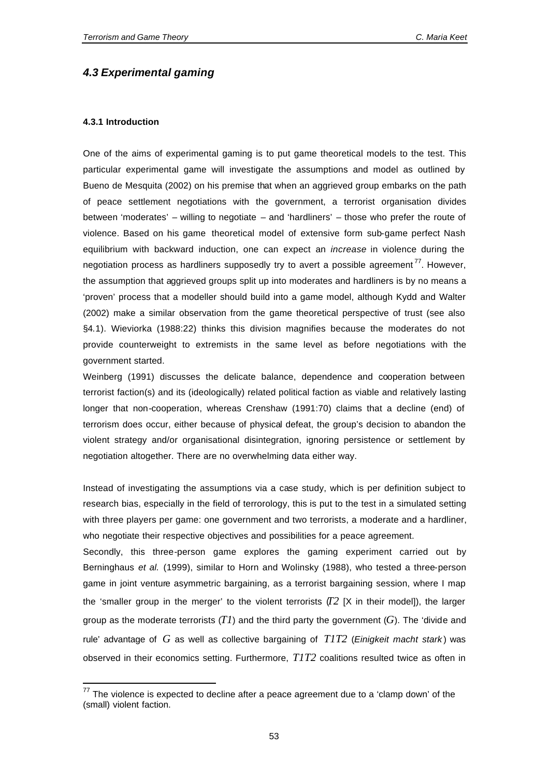# *4.3 Experimental gaming*

# **4.3.1 Introduction**

l

One of the aims of experimental gaming is to put game theoretical models to the test. This particular experimental game will investigate the assumptions and model as outlined by Bueno de Mesquita (2002) on his premise that when an aggrieved group embarks on the path of peace settlement negotiations with the government, a terrorist organisation divides between 'moderates' – willing to negotiate – and 'hardliners' – those who prefer the route of violence. Based on his game theoretical model of extensive form sub-game perfect Nash equilibrium with backward induction, one can expect an *increase* in violence during the negotiation process as hardliners supposedly try to avert a possible agreement<sup>77</sup>. However, the assumption that aggrieved groups split up into moderates and hardliners is by no means a 'proven' process that a modeller should build into a game model, although Kydd and Walter (2002) make a similar observation from the game theoretical perspective of trust (see also §4.1). Wieviorka (1988:22) thinks this division magnifies because the moderates do not provide counterweight to extremists in the same level as before negotiations with the government started.

Weinberg (1991) discusses the delicate balance, dependence and cooperation between terrorist faction(s) and its (ideologically) related political faction as viable and relatively lasting longer that non-cooperation, whereas Crenshaw (1991:70) claims that a decline (end) of terrorism does occur, either because of physical defeat, the group's decision to abandon the violent strategy and/or organisational disintegration, ignoring persistence or settlement by negotiation altogether. There are no overwhelming data either way.

Instead of investigating the assumptions via a case study, which is per definition subject to research bias, especially in the field of terrorology, this is put to the test in a simulated setting with three players per game: one government and two terrorists, a moderate and a hardliner, who negotiate their respective objectives and possibilities for a peace agreement.

Secondly, this three-person game explores the gaming experiment carried out by Berninghaus *et al.* (1999), similar to Horn and Wolinsky (1988), who tested a three-person game in joint venture asymmetric bargaining, as a terrorist bargaining session, where I map the 'smaller group in the merger' to the violent terrorists  $(T2)$  [X in their model]), the larger group as the moderate terrorists (*T1*) and the third party the government (*G*). The 'divide and rule' advantage of *G* as well as collective bargaining of *T1T2* (*Einigkeit macht stark* ) was observed in their economics setting. Furthermore, *T1T2* coalitions resulted twice as often in

 $77$  The violence is expected to decline after a peace agreement due to a 'clamp down' of the (small) violent faction.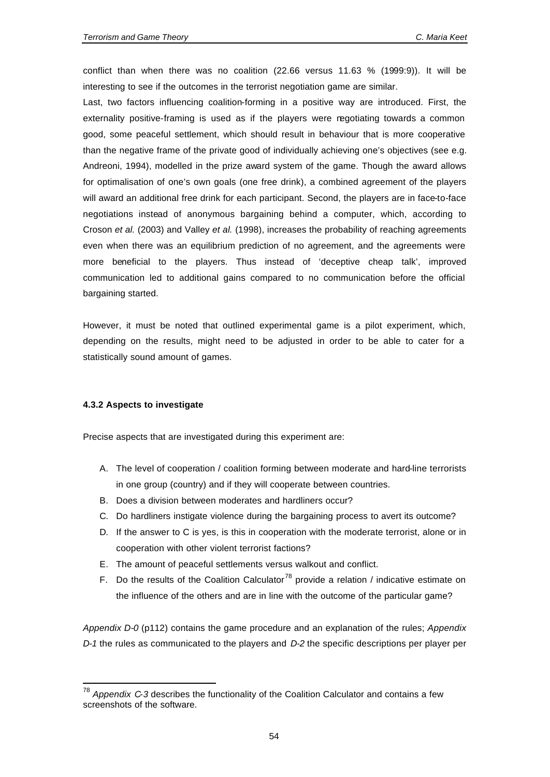conflict than when there was no coalition (22.66 versus 11.63 % (1999:9)). It will be interesting to see if the outcomes in the terrorist negotiation game are similar.

Last, two factors influencing coalition-forming in a positive way are introduced. First, the externality positive-framing is used as if the players were negotiating towards a common good, some peaceful settlement, which should result in behaviour that is more cooperative than the negative frame of the private good of individually achieving one's objectives (see e.g. Andreoni, 1994), modelled in the prize award system of the game. Though the award allows for optimalisation of one's own goals (one free drink), a combined agreement of the players will award an additional free drink for each participant. Second, the players are in face-to-face negotiations instead of anonymous bargaining behind a computer, which, according to Croson *et al.* (2003) and Valley *et al.* (1998), increases the probability of reaching agreements even when there was an equilibrium prediction of no agreement, and the agreements were more beneficial to the players. Thus instead of 'deceptive cheap talk', improved communication led to additional gains compared to no communication before the official bargaining started.

However, it must be noted that outlined experimental game is a pilot experiment, which, depending on the results, might need to be adjusted in order to be able to cater for a statistically sound amount of games.

#### **4.3.2 Aspects to investigate**

l

Precise aspects that are investigated during this experiment are:

- A. The level of cooperation / coalition forming between moderate and hard-line terrorists in one group (country) and if they will cooperate between countries.
- B. Does a division between moderates and hardliners occur?
- C. Do hardliners instigate violence during the bargaining process to avert its outcome?
- D. If the answer to C is yes, is this in cooperation with the moderate terrorist, alone or in cooperation with other violent terrorist factions?
- E. The amount of peaceful settlements versus walkout and conflict.
- F. Do the results of the Coalition Calculator<sup>78</sup> provide a relation / indicative estimate on the influence of the others and are in line with the outcome of the particular game?

*Appendix D-0* (p112) contains the game procedure and an explanation of the rules; *Appendix D-1* the rules as communicated to the players and *D-2* the specific descriptions per player per

<sup>78</sup> *Appendix C-3* describes the functionality of the Coalition Calculator and contains a few screenshots of the software.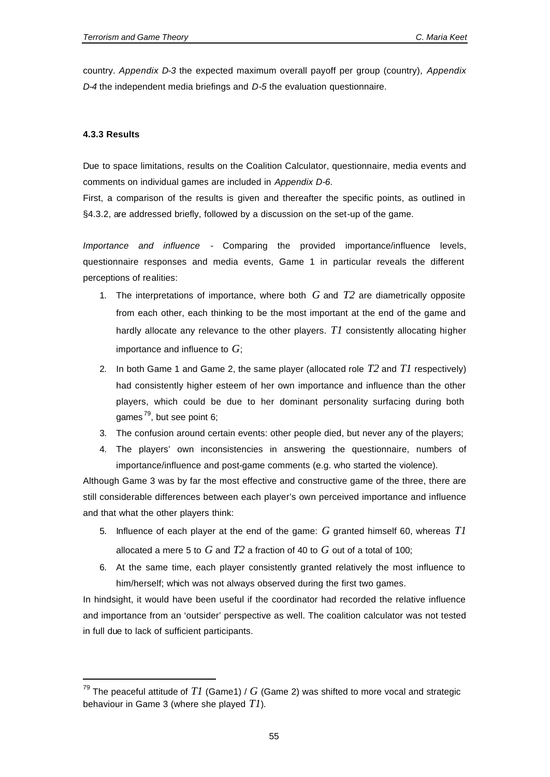country. *Appendix D-3* the expected maximum overall payoff per group (country), *Appendix D-4* the independent media briefings and *D-5* the evaluation questionnaire.

# **4.3.3 Results**

l

Due to space limitations, results on the Coalition Calculator, questionnaire, media events and comments on individual games are included in *Appendix D-6*.

First, a comparison of the results is given and thereafter the specific points, as outlined in §4.3.2, are addressed briefly, followed by a discussion on the set-up of the game.

*Importance and influence -* Comparing the provided importance/influence levels, questionnaire responses and media events, Game 1 in particular reveals the different perceptions of realities:

- 1. The interpretations of importance, where both *G* and *T2* are diametrically opposite from each other, each thinking to be the most important at the end of the game and hardly allocate any relevance to the other players. *T1* consistently allocating higher importance and influence to *G*;
- 2. In both Game 1 and Game 2, the same player (allocated role *T2* and *T1* respectively) had consistently higher esteem of her own importance and influence than the other players, which could be due to her dominant personality surfacing during both games<sup>79</sup>, but see point 6;
- 3. The confusion around certain events: other people died, but never any of the players;
- 4. The players' own inconsistencies in answering the questionnaire, numbers of importance/influence and post-game comments (e.g. who started the violence).

Although Game 3 was by far the most effective and constructive game of the three, there are still considerable differences between each player's own perceived importance and influence and that what the other players think:

- 5. Influence of each player at the end of the game: *G* granted himself 60, whereas *T1* allocated a mere 5 to *G* and *T2* a fraction of 40 to *G* out of a total of 100;
- 6. At the same time, each player consistently granted relatively the most influence to him/herself; which was not always observed during the first two games.

In hindsight, it would have been useful if the coordinator had recorded the relative influence and importance from an 'outsider' perspective as well. The coalition calculator was not tested in full due to lack of sufficient participants.

 $^{79}$  The peaceful attitude of  $TI$  (Game1) /  $G$  (Game 2) was shifted to more vocal and strategic behaviour in Game 3 (where she played *T1*).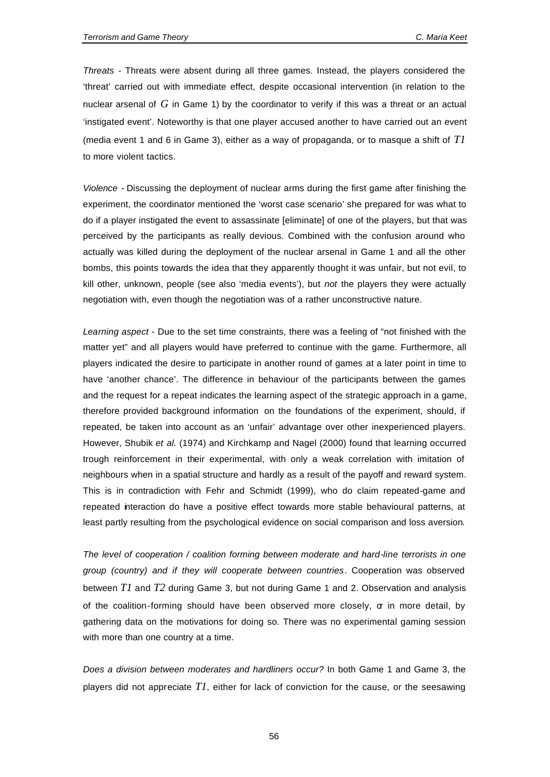*Threats -* Threats were absent during all three games. Instead, the players considered the 'threat' carried out with immediate effect, despite occasional intervention (in relation to the nuclear arsenal of *G* in Game 1) by the coordinator to verify if this was a threat or an actual 'instigated event'. Noteworthy is that one player accused another to have carried out an event (media event 1 and 6 in Game 3), either as a way of propaganda, or to masque a shift of *T1* to more violent tactics.

*Violence -* Discussing the deployment of nuclear arms during the first game after finishing the experiment, the coordinator mentioned the 'worst case scenario' she prepared for was what to do if a player instigated the event to assassinate [eliminate] of one of the players, but that was perceived by the participants as really devious. Combined with the confusion around who actually was killed during the deployment of the nuclear arsenal in Game 1 and all the other bombs, this points towards the idea that they apparently thought it was unfair, but not evil, to kill other, unknown, people (see also 'media events'), but *not* the players they were actually negotiation with, even though the negotiation was of a rather unconstructive nature.

*Learning aspect -* Due to the set time constraints, there was a feeling of "not finished with the matter yet" and all players would have preferred to continue with the game. Furthermore, all players indicated the desire to participate in another round of games at a later point in time to have 'another chance'. The difference in behaviour of the participants between the games and the request for a repeat indicates the learning aspect of the strategic approach in a game, therefore provided background information on the foundations of the experiment, should, if repeated, be taken into account as an 'unfair' advantage over other inexperienced players. However, Shubik *et al.* (1974) and Kirchkamp and Nagel (2000) found that learning occurred trough reinforcement in their experimental, with only a weak correlation with imitation of neighbours when in a spatial structure and hardly as a result of the payoff and reward system. This is in contradiction with Fehr and Schmidt (1999), who do claim repeated-game and repeated interaction do have a positive effect towards more stable behavioural patterns, at least partly resulting from the psychological evidence on social comparison and loss aversion.

*The level of cooperation / coalition forming between moderate and hard-line terrorists in one group (country) and if they will cooperate between countries*. Cooperation was observed between *T1* and *T2* during Game 3, but not during Game 1 and 2. Observation and analysis of the coalition-forming should have been observed more closely, or in more detail, by gathering data on the motivations for doing so. There was no experimental gaming session with more than one country at a time.

*Does a division between moderates and hardliners occur?* In both Game 1 and Game 3, the players did not appreciate *T1*, either for lack of conviction for the cause, or the seesawing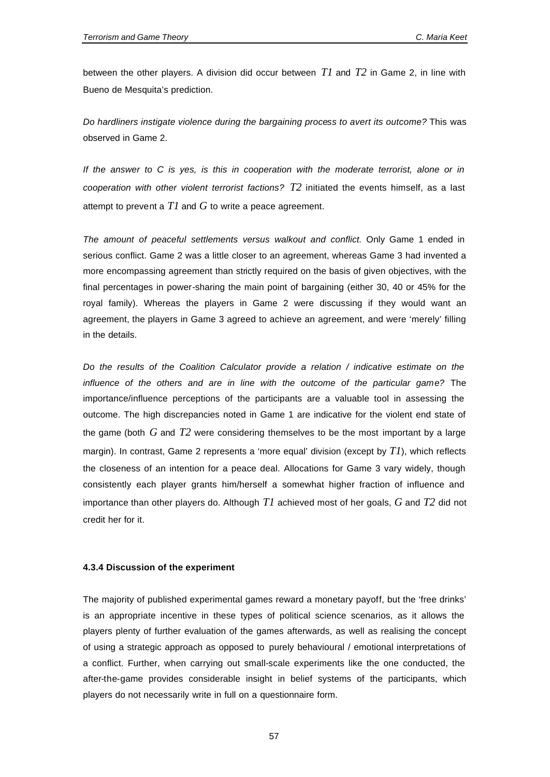between the other players. A division did occur between *T1* and *T2* in Game 2, in line with Bueno de Mesquita's prediction.

*Do hardliners instigate violence during the bargaining process to avert its outcome?* This was observed in Game 2.

*If the answer to C is yes, is this in cooperation with the moderate terrorist, alone or in cooperation with other violent terrorist factions? T2* initiated the events himself, as a last attempt to prevent a *T1* and *G* to write a peace agreement.

*The amount of peaceful settlements versus walkout and conflict.* Only Game 1 ended in serious conflict. Game 2 was a little closer to an agreement, whereas Game 3 had invented a more encompassing agreement than strictly required on the basis of given objectives, with the final percentages in power-sharing the main point of bargaining (either 30, 40 or 45% for the royal family). Whereas the players in Game 2 were discussing if they would want an agreement, the players in Game 3 agreed to achieve an agreement, and were 'merely' filling in the details.

*Do the results of the Coalition Calculator provide a relation / indicative estimate on the influence of the others and are in line with the outcome of the particular game?* The importance/influence perceptions of the participants are a valuable tool in assessing the outcome. The high discrepancies noted in Game 1 are indicative for the violent end state of the game (both *G* and *T2* were considering themselves to be the most important by a large margin). In contrast, Game 2 represents a 'more equal' division (except by *T1*), which reflects the closeness of an intention for a peace deal. Allocations for Game 3 vary widely, though consistently each player grants him/herself a somewhat higher fraction of influence and importance than other players do. Although *T1* achieved most of her goals, *G* and *T2* did not credit her for it.

#### **4.3.4 Discussion of the experiment**

The majority of published experimental games reward a monetary payoff, but the 'free drinks' is an appropriate incentive in these types of political science scenarios, as it allows the players plenty of further evaluation of the games afterwards, as well as realising the concept of using a strategic approach as opposed to purely behavioural / emotional interpretations of a conflict. Further, when carrying out small-scale experiments like the one conducted, the after-the-game provides considerable insight in belief systems of the participants, which players do not necessarily write in full on a questionnaire form.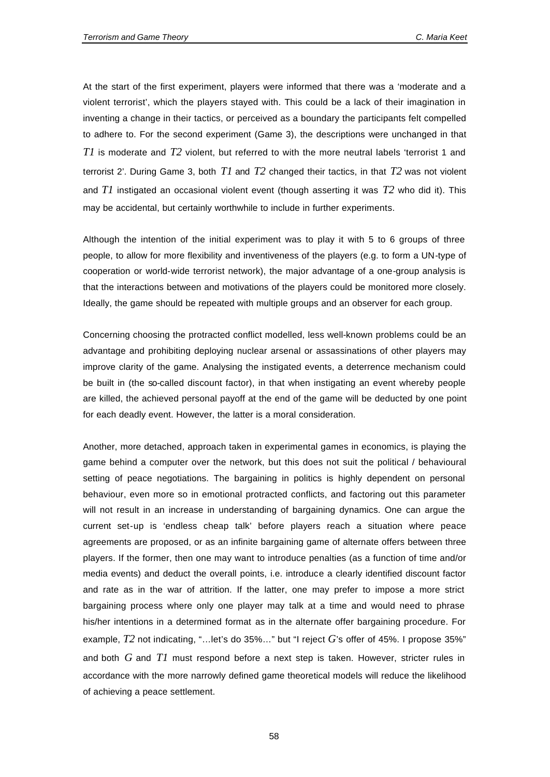At the start of the first experiment, players were informed that there was a 'moderate and a violent terrorist', which the players stayed with. This could be a lack of their imagination in inventing a change in their tactics, or perceived as a boundary the participants felt compelled to adhere to. For the second experiment (Game 3), the descriptions were unchanged in that *T1* is moderate and *T2* violent, but referred to with the more neutral labels 'terrorist 1 and terrorist 2'. During Game 3, both *T1* and *T2* changed their tactics, in that *T2* was not violent and *T1* instigated an occasional violent event (though asserting it was *T2* who did it). This may be accidental, but certainly worthwhile to include in further experiments.

Although the intention of the initial experiment was to play it with 5 to 6 groups of three people, to allow for more flexibility and inventiveness of the players (e.g. to form a UN-type of cooperation or world-wide terrorist network), the major advantage of a one-group analysis is that the interactions between and motivations of the players could be monitored more closely. Ideally, the game should be repeated with multiple groups and an observer for each group.

Concerning choosing the protracted conflict modelled, less well-known problems could be an advantage and prohibiting deploying nuclear arsenal or assassinations of other players may improve clarity of the game. Analysing the instigated events, a deterrence mechanism could be built in (the so-called discount factor), in that when instigating an event whereby people are killed, the achieved personal payoff at the end of the game will be deducted by one point for each deadly event. However, the latter is a moral consideration.

Another, more detached, approach taken in experimental games in economics, is playing the game behind a computer over the network, but this does not suit the political / behavioural setting of peace negotiations. The bargaining in politics is highly dependent on personal behaviour, even more so in emotional protracted conflicts, and factoring out this parameter will not result in an increase in understanding of bargaining dynamics. One can argue the current set-up is 'endless cheap talk' before players reach a situation where peace agreements are proposed, or as an infinite bargaining game of alternate offers between three players. If the former, then one may want to introduce penalties (as a function of time and/or media events) and deduct the overall points, i.e. introduce a clearly identified discount factor and rate as in the war of attrition. If the latter, one may prefer to impose a more strict bargaining process where only one player may talk at a time and would need to phrase his/her intentions in a determined format as in the alternate offer bargaining procedure. For example, *T2* not indicating, "…let's do 35%…" but "I reject *G*'s offer of 45%. I propose 35%" and both *G* and *T1* must respond before a next step is taken. However, stricter rules in accordance with the more narrowly defined game theoretical models will reduce the likelihood of achieving a peace settlement.

58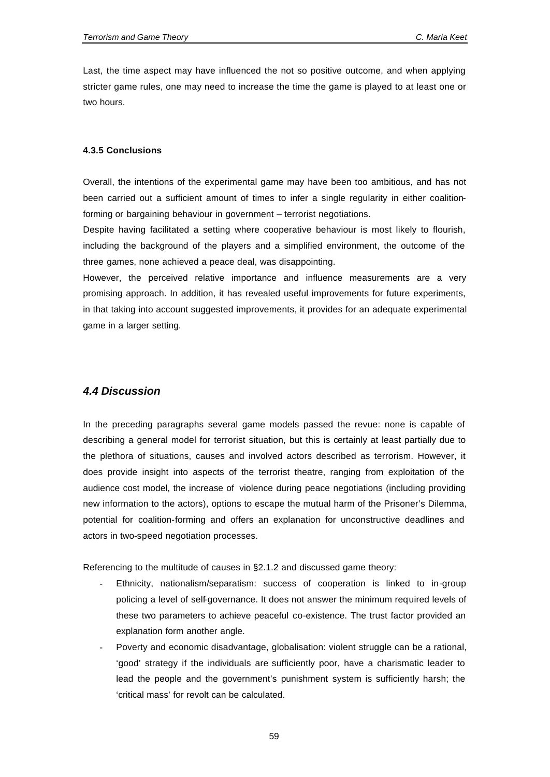Last, the time aspect may have influenced the not so positive outcome, and when applying stricter game rules, one may need to increase the time the game is played to at least one or two hours.

#### **4.3.5 Conclusions**

Overall, the intentions of the experimental game may have been too ambitious, and has not been carried out a sufficient amount of times to infer a single regularity in either coalitionforming or bargaining behaviour in government – terrorist negotiations.

Despite having facilitated a setting where cooperative behaviour is most likely to flourish, including the background of the players and a simplified environment, the outcome of the three games, none achieved a peace deal, was disappointing.

However, the perceived relative importance and influence measurements are a very promising approach. In addition, it has revealed useful improvements for future experiments, in that taking into account suggested improvements, it provides for an adequate experimental game in a larger setting.

# *4.4 Discussion*

In the preceding paragraphs several game models passed the revue: none is capable of describing a general model for terrorist situation, but this is certainly at least partially due to the plethora of situations, causes and involved actors described as terrorism. However, it does provide insight into aspects of the terrorist theatre, ranging from exploitation of the audience cost model, the increase of violence during peace negotiations (including providing new information to the actors), options to escape the mutual harm of the Prisoner's Dilemma, potential for coalition-forming and offers an explanation for unconstructive deadlines and actors in two-speed negotiation processes.

Referencing to the multitude of causes in §2.1.2 and discussed game theory:

- Ethnicity, nationalism/separatism: success of cooperation is linked to in-group policing a level of self-governance. It does not answer the minimum required levels of these two parameters to achieve peaceful co-existence. The trust factor provided an explanation form another angle.
- Poverty and economic disadvantage, globalisation: violent struggle can be a rational, 'good' strategy if the individuals are sufficiently poor, have a charismatic leader to lead the people and the government's punishment system is sufficiently harsh; the 'critical mass' for revolt can be calculated.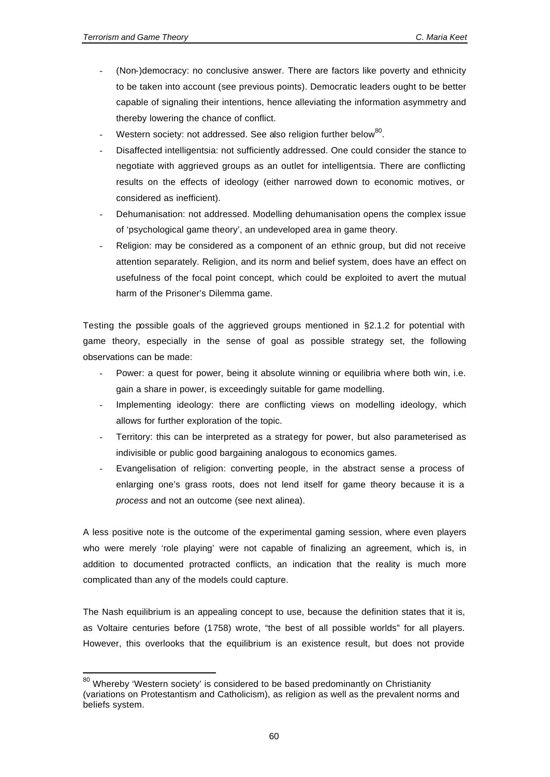l

- (Non-)democracy: no conclusive answer. There are factors like poverty and ethnicity to be taken into account (see previous points). Democratic leaders ought to be better capable of signaling their intentions, hence alleviating the information asymmetry and thereby lowering the chance of conflict.
- Western society: not addressed. See also religion further below<sup>80</sup>.
- Disaffected intelligentsia: not sufficiently addressed. One could consider the stance to negotiate with aggrieved groups as an outlet for intelligentsia. There are conflicting results on the effects of ideology (either narrowed down to economic motives, or considered as inefficient).
- Dehumanisation: not addressed. Modelling dehumanisation opens the complex issue of 'psychological game theory', an undeveloped area in game theory.
- Religion: may be considered as a component of an ethnic group, but did not receive attention separately. Religion, and its norm and belief system, does have an effect on usefulness of the focal point concept, which could be exploited to avert the mutual harm of the Prisoner's Dilemma game.

Testing the possible goals of the aggrieved groups mentioned in §2.1.2 for potential with game theory, especially in the sense of goal as possible strategy set, the following observations can be made:

- Power: a quest for power, being it absolute winning or equilibria where both win, i.e. gain a share in power, is exceedingly suitable for game modelling.
- Implementing ideology: there are conflicting views on modelling ideology, which allows for further exploration of the topic.
- Territory: this can be interpreted as a strategy for power, but also parameterised as indivisible or public good bargaining analogous to economics games.
- Evangelisation of religion: converting people, in the abstract sense a process of enlarging one's grass roots, does not lend itself for game theory because it is a *process* and not an outcome (see next alinea).

A less positive note is the outcome of the experimental gaming session, where even players who were merely 'role playing' were not capable of finalizing an agreement, which is, in addition to documented protracted conflicts, an indication that the reality is much more complicated than any of the models could capture.

The Nash equilibrium is an appealing concept to use, because the definition states that it is, as Voltaire centuries before (1758) wrote, "the best of all possible worlds" for all players. However, this overlooks that the equilibrium is an existence result, but does not provide

 $80$  Whereby 'Western society' is considered to be based predominantly on Christianity (variations on Protestantism and Catholicism), as religion as well as the prevalent norms and beliefs system.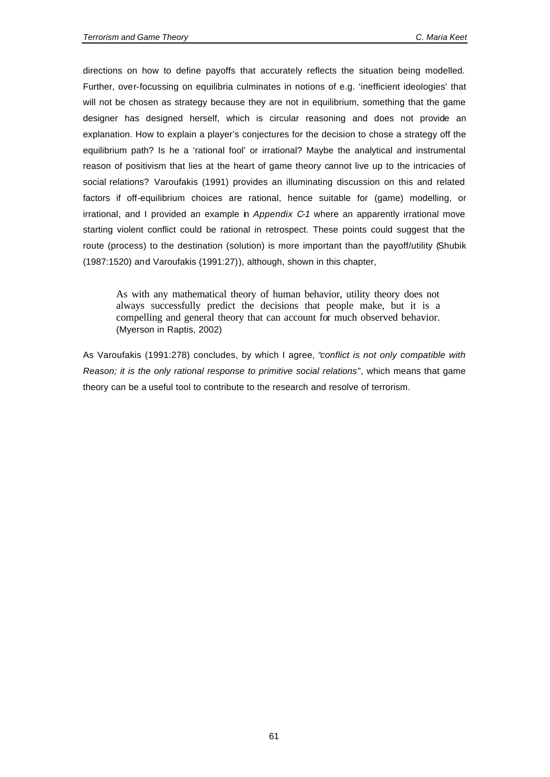directions on how to define payoffs that accurately reflects the situation being modelled. Further, over-focussing on equilibria culminates in notions of e.g. 'inefficient ideologies' that will not be chosen as strategy because they are not in equilibrium, something that the game designer has designed herself, which is circular reasoning and does not provide an explanation. How to explain a player's conjectures for the decision to chose a strategy off the equilibrium path? Is he a 'rational fool' or irrational? Maybe the analytical and instrumental reason of positivism that lies at the heart of game theory cannot live up to the intricacies of social relations? Varoufakis (1991) provides an illuminating discussion on this and related factors if off-equilibrium choices are rational, hence suitable for (game) modelling, or irrational, and I provided an example in *Appendix C-1* where an apparently irrational move starting violent conflict could be rational in retrospect. These points could suggest that the route (process) to the destination (solution) is more important than the payoff/utility (Shubik (1987:1520) and Varoufakis (1991:27)), although, shown in this chapter,

As with any mathematical theory of human behavior, utility theory does not always successfully predict the decisions that people make, but it is a compelling and general theory that can account for much observed behavior. (Myerson in Raptis, 2002)

As Varoufakis (1991:278) concludes, by which I agree, "*conflict is not only compatible with Reason; it is the only rational response to primitive social relations*", which means that game theory can be a useful tool to contribute to the research and resolve of terrorism.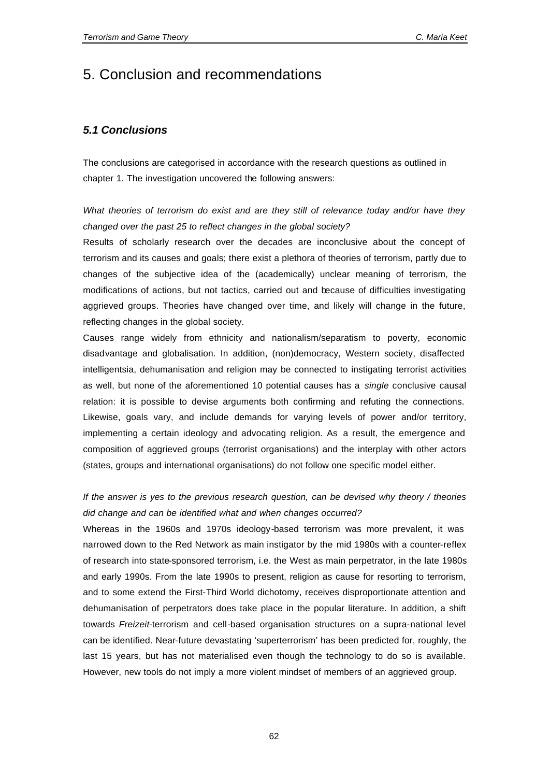# 5. Conclusion and recommendations

# *5.1 Conclusions*

The conclusions are categorised in accordance with the research questions as outlined in chapter 1. The investigation uncovered the following answers:

*What theories of terrorism do exist and are they still of relevance today and/or have they changed over the past 25 to reflect changes in the global society?* 

Results of scholarly research over the decades are inconclusive about the concept of terrorism and its causes and goals; there exist a plethora of theories of terrorism, partly due to changes of the subjective idea of the (academically) unclear meaning of terrorism, the modifications of actions, but not tactics, carried out and because of difficulties investigating aggrieved groups. Theories have changed over time, and likely will change in the future, reflecting changes in the global society.

Causes range widely from ethnicity and nationalism/separatism to poverty, economic disadvantage and globalisation. In addition, (non)democracy, Western society, disaffected intelligentsia, dehumanisation and religion may be connected to instigating terrorist activities as well, but none of the aforementioned 10 potential causes has a *single* conclusive causal relation: it is possible to devise arguments both confirming and refuting the connections. Likewise, goals vary, and include demands for varying levels of power and/or territory, implementing a certain ideology and advocating religion. As a result, the emergence and composition of aggrieved groups (terrorist organisations) and the interplay with other actors (states, groups and international organisations) do not follow one specific model either.

# *If the answer is yes to the previous research question, can be devised why theory / theories did change and can be identified what and when changes occurred?*

Whereas in the 1960s and 1970s ideology-based terrorism was more prevalent, it was narrowed down to the Red Network as main instigator by the mid 1980s with a counter-reflex of research into state-sponsored terrorism, i.e. the West as main perpetrator, in the late 1980s and early 1990s. From the late 1990s to present, religion as cause for resorting to terrorism, and to some extend the First-Third World dichotomy, receives disproportionate attention and dehumanisation of perpetrators does take place in the popular literature. In addition, a shift towards *Freizeit*-terrorism and cell-based organisation structures on a supra-national level can be identified. Near-future devastating 'superterrorism' has been predicted for, roughly, the last 15 years, but has not materialised even though the technology to do so is available. However, new tools do not imply a more violent mindset of members of an aggrieved group.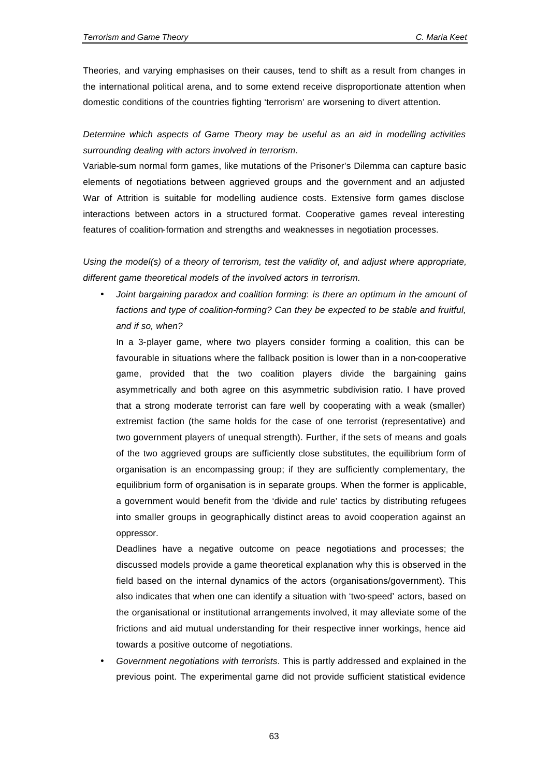Theories, and varying emphasises on their causes, tend to shift as a result from changes in the international political arena, and to some extend receive disproportionate attention when domestic conditions of the countries fighting 'terrorism' are worsening to divert attention.

*Determine which aspects of Game Theory may be useful as an aid in modelling activities surrounding dealing with actors involved in terrorism*.

Variable-sum normal form games, like mutations of the Prisoner's Dilemma can capture basic elements of negotiations between aggrieved groups and the government and an adjusted War of Attrition is suitable for modelling audience costs. Extensive form games disclose interactions between actors in a structured format. Cooperative games reveal interesting features of coalition-formation and strengths and weaknesses in negotiation processes.

*Using the model(s) of a theory of terrorism, test the validity of, and adjust where appropriate, different game theoretical models of the involved actors in terrorism.* 

• *Joint bargaining paradox and coalition forming*: *is there an optimum in the amount of factions and type of coalition-forming? Can they be expected to be stable and fruitful, and if so, when?*

In a 3-player game, where two players consider forming a coalition, this can be favourable in situations where the fallback position is lower than in a non-cooperative game, provided that the two coalition players divide the bargaining gains asymmetrically and both agree on this asymmetric subdivision ratio. I have proved that a strong moderate terrorist can fare well by cooperating with a weak (smaller) extremist faction (the same holds for the case of one terrorist (representative) and two government players of unequal strength). Further, if the sets of means and goals of the two aggrieved groups are sufficiently close substitutes, the equilibrium form of organisation is an encompassing group; if they are sufficiently complementary, the equilibrium form of organisation is in separate groups. When the former is applicable, a government would benefit from the 'divide and rule' tactics by distributing refugees into smaller groups in geographically distinct areas to avoid cooperation against an oppressor.

Deadlines have a negative outcome on peace negotiations and processes; the discussed models provide a game theoretical explanation why this is observed in the field based on the internal dynamics of the actors (organisations/government). This also indicates that when one can identify a situation with 'two-speed' actors, based on the organisational or institutional arrangements involved, it may alleviate some of the frictions and aid mutual understanding for their respective inner workings, hence aid towards a positive outcome of negotiations.

• *Government negotiations with terrorists*. This is partly addressed and explained in the previous point. The experimental game did not provide sufficient statistical evidence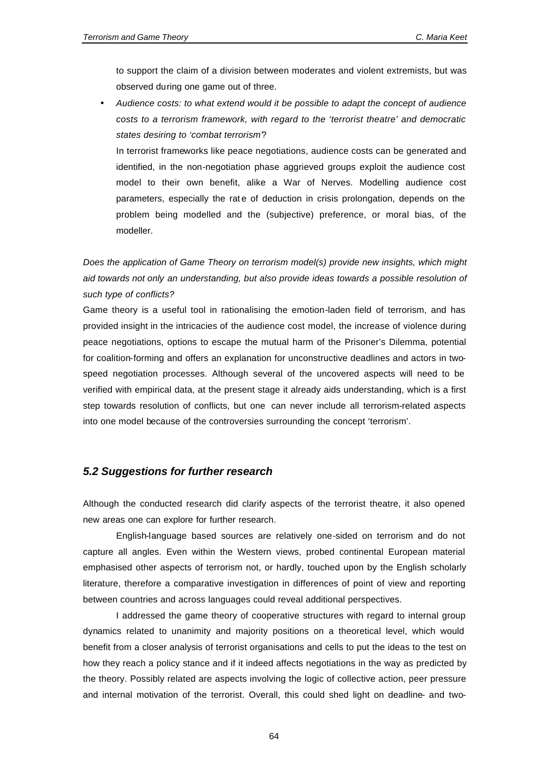to support the claim of a division between moderates and violent extremists, but was observed during one game out of three.

• *Audience costs: to what extend would it be possible to adapt the concept of audience costs to a terrorism framework, with regard to the 'terrorist theatre' and democratic states desiring to 'combat terrorism'*?

In terrorist frameworks like peace negotiations, audience costs can be generated and identified, in the non-negotiation phase aggrieved groups exploit the audience cost model to their own benefit, alike a War of Nerves. Modelling audience cost parameters, especially the rate of deduction in crisis prolongation, depends on the problem being modelled and the (subjective) preference, or moral bias, of the modeller.

*Does the application of Game Theory on terrorism model(s) provide new insights, which might aid towards not only an understanding, but also provide ideas towards a possible resolution of such type of conflicts?*

Game theory is a useful tool in rationalising the emotion-laden field of terrorism, and has provided insight in the intricacies of the audience cost model, the increase of violence during peace negotiations, options to escape the mutual harm of the Prisoner's Dilemma, potential for coalition-forming and offers an explanation for unconstructive deadlines and actors in twospeed negotiation processes. Although several of the uncovered aspects will need to be verified with empirical data, at the present stage it already aids understanding, which is a first step towards resolution of conflicts, but one can never include all terrorism-related aspects into one model because of the controversies surrounding the concept 'terrorism'.

# *5.2 Suggestions for further research*

Although the conducted research did clarify aspects of the terrorist theatre, it also opened new areas one can explore for further research.

English-language based sources are relatively one-sided on terrorism and do not capture all angles. Even within the Western views, probed continental European material emphasised other aspects of terrorism not, or hardly, touched upon by the English scholarly literature, therefore a comparative investigation in differences of point of view and reporting between countries and across languages could reveal additional perspectives.

I addressed the game theory of cooperative structures with regard to internal group dynamics related to unanimity and majority positions on a theoretical level, which would benefit from a closer analysis of terrorist organisations and cells to put the ideas to the test on how they reach a policy stance and if it indeed affects negotiations in the way as predicted by the theory. Possibly related are aspects involving the logic of collective action, peer pressure and internal motivation of the terrorist. Overall, this could shed light on deadline- and two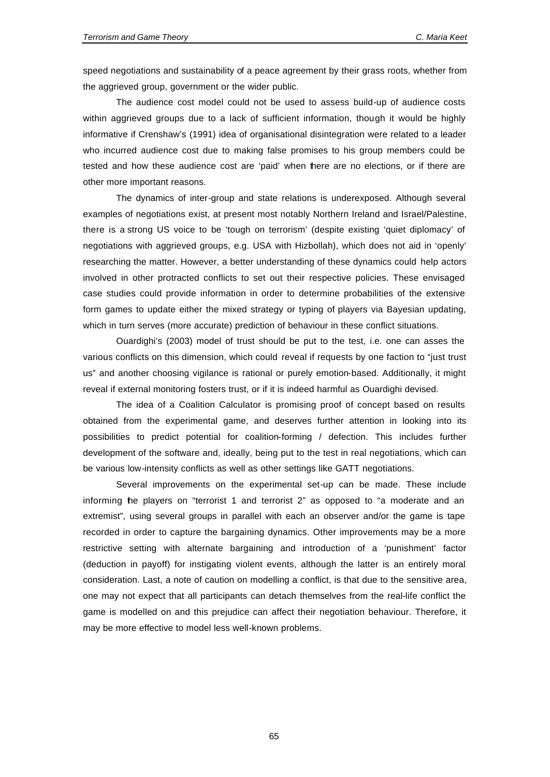speed negotiations and sustainability of a peace agreement by their grass roots, whether from the aggrieved group, government or the wider public.

The audience cost model could not be used to assess build-up of audience costs within aggrieved groups due to a lack of sufficient information, though it would be highly informative if Crenshaw's (1991) idea of organisational disintegration were related to a leader who incurred audience cost due to making false promises to his group members could be tested and how these audience cost are 'paid' when there are no elections, or if there are other more important reasons.

The dynamics of inter-group and state relations is underexposed. Although several examples of negotiations exist, at present most notably Northern Ireland and Israel/Palestine, there is a strong US voice to be 'tough on terrorism' (despite existing 'quiet diplomacy' of negotiations with aggrieved groups, e.g. USA with Hizbollah), which does not aid in 'openly' researching the matter. However, a better understanding of these dynamics could help actors involved in other protracted conflicts to set out their respective policies. These envisaged case studies could provide information in order to determine probabilities of the extensive form games to update either the mixed strategy or typing of players via Bayesian updating, which in turn serves (more accurate) prediction of behaviour in these conflict situations.

Ouardighi's (2003) model of trust should be put to the test, i.e. one can asses the various conflicts on this dimension, which could reveal if requests by one faction to "just trust us" and another choosing vigilance is rational or purely emotion-based. Additionally, it might reveal if external monitoring fosters trust, or if it is indeed harmful as Ouardighi devised.

The idea of a Coalition Calculator is promising proof of concept based on results obtained from the experimental game, and deserves further attention in looking into its possibilities to predict potential for coalition-forming / defection. This includes further development of the software and, ideally, being put to the test in real negotiations, which can be various low-intensity conflicts as well as other settings like GATT negotiations.

Several improvements on the experimental set-up can be made. These include informing the players on "terrorist 1 and terrorist 2" as opposed to "a moderate and an extremist", using several groups in parallel with each an observer and/or the game is tape recorded in order to capture the bargaining dynamics. Other improvements may be a more restrictive setting with alternate bargaining and introduction of a 'punishment' factor (deduction in payoff) for instigating violent events, although the latter is an entirely moral consideration. Last, a note of caution on modelling a conflict, is that due to the sensitive area, one may not expect that all participants can detach themselves from the real-life conflict the game is modelled on and this prejudice can affect their negotiation behaviour. Therefore, it may be more effective to model less well-known problems.

65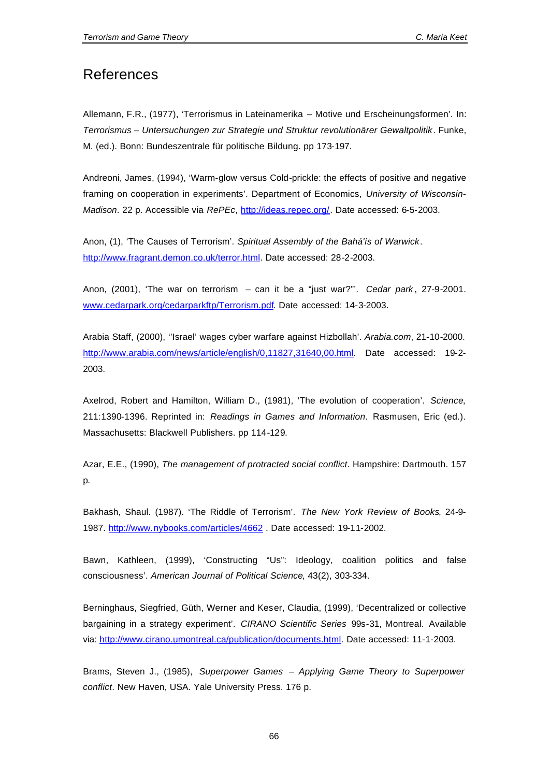# References

Allemann, F.R., (1977), 'Terrorismus in Lateinamerika – Motive und Erscheinungsformen'. In: *Terrorismus – Untersuchungen zur Strategie und Struktur revolutionärer Gewaltpolitik*. Funke, M. (ed.). Bonn: Bundeszentrale für politische Bildung. pp 173-197.

Andreoni, James, (1994), 'Warm-glow versus Cold-prickle: the effects of positive and negative framing on cooperation in experiments'. Department of Economics, *University of Wisconsin-Madison*. 22 p. Accessible via *RePEc*, http://ideas.repec.org/. Date accessed: 6-5-2003.

Anon, (1), 'The Causes of Terrorism'. *Spiritual Assembly of the Bahá'ís of Warwick*. http://www.fragrant.demon.co.uk/terror.html. Date accessed: 28-2-2003.

Anon, (2001), 'The war on terrorism – can it be a "just war?"'. *Cedar park* , 27-9-2001. www.cedarpark.org/cedarparkftp/Terrorism.pdf. Date accessed: 14-3-2003.

Arabia Staff, (2000), ''Israel' wages cyber warfare against Hizbollah'. *Arabia.com*, 21-10-2000. http://www.arabia.com/news/article/english/0,11827,31640,00.html. Date accessed: 19-2- 2003.

Axelrod, Robert and Hamilton, William D., (1981), 'The evolution of cooperation'. *Science*, 211:1390-1396. Reprinted in: *Readings in Games and Information*. Rasmusen, Eric (ed.). Massachusetts: Blackwell Publishers. pp 114-129.

Azar, E.E., (1990), *The management of protracted social conflict*. Hampshire: Dartmouth. 157 p.

Bakhash, Shaul. (1987). 'The Riddle of Terrorism'. *The New York Review of Books*, 24-9- 1987. http://www.nybooks.com/articles/4662 . Date accessed: 19-11-2002.

Bawn, Kathleen, (1999), 'Constructing "Us": Ideology, coalition politics and false consciousness'. *American Journal of Political Science*, 43(2), 303-334.

Berninghaus, Siegfried, Güth, Werner and Keser, Claudia, (1999), 'Decentralized or collective bargaining in a strategy experiment'. *CIRANO Scientific Series* 99s-31, Montreal. Available via: http://www.cirano.umontreal.ca/publication/documents.html. Date accessed: 11-1-2003.

Brams, Steven J., (1985), *Superpower Games – Applying Game Theory to Superpower conflict*. New Haven, USA. Yale University Press. 176 p.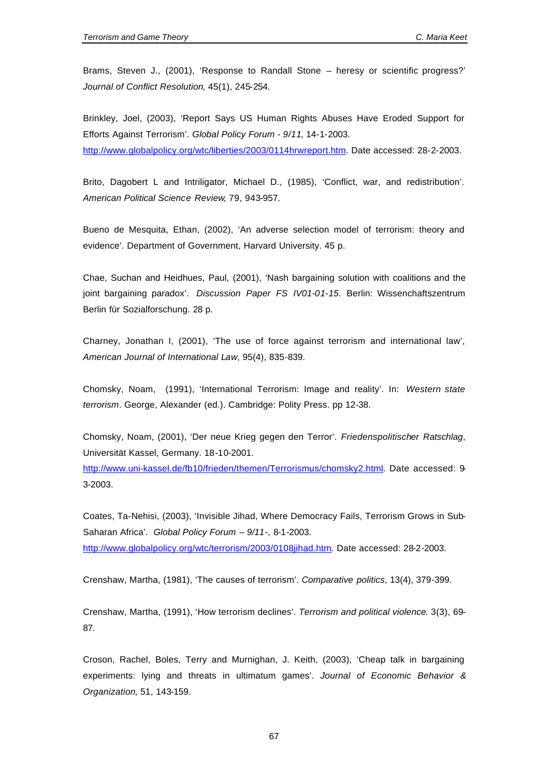Brams, Steven J., (2001), 'Response to Randall Stone – heresy or scientific progress?' *Journal of Conflict Resolution*, 45(1), 245-254.

Brinkley, Joel, (2003), 'Report Says US Human Rights Abuses Have Eroded Support for Efforts Against Terrorism'. *Global Policy Forum - 9/11*, 14-1-2003. http://www.globalpolicy.org/wtc/liberties/2003/0114hrwreport.htm. Date accessed: 28-2-2003.

Brito, Dagobert L and Intriligator, Michael D., (1985), 'Conflict, war, and redistribution'. *American Political Science Review*, 79, 943-957.

Bueno de Mesquita, Ethan, (2002), 'An adverse selection model of terrorism: theory and evidence'. Department of Government, Harvard University. 45 p.

Chae, Suchan and Heidhues, Paul, (2001), 'Nash bargaining solution with coalitions and the joint bargaining paradox'. *Discussion Paper FS IV01-01-15*. Berlin: Wissenchaftszentrum Berlin für Sozialforschung. 28 p.

Charney, Jonathan I, (2001), 'The use of force against terrorism and international law', *American Journal of International Law*, 95(4), 835-839.

Chomsky, Noam, (1991), 'International Terrorism: Image and reality'. In: *Western state terrorism*. George, Alexander (ed.). Cambridge: Polity Press. pp 12-38.

Chomsky, Noam, (2001), 'Der neue Krieg gegen den Terror'. *Friedenspolitischer Ratschlag*, Universität Kassel, Germany. 18-10-2001.

http://www.uni-kassel.de/fb10/frieden/themen/Terrorismus/chomsky2.html. Date accessed: 9- 3-2003.

Coates, Ta-Nehisi, (2003), 'Invisible Jihad, Where Democracy Fails, Terrorism Grows in Sub-Saharan Africa'. *Global Policy Forum – 9/11-*, 8-1-2003. http://www.globalpolicy.org/wtc/terrorism/2003/0108jihad.htm. Date accessed: 28-2-2003.

Crenshaw, Martha, (1981), 'The causes of terrorism'. *Comparative politics*, 13(4), 379-399.

Crenshaw, Martha, (1991), 'How terrorism declines'. *Terrorism and political violence*. 3(3), 69- 87.

Croson, Rachel, Boles, Terry and Murnighan, J. Keith, (2003), 'Cheap talk in bargaining experiments: lying and threats in ultimatum games'. *Journal of Economic Behavior & Organization*, 51, 143-159.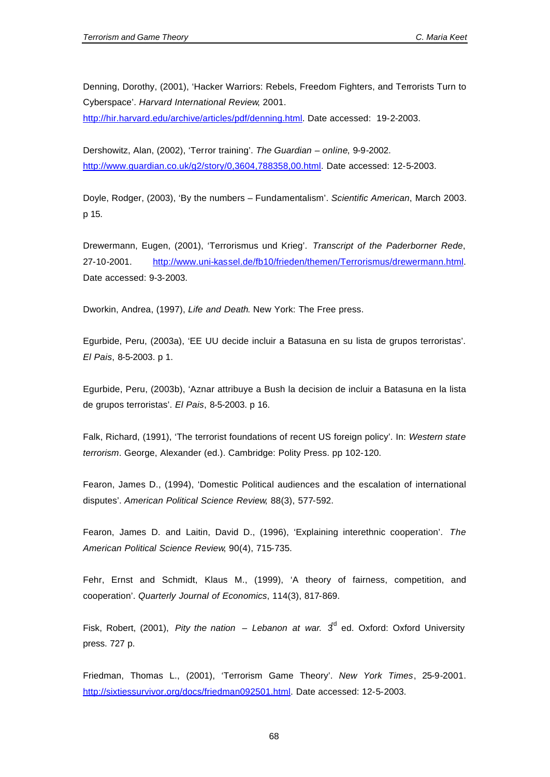Denning, Dorothy, (2001), 'Hacker Warriors: Rebels, Freedom Fighters, and Terrorists Turn to Cyberspace'. *Harvard International Review*, 2001.

http://hir.harvard.edu/archive/articles/pdf/denning.html. Date accessed: 19-2-2003.

Dershowitz, Alan, (2002), 'Terror training'. *The Guardian – online*, 9-9-2002. http://www.guardian.co.uk/g2/story/0,3604,788358,00.html. Date accessed: 12-5-2003.

Doyle, Rodger, (2003), 'By the numbers – Fundamentalism'. *Scientific American*, March 2003. p 15.

Drewermann, Eugen, (2001), 'Terrorismus und Krieg'. *Transcript of the Paderborner Rede*, 27-10-2001. http://www.uni-kassel.de/fb10/frieden/themen/Terrorismus/drewermann.html. Date accessed: 9-3-2003.

Dworkin, Andrea, (1997), *Life and Death*. New York: The Free press.

Egurbide, Peru, (2003a), 'EE UU decide incluir a Batasuna en su lista de grupos terroristas'. *El Pais*, 8-5-2003. p 1.

Egurbide, Peru, (2003b), 'Aznar attribuye a Bush la decision de incluir a Batasuna en la lista de grupos terroristas'. *El Pais*, 8-5-2003. p 16.

Falk, Richard, (1991), 'The terrorist foundations of recent US foreign policy'. In: *Western state terrorism*. George, Alexander (ed.). Cambridge: Polity Press. pp 102-120.

Fearon, James D., (1994), 'Domestic Political audiences and the escalation of international disputes'. *American Political Science Review*, 88(3), 577-592.

Fearon, James D. and Laitin, David D., (1996), 'Explaining interethnic cooperation'. *The American Political Science Review*, 90(4), 715-735.

Fehr, Ernst and Schmidt, Klaus M., (1999), 'A theory of fairness, competition, and cooperation'. *Quarterly Journal of Economics*, 114(3), 817-869.

Fisk, Robert, (2001), *Pity the nation – Lebanon at war.*  $3<sup>d</sup>$  ed. Oxford: Oxford University press. 727 p.

Friedman, Thomas L., (2001), 'Terrorism Game Theory'. *New York Times*, 25-9-2001. http://sixtiessurvivor.org/docs/friedman092501.html. Date accessed: 12-5-2003.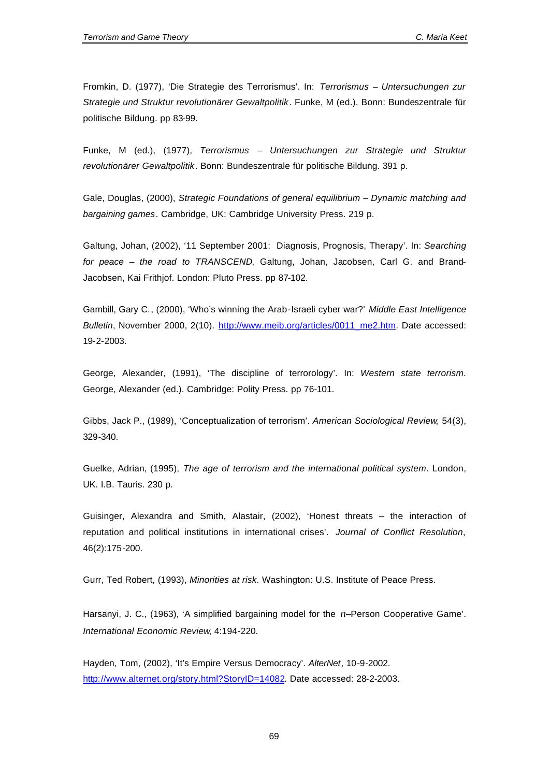Fromkin, D. (1977), 'Die Strategie des Terrorismus'. In: *Terrorismus – Untersuchungen zur Strategie und Struktur revolutionärer Gewaltpolitik*. Funke, M (ed.). Bonn: Bundeszentrale für politische Bildung. pp 83-99.

Funke, M (ed.), (1977), *Terrorismus – Untersuchungen zur Strategie und Struktur revolutionärer Gewaltpolitik*. Bonn: Bundeszentrale für politische Bildung. 391 p.

Gale, Douglas, (2000), *Strategic Foundations of general equilibrium – Dynamic matching and bargaining games*. Cambridge, UK: Cambridge University Press. 219 p.

Galtung, Johan, (2002), '11 September 2001: Diagnosis, Prognosis, Therapy'. In: *Searching for peace – the road to TRANSCEND*, Galtung, Johan, Jacobsen, Carl G. and Brand-Jacobsen, Kai Frithjof. London: Pluto Press. pp 87-102.

Gambill, Gary C., (2000), 'Who's winning the Arab-Israeli cyber war?' *Middle East Intelligence Bulletin*, November 2000, 2(10). http://www.meib.org/articles/0011\_me2.htm. Date accessed: 19-2-2003.

George, Alexander, (1991), 'The discipline of terrorology'. In: *Western state terrorism*. George, Alexander (ed.). Cambridge: Polity Press. pp 76-101.

Gibbs, Jack P., (1989), 'Conceptualization of terrorism'. *American Sociological Review*, 54(3), 329-340.

Guelke, Adrian, (1995), *The age of terrorism and the international political system*. London, UK. I.B. Tauris. 230 p.

Guisinger, Alexandra and Smith, Alastair, (2002), 'Honest threats – the interaction of reputation and political institutions in international crises'. *Journal of Conflict Resolution*, 46(2):175-200.

Gurr, Ted Robert, (1993), *Minorities at risk*. Washington: U.S. Institute of Peace Press.

Harsanyi, J. C., (1963), 'A simplified bargaining model for the *n*–Person Cooperative Game'. *International Economic Review*, 4:194-220.

Hayden, Tom, (2002), 'It's Empire Versus Democracy'. *AlterNet*, 10-9-2002. http://www.alternet.org/story.html?StoryID=14082. Date accessed: 28-2-2003.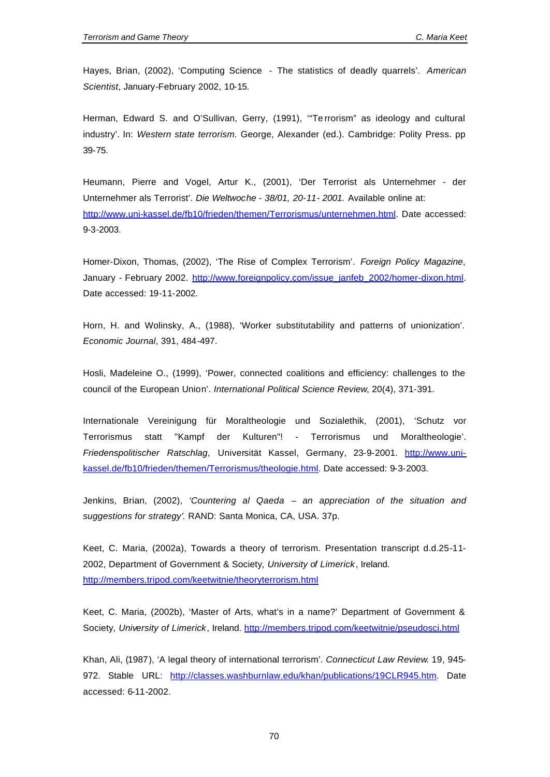Hayes, Brian, (2002), 'Computing Science - The statistics of deadly quarrels'. *American Scientist*, January-February 2002, 10-15.

Herman, Edward S. and O'Sullivan, Gerry, (1991), '"Te rrorism" as ideology and cultural industry'. In: *Western state terrorism*. George, Alexander (ed.). Cambridge: Polity Press. pp 39-75.

Heumann, Pierre and Vogel, Artur K., (2001), 'Der Terrorist als Unternehmer - der Unternehmer als Terrorist'. *Die Weltwoche - 38/01, 20-11- 2001.* Available online at: http://www.uni-kassel.de/fb10/frieden/themen/Terrorismus/unternehmen.html. Date accessed: 9-3-2003.

Homer-Dixon, Thomas, (2002), 'The Rise of Complex Terrorism'. *Foreign Policy Magazine*, January - February 2002. http://www.foreignpolicy.com/issue\_janfeb\_2002/homer-dixon.html. Date accessed: 19-11-2002.

Horn, H. and Wolinsky, A., (1988), 'Worker substitutability and patterns of unionization'. *Economic Journal*, 391, 484-497.

Hosli, Madeleine O., (1999), 'Power, connected coalitions and efficiency: challenges to the council of the European Union'. *International Political Science Review*, 20(4), 371-391.

Internationale Vereinigung für Moraltheologie und Sozialethik, (2001), 'Schutz vor Terrorismus statt "Kampf der Kulturen"! - Terrorismus und Moraltheologie'. *Friedenspolitischer Ratschlag*, Universität Kassel, Germany, 23-9-2001. http://www.unikassel.de/fb10/frieden/themen/Terrorismus/theologie.html. Date accessed: 9-3-2003.

Jenkins, Brian, (2002), *'Countering al Qaeda – an appreciation of the situation and suggestions for strategy'*. RAND: Santa Monica, CA, USA. 37p.

Keet, C. Maria, (2002a), Towards a theory of terrorism. Presentation transcript d.d.25-11- 2002, Department of Government & Society*, University of Limerick*, Ireland. http://members.tripod.com/keetwitnie/theoryterrorism.html

Keet, C. Maria, (2002b), 'Master of Arts, what's in a name?' Department of Government & Society*, University of Limerick*, Ireland. http://members.tripod.com/keetwitnie/pseudosci.html

Khan, Ali, (1987), 'A legal theory of international terrorism'. *Connecticut Law Review*. 19, 945- 972. Stable URL: http://classes.washburnlaw.edu/khan/publications/19CLR945.htm. Date accessed: 6-11-2002.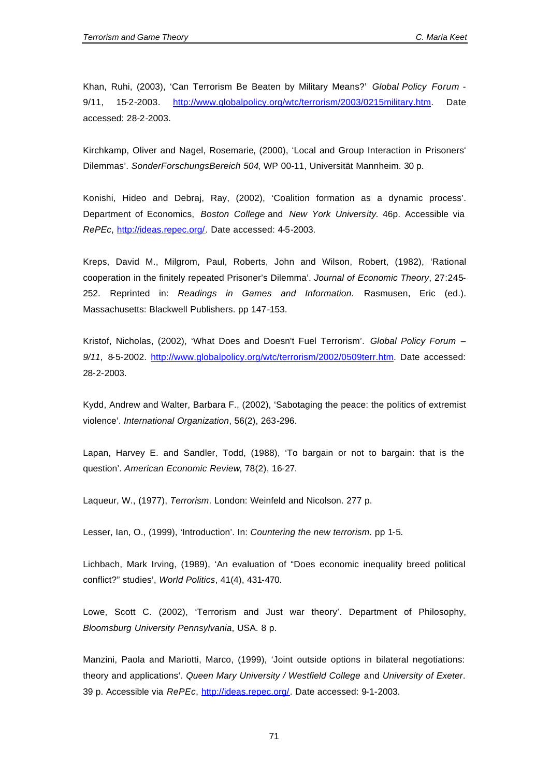Khan, Ruhi, (2003), 'Can Terrorism Be Beaten by Military Means?' *Global Policy Forum* - 9/11, 15-2-2003. http://www.globalpolicy.org/wtc/terrorism/2003/0215military.htm. Date accessed: 28-2-2003.

Kirchkamp, Oliver and Nagel, Rosemarie, (2000), 'Local and Group Interaction in Prisoners' Dilemmas'. *SonderForschungsBereich 504*, WP 00-11, Universität Mannheim. 30 p.

Konishi, Hideo and Debraj, Ray, (2002), 'Coalition formation as a dynamic process'. Department of Economics, *Boston College* and *New York University*. 46p. Accessible via *RePEc*, http://ideas.repec.org/. Date accessed: 4-5-2003.

Kreps, David M., Milgrom, Paul, Roberts, John and Wilson, Robert, (1982), 'Rational cooperation in the finitely repeated Prisoner's Dilemma'. *Journal of Economic Theory*, 27:245- 252. Reprinted in: *Readings in Games and Information*. Rasmusen, Eric (ed.). Massachusetts: Blackwell Publishers. pp 147-153.

Kristof, Nicholas, (2002), 'What Does and Doesn't Fuel Terrorism'. *Global Policy Forum – 9/11*, 8-5-2002. http://www.globalpolicy.org/wtc/terrorism/2002/0509terr.htm. Date accessed: 28-2-2003.

Kydd, Andrew and Walter, Barbara F., (2002), 'Sabotaging the peace: the politics of extremist violence'. *International Organization*, 56(2), 263-296.

Lapan, Harvey E. and Sandler, Todd, (1988), 'To bargain or not to bargain: that is the question'. *American Economic Review*, 78(2), 16-27.

Laqueur, W., (1977), *Terrorism*. London: Weinfeld and Nicolson. 277 p.

Lesser, Ian, O., (1999), 'Introduction'. In: *Countering the new terrorism*. pp 1-5.

Lichbach, Mark Irving, (1989), 'An evaluation of "Does economic inequality breed political conflict?" studies', *World Politics*, 41(4), 431-470.

Lowe, Scott C. (2002), 'Terrorism and Just war theory'. Department of Philosophy, *Bloomsburg University Pennsylvania*, USA. 8 p.

Manzini, Paola and Mariotti, Marco, (1999), 'Joint outside options in bilateral negotiations: theory and applications'. *Queen Mary University / Westfield College* and *University of Exeter*. 39 p. Accessible via *RePEc*, http://ideas.repec.org/. Date accessed: 9-1-2003.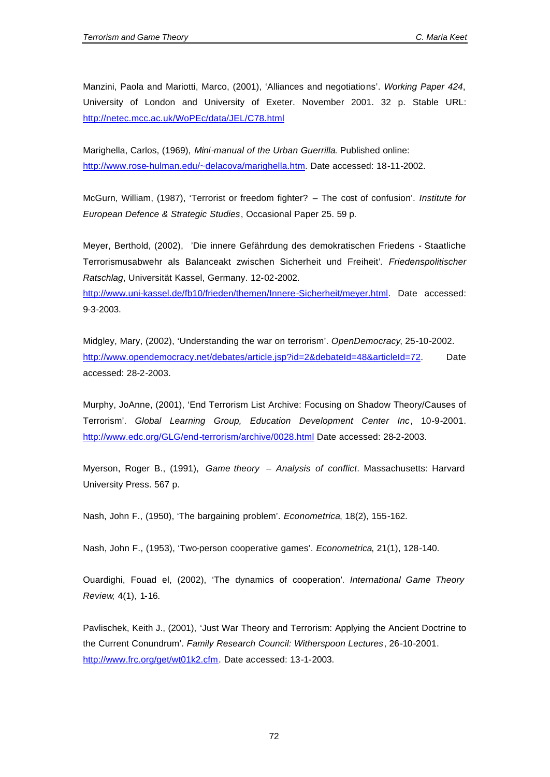Manzini, Paola and Mariotti, Marco, (2001), 'Alliances and negotiations'. *Working Paper 424*, University of London and University of Exeter. November 2001. 32 p. Stable URL: http://netec.mcc.ac.uk/WoPEc/data/JEL/C78.html

Marighella, Carlos, (1969), *Mini-manual of the Urban Guerrilla*. Published online: http://www.rose-hulman.edu/~delacova/marighella.htm. Date accessed: 18-11-2002.

McGurn, William, (1987), 'Terrorist or freedom fighter? – The cost of confusion'. *Institute for European Defence & Strategic Studies*, Occasional Paper 25. 59 p.

Meyer, Berthold, (2002),'Die innere Gefährdung des demokratischen Friedens - Staatliche Terrorismusabwehr als Balanceakt zwischen Sicherheit und Freiheit'*. Friedenspolitischer Ratschlag*, Universität Kassel, Germany. 12-02-2002. http://www.uni-kassel.de/fb10/frieden/themen/Innere-Sicherheit/meyer.html. Date accessed: 9-3-2003.

Midgley, Mary, (2002), 'Understanding the war on terrorism'. *OpenDemocracy*, 25-10-2002. http://www.opendemocracy.net/debates/article.jsp?id=2&debateId=48&articleId=72. Date accessed: 28-2-2003.

Murphy, JoAnne, (2001), 'End Terrorism List Archive: Focusing on Shadow Theory/Causes of Terrorism'. *Global Learning Group, Education Development Center Inc*, 10-9-2001. http://www.edc.org/GLG/end-terrorism/archive/0028.html Date accessed: 28-2-2003.

Myerson, Roger B., (1991), *Game theory – Analysis of conflict*. Massachusetts: Harvard University Press. 567 p.

Nash, John F., (1950), 'The bargaining problem'. *Econometrica*, 18(2), 155-162.

Nash, John F., (1953), 'Two-person cooperative games'. *Econometrica*, 21(1), 128-140.

Ouardighi, Fouad el, (2002), 'The dynamics of cooperation'*. International Game Theory Review*, 4(1), 1-16.

Pavlischek, Keith J., (2001), 'Just War Theory and Terrorism: Applying the Ancient Doctrine to the Current Conundrum'. *Family Research Council: Witherspoon Lectures*, 26-10-2001. http://www.frc.org/get/wt01k2.cfm. Date accessed: 13-1-2003.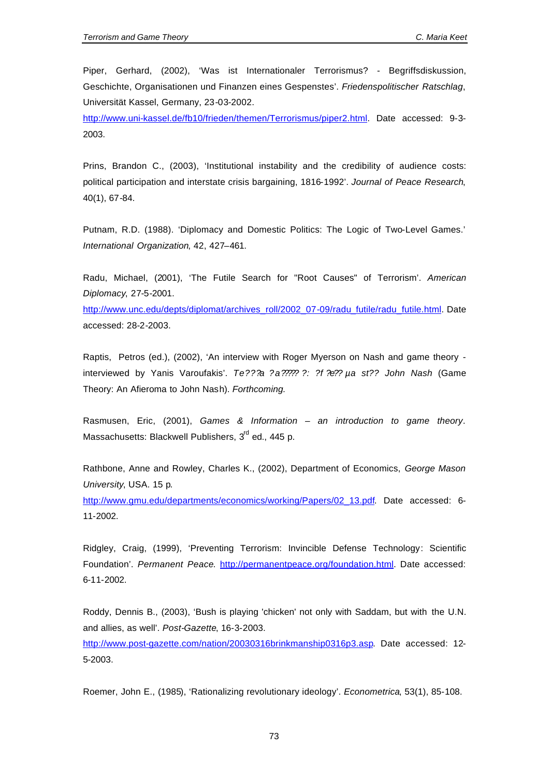Piper, Gerhard, (2002), 'Was ist Internationaler Terrorismus? - Begriffsdiskussion, Geschichte, Organisationen und Finanzen eines Gespenstes'. *Friedenspolitischer Ratschlag*, Universität Kassel, Germany, 23-03-2002.

http://www.uni-kassel.de/fb10/frieden/themen/Terrorismus/piper2.html. Date accessed: 9-3- 2003.

Prins, Brandon C., (2003), 'Institutional instability and the credibility of audience costs: political participation and interstate crisis bargaining, 1816-1992'. *Journal of Peace Research*, 40(1), 67-84.

Putnam, R.D. (1988). 'Diplomacy and Domestic Politics: The Logic of Two-Level Games.' *International Organization*, 42, 427–461.

Radu, Michael, (2001), 'The Futile Search for "Root Causes" of Terrorism'. *American Diplomacy*, 27-5-2001.

http://www.unc.edu/depts/diplomat/archives\_roll/2002\_07-09/radu\_futile/radu\_futile.html. Date accessed: 28-2-2003.

Raptis, Petros (ed.), (2002), 'An interview with Roger Myerson on Nash and game theory interviewed by Yanis Varoufakis'. *Te???a ?a????? ?: ?f ?e?? µa st?? John Nash* (Game Theory: An Afieroma to John Nash). *Forthcoming.*

Rasmusen, Eric, (2001), *Games & Information – an introduction to game theory*. Massachusetts: Blackwell Publishers, 3<sup>rd</sup> ed., 445 p.

Rathbone, Anne and Rowley, Charles K., (2002), Department of Economics, *George Mason University*, USA. 15 p.

http://www.gmu.edu/departments/economics/working/Papers/02\_13.pdf. Date accessed: 6- 11-2002.

Ridgley, Craig, (1999), 'Preventing Terrorism: Invincible Defense Technology: Scientific Foundation'. *Permanent Peace*. http://permanentpeace.org/foundation.html. Date accessed: 6-11-2002.

Roddy, Dennis B., (2003), 'Bush is playing 'chicken' not only with Saddam, but with the U.N. and allies, as well'. *Post-Gazette*, 16-3-2003.

http://www.post-gazette.com/nation/20030316brinkmanship0316p3.asp. Date accessed: 12- 5-2003.

Roemer, John E., (1985), 'Rationalizing revolutionary ideology'. *Econometrica*, 53(1), 85-108.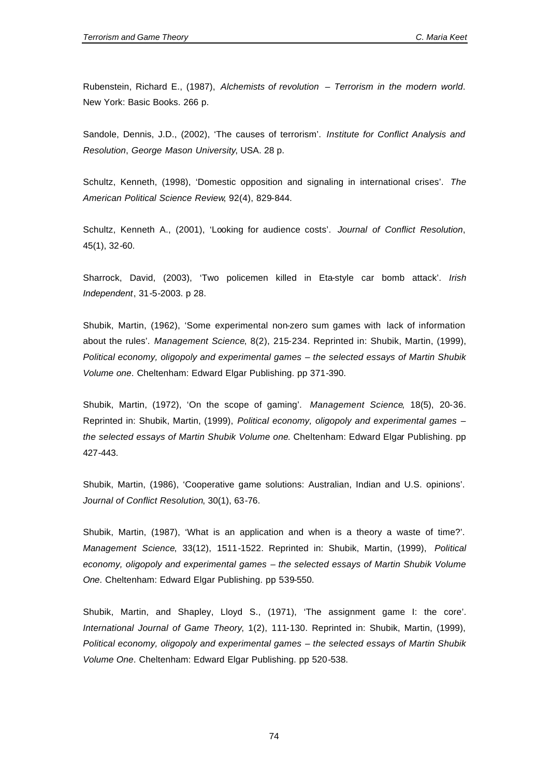Rubenstein, Richard E., (1987), *Alchemists of revolution – Terrorism in the modern world*. New York: Basic Books. 266 p.

Sandole, Dennis, J.D., (2002), 'The causes of terrorism'. *Institute for Conflict Analysis and Resolution*, *George Mason University*, USA. 28 p.

Schultz, Kenneth, (1998), 'Domestic opposition and signaling in international crises'. *The American Political Science Review*, 92(4), 829-844.

Schultz, Kenneth A., (2001), 'Looking for audience costs'. *Journal of Conflict Resolution*, 45(1), 32-60.

Sharrock, David, (2003), 'Two policemen killed in Eta-style car bomb attack'. *Irish Independent*, 31-5-2003. p 28.

Shubik, Martin, (1962), 'Some experimental non-zero sum games with lack of information about the rules'. *Management Science*, 8(2), 215-234. Reprinted in: Shubik, Martin, (1999), *Political economy, oligopoly and experimental games – the selected essays of Martin Shubik Volume one*. Cheltenham: Edward Elgar Publishing. pp 371-390.

Shubik, Martin, (1972), 'On the scope of gaming'. *Management Science*, 18(5), 20-36. Reprinted in: Shubik, Martin, (1999), *Political economy, oligopoly and experimental games – the selected essays of Martin Shubik Volume one*. Cheltenham: Edward Elgar Publishing. pp 427-443.

Shubik, Martin, (1986), 'Cooperative game solutions: Australian, Indian and U.S. opinions'. *Journal of Conflict Resolution*, 30(1), 63-76.

Shubik, Martin, (1987), 'What is an application and when is a theory a waste of time?'. *Management Science*, 33(12), 1511-1522. Reprinted in: Shubik, Martin, (1999), *Political economy, oligopoly and experimental games – the selected essays of Martin Shubik Volume One*. Cheltenham: Edward Elgar Publishing. pp 539-550.

Shubik, Martin, and Shapley, Lloyd S., (1971), 'The assignment game I: the core'. *International Journal of Game Theory*, 1(2), 111-130. Reprinted in: Shubik, Martin, (1999), *Political economy, oligopoly and experimental games – the selected essays of Martin Shubik Volume One*. Cheltenham: Edward Elgar Publishing. pp 520-538.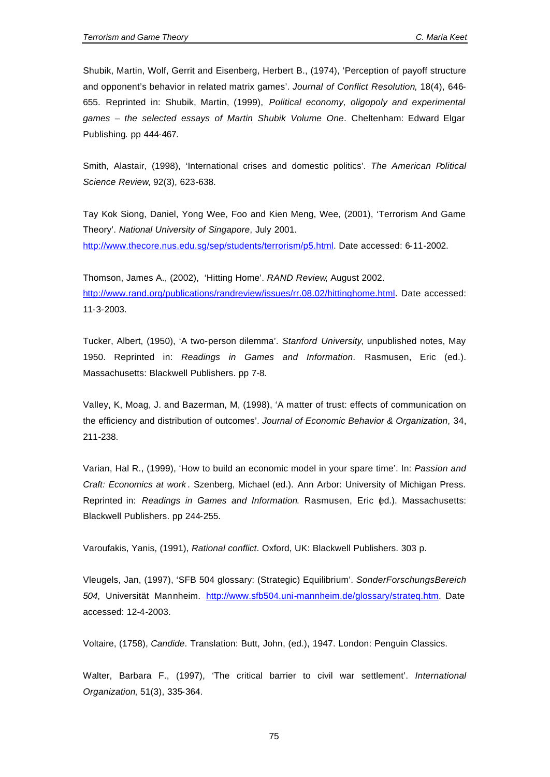Shubik, Martin, Wolf, Gerrit and Eisenberg, Herbert B., (1974), 'Perception of payoff structure and opponent's behavior in related matrix games'. *Journal of Conflict Resolution*, 18(4), 646- 655. Reprinted in: Shubik, Martin, (1999), *Political economy, oligopoly and experimental games – the selected essays of Martin Shubik Volume One*. Cheltenham: Edward Elgar Publishing. pp 444-467.

Smith, Alastair, (1998), 'International crises and domestic politics'. *The American Political Science Review*, 92(3), 623-638.

Tay Kok Siong, Daniel, Yong Wee, Foo and Kien Meng, Wee, (2001), 'Terrorism And Game Theory'. *National University of Singapore*, July 2001. http://www.thecore.nus.edu.sg/sep/students/terrorism/p5.html. Date accessed: 6-11-2002.

Thomson, James A., (2002), 'Hitting Home'. *RAND Review*, August 2002. http://www.rand.org/publications/randreview/issues/rr.08.02/hittinghome.html. Date accessed: 11-3-2003.

Tucker, Albert, (1950), 'A two-person dilemma'. *Stanford University*, unpublished notes, May 1950. Reprinted in: *Readings in Games and Information*. Rasmusen, Eric (ed.). Massachusetts: Blackwell Publishers. pp 7-8.

Valley, K, Moag, J. and Bazerman, M, (1998), 'A matter of trust: effects of communication on the efficiency and distribution of outcomes'. *Journal of Economic Behavior & Organization*, 34, 211-238.

Varian, Hal R., (1999), 'How to build an economic model in your spare time'. In: *Passion and Craft: Economics at work* . Szenberg, Michael (ed.). Ann Arbor: University of Michigan Press. Reprinted in: *Readings in Games and Information*. Rasmusen, Eric (ed.). Massachusetts: Blackwell Publishers. pp 244-255.

Varoufakis, Yanis, (1991), *Rational conflict*. Oxford, UK: Blackwell Publishers. 303 p.

Vleugels, Jan, (1997), 'SFB 504 glossary: (Strategic) Equilibrium'. *SonderForschungsBereich 504*, Universität Mannheim. http://www.sfb504.uni-mannheim.de/glossary/strateq.htm. Date accessed: 12-4-2003.

Voltaire, (1758), *Candide*. Translation: Butt, John, (ed.), 1947. London: Penguin Classics.

Walter, Barbara F., (1997), 'The critical barrier to civil war settlement'. *International Organization*, 51(3), 335-364.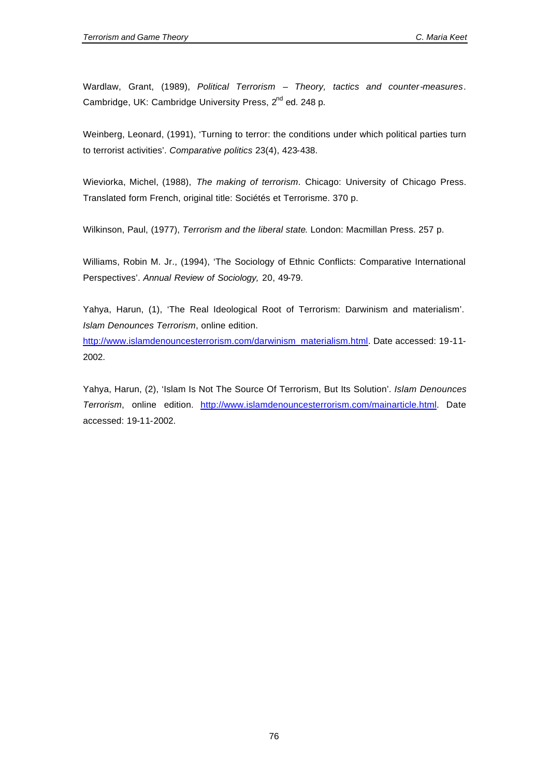Wardlaw, Grant, (1989), *Political Terrorism – Theory, tactics and counter-measures*. Cambridge, UK: Cambridge University Press, 2<sup>nd</sup> ed. 248 p.

Weinberg, Leonard, (1991), 'Turning to terror: the conditions under which political parties turn to terrorist activities'. *Comparative politics* 23(4), 423-438.

Wieviorka, Michel, (1988), *The making of terrorism*. Chicago: University of Chicago Press. Translated form French, original title: Sociétés et Terrorisme. 370 p.

Wilkinson, Paul, (1977), *Terrorism and the liberal state*. London: Macmillan Press. 257 p.

Williams, Robin M. Jr., (1994), 'The Sociology of Ethnic Conflicts: Comparative International Perspectives'. *Annual Review of Sociology,* 20, 49-79.

Yahya, Harun, (1), 'The Real Ideological Root of Terrorism: Darwinism and materialism'. *Islam Denounces Terrorism*, online edition.

http://www.islamdenouncesterrorism.com/darwinism\_materialism.html. Date accessed: 19-11- 2002.

Yahya, Harun, (2), 'Islam Is Not The Source Of Terrorism, But Its Solution'. *Islam Denounces Terrorism*, online edition. http://www.islamdenouncesterrorism.com/mainarticle.html. Date accessed: 19-11-2002.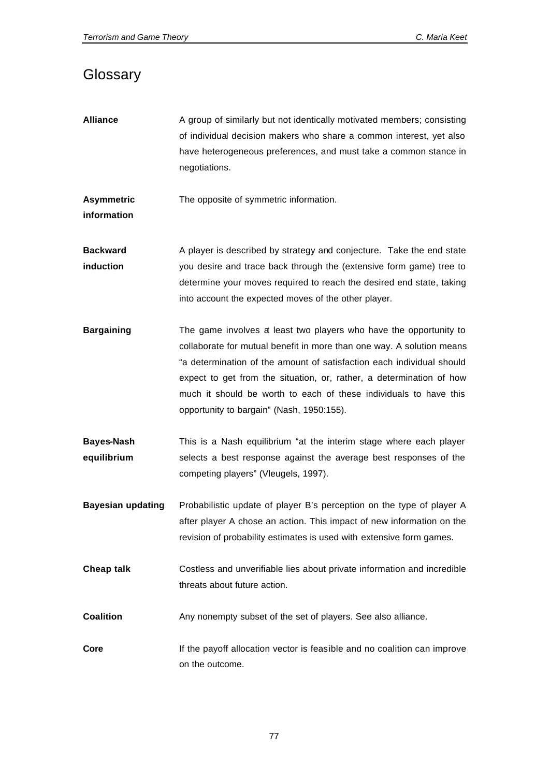# **Glossary**

- **Alliance** A group of similarly but not identically motivated members; consisting of individual decision makers who share a common interest, yet also have heterogeneous preferences, and must take a common stance in negotiations.
- **Asymmetric**  The opposite of symmetric information.
- **information**
- **Backward induction** A player is described by strategy and conjecture. Take the end state you desire and trace back through the (extensive form game) tree to determine your moves required to reach the desired end state, taking into account the expected moves of the other player.
- **Bargaining** The game involves a least two players who have the opportunity to collaborate for mutual benefit in more than one way. A solution means "a determination of the amount of satisfaction each individual should expect to get from the situation, or, rather, a determination of how much it should be worth to each of these individuals to have this opportunity to bargain" (Nash, 1950:155).
- **Bayes-Nash equilibrium** This is a Nash equilibrium "at the interim stage where each player selects a best response against the average best responses of the competing players" (Vleugels, 1997).
- **Bayesian updating** Probabilistic update of player B's perception on the type of player A after player A chose an action. This impact of new information on the revision of probability estimates is used with extensive form games.
- **Cheap talk** Costless and unverifiable lies about private information and incredible threats about future action.
- **Coalition** Any nonempty subset of the set of players. See also alliance.
- **Core** If the payoff allocation vector is feasible and no coalition can improve on the outcome.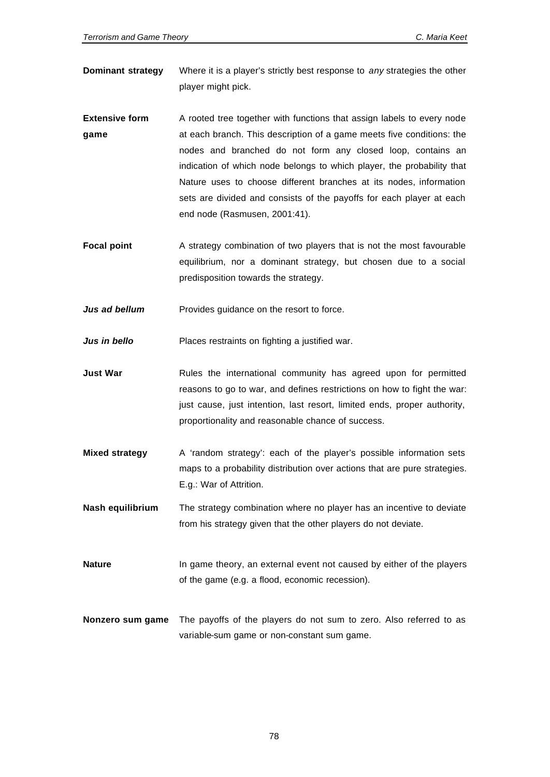- **Dominant strategy** Where it is a player's strictly best response to *any* strategies the other player might pick.
- **Extensive form game** A rooted tree together with functions that assign labels to every node at each branch. This description of a game meets five conditions: the nodes and branched do not form any closed loop, contains an indication of which node belongs to which player, the probability that Nature uses to choose different branches at its nodes, information sets are divided and consists of the payoffs for each player at each end node (Rasmusen, 2001:41).
- **Focal point** A strategy combination of two players that is not the most favourable equilibrium, nor a dominant strategy, but chosen due to a social predisposition towards the strategy.
- *Jus ad bellum* Provides guidance on the resort to force.

*Jus in bello* Places restraints on fighting a justified war.

- **Just War** Rules the international community has agreed upon for permitted reasons to go to war, and defines restrictions on how to fight the war: just cause, just intention, last resort, limited ends, proper authority, proportionality and reasonable chance of success.
- **Mixed strategy** A 'random strategy': each of the player's possible information sets maps to a probability distribution over actions that are pure strategies. E.g.: War of Attrition.
- **Nash equilibrium** The strategy combination where no player has an incentive to deviate from his strategy given that the other players do not deviate.
- **Nature** In game theory, an external event not caused by either of the players of the game (e.g. a flood, economic recession).
- **Nonzero sum game** The payoffs of the players do not sum to zero. Also referred to as variable-sum game or non-constant sum game.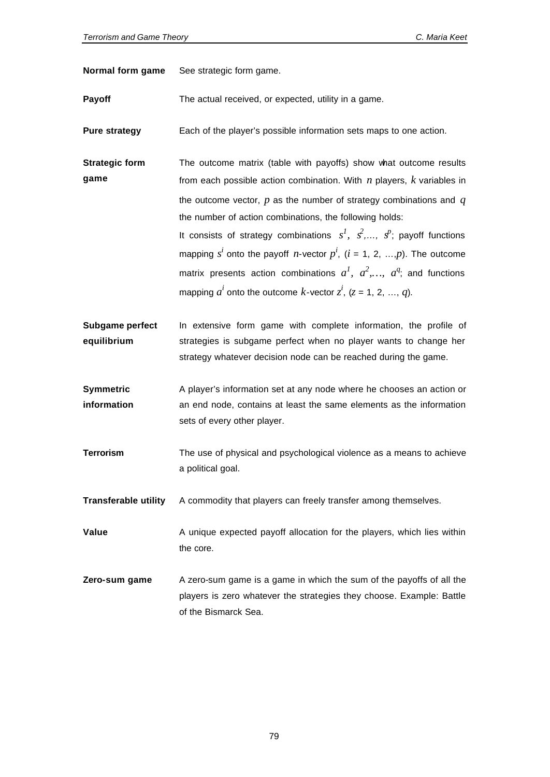| Normal form game | See strategic form game. |
|------------------|--------------------------|
|------------------|--------------------------|

**Payoff** The actual received, or expected, utility in a game.

**Pure strategy** Each of the player's possible information sets maps to one action.

**Strategic form game** The outcome matrix (table with payoffs) show what outcome results from each possible action combination. With *n* players, *k* variables in the outcome vector, *p* as the number of strategy combinations and *q* the number of action combinations, the following holds:

> It consists of strategy combinations  $s^I$ ,  $s^2$ , ...,  $s^p$ ; payoff functions mapping  $s^i$  onto the payoff *n*-vector  $p^i$ , ( $i$  = 1, 2, ...,p). The outcome matrix presents action combinations  $a^I$ ,  $a^2$ ,...,  $a^q$ ; and functions mapping  $a^i$  onto the outcome  $k$ -vector  $z^i$ , ( $z$  = 1, 2, ...,  $q$ ).

- **Subgame perfect equilibrium** In extensive form game with complete information, the profile of strategies is subgame perfect when no player wants to change her strategy whatever decision node can be reached during the game.
- **Symmetric information** A player's information set at any node where he chooses an action or an end node, contains at least the same elements as the information sets of every other player.
- **Terrorism** The use of physical and psychological violence as a means to achieve a political goal.
- **Transferable utility** A commodity that players can freely transfer among themselves.

**Value** A unique expected payoff allocation for the players, which lies within the core.

**Zero-sum game** A zero-sum game is a game in which the sum of the payoffs of all the players is zero whatever the strategies they choose. Example: Battle of the Bismarck Sea.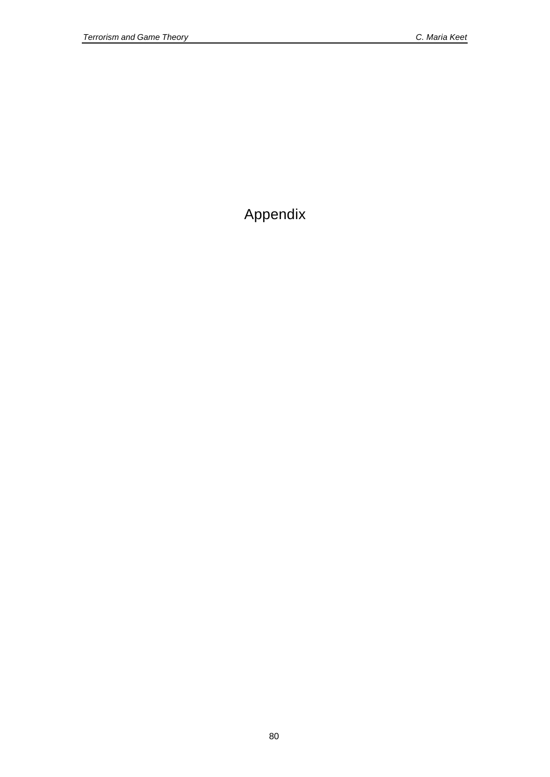Appendix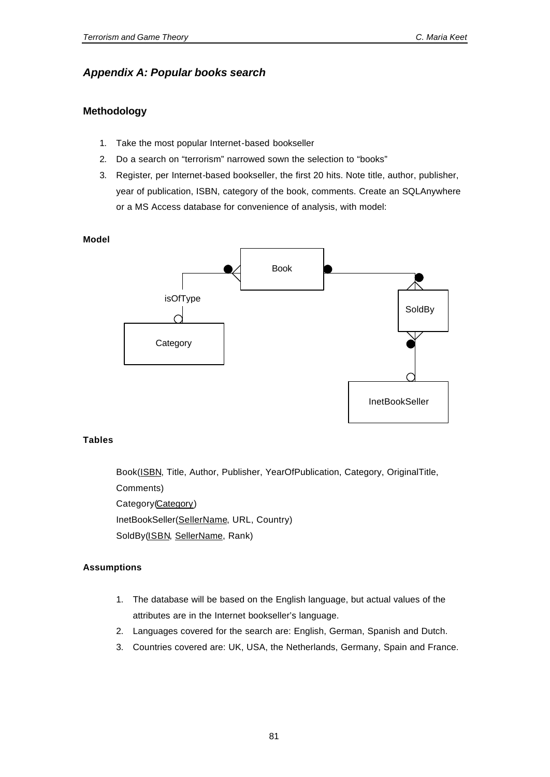## *Appendix A: Popular books search*

## **Methodology**

- 1. Take the most popular Internet-based bookseller
- 2. Do a search on "terrorism" narrowed sown the selection to "books"
- 3. Register, per Internet-based bookseller, the first 20 hits. Note title, author, publisher, year of publication, ISBN, category of the book, comments. Create an SQLAnywhere or a MS Access database for convenience of analysis, with model:

**Model** Book **Category** InetBookSeller SoldBy isOfType

### **Tables**

Book(ISBN, Title, Author, Publisher, YearOfPublication, Category, OriginalTitle, Comments) Category(Category) InetBookSeller(SellerName, URL, Country)

SoldBy(ISBN, SellerName, Rank)

### **Assumptions**

- 1. The database will be based on the English language, but actual values of the attributes are in the Internet bookseller's language.
- 2. Languages covered for the search are: English, German, Spanish and Dutch.
- 3. Countries covered are: UK, USA, the Netherlands, Germany, Spain and France.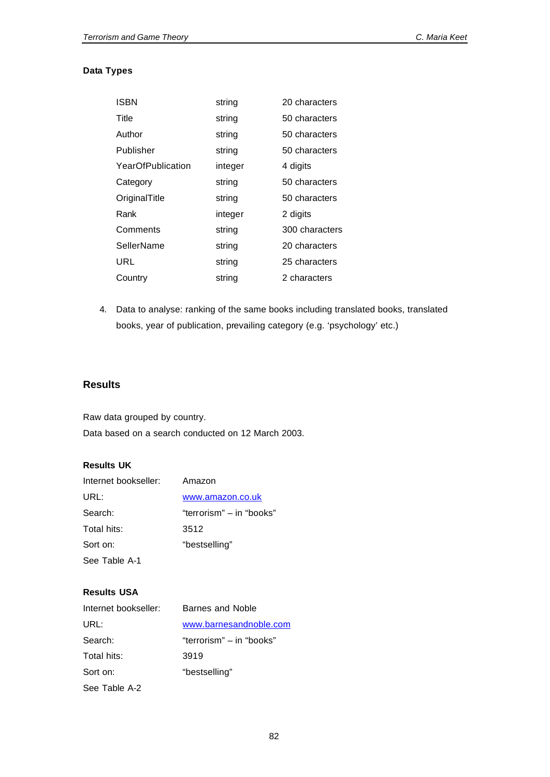## **Data Types**

| <b>ISBN</b>       | string  | 20 characters  |
|-------------------|---------|----------------|
| Title             | string  | 50 characters  |
| Author            | string  | 50 characters  |
| Publisher         | string  | 50 characters  |
| YearOfPublication | integer | 4 digits       |
| Category          | string  | 50 characters  |
| OriginalTitle     | string  | 50 characters  |
| Rank              | integer | 2 digits       |
| Comments          | string  | 300 characters |
| SellerName        | string  | 20 characters  |
| URL               | string  | 25 characters  |
| Country           | string  | 2 characters   |

4. Data to analyse: ranking of the same books including translated books, translated books, year of publication, prevailing category (e.g. 'psychology' etc.)

## **Results**

Raw data grouped by country. Data based on a search conducted on 12 March 2003.

## **Results UK**

| Internet bookseller: | Amazon                   |
|----------------------|--------------------------|
| URL:                 | www.amazon.co.uk         |
| Search:              | "terrorism" – in "books" |
| Total hits:          | 3512                     |
| Sort on:             | "bestselling"            |
| See Table A-1        |                          |

## **Results USA**

| Internet bookseller: | Barnes and Noble         |
|----------------------|--------------------------|
| URL:                 | www.barnesandnoble.com   |
| Search:              | "terrorism" – in "books" |
| Total hits:          | 3919                     |
| Sort on:             | "bestselling"            |
| See Table A-2        |                          |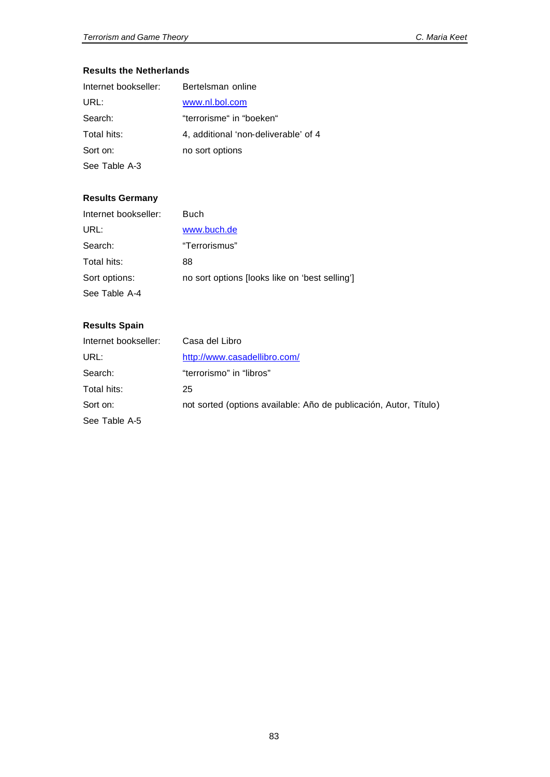## **Results the Netherlands**

| Internet bookseller: | Bertelsman online                    |
|----------------------|--------------------------------------|
| URL:                 | www.nl.bol.com                       |
| Search:              | "terrorisme" in "boeken"             |
| Total hits:          | 4, additional 'non-deliverable' of 4 |
| Sort on:             | no sort options                      |
| See Table A-3        |                                      |

## **Results Germany**

| Internet bookseller: | <b>Buch</b>                                    |
|----------------------|------------------------------------------------|
| URL:                 | www.buch.de                                    |
| Search:              | "Terrorismus"                                  |
| Total hits:          | 88                                             |
| Sort options:        | no sort options (looks like on 'best selling') |
| See Table A-4        |                                                |

## **Results Spain**

| Internet bookseller: | Casa del Libro                                                    |
|----------------------|-------------------------------------------------------------------|
| URL:                 | http://www.casadellibro.com/                                      |
| Search:              | "terrorismo" in "libros"                                          |
| Total hits:          | 25                                                                |
| Sort on:             | not sorted (options available: Año de publicación, Autor, Título) |
| See Table A-5        |                                                                   |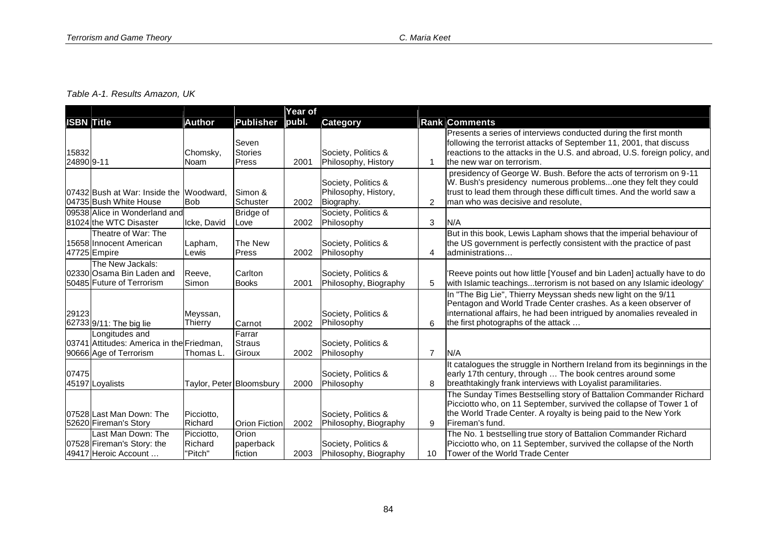## *Table A-1. Results Amazon, UK*

|                     |                                                                                       |                                  |                                  | Year of |                                                           |                |                                                                                                                                                                                                                                                     |
|---------------------|---------------------------------------------------------------------------------------|----------------------------------|----------------------------------|---------|-----------------------------------------------------------|----------------|-----------------------------------------------------------------------------------------------------------------------------------------------------------------------------------------------------------------------------------------------------|
| <b>ISBN Title</b>   |                                                                                       | <b>Author</b>                    | <b>Publisher</b>                 | publ.   | <b>Category</b>                                           |                | <b>Rank Comments</b>                                                                                                                                                                                                                                |
| 15832<br>24890 9-11 |                                                                                       | Chomsky,<br>Noam                 | Seven<br><b>Stories</b><br>Press | 2001    | Society, Politics &<br>Philosophy, History                | -1             | Presents a series of interviews conducted during the first month<br>following the terrorist attacks of September 11, 2001, that discuss<br>reactions to the attacks in the U.S. and abroad, U.S. foreign policy, and<br>the new war on terrorism.   |
|                     | 07432 Bush at War: Inside the<br>04735 Bush White House                               | Woodward.<br><b>Bob</b>          | Simon &<br>Schuster              | 2002    | Society, Politics &<br>Philosophy, History,<br>Biography. | 2              | presidency of George W. Bush. Before the acts of terrorism on 9-11<br>W. Bush's presidency numerous problemsone they felt they could<br>trust to lead them through these difficult times. And the world saw a<br>man who was decisive and resolute. |
|                     | 09538 Alice in Wonderland and<br>81024 the WTC Disaster                               | Icke. David                      | <b>Bridge of</b><br>Love         | 2002    | Society, Politics &<br>Philosophy                         | 3              | N/A                                                                                                                                                                                                                                                 |
|                     | Theatre of War: The<br>15658 Innocent American<br>47725 Empire                        | Lapham,<br>Lewis                 | The New<br>Press                 | 2002    | Society, Politics &<br>Philosophy                         | 4              | But in this book, Lewis Lapham shows that the imperial behaviour of<br>the US government is perfectly consistent with the practice of past<br>administrations                                                                                       |
|                     | The New Jackals:<br>02330 Osama Bin Laden and<br>50485 Future of Terrorism            | Reeve,<br>Simon                  | Carlton<br><b>Books</b>          | 2001    | Society, Politics &<br>Philosophy, Biography              | 5              | 'Reeve points out how little [Yousef and bin Laden] actually have to do<br>with Islamic teachingsterrorism is not based on any Islamic ideology'                                                                                                    |
| 29123               | 62733 9/11: The big lie                                                               | Meyssan,<br>Thierry              | Carnot                           | 2002    | Society, Politics &<br>Philosophy                         | 6              | In "The Big Lie", Thierry Meyssan sheds new light on the 9/11<br>Pentagon and World Trade Center crashes. As a keen observer of<br>international affairs, he had been intrigued by anomalies revealed in<br>the first photographs of the attack     |
|                     | Longitudes and<br>03741 Attitudes: America in the Friedman,<br>90666 Age of Terrorism | Thomas L.                        | Farrar<br>Straus<br>Giroux       | 2002    | Society, Politics &<br>Philosophy                         | $\overline{7}$ | N/A                                                                                                                                                                                                                                                 |
| 07475               | 45197 Loyalists                                                                       |                                  | Taylor, Peter Bloomsbury         | 2000    | Society, Politics &<br>Philosophy                         | 8              | It catalogues the struggle in Northern Ireland from its beginnings in the<br>early 17th century, through  The book centres around some<br>breathtakingly frank interviews with Loyalist paramilitaries.                                             |
|                     | 07528 Last Man Down: The<br>52620 Fireman's Story                                     | Picciotto,<br>Richard            | <b>Orion Fiction</b>             | 2002    | Society, Politics &<br>Philosophy, Biography              | 9              | The Sunday Times Bestselling story of Battalion Commander Richard<br>Picciotto who, on 11 September, survived the collapse of Tower 1 of<br>the World Trade Center. A royalty is being paid to the New York<br>Fireman's fund.                      |
|                     | Last Man Down: The<br>07528 Fireman's Story: the<br>49417 Heroic Account              | Picciotto,<br>Richard<br>"Pitch" | Orion<br>paperback<br>fiction    | 2003    | Society, Politics &<br>Philosophy, Biography              | 10             | The No. 1 bestselling true story of Battalion Commander Richard<br>Picciotto who, on 11 September, survived the collapse of the North<br>Tower of the World Trade Center                                                                            |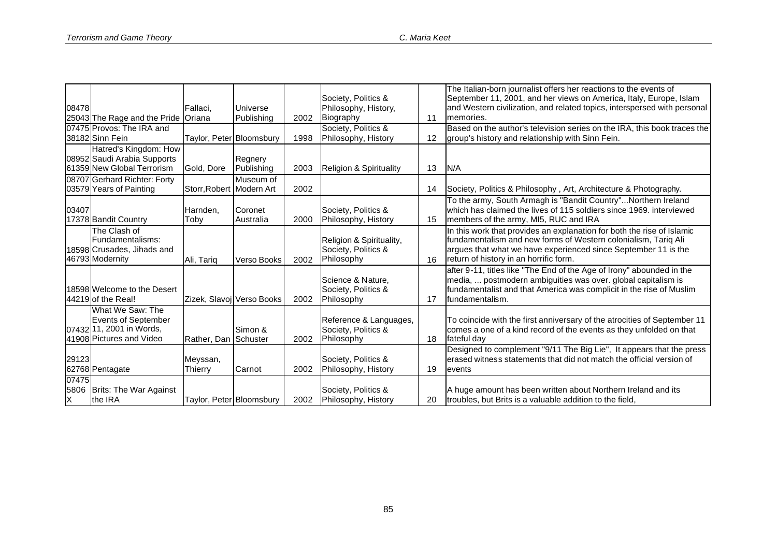|       |                                     |                          |                           |      |                                    |    | The Italian-born journalist offers her reactions to the events of        |
|-------|-------------------------------------|--------------------------|---------------------------|------|------------------------------------|----|--------------------------------------------------------------------------|
|       |                                     |                          |                           |      | Society, Politics &                |    | September 11, 2001, and her views on America, Italy, Europe, Islam       |
| 08478 |                                     | Fallaci,                 | Universe                  |      | Philosophy, History,               |    | and Western civilization, and related topics, interspersed with personal |
|       | 25043 The Rage and the Pride Oriana |                          | Publishing                | 2002 | Biography                          | 11 | memories.                                                                |
|       | 07475 Provos: The IRA and           |                          |                           |      | Society, Politics &                |    | Based on the author's television series on the IRA, this book traces the |
|       | 38182 Sinn Fein                     | Taylor, Peter Bloomsbury |                           | 1998 | Philosophy, History                | 12 | group's history and relationship with Sinn Fein.                         |
|       | Hatred's Kingdom: How               |                          |                           |      |                                    |    |                                                                          |
|       | 08952 Saudi Arabia Supports         |                          | Regnery                   |      |                                    |    |                                                                          |
|       | 61359 New Global Terrorism          | Gold, Dore               | Publishing                | 2003 | <b>Religion &amp; Spirituality</b> | 13 | N/A                                                                      |
|       | 08707 Gerhard Richter: Forty        |                          | Museum of                 |      |                                    |    |                                                                          |
|       | 03579 Years of Painting             | Storr, Robert Modern Art |                           | 2002 |                                    | 14 | Society, Politics & Philosophy, Art, Architecture & Photography.         |
|       |                                     |                          |                           |      |                                    |    | To the army, South Armagh is "Bandit Country"Northern Ireland            |
| 03407 |                                     | Harnden.                 | Coronet                   |      | Society, Politics &                |    | which has claimed the lives of 115 soldiers since 1969, interviewed      |
|       | 17378 Bandit Country                | Toby                     | Australia                 | 2000 | Philosophy, History                | 15 | members of the army, MI5, RUC and IRA                                    |
|       | The Clash of                        |                          |                           |      |                                    |    | In this work that provides an explanation for both the rise of Islamic   |
|       | Fundamentalisms:                    |                          |                           |      | Religion & Spirituality,           |    | fundamentalism and new forms of Western colonialism, Tariq Ali           |
|       | 18598 Crusades, Jihads and          |                          |                           |      | Society, Politics &                |    | argues that what we have experienced since September 11 is the           |
|       | 46793 Modernity                     | Ali, Tariq               | Verso Books               | 2002 | Philosophy                         | 16 | return of history in an horrific form.                                   |
|       |                                     |                          |                           |      |                                    |    | after 9-11, titles like "The End of the Age of Irony" abounded in the    |
|       |                                     |                          |                           |      | Science & Nature,                  |    | media,  postmodern ambiguities was over. global capitalism is            |
|       | 18598 Welcome to the Desert         |                          |                           |      | Society, Politics &                |    | fundamentalist and that America was complicit in the rise of Muslim      |
|       | 44219 of the Real!                  |                          | Zizek, Slavoj Verso Books | 2002 | Philosophy                         | 17 | fundamentalism.                                                          |
|       | What We Saw: The                    |                          |                           |      |                                    |    |                                                                          |
|       | <b>Events of September</b>          |                          |                           |      | Reference & Languages,             |    | To coincide with the first anniversary of the atrocities of September 11 |
|       | 07432 11, 2001 in Words,            |                          | Simon &                   |      | Society, Politics &                |    | comes a one of a kind record of the events as they unfolded on that      |
|       | 41908 Pictures and Video            | Rather, Dan Schuster     |                           | 2002 | Philosophy                         | 18 | fateful day                                                              |
|       |                                     |                          |                           |      |                                    |    | Designed to complement "9/11 The Big Lie", It appears that the press     |
| 29123 |                                     | Meyssan,                 |                           |      | Society, Politics &                |    | erased witness statements that did not match the official version of     |
|       | 62768 Pentagate                     | Thierry                  | Carnot                    | 2002 | Philosophy, History                | 19 | levents                                                                  |
| 07475 |                                     |                          |                           |      |                                    |    |                                                                          |
| 5806  | <b>Brits: The War Against</b>       |                          |                           |      | Society, Politics &                |    | A huge amount has been written about Northern Ireland and its            |
| X     | the IRA                             | Taylor, Peter Bloomsbury |                           | 2002 | Philosophy, History                | 20 | troubles, but Brits is a valuable addition to the field,                 |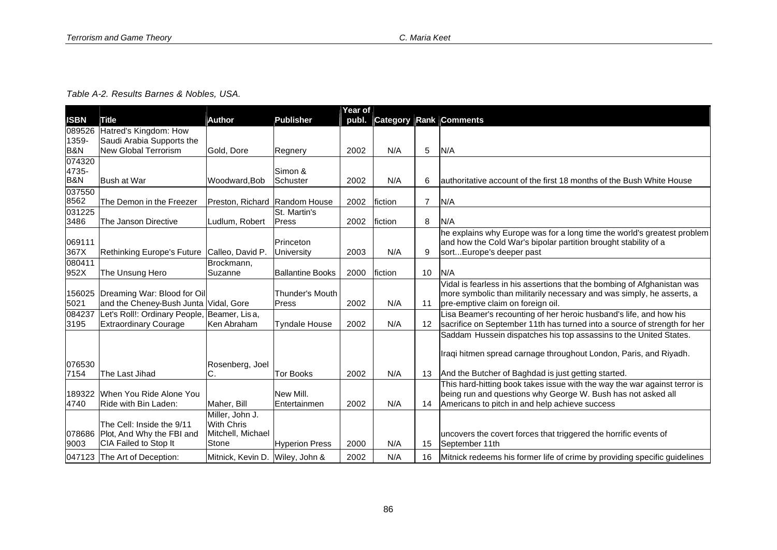| Table A-2. Results Barnes & Nobles, USA. |  |  |  |  |
|------------------------------------------|--|--|--|--|
|------------------------------------------|--|--|--|--|

|                |                                       |                                 |                         | Year of |          |                 |                                                                           |
|----------------|---------------------------------------|---------------------------------|-------------------------|---------|----------|-----------------|---------------------------------------------------------------------------|
| <b>ISBN</b>    | Title                                 | <b>Author</b>                   | Publisher               | publ.   | Category |                 | Rank Comments                                                             |
| 089526         | Hatred's Kingdom: How                 |                                 |                         |         |          |                 |                                                                           |
| 1359-          | Saudi Arabia Supports the             |                                 |                         |         |          |                 |                                                                           |
| <b>B&amp;N</b> | <b>New Global Terrorism</b>           | Gold, Dore                      | Regnery                 | 2002    | N/A      | 5               | N/A                                                                       |
| 074320         |                                       |                                 |                         |         |          |                 |                                                                           |
| 4735-          |                                       |                                 | Simon &                 |         |          |                 |                                                                           |
| <b>B&amp;N</b> | <b>Bush at War</b>                    | Woodward, Bob                   | Schuster                | 2002    | N/A      | 6               | authoritative account of the first 18 months of the Bush White House      |
| 037550         |                                       |                                 |                         |         |          |                 |                                                                           |
| 8562           | The Demon in the Freezer              | Preston, Richard Random House   |                         | 2002    | fiction  | $\overline{7}$  | N/A                                                                       |
| 031225         |                                       |                                 | St. Martin's            |         |          |                 |                                                                           |
| 3486           | The Janson Directive                  | Ludlum, Robert                  | <b>Press</b>            | 2002    | fiction  | 8               | N/A                                                                       |
|                |                                       |                                 |                         |         |          |                 | he explains why Europe was for a long time the world's greatest problem   |
| 069111         |                                       |                                 | Princeton               |         |          |                 | and how the Cold War's bipolar partition brought stability of a           |
| 367X           | Rethinking Europe's Future            | Calleo, David P.                | <b>University</b>       | 2003    | N/A      | 9               | sortEurope's deeper past                                                  |
| 080411         |                                       | Brockmann,                      |                         |         |          |                 |                                                                           |
| 952X           | The Unsung Hero                       | Suzanne                         | <b>Ballantine Books</b> | 2000    | fiction  | 10 <sup>°</sup> | N/A                                                                       |
|                |                                       |                                 |                         |         |          |                 | Vidal is fearless in his assertions that the bombing of Afghanistan was   |
| 156025         | Dreaming War: Blood for Oil           |                                 | Thunder's Mouth         |         |          |                 | more symbolic than militarily necessary and was simply, he asserts, a     |
| 5021           | and the Cheney-Bush Junta Vidal, Gore |                                 | Press                   | 2002    | N/A      | 11              | pre-emptive claim on foreign oil.                                         |
| 084237         | Let's Roll!: Ordinary People,         | Beamer, Lisa,                   |                         |         |          |                 | Lisa Beamer's recounting of her heroic husband's life, and how his        |
| 3195           | <b>Extraordinary Courage</b>          | Ken Abraham                     | <b>Tyndale House</b>    | 2002    | N/A      | 12 <sup>2</sup> | sacrifice on September 11th has turned into a source of strength for her  |
|                |                                       |                                 |                         |         |          |                 | Saddam Hussein dispatches his top assassins to the United States.         |
|                |                                       |                                 |                         |         |          |                 |                                                                           |
|                |                                       |                                 |                         |         |          |                 | Iraqi hitmen spread carnage throughout London, Paris, and Riyadh.         |
| 076530         |                                       | Rosenberg, Joel                 |                         |         |          |                 |                                                                           |
| 7154           | The Last Jihad                        | С                               | Tor Books               | 2002    | N/A      |                 | 13 And the Butcher of Baghdad is just getting started.                    |
|                |                                       |                                 |                         |         |          |                 | This hard-hitting book takes issue with the way the war against terror is |
| 189322         | When You Ride Alone You               |                                 | New Mill.               |         |          |                 | being run and questions why George W. Bush has not asked all              |
| 4740           | Ride with Bin Laden:                  | Maher, Bill                     | Entertainmen            | 2002    | N/A      | 14              | Americans to pitch in and help achieve success                            |
|                |                                       | Miller, John J.                 |                         |         |          |                 |                                                                           |
|                | The Cell: Inside the 9/11             | <b>With Chris</b>               |                         |         |          |                 |                                                                           |
|                | 078686 Plot, And Why the FBI and      | Mitchell, Michael               |                         |         |          |                 | uncovers the covert forces that triggered the horrific events of          |
| 9003           | CIA Failed to Stop It                 | Stone                           | <b>Hyperion Press</b>   | 2000    | N/A      | 15              | September 11th                                                            |
|                | 047123 The Art of Deception:          | Mitnick, Kevin D. Wiley, John & |                         | 2002    | N/A      | 16              | Mitnick redeems his former life of crime by providing specific guidelines |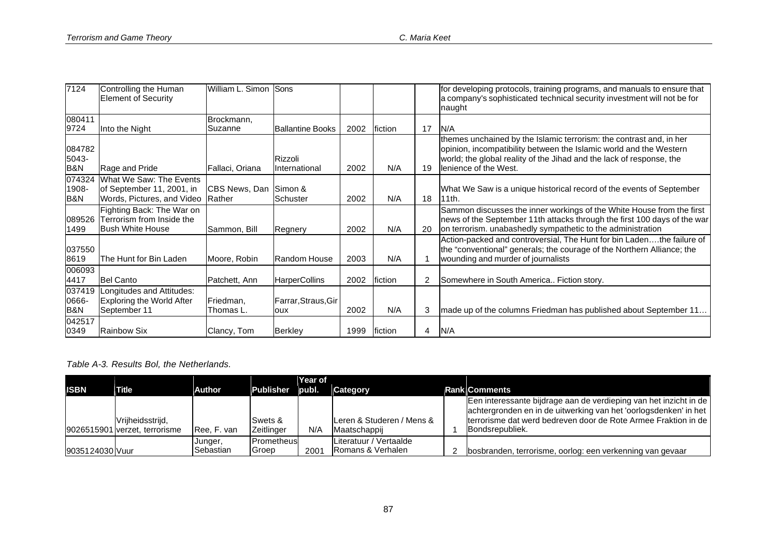| 7124                              | Controlling the Human<br><b>Element of Security</b>                                | William L. Simon Sons         |                            |      |         |    | for developing protocols, training programs, and manuals to ensure that<br>a company's sophisticated technical security investment will not be for<br>naught                                                                               |
|-----------------------------------|------------------------------------------------------------------------------------|-------------------------------|----------------------------|------|---------|----|--------------------------------------------------------------------------------------------------------------------------------------------------------------------------------------------------------------------------------------------|
| 080411<br>9724                    | Into the Night                                                                     | Brockmann,<br><b>ISuzanne</b> | <b>Ballantine Books</b>    | 2002 | fiction | 17 | N/A                                                                                                                                                                                                                                        |
| 084782<br>5043-<br><b>B&amp;N</b> | Rage and Pride                                                                     | Fallaci, Oriana               | Rizzoli<br>International   | 2002 | N/A     | 19 | themes unchained by the Islamic terrorism: the contrast and, in her<br>opinion, incompatibility between the Islamic world and the Western<br>world; the global reality of the Jihad and the lack of response, the<br>lenience of the West. |
| 074324<br>1908-<br>B&N            | What We Saw: The Events<br>of September 11, 2001, in<br>Words, Pictures, and Video | CBS News, Dan<br>Rather       | Simon &<br>Schuster        | 2002 | N/A     | 18 | What We Saw is a unique historical record of the events of September<br>11th.                                                                                                                                                              |
| 089526<br>1499                    | Fighting Back: The War on<br>Terrorism from Inside the<br><b>Bush White House</b>  | Sammon, Bill                  | Regnery                    | 2002 | N/A     | 20 | Sammon discusses the inner workings of the White House from the first<br>news of the September 11th attacks through the first 100 days of the war<br>on terrorism. unabashedly sympathetic to the administration                           |
| 037550<br>8619                    | The Hunt for Bin Laden                                                             | Moore, Robin                  | Random House               | 2003 | N/A     |    | Action-packed and controversial, The Hunt for bin Ladenthe failure of<br>the "conventional" generals; the courage of the Northern Alliance; the<br>wounding and murder of journalists                                                      |
| 006093<br>4417                    | <b>Bel Canto</b>                                                                   | Patchett, Ann                 | <b>HarperCollins</b>       | 2002 | fiction | 2  | Somewhere in South America Fiction story.                                                                                                                                                                                                  |
| 037419<br>0666-<br>B&N            | Longitudes and Attitudes:<br><b>Exploring the World After</b><br>September 11      | Friedman,<br>Thomas L.        | Farrar, Straus, Gir<br>oux | 2002 | N/A     | 3  | made up of the columns Friedman has published about September 11                                                                                                                                                                           |
| 042517<br>0349                    | <b>Rainbow Six</b>                                                                 | Clancy, Tom                   | <b>Berkley</b>             | 1999 | fiction | 4  | N/A                                                                                                                                                                                                                                        |

## *Table A-3. Results Bol, the Netherlands.*

| <b>ISBN</b>     | Title                         | Author               | Publisher                          | Year of<br>publ. | Category                                    | <b>Rank Comments</b>                                                                                                                                                                                       |
|-----------------|-------------------------------|----------------------|------------------------------------|------------------|---------------------------------------------|------------------------------------------------------------------------------------------------------------------------------------------------------------------------------------------------------------|
|                 | Vrijheidsstrijd,              |                      | Swets &                            |                  | Leren & Studeren / Mens &                   | Een interessante bijdrage aan de verdieping van het inzicht in de<br>achtergronden en in de uitwerking van het 'oorlogsdenken' in het<br>Iterrorisme dat werd bedreven door de Rote Armee Fraktion in de I |
|                 | 9026515901 verzet, terrorisme | Ree, F. van          | Zeitlinger                         | N/A              | Maatschappij                                | Bondsrepubliek.                                                                                                                                                                                            |
| 9035124030 Vuur |                               | Junger,<br>Sebastian | <b>Prometheus</b><br><b>IGroep</b> | 2001             | Literatuur / Vertaalde<br>Romans & Verhalen | bosbranden, terrorisme, oorlog: een verkenning van gevaar                                                                                                                                                  |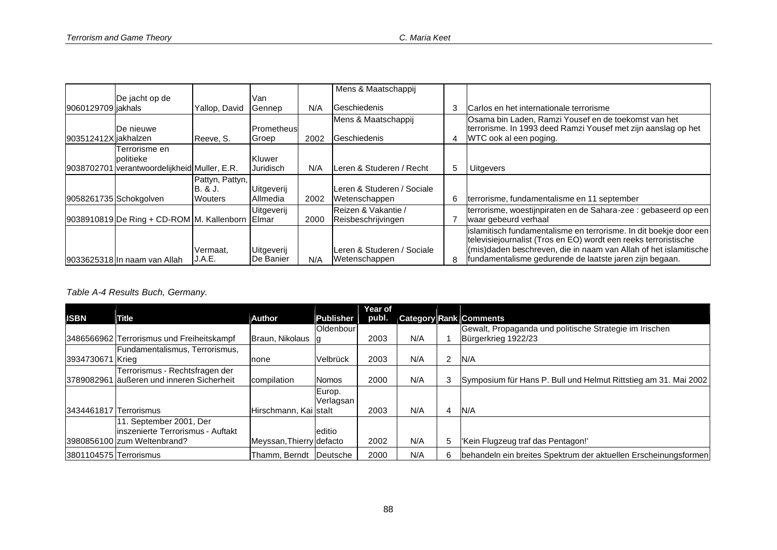|                      |                                                 |                 |                     |      | Mens & Maatschappij                       |   |                                                                                                                                                 |
|----------------------|-------------------------------------------------|-----------------|---------------------|------|-------------------------------------------|---|-------------------------------------------------------------------------------------------------------------------------------------------------|
|                      | De jacht op de                                  |                 | Van                 |      |                                           |   |                                                                                                                                                 |
| 9060129709 liakhals  |                                                 | Yallop, David   | Gennep              | N/A  | Geschiedenis                              | 3 | Carlos en het internationale terrorisme                                                                                                         |
| 903512412X jakhalzen | De nieuwe                                       | Reeve, S.       | Prometheus<br>Groep | 2002 | Mens & Maatschappij<br>Geschiedenis       | 4 | Osama bin Laden, Ramzi Yousef en de toekomst van het<br>terrorisme. In 1993 deed Ramzi Yousef met zijn aanslag op het<br>WTC ook al een poging. |
|                      | Terrorisme en                                   |                 |                     |      |                                           |   |                                                                                                                                                 |
|                      | politieke                                       |                 | Kluwer              |      |                                           |   |                                                                                                                                                 |
|                      | 9038702701 verantwoordelijkheid Muller, E.R.    |                 | Juridisch           | N/A  | Leren & Studeren / Recht                  | 5 | <b>Uitgevers</b>                                                                                                                                |
|                      |                                                 | Pattyn, Pattyn, |                     |      |                                           |   |                                                                                                                                                 |
|                      |                                                 | IB. & J.        | Uitgeverij          |      | Leren & Studeren / Sociale                |   |                                                                                                                                                 |
|                      | 9058261735 Schokgolven                          | <b>Wouters</b>  | Allmedia            | 2002 | Wetenschappen                             | 6 | terrorisme, fundamentalisme en 11 september                                                                                                     |
|                      | 9038910819 De Ring + CD-ROM M. Kallenborn Elmar |                 | Uitgeverij          | 2000 | Reizen & Vakantie /<br>Reisbeschrijvingen |   | terrorisme, woestijnpiraten en de Sahara-zee : gebaseerd op een<br>waar gebeurd verhaal                                                         |
|                      |                                                 |                 |                     |      |                                           |   | islamitisch fundamentalisme en terrorisme. In dit boekje door een                                                                               |
|                      |                                                 | Vermaat,        | Uitgeverij          |      | Leren & Studeren / Sociale                |   | televisiejournalist (Tros en EO) wordt een reeks terroristische<br>(mis) daden beschreven, die in naam van Allah of het islamitische            |
|                      | 9033625318 In naam van Allah                    | J.A.E.          | De Banier           | N/A  | Wetenschappen                             | 8 | fundamentalisme gedurende de laatste jaren zijn begaan.                                                                                         |

## *Table A-4 Results Buch, Germany.*

|                        |                                            |                          |              | Year of |     |                |                                                                 |
|------------------------|--------------------------------------------|--------------------------|--------------|---------|-----|----------------|-----------------------------------------------------------------|
| <b>ISBN</b>            | Title                                      | Author                   | Publisher    | publ.   |     |                | <b>Category Rank Comments</b>                                   |
|                        |                                            |                          | Oldenbour    |         |     |                | Gewalt, Propaganda und politische Strategie im Irischen         |
|                        | 3486566962 Terrorismus und Freiheitskampf  | Braun, Nikolaus Ig       |              | 2003    | N/A |                | Bürgerkrieg 1922/23                                             |
|                        | Fundamentalismus, Terrorismus,             |                          |              |         |     |                |                                                                 |
| 3934730671 Krieg       |                                            | none                     | Velbrück     | 2003    | N/A | $\overline{2}$ | N/A                                                             |
|                        | Terrorismus - Rechtsfragen der             |                          |              |         |     |                |                                                                 |
|                        | 3789082961 läußeren und inneren Sicherheit | compilation              | <b>Nomos</b> | 2000    | N/A | 3              | Symposium für Hans P. Bull und Helmut Rittstieg am 31. Mai 2002 |
|                        |                                            |                          | Europ.       |         |     |                |                                                                 |
|                        |                                            |                          | Verlagsan    |         |     |                |                                                                 |
| 3434461817 Terrorismus |                                            | Hirschmann, Kai stalt    |              | 2003    | N/A | 4              | N/A                                                             |
|                        | 11. September 2001, Der                    |                          |              |         |     |                |                                                                 |
|                        | linszenierte Terrorismus - Auftakt         |                          | leditio      |         |     |                |                                                                 |
|                        | 3980856100 zum Weltenbrand?                | Meyssan, Thierry defacto |              | 2002    | N/A | 5              | 'Kein Flugzeug traf das Pentagon!'                              |
| 3801104575 Terrorismus |                                            | Thamm, Berndt  Deutsche  |              | 2000    | N/A | 6              | behandeln ein breites Spektrum der aktuellen Erscheinungsformen |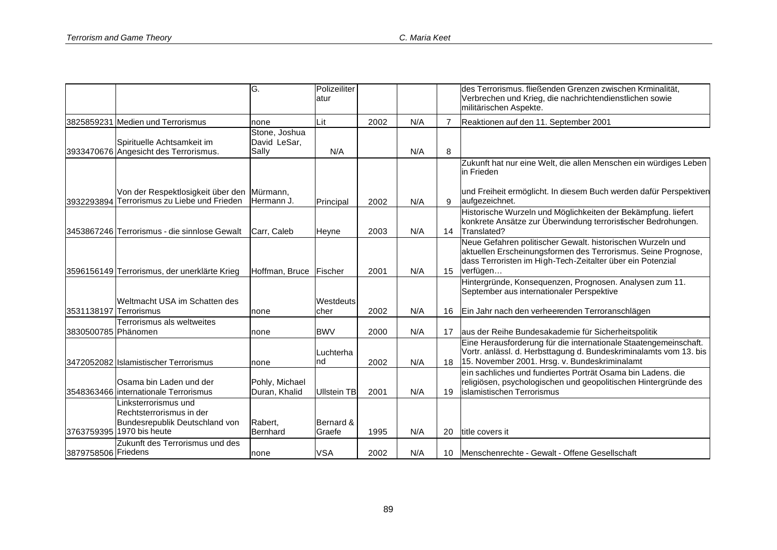|                        |                                                                                                                | G.                                     | Polizeiliter<br>atur |      |     |                | des Terrorismus. fließenden Grenzen zwischen Krminalität,<br>Verbrechen und Krieg, die nachrichtendienstlichen sowie<br>militärischen Aspekte.                                                        |
|------------------------|----------------------------------------------------------------------------------------------------------------|----------------------------------------|----------------------|------|-----|----------------|-------------------------------------------------------------------------------------------------------------------------------------------------------------------------------------------------------|
|                        | 3825859231 Medien und Terrorismus                                                                              | none                                   | Lit                  | 2002 | N/A | $\overline{7}$ | Reaktionen auf den 11. September 2001                                                                                                                                                                 |
|                        | Spirituelle Achtsamkeit im<br>3933470676 Angesicht des Terrorismus.                                            | Stone, Joshua<br>David LeSar,<br>Sally | N/A                  |      | N/A | 8              | Zukunft hat nur eine Welt, die allen Menschen ein würdiges Leben                                                                                                                                      |
|                        | Von der Respektlosigkeit über den Mürmann,                                                                     |                                        |                      |      |     |                | in Frieden<br>und Freiheit ermöglicht. In diesem Buch werden dafür Perspektiven                                                                                                                       |
|                        | 3932293894 Terrorismus zu Liebe und Frieden                                                                    | Hermann J.                             | Principal            | 2002 | N/A | 9              | aufgezeichnet.                                                                                                                                                                                        |
|                        | 3453867246 Terrorismus - die sinnlose Gewalt                                                                   | Carr. Caleb                            | Heyne                | 2003 | N/A | 14             | Historische Wurzeln und Möglichkeiten der Bekämpfung. liefert<br>konkrete Ansätze zur Überwindung terroristischer Bedrohungen.<br>Translated?                                                         |
|                        | 3596156149 Terrorismus, der unerklärte Krieg                                                                   | Hoffman, Bruce Fischer                 |                      | 2001 | N/A | 15             | Neue Gefahren politischer Gewalt. historischen Wurzeln und<br>aktuellen Erscheinungsformen des Terrorismus. Seine Prognose,<br>dass Terroristen im High-Tech-Zeitalter über ein Potenzial<br>verfügen |
|                        | Weltmacht USA im Schatten des                                                                                  |                                        | <b>Westdeuts</b>     |      |     |                | Hintergründe, Konsequenzen, Prognosen. Analysen zum 11.<br>September aus internationaler Perspektive                                                                                                  |
| 3531138197 Terrorismus |                                                                                                                | none                                   | cher                 | 2002 | N/A | 16             | Ein Jahr nach den verheerenden Terroranschlägen                                                                                                                                                       |
| 3830500785 Phänomen    | Terrorismus als weltweites                                                                                     | none                                   | <b>BWV</b>           | 2000 | N/A | 17             | aus der Reihe Bundesakademie für Sicherheitspolitik                                                                                                                                                   |
|                        | 3472052082 Islamistischer Terrorismus                                                                          | none                                   | Luchterha<br>Ind     | 2002 | N/A | 18             | Eine Herausforderung für die internationale Staatengemeinschaft.<br>Vortr. anlässl. d. Herbsttagung d. Bundeskriminalamts vom 13. bis<br>15. November 2001. Hrsg. v. Bundeskriminalamt                |
|                        | Osama bin Laden und der<br>3548363466 internationale Terrorismus                                               | Pohly, Michael<br>Duran, Khalid        | <b>Ullstein TB</b>   | 2001 | N/A | 19             | ein sachliches und fundiertes Porträt Osama bin Ladens. die<br>religiösen, psychologischen und geopolitischen Hintergründe des<br>islamistischen Terrorismus                                          |
|                        | inksterrorismus und<br>Rechtsterrorismus in der<br>Bundesrepublik Deutschland von<br>3763759395 1970 bis heute | Rabert,<br>Bernhard                    | Bernard &<br>Graefe  | 1995 | N/A | 20             | title covers it                                                                                                                                                                                       |
| 3879758506 Friedens    | Zukunft des Terrorismus und des                                                                                | none                                   | <b>VSA</b>           | 2002 | N/A | 10             | Menschenrechte - Gewalt - Offene Gesellschaft                                                                                                                                                         |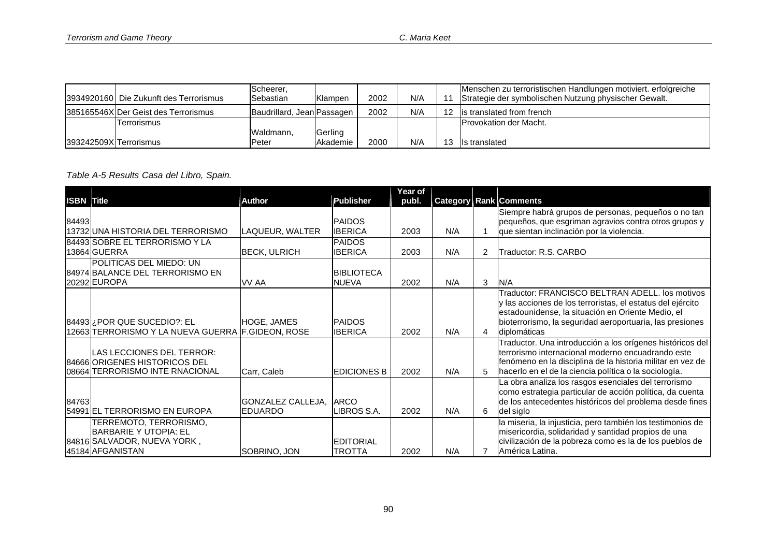|                        | I3934920160   Die Zukunft des Terrorismus | Scheerer,<br>Sebastian     | Klampen  | 2002 | N/A | 11              | Menschen zu terroristischen Handlungen motiviert. erfolgreiche<br>Strategie der symbolischen Nutzung physischer Gewalt. |
|------------------------|-------------------------------------------|----------------------------|----------|------|-----|-----------------|-------------------------------------------------------------------------------------------------------------------------|
|                        | 385165546X Der Geist des Terrorismus      | Baudrillard, Jean Passagen |          | 2002 | N/A | 12 <sup>°</sup> | lis translated from french                                                                                              |
|                        | Terrorismus                               |                            |          |      |     |                 | <b>IProvokation der Macht.</b>                                                                                          |
|                        |                                           | Waldmann.                  | Gerling  |      |     |                 |                                                                                                                         |
| 393242509X Terrorismus |                                           | <b>Peter</b>               | Akademie | 2000 | N/A |                 | Is translated                                                                                                           |

*Table A-5 Results Casa del Libro, Spain.*

|                   |                                                     |                     |                    | Year of |     |   |                                                            |
|-------------------|-----------------------------------------------------|---------------------|--------------------|---------|-----|---|------------------------------------------------------------|
| <b>ISBN Title</b> |                                                     | Author              | <b>Publisher</b>   | publ.   |     |   | <b>Category Rank Comments</b>                              |
|                   |                                                     |                     |                    |         |     |   | Siempre habrá grupos de personas, pequeños o no tan        |
| 84493             |                                                     |                     | <b>PAIDOS</b>      |         |     |   | pequeños, que esgriman agravios contra otros grupos y      |
|                   | 13732 UNA HISTORIA DEL TERRORISMO                   | LAQUEUR, WALTER     | <b>IBERICA</b>     | 2003    | N/A |   | que sientan inclinación por la violencia.                  |
|                   | 84493 SOBRE EL TERRORISMO Y LA                      |                     | <b>PAIDOS</b>      |         |     |   |                                                            |
|                   | 13864 GUERRA                                        | <b>BECK, ULRICH</b> | <b>IBERICA</b>     | 2003    | N/A | 2 | Traductor: R.S. CARBO                                      |
|                   | POLITICAS DEL MIEDO: UN                             |                     |                    |         |     |   |                                                            |
|                   | 84974 BALANCE DEL TERRORISMO EN                     |                     | <b>BIBLIOTECA</b>  |         |     |   |                                                            |
|                   | 20292 EUROPA                                        | VV AA               | <b>NUEVA</b>       | 2002    | N/A | 3 | IN/A                                                       |
|                   |                                                     |                     |                    |         |     |   | Traductor: FRANCISCO BELTRAN ADELL. los motivos            |
|                   |                                                     |                     |                    |         |     |   | y las acciones de los terroristas, el estatus del ejército |
|                   |                                                     |                     |                    |         |     |   | estadounidense, la situación en Oriente Medio, el          |
|                   | 84493 ¿POR QUE SUCEDIO?: EL                         | <b>HOGE, JAMES</b>  | <b>PAIDOS</b>      |         |     |   | bioterrorismo, la seguridad aeroportuaria, las presiones   |
|                   | 12663 ITERRORISMO Y LA NUEVA GUERRA IF.GIDEON. ROSE |                     | <b>IBERICA</b>     | 2002    | N/A | Δ | diplomáticas                                               |
|                   |                                                     |                     |                    |         |     |   | Traductor. Una introducción a los orígenes históricos del  |
|                   | LAS LECCIONES DEL TERROR:                           |                     |                    |         |     |   | terrorismo internacional moderno encuadrando este          |
|                   | 84666 ORIGENES HISTORICOS DEL                       |                     |                    |         |     |   | fenómeno en la disciplina de la historia militar en vez de |
|                   | 08664 TERRORISMO INTE RNACIONAL                     | Carr, Caleb         | <b>EDICIONES B</b> | 2002    | N/A | 5 | hacerlo en el de la ciencia política o la sociología.      |
|                   |                                                     |                     |                    |         |     |   | La obra analiza los rasgos esenciales del terrorismo       |
|                   |                                                     |                     |                    |         |     |   | como estrategia particular de acción política, da cuenta   |
| 84763             |                                                     | GONZALEZ CALLEJA,   | <b>ARCO</b>        |         |     |   | de los antecedentes históricos del problema desde fines    |
|                   | 54991 EL TERRORISMO EN EUROPA                       | EDUARDO             | <b>IBROS S.A.</b>  | 2002    | N/A | 6 | del siglo                                                  |
|                   | TERREMOTO, TERRORISMO,                              |                     |                    |         |     |   | la miseria, la injusticia, pero también los testimonios de |
|                   | BARBARIE Y UTOPIA: EL                               |                     |                    |         |     |   | misericordia, solidaridad y santidad propios de una        |
|                   | 84816 SALVADOR, NUEVA YORK,                         |                     | <b>EDITORIAL</b>   |         |     |   | civilización de la pobreza como es la de los pueblos de    |
|                   | 45184 AFGANISTAN                                    | SOBRINO, JON        | TROTTA             | 2002    | N/A |   | América Latina.                                            |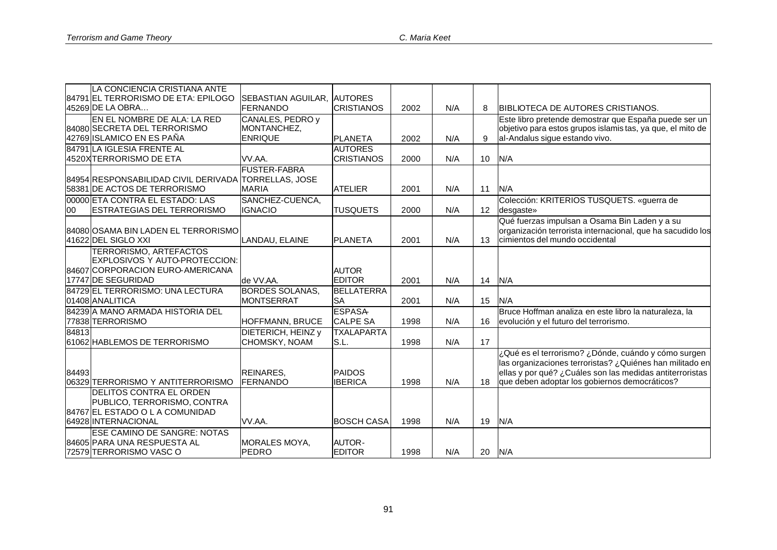|       | LA CONCIENCIA CRISTIANA ANTE                                |                                 |                   |      |     |          |                                                                                                                     |
|-------|-------------------------------------------------------------|---------------------------------|-------------------|------|-----|----------|---------------------------------------------------------------------------------------------------------------------|
|       | 84791 EL TERRORISMO DE ETA: EPILOGO                         | SEBASTIAN AGUILAR.              | <b>AUTORES</b>    |      |     |          |                                                                                                                     |
|       | 45269 DE LA OBRA                                            | <b>FERNANDO</b>                 | <b>CRISTIANOS</b> | 2002 | N/A | 8        | BIBLIOTECA DE AUTORES CRISTIANOS.                                                                                   |
|       | EN EL NOMBRE DE ALA: LA RED<br>84080 SECRETA DEL TERRORISMO | CANALES, PEDRO y<br>MONTANCHEZ, |                   |      |     |          | Este libro pretende demostrar que España puede ser un<br>objetivo para estos grupos islamis tas, ya que, el mito de |
|       | 42769 ISLAMICO EN ES PAÑA                                   | <b>ENRIQUE</b>                  |                   |      |     |          | al-Andalus sigue estando vivo.                                                                                      |
|       |                                                             |                                 | <b>PLANETA</b>    | 2002 | N/A | 9        |                                                                                                                     |
|       | 84791 LA IGLESIA FRENTE AL                                  |                                 | <b>AUTORES</b>    |      |     |          |                                                                                                                     |
|       | 4520XTERRORISMO DE ETA                                      | VV.AA.                          | <b>CRISTIANOS</b> | 2000 | N/A | 10       | N/A                                                                                                                 |
|       |                                                             | <b>FUSTER-FABRA</b>             |                   |      |     |          |                                                                                                                     |
|       | 84954 RESPONSABILIDAD CIVIL DERIVADA TORRELLAS, JOSE        |                                 |                   |      |     |          |                                                                                                                     |
|       | 58381 DE ACTOS DE TERRORISMO                                | <b>MARIA</b>                    | <b>ATELIER</b>    | 2001 | N/A | 11       | N/A                                                                                                                 |
|       | 00000 ETA CONTRA EL ESTADO: LAS                             | SANCHEZ-CUENCA,                 |                   |      |     |          | Colección: KRITERIOS TUSQUETS. «guerra de                                                                           |
| 00    | <b>ESTRATEGIAS DEL TERRORISMO</b>                           | <b>IGNACIO</b>                  | <b>TUSQUETS</b>   | 2000 | N/A | 12       | desgaste»                                                                                                           |
|       |                                                             |                                 |                   |      |     |          | Qué fuerzas impulsan a Osama Bin Laden y a su                                                                       |
|       | 84080 OSAMA BIN LADEN EL TERRORISMO                         |                                 |                   |      |     |          | organización terrorista internacional, que ha sacudido los                                                          |
|       | 41622 DEL SIGLO XXI                                         | LANDAU, ELAINE                  | <b>PLANETA</b>    | 2001 | N/A | 13       | cimientos del mundo occidental                                                                                      |
|       | TERRORISMO, ARTEFACTOS                                      |                                 |                   |      |     |          |                                                                                                                     |
|       | EXPLOSIVOS Y AUTO-PROTECCION:                               |                                 |                   |      |     |          |                                                                                                                     |
|       | 84607 CORPORACION EURO-AMERICANA                            |                                 | <b>AUTOR</b>      |      |     |          |                                                                                                                     |
|       | <b>17747 DE SEGURIDAD</b>                                   | de VV.AA.                       | <b>EDITOR</b>     | 2001 | N/A | 14 $N/A$ |                                                                                                                     |
|       | 84729 EL TERRORISMO: UNA LECTURA                            | <b>BORDES SOLANAS,</b>          | <b>BELLATERRA</b> |      |     |          |                                                                                                                     |
|       | 01408 ANALITICA                                             | <b>MONTSERRAT</b>               | <b>SA</b>         | 2001 | N/A | 15       | N/A                                                                                                                 |
|       | 84239 A MANO ARMADA HISTORIA DEL                            |                                 | <b>ESPASA</b>     |      |     |          | Bruce Hoffman analiza en este libro la naturaleza, la                                                               |
|       | 77838 TERRORISMO                                            | <b>HOFFMANN, BRUCE</b>          | <b>CALPE SA</b>   | 1998 | N/A | 16       | evolución y el futuro del terrorismo.                                                                               |
| 84813 |                                                             | DIETERICH, HEINZ y              | <b>TXALAPARTA</b> |      |     |          |                                                                                                                     |
|       | 61062 HABLEMOS DE TERRORISMO                                | CHOMSKY, NOAM                   | S.L.              | 1998 | N/A | 17       |                                                                                                                     |
|       |                                                             |                                 |                   |      |     |          | ¿Qué es el terrorismo? ¿Dónde, cuándo y cómo surgen                                                                 |
|       |                                                             |                                 |                   |      |     |          | las organizaciones terroristas? ¿Quiénes han militado en                                                            |
| 84493 |                                                             | REINARES,                       | <b>PAIDOS</b>     |      |     |          | ellas y por qué? ¿Cuáles son las medidas antiterroristas                                                            |
|       | 06329 TERRORISMO Y ANTITERRORISMO                           | <b>FERNANDO</b>                 | <b>IBERICA</b>    | 1998 | N/A |          | 18 que deben adoptar los gobiernos democráticos?                                                                    |
|       | <b>DELITOS CONTRA EL ORDEN</b>                              |                                 |                   |      |     |          |                                                                                                                     |
|       | PUBLICO, TERRORISMO, CONTRA                                 |                                 |                   |      |     |          |                                                                                                                     |
|       | 84767 EL ESTADO O L A COMUNIDAD                             |                                 |                   |      |     |          |                                                                                                                     |
|       | 64928 INTERNACIONAL                                         | VV.AA.                          | <b>BOSCH CASA</b> | 1998 | N/A | 19       | N/A                                                                                                                 |
|       | <b>ESE CAMINO DE SANGRE: NOTAS</b>                          |                                 |                   |      |     |          |                                                                                                                     |
|       | 84605 PARA UNA RESPUESTA AL                                 | MORALES MOYA,                   | <b>AUTOR-</b>     |      |     |          |                                                                                                                     |
|       | 72579 TERRORISMO VASCO                                      | PEDRO                           | <b>EDITOR</b>     | 1998 | N/A | 20   N/A |                                                                                                                     |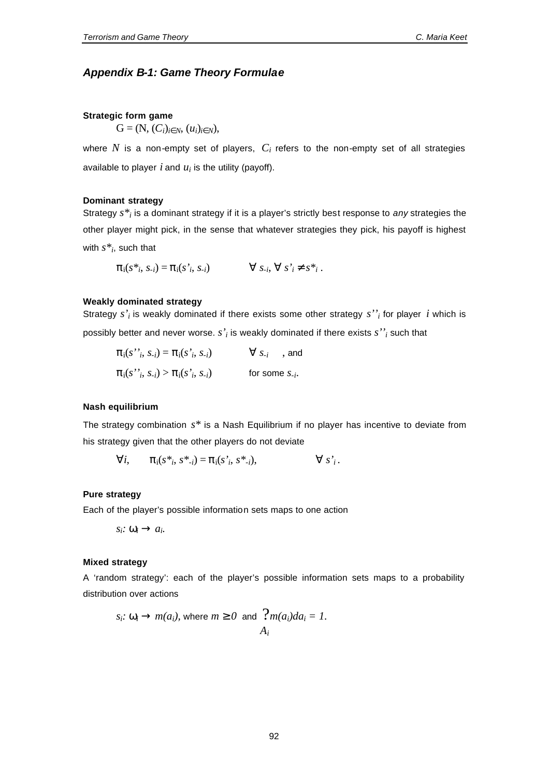## *Appendix B-1: Game Theory Formulae*

#### **Strategic form game**

 $G = (N, (C_i)_i \hat{\mathbf{r}}_N, (u_i)_i \hat{\mathbf{r}}_N),$ 

where  $N$  is a non-empty set of players,  $C_i$  refers to the non-empty set of all strategies available to player  $i$  and  $u_i$  is the utility (payoff).

#### **Dominant strategy**

Strategy  $s^*$  *i* is a dominant strategy if it is a player's strictly best response to *any* strategies the other player might pick, in the sense that whatever strategies they pick, his payoff is highest with *s\*<sup>i</sup>* , such that

 $\pi_i(s^*, s_i) = \pi_i(s^*, s_i)$   $\forall s_i, \forall s'_i$   $\in S^*, s_i$ .

### **Weakly dominated strategy**

Strategy  $s'$ <sub>i</sub> is weakly dominated if there exists some other strategy  $s''$ <sub>i</sub> for player *i* which is possibly better and never worse.  $s'$ <sub>i</sub> is weakly dominated if there exists  $s'$ <sup>'</sup><sub>i</sub> such that

$$
\pi_i(s^{\prime\prime}_i, s_{\cdot i}) = \pi_i(s^{\prime}_i, s_{\cdot i}) \qquad \forall s_{\cdot i} \text{ and}
$$
  

$$
\pi_i(s^{\prime\prime}_i, s_{\cdot i}) > \pi_i(s^{\prime}_i, s_{\cdot i}) \qquad \text{for some } s_{\cdot i}.
$$

#### **Nash equilibrium**

The strategy combination *s\** is a Nash Equilibrium if no player has incentive to deviate from his strategy given that the other players do not deviate

$$
\forall i, \qquad \pi_i(s^*, s^*_{i}) = \pi_i(s^*, s^*_{i}), \qquad \forall s^*_{i}.
$$

#### **Pure strategy**

Each of the player's possible information sets maps to one action

 $s_i$ *:*  $W_i$   $\circledR$   $a_i$ .

#### **Mixed strategy**

A 'random strategy': each of the player's possible information sets maps to a probability distribution over actions

$$
s_i
$$
:  $\mathbf{w}_i \otimes m(a_i)$ , where  $m \triangleleft 30$  and  $\frac{?m(a_i)da_i = 1$ .  
 $A_i$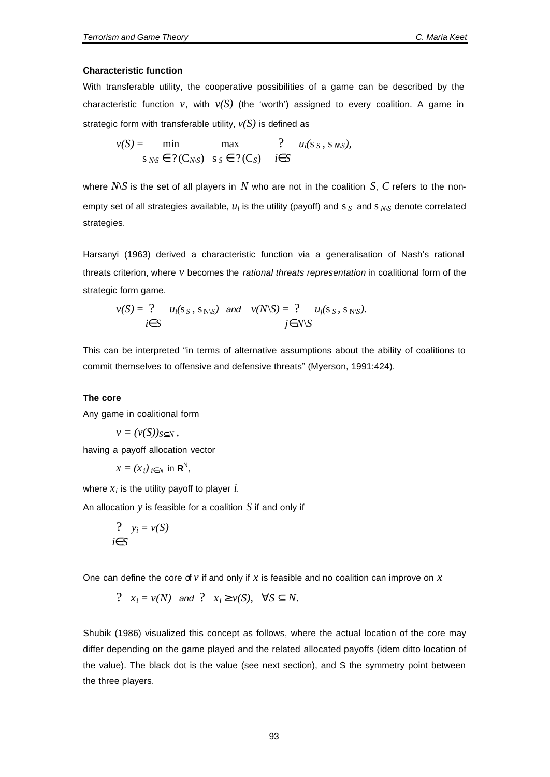#### **Characteristic function**

With transferable utility, the cooperative possibilities of a game can be described by the characteristic function *v*, with  $v(S)$  (the 'worth') assigned to every coalition. A game in strategic form with transferable utility,  $v(S)$  is defined as

$$
v(S) = \min \max_{S_{N\setminus S}} \max_{S_{N\setminus S}} \quad ? \quad u_i(s_S, s_{N\setminus S}),
$$

where  $N\mathcal{S}$  is the set of all players in  $N$  who are not in the coalition  $S$ ,  $C$  refers to the nonempty set of all strategies available,  $u_i$  is the utility (payoff) and s  $\overline{S}$  and s  $\overline{N\overline{S}}$  denote correlated strategies.

Harsanyi (1963) derived a characteristic function via a generalisation of Nash's rational threats criterion, where *v* becomes the *rational threats representation* in coalitional form of the strategic form game.

$$
v(S) = ? \quad u_i(s_S, s_{N \setminus S}) \quad \text{and} \quad v(N \setminus S) = ? \quad u_j(s_S, s_{N \setminus S}).
$$
  

$$
i \in S \quad j \in N \setminus S
$$

This can be interpreted "in terms of alternative assumptions about the ability of coalitions to commit themselves to offensive and defensive threats" (Myerson, 1991:424).

#### **The core**

Any game in coalitional form

$$
v=(v(S))_S f_N,
$$

having a payoff allocation vector

$$
x = (x_i)_{i \mathbf{\hat{I}} N}
$$
 in  $\mathbf{R}^N$ ,

where  $x_i$  is the utility payoff to player  $i$ .

An allocation *y* is feasible for a coalition *S* if and only if

$$
\begin{array}{c}\n? \quad y_i = v(S) \\
i \in S\n\end{array}
$$

One can define the core of  $\nu$  if and only if  $x$  is feasible and no coalition can improve on  $x$ 

$$
? \quad x_i = v(N) \quad \text{and} \quad ? \quad x_i \ge v(S), \quad \forall S \subseteq N.
$$

Shubik (1986) visualized this concept as follows, where the actual location of the core may differ depending on the game played and the related allocated payoffs (idem ditto location of the value). The black dot is the value (see next section), and S the symmetry point between the three players.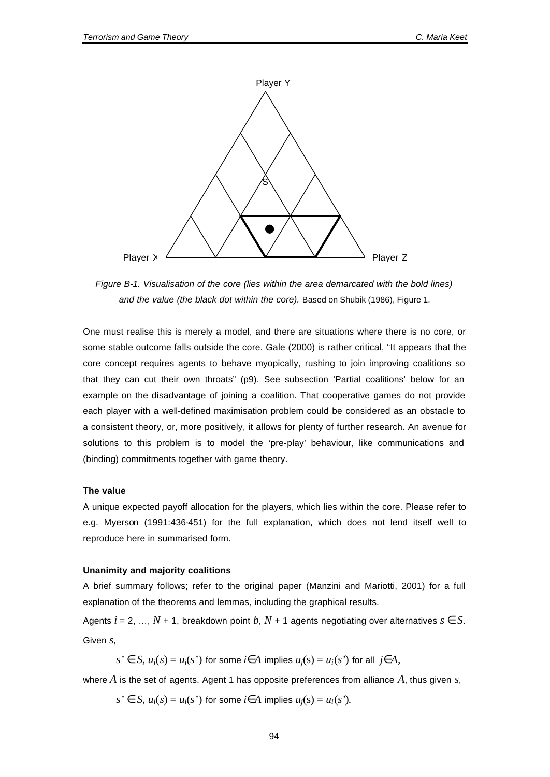

*Figure B-1. Visualisation of the core (lies within the area demarcated with the bold lines) and the value (the black dot within the core).* Based on Shubik (1986), Figure 1.

One must realise this is merely a model, and there are situations where there is no core, or some stable outcome falls outside the core. Gale (2000) is rather critical, "It appears that the core concept requires agents to behave myopically, rushing to join improving coalitions so that they can cut their own throats" (p9). See subsection 'Partial coalitions' below for an example on the disadvantage of joining a coalition. That cooperative games do not provide each player with a well-defined maximisation problem could be considered as an obstacle to a consistent theory, or, more positively, it allows for plenty of further research. An avenue for solutions to this problem is to model the 'pre-play' behaviour, like communications and (binding) commitments together with game theory.

### **The value**

A unique expected payoff allocation for the players, which lies within the core. Please refer to e.g. Myerson (1991:436-451) for the full explanation, which does not lend itself well to reproduce here in summarised form.

#### **Unanimity and majority coalitions**

A brief summary follows; refer to the original paper (Manzini and Mariotti, 2001) for a full explanation of the theorems and lemmas, including the graphical results.

Agents  $i = 2, ..., N + 1$ , breakdown point  $b, N + 1$  agents negotiating over alternatives  $s \in S$ . Given *s*,

*s'* ∈ *S*,  $u_i(s) = u_i(s')$  for some *i*∈*A* implies  $u_i(s) = u_i(s')$  for all *j*∈*A*,

where  $A$  is the set of agents. Agent 1 has opposite preferences from alliance  $A$ , thus given  $s$ ,

*s*  $\in$  *S*,  $u_i(s) = u_i(s)$  for some *i*∈*A* implies  $u_i(s) = u_i(s)$ .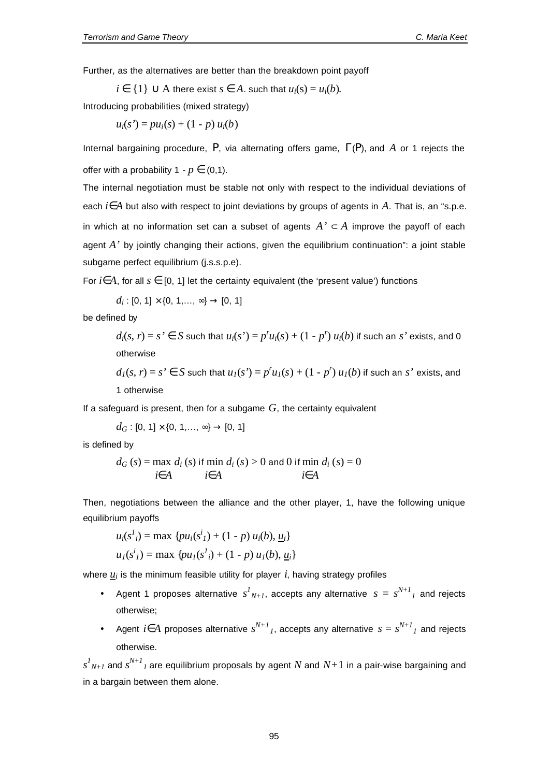Further, as the alternatives are better than the breakdown point payoff

*i* ∈ {1} ∪ A there exist *s* ∈ *A*. such that  $u_i(s) = u_i(b)$ .

Introducing probabilities (mixed strategy)

$$
u_i(s') = pu_i(s) + (1 - p) u_i(b)
$$

Internal bargaining procedure, *P*, via alternating offers game, Γ(*P*), and *A* or 1 rejects the offer with a probability  $1 - p \in (0,1)$ .

The internal negotiation must be stable not only with respect to the individual deviations of each *i*∈*A* but also with respect to joint deviations by groups of agents in *A*. That is, an "s.p.e. in which at no information set can a subset of agents  $A' \subset A$  improve the payoff of each agent A' by jointly changing their actions, given the equilibrium continuation": a joint stable subgame perfect equilibrium (j.s.s.p.e).

For  $i \in A$ , for all  $s \in [0, 1]$  let the certainty equivalent (the 'present value') functions

 $d_i: [0, 1] \times \{0, 1, \ldots, \infty\} \rightarrow [0, 1]$ 

be defined by

 $d_i(s, r) = s' \in S$  such that  $u_i(s') = p''u_i(s) + (1 - p'')u_i(b)$  if such an s' exists, and 0 otherwise

 $d_I(s, r) = s' \in S$  such that  $u_I(s') = p'u_I(s) + (1 - p') u_I(b)$  if such an s' exists, and 1 otherwise

If a safeguard is present, then for a subgame *G*, the certainty equivalent

$$
d_G
$$
: [0, 1] × {0, 1, ..., ∞} → [0, 1]

is defined by

$$
d_G(s) = \max_{i \in A} d_i(s) \text{ if } \min_{i \in A} d_i(s) > 0 \text{ and } 0 \text{ if } \min_{i \in A} d_i(s) = 0
$$

Then, negotiations between the alliance and the other player, 1, have the following unique equilibrium payoffs

$$
u_i(s^l_i) = \max \{pu_i(s^i_1) + (1 - p) u_i(b), \underline{u}_i\}
$$
  

$$
u_i(s^i_1) = \max \{pu_i(s^l_i) + (1 - p) u_i(b), \underline{u}_i\}
$$

where *u<sup>i</sup>* is the minimum feasible utility for player *i*, having strategy profiles

- Agent 1 proposes alternative  $s^I{}_{N+I}$ , accepts any alternative  $s = s^{N+I}{}_I$  and rejects otherwise;
- Agent *i*∈*A* proposes alternative *sN+1 <sup>1</sup>*, accepts any alternative *s* = *s N+1 1* and rejects otherwise.

 $s^{I}{}_{N+I}$  and  $s^{N+I}{}_{I}$  are equilibrium proposals by agent  $N$  and  $N{+}1$  in a pair-wise bargaining and in a bargain between them alone.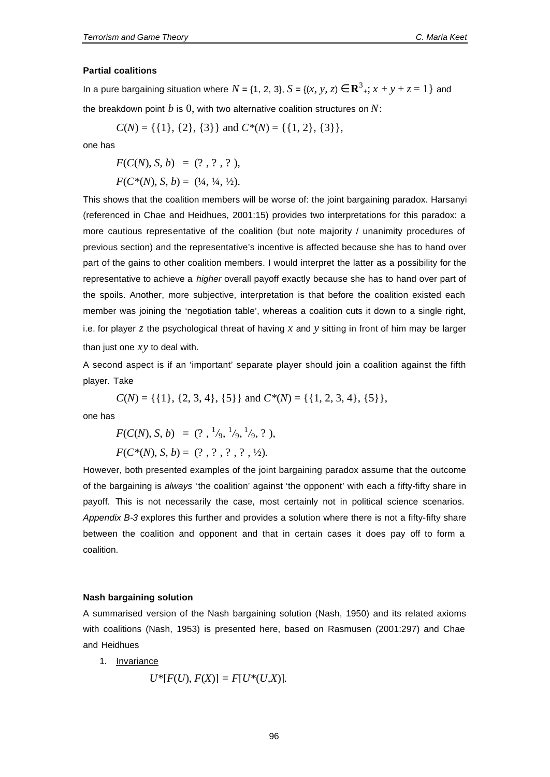#### **Partial coalitions**

In a pure bargaining situation where  $N = \{1, 2, 3\}$ ,  $S = \{(x, y, z) \in \mathbb{R}^3_+; x + y + z = 1\}$  and the breakdown point *b* is 0, with two alternative coalition structures on *N*:

$$
C(N) = \{\{1\}, \{2\}, \{3\}\}\
$$
and  $C^*(N) = \{\{1, 2\}, \{3\}\}\$ ,

one has

$$
F(C(N), S, b) = (?, ?, ?, 2),
$$
  

$$
F(C^*(N), S, b) = (1/4, 1/4, 1/2).
$$

This shows that the coalition members will be worse of: the joint bargaining paradox. Harsanyi (referenced in Chae and Heidhues, 2001:15) provides two interpretations for this paradox: a more cautious representative of the coalition (but note majority / unanimity procedures of previous section) and the representative's incentive is affected because she has to hand over part of the gains to other coalition members. I would interpret the latter as a possibility for the representative to achieve a *higher* overall payoff exactly because she has to hand over part of the spoils. Another, more subjective, interpretation is that before the coalition existed each member was joining the 'negotiation table', whereas a coalition cuts it down to a single right, i.e. for player *z* the psychological threat of having *x* and *y* sitting in front of him may be larger than just one *xy* to deal with.

A second aspect is if an 'important' separate player should join a coalition against the fifth player. Take

 $C(N) = \{ \{1\}, \{2, 3, 4\}, \{5\} \}$  and  $C^*(N) = \{ \{1, 2, 3, 4\}, \{5\} \},$ 

one has

$$
F(C(N), S, b) = (? , \frac{1}{9}, \frac{1}{9}, \frac{1}{9}, ?),
$$
  

$$
F(C^*(N), S, b) = (? , ? , ? , ? , ?2).
$$

However, both presented examples of the joint bargaining paradox assume that the outcome of the bargaining is *always* 'the coalition' against 'the opponent' with each a fifty-fifty share in payoff. This is not necessarily the case, most certainly not in political science scenarios. *Appendix B-3* explores this further and provides a solution where there is not a fifty-fifty share between the coalition and opponent and that in certain cases it does pay off to form a coalition.

#### **Nash bargaining solution**

A summarised version of the Nash bargaining solution (Nash, 1950) and its related axioms with coalitions (Nash, 1953) is presented here, based on Rasmusen (2001:297) and Chae and Heidhues

1. Invariance

 $U^*[F(U), F(X)] = F[U^*(U,X)].$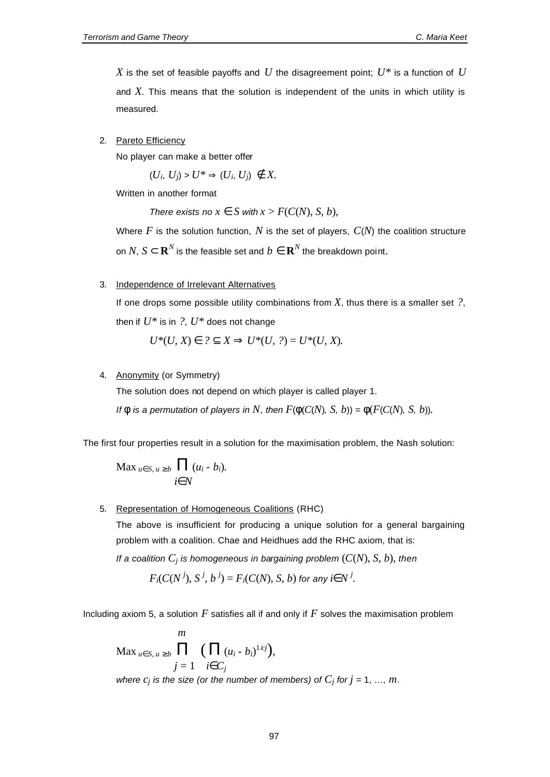*X* is the set of feasible payoffs and  $U$  the disagreement point;  $U^*$  is a function of  $U$ and *X*. This means that the solution is independent of the units in which utility is measured.

#### 2. Pareto Efficiency

No player can make a better offer

$$
(U_i, U_j) > U^* \Rightarrow (U_i, U_j) \notin X.
$$

Written in another format

*There exists no*  $x \in S$  *with*  $x > F(C(N), S, b)$ ,

Where  $F$  is the solution function,  $N$  is the set of players,  $C(N)$  the coalition structure on  $N$ ,  $S$   $\subset$   $\mathbf{R}^N$  is the feasible set and  $b \in$   $\mathbf{R}^N$  the breakdown point.

#### 3. Independence of Irrelevant Alternatives

If one drops some possible utility combinations from  $X$ , thus there is a smaller set  $?$ , then if  $U^*$  is in ?,  $U^*$  does not change

$$
U^*(U, X) \in ? \subseteq X \Rightarrow U^*(U, ?) = U^*(U, X).
$$

#### 4. Anonymity (or Symmetry)

The solution does not depend on which player is called player 1.

*If*  $\phi$  *is a permutation of players in N*, *then*  $F(\phi(C(N), S, b)) = \phi(F(C(N), S, b))$ .

The first four properties result in a solution for the maximisation problem, the Nash solution:

$$
\operatorname{Max}_{u \in S, u \ge b} \prod_{i \in N} (u_i - b_i).
$$

#### 5. Representation of Homogeneous Coalitions (RHC)

The above is insufficient for producing a unique solution for a general bargaining problem with a coalition. Chae and Heidhues add the RHC axiom, that is:

*If a coalition C<sup>j</sup> is homogeneous in bargaining problem* (*C*(*N*), *S*, *b*), *then*

$$
F_i(C(N^j), S^j, b^j) = F_i(C(N), S, b)
$$
 for any  $i \in N^j$ .

Including axiom 5, a solution *F* satisfies all if and only if *F* solves the maximisation problem

$$
\begin{aligned}\n&\text{Max }_{u \in S, u \ge b} \prod_{j=1}^{m} \left( \prod_{i \in C_j} (u_i - b_i)^{1/cj} \right), \\
&\text{where } c_j \text{ is the size (or the number of members) of } C_j \text{ for } j = 1, \dots, m.\n\end{aligned}
$$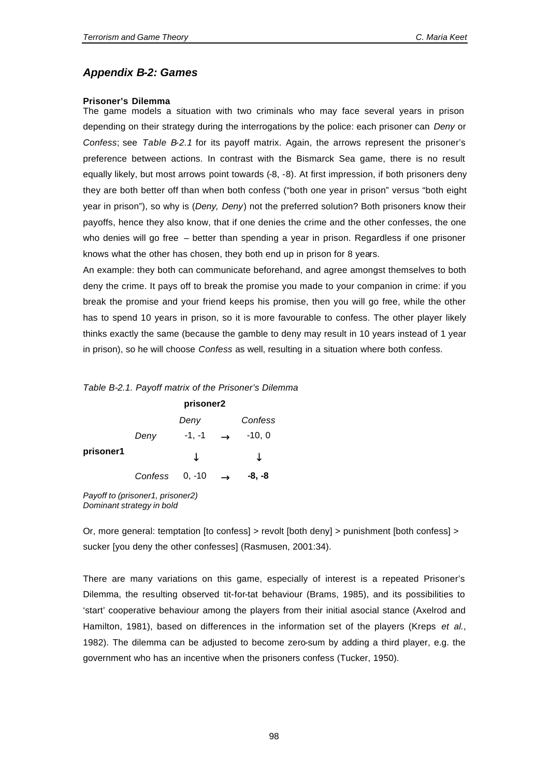## *Appendix B-2: Games*

#### **Prisoner's Dilemma**

The game models a situation with two criminals who may face several years in prison depending on their strategy during the interrogations by the police: each prisoner can *Deny* or *Confess*; see *Table B-2.1* for its payoff matrix. Again, the arrows represent the prisoner's preference between actions. In contrast with the Bismarck Sea game, there is no result equally likely, but most arrows point towards (-8, -8). At first impression, if both prisoners deny they are both better off than when both confess ("both one year in prison" versus "both eight year in prison"), so why is (*Deny, Deny*) not the preferred solution? Both prisoners know their payoffs, hence they also know, that if one denies the crime and the other confesses, the one who denies will go free – better than spending a year in prison. Regardless if one prisoner knows what the other has chosen, they both end up in prison for 8 years.

An example: they both can communicate beforehand, and agree amongst themselves to both deny the crime. It pays off to break the promise you made to your companion in crime: if you break the promise and your friend keeps his promise, then you will go free, while the other has to spend 10 years in prison, so it is more favourable to confess. The other player likely thinks exactly the same (because the gamble to deny may result in 10 years instead of 1 year in prison), so he will choose *Confess* as well, resulting in a situation where both confess.

#### *Table B-2.1. Payoff matrix of the Prisoner's Dilemma*

|           | prisoner2 |          |  |          |  |  |  |
|-----------|-----------|----------|--|----------|--|--|--|
|           |           | Deny     |  | Confess  |  |  |  |
|           | Deny      | $-1, -1$ |  | $-10, 0$ |  |  |  |
| prisoner1 |           |          |  |          |  |  |  |
|           | Confess   | $0, -10$ |  | -8, -8   |  |  |  |

*Payoff to (prisoner1, prisoner2) Dominant strategy in bold*

Or, more general: temptation [to confess] > revolt [both deny] > punishment [both confess] > sucker [you deny the other confesses] (Rasmusen, 2001:34).

There are many variations on this game, especially of interest is a repeated Prisoner's Dilemma, the resulting observed tit-for-tat behaviour (Brams, 1985), and its possibilities to 'start' cooperative behaviour among the players from their initial asocial stance (Axelrod and Hamilton, 1981), based on differences in the information set of the players (Kreps *et al.*, 1982). The dilemma can be adjusted to become zero-sum by adding a third player, e.g. the government who has an incentive when the prisoners confess (Tucker, 1950).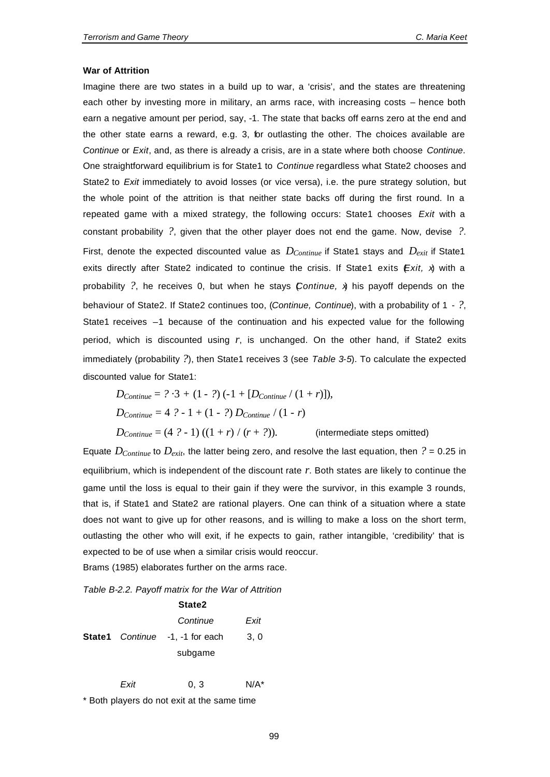#### **War of Attrition**

Imagine there are two states in a build up to war, a 'crisis', and the states are threatening each other by investing more in military, an arms race, with increasing costs – hence both earn a negative amount per period, say, -1. The state that backs off earns zero at the end and the other state earns a reward, e.g. 3, for outlasting the other. The choices available are *Continue* or *Exit*, and, as there is already a crisis, are in a state where both choose *Continue*. One straightforward equilibrium is for State1 to *Continue* regardless what State2 chooses and State2 to *Exit* immediately to avoid losses (or vice versa), i.e. the pure strategy solution, but the whole point of the attrition is that neither state backs off during the first round. In a repeated game with a mixed strategy, the following occurs: State1 chooses *Exit* with a constant probability *?*, given that the other player does not end the game. Now, devise *?*. First, denote the expected discounted value as *DContinue* if State1 stays and *Dexit* if State1 exits directly after State2 indicated to continue the crisis. If State1 exits *(Exit, x)* with a probability *?*, he receives 0, but when he stays (*Continue, x*) his payoff depends on the behaviour of State2. If State2 continues too, (*Continue, Continue*), with a probability of 1 - *?*, State1 receives –1 because of the continuation and his expected value for the following period, which is discounted using *r*, is unchanged. On the other hand, if State2 exits immediately (probability *?*), then State1 receives 3 (see *Table 3-5*). To calculate the expected discounted value for State1:

$$
D_{\text{Continue}} = ? \cdot 3 + (1 - ?) (-1 + [D_{\text{Continue}} / (1 + r)]),
$$
  
\n
$$
D_{\text{Continue}} = 4 ? - 1 + (1 - ?) D_{\text{Continue}} / (1 - r)
$$
  
\n
$$
D_{\text{Continue}} = (4 ? - 1) ((1 + r) / (r + ?)).
$$
 (intermediate steps omitted)

Equate  $D_{Continue}$  to  $D_{exit}$ , the latter being zero, and resolve the last equation, then  $? = 0.25$  in equilibrium, which is independent of the discount rate *r*. Both states are likely to continue the game until the loss is equal to their gain if they were the survivor, in this example 3 rounds, that is, if State1 and State2 are rational players. One can think of a situation where a state does not want to give up for other reasons, and is willing to make a loss on the short term, outlasting the other who will exit, if he expects to gain, rather intangible, 'credibility' that is expected to be of use when a similar crisis would reoccur. Brams (1985) elaborates further on the arms race.

*Table B-2.2. Payoff matrix for the War of Attrition*

|  | State2                                 |      |
|--|----------------------------------------|------|
|  | Continue                               | Exit |
|  | <b>State1</b> Continue -1, -1 for each | 3,0  |
|  | subgame                                |      |

*Exit* 0, 3 N/A\*

\* Both players do not exit at the same time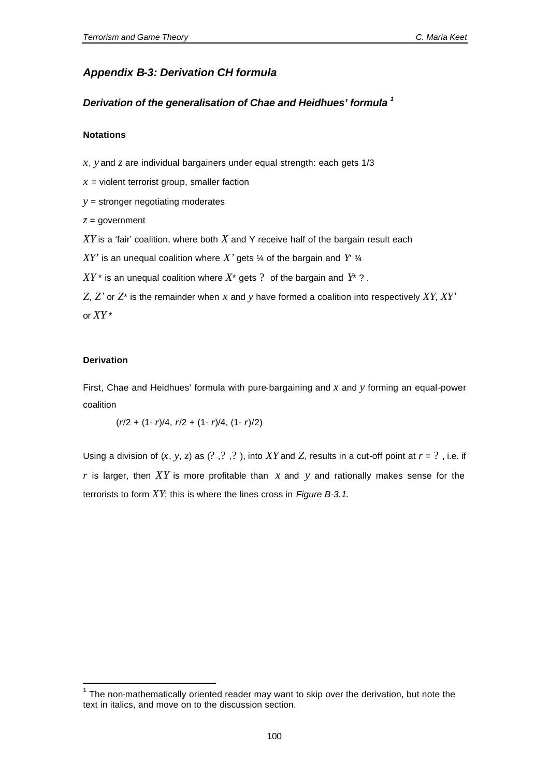## *Appendix B-3: Derivation CH formula*

## *Derivation of the generalisation of Chae and Heidhues' formula <sup>1</sup>*

#### **Notations**

*x*, *y* and *z* are individual bargainers under equal strength: each gets 1/3

 $x =$  violent terrorist group, smaller faction

*y* = stronger negotiating moderates

*z* = government

*XY* is a 'fair' coalition, where both *X* and Y receive half of the bargain result each

 $XY'$  is an unequal coalition where X' gets  $\frac{1}{4}$  of the bargain and  $Y^3$ 

 $XY^*$  is an unequal coalition where  $X^*$  gets ? of the bargain and  $Y^*$  ?.

*Z*, *Z'* or *Z*\* is the remainder when *x* and *y* have formed a coalition into respectively *XY*, *XY'* or *XY* \*

#### **Derivation**

l

First, Chae and Heidhues' formula with pure-bargaining and *x* and *y* forming an equal-power coalition

(*r*/2 + (1- *r*)/4, *r*/2 + (1- *r*)/4, (1- *r*)/2)

Using a division of  $(x, y, z)$  as  $(?, ', ', ', ')$ , into XY and Z, results in a cut-off point at  $r = ?,$ , i.e. if *r* is larger, then *XY* is more profitable than *x* and *y* and rationally makes sense for the terrorists to form *XY*; this is where the lines cross in *Figure B-3.1*.

 $1$  The non-mathematically oriented reader may want to skip over the derivation, but note the text in italics, and move on to the discussion section.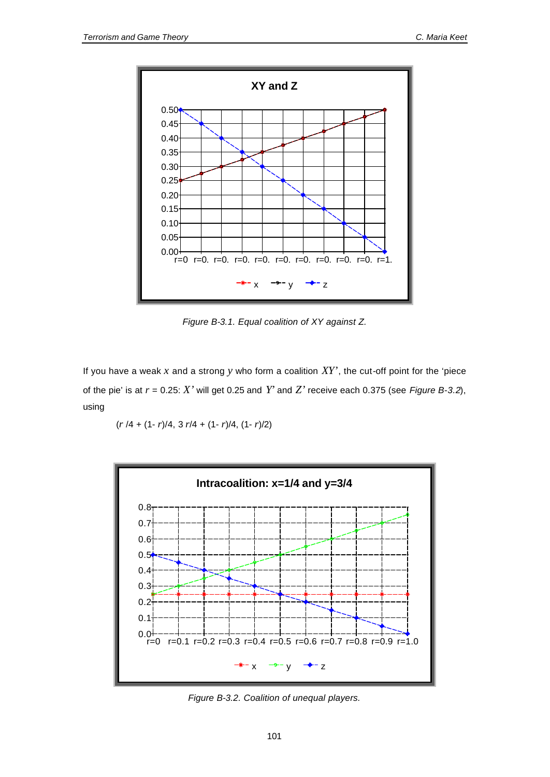

*Figure B-3.1. Equal coalition of XY against Z.*

If you have a weak *x* and a strong *y* who form a coalition *XY'*, the cut-off point for the 'piece of the pie' is at  $r = 0.25$ :  $X'$  will get 0.25 and  $Y'$  and  $Z'$  receive each 0.375 (see *Figure B-3.2*), using

(*r* /4 + (1- *r*)/4, 3 *r*/4 + (1- *r*)/4, (1- *r*)/2)



*Figure B-3.2. Coalition of unequal players.*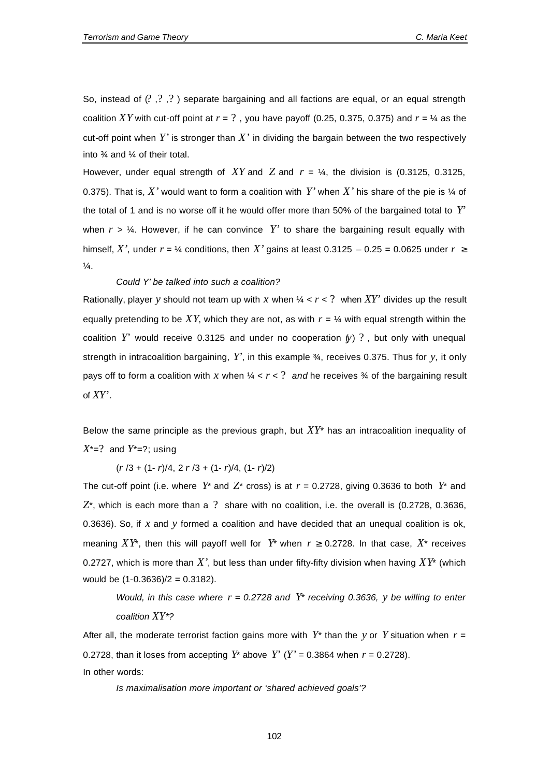So, instead of  $(2, 2, 3)$  separate bargaining and all factions are equal, or an equal strength coalition XY with cut-off point at  $r = ?$ , you have payoff (0.25, 0.375, 0.375) and  $r = \frac{1}{4}$  as the cut-off point when  $Y'$  is stronger than  $X'$  in dividing the bargain between the two respectively into ¾ and ¼ of their total.

However, under equal strength of *XY* and *Z* and *r* = ¼, the division is (0.3125, 0.3125, 0.375). That is,  $X'$  would want to form a coalition with  $Y'$  when  $X'$  his share of the pie is  $\frac{1}{4}$  of the total of 1 and is no worse off it he would offer more than 50% of the bargained total to *Y'* when  $r > \frac{1}{4}$ . However, if he can convince Y' to share the bargaining result equally with himself, *X'*, under  $r = \frac{1}{4}$  conditions, then *X'* gains at least 0.3125 – 0.25 = 0.0625 under  $r \ge$  $\frac{1}{4}$ .

#### *Could Y' be talked into such a coalition?*

Rationally, player y should not team up with x when  $\frac{1}{4} < r < ?$  when  $XY'$  divides up the result equally pretending to be XY, which they are not, as with  $r = \frac{1}{4}$  with equal strength within the coalition  $Y'$  would receive 0.3125 and under no cooperation  $(y)$  ?, but only with unequal strength in intracoalition bargaining, *Y'*, in this example ¾, receives 0.375. Thus for *y*, it only pays off to form a coalition with x when  $\frac{1}{4} < r < ?$  and he receives  $\frac{3}{4}$  of the bargaining result of *XY'*.

Below the same principle as the previous graph, but *XY*\* has an intracoalition inequality of *X*\*=? and *Y*\*=?; using

(*r* /3 + (1- *r*)/4, 2 *r* /3 + (1- *r*)/4, (1- *r*)/2)

The cut-off point (i.e. where  $Y^*$  and  $Z^*$  cross) is at  $r = 0.2728$ , giving 0.3636 to both  $Y^*$  and  $Z^*$ , which is each more than a ? share with no coalition, i.e. the overall is (0.2728, 0.3636, 0.3636). So, if *x* and *y* formed a coalition and have decided that an unequal coalition is ok, meaning  $XY^*$ , then this will payoff well for  $Y^*$  when  $r \ge 0.2728$ . In that case,  $X^*$  receives 0.2727, which is more than *X'*, but less than under fifty-fifty division when having *XY*\* (which would be (1-0.3636)/2 = 0.3182).

*Would, in this case where*  $r = 0.2728$  *and*  $Y^*$  *receiving 0.3636, y be willing to enter coalition XY\*?*

After all, the moderate terrorist faction gains more with  $Y^*$  than the y or Y situation when  $r =$ 0.2728, than it loses from accepting  $Y^*$  above  $Y'$  ( $Y' = 0.3864$  when  $r = 0.2728$ ). In other words:

*Is maximalisation more important or 'shared achieved goals'?*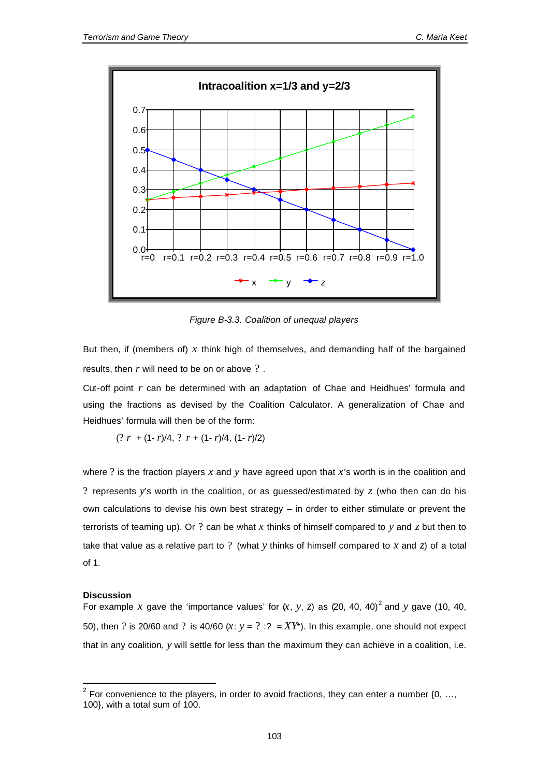

*Figure B-3.3. Coalition of unequal players*

But then, if (members of) *x* think high of themselves, and demanding half of the bargained results, then *r* will need to be on or above ? .

Cut-off point *r* can be determined with an adaptation of Chae and Heidhues' formula and using the fractions as devised by the Coalition Calculator. A generalization of Chae and Heidhues' formula will then be of the form:

$$
(? r + (1 - r)/4, ? r + (1 - r)/4, (1 - r)/2)
$$

where ? is the fraction players *x* and *y* have agreed upon that *x*'s worth is in the coalition and ? represents *y*'s worth in the coalition, or as guessed/estimated by *z* (who then can do his own calculations to devise his own best strategy – in order to either stimulate or prevent the terrorists of teaming up). Or ? can be what *x* thinks of himself compared to *y* and *z* but then to take that value as a relative part to ? (what *y* thinks of himself compared to *x* and *z*) of a total of 1.

#### **Discussion**

l

For example x gave the 'importance values' for  $(x, y, z)$  as (20, 40, 40)<sup>2</sup> and y gave (10, 40, 50), then ? is 20/60 and ? is 40/60  $(x: y = ? : ? = XY^*)$ . In this example, one should not expect that in any coalition, *y* will settle for less than the maximum they can achieve in a coalition, i.e.

<sup>&</sup>lt;sup>2</sup> For convenience to the players, in order to avoid fractions, they can enter a number  $\{0, ...,$ 100}, with a total sum of 100.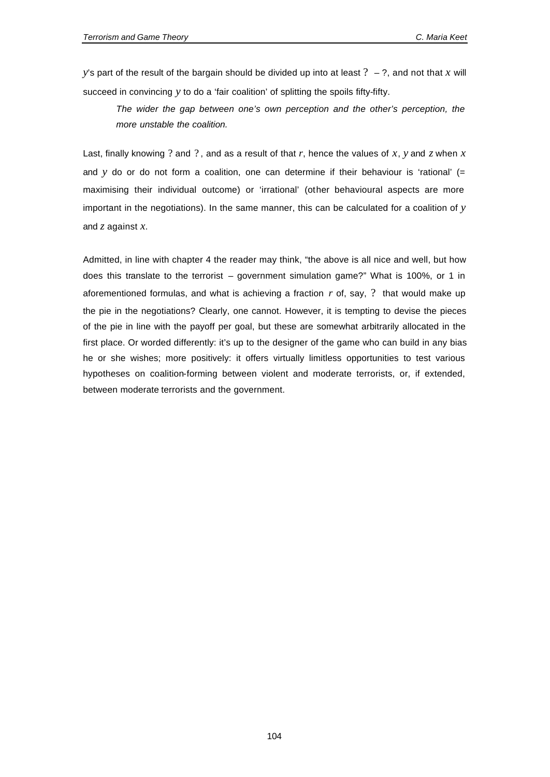*y*'s part of the result of the bargain should be divided up into at least  $? - ?$ , and not that *x* will succeed in convincing *y* to do a 'fair coalition' of splitting the spoils fifty-fifty.

*The wider the gap between one's own perception and the other's perception, the more unstable the coalition.*

Last, finally knowing ? and ? , and as a result of that *r*, hence the values of *x*, *y* and *z* when *x* and *y* do or do not form a coalition, one can determine if their behaviour is 'rational' (= maximising their individual outcome) or 'irrational' (other behavioural aspects are more important in the negotiations). In the same manner, this can be calculated for a coalition of *y* and *z* against *x*.

Admitted, in line with chapter 4 the reader may think, "the above is all nice and well, but how does this translate to the terrorist – government simulation game?" What is 100%, or 1 in aforementioned formulas, and what is achieving a fraction *r* of, say, ? that would make up the pie in the negotiations? Clearly, one cannot. However, it is tempting to devise the pieces of the pie in line with the payoff per goal, but these are somewhat arbitrarily allocated in the first place. Or worded differently: it's up to the designer of the game who can build in any bias he or she wishes; more positively: it offers virtually limitless opportunities to test various hypotheses on coalition-forming between violent and moderate terrorists, or, if extended, between moderate terrorists and the government.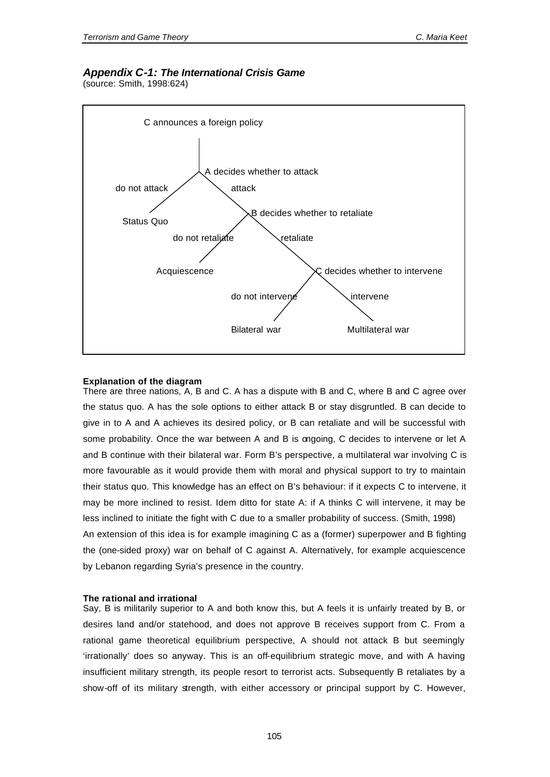# *Appendix C-1: The International Crisis Game*

(source: Smith, 1998:624)



#### **Explanation of the diagram**

There are three nations, A, B and C. A has a dispute with B and C, where B and C agree over the status quo. A has the sole options to either attack B or stay disgruntled. B can decide to give in to A and A achieves its desired policy, or B can retaliate and will be successful with some probability. Once the war between A and B is ongoing, C decides to intervene or let A and B continue with their bilateral war. Form B's perspective, a multilateral war involving C is more favourable as it would provide them with moral and physical support to try to maintain their status quo. This knowledge has an effect on B's behaviour: if it expects C to intervene, it may be more inclined to resist. Idem ditto for state A: if A thinks C will intervene, it may be less inclined to initiate the fight with C due to a smaller probability of success. (Smith, 1998) An extension of this idea is for example imagining C as a (former) superpower and B fighting the (one-sided proxy) war on behalf of C against A. Alternatively, for example acquiescence by Lebanon regarding Syria's presence in the country.

#### **The rational and irrational**

Say, B is militarily superior to A and both know this, but A feels it is unfairly treated by B, or desires land and/or statehood, and does not approve B receives support from C. From a rational game theoretical equilibrium perspective, A should not attack B but seemingly 'irrationally' does so anyway. This is an off-equilibrium strategic move, and with A having insufficient military strength, its people resort to terrorist acts. Subsequently B retaliates by a show-off of its military strength, with either accessory or principal support by C. However,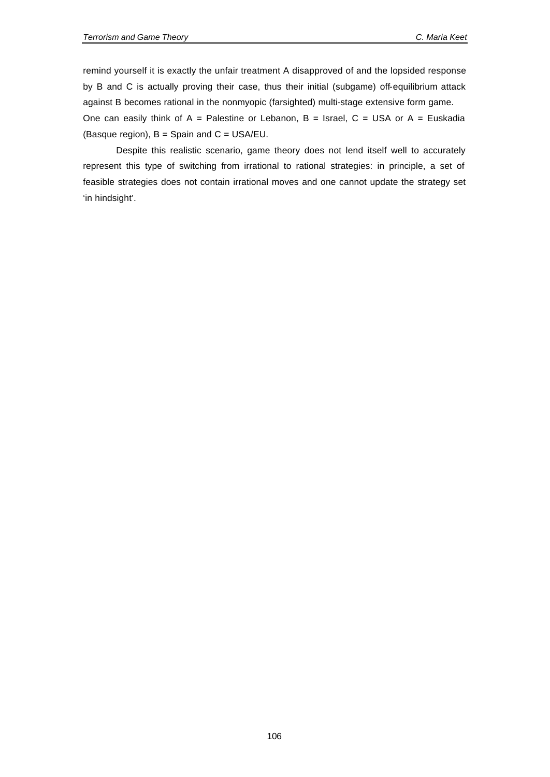remind yourself it is exactly the unfair treatment A disapproved of and the lopsided response by B and C is actually proving their case, thus their initial (subgame) off-equilibrium attack against B becomes rational in the nonmyopic (farsighted) multi-stage extensive form game. One can easily think of  $A =$  Palestine or Lebanon,  $B =$  Israel,  $C =$  USA or  $A =$  Euskadia (Basque region),  $B =$  Spain and  $C =$  USA/EU.

Despite this realistic scenario, game theory does not lend itself well to accurately represent this type of switching from irrational to rational strategies: in principle, a set of feasible strategies does not contain irrational moves and one cannot update the strategy set 'in hindsight'.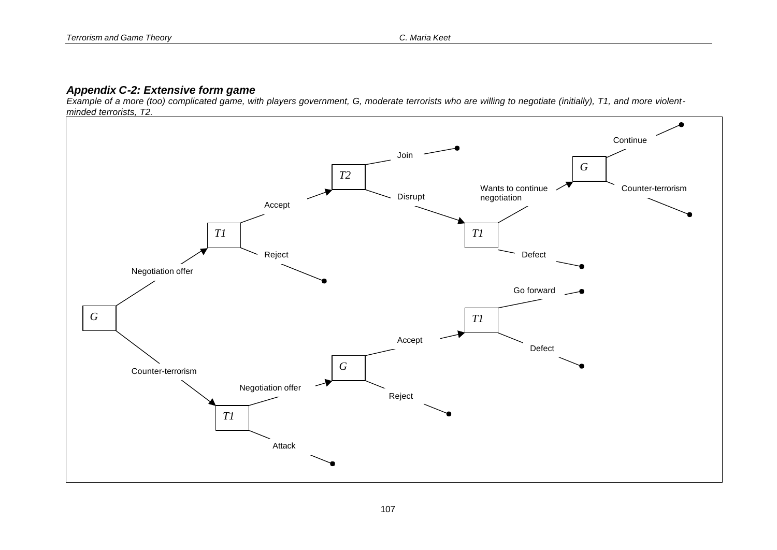# *Appendix C-2: Extensive form game*

*Example of a more (too) complicated game, with players government, G, moderate terrorists who are willing to negotiate (initially), T1, and more violentminded terrorists, T2.*

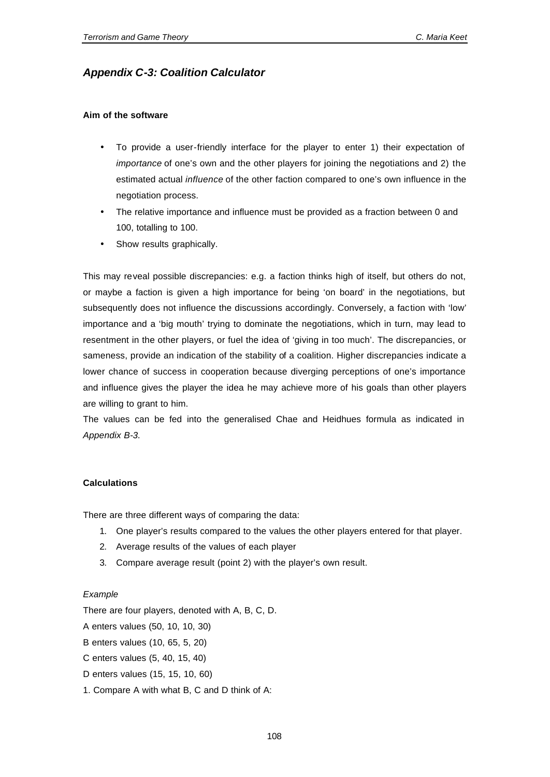# *Appendix C-3: Coalition Calculator*

#### **Aim of the software**

- To provide a user-friendly interface for the player to enter 1) their expectation of *importance* of one's own and the other players for joining the negotiations and 2) the estimated actual *influence* of the other faction compared to one's own influence in the negotiation process.
- The relative importance and influence must be provided as a fraction between 0 and 100, totalling to 100.
- Show results graphically.

This may reveal possible discrepancies: e.g. a faction thinks high of itself, but others do not, or maybe a faction is given a high importance for being 'on board' in the negotiations, but subsequently does not influence the discussions accordingly. Conversely, a faction with 'low' importance and a 'big mouth' trying to dominate the negotiations, which in turn, may lead to resentment in the other players, or fuel the idea of 'giving in too much'. The discrepancies, or sameness, provide an indication of the stability of a coalition. Higher discrepancies indicate a lower chance of success in cooperation because diverging perceptions of one's importance and influence gives the player the idea he may achieve more of his goals than other players are willing to grant to him.

The values can be fed into the generalised Chae and Heidhues formula as indicated in *Appendix B-3*.

#### **Calculations**

There are three different ways of comparing the data:

- 1. One player's results compared to the values the other players entered for that player.
- 2. Average results of the values of each player
- 3. Compare average result (point 2) with the player's own result.

#### *Example*

There are four players, denoted with A, B, C, D.

A enters values (50, 10, 10, 30)

- B enters values (10, 65, 5, 20)
- C enters values (5, 40, 15, 40)
- D enters values (15, 15, 10, 60)
- 1. Compare A with what B, C and D think of A: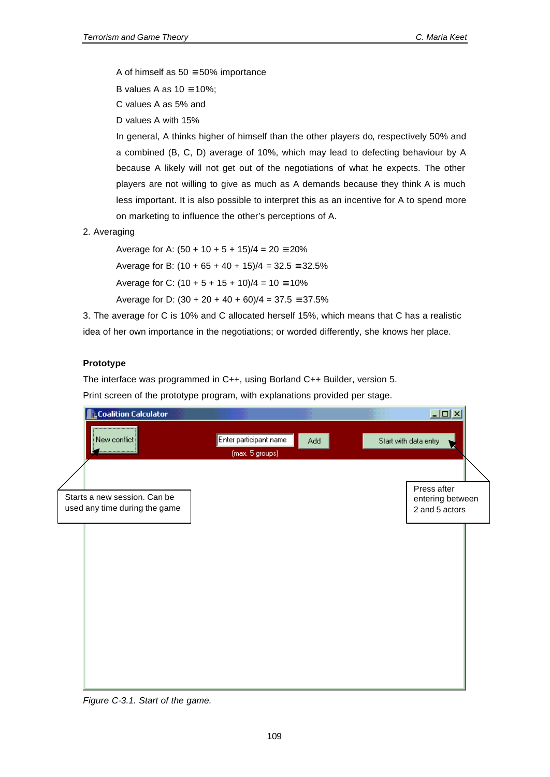A of himself as  $50 \equiv 50\%$  importance

B values A as  $10 \equiv 10\%$ ;

C values A as 5% and

D values A with 15%

In general, A thinks higher of himself than the other players do, respectively 50% and a combined (B, C, D) average of 10%, which may lead to defecting behaviour by A because A likely will not get out of the negotiations of what he expects. The other players are not willing to give as much as A demands because they think A is much less important. It is also possible to interpret this as an incentive for A to spend more on marketing to influence the other's perceptions of A.

2. Averaging

Average for A:  $(50 + 10 + 5 + 15)/4 = 20 \equiv 20\%$ Average for B:  $(10 + 65 + 40 + 15)/4 = 32.5 = 32.5\%$ Average for C:  $(10 + 5 + 15 + 10)/4 = 10 = 10\%$ 

Average for D:  $(30 + 20 + 40 + 60)/4 = 37.5 = 37.5%$ 

3. The average for C is 10% and C allocated herself 15%, which means that C has a realistic idea of her own importance in the negotiations; or worded differently, she knows her place.

# **Prototype**

The interface was programmed in C++, using Borland C++ Builder, version 5.

Print screen of the prototype program, with explanations provided per stage.

|                                                               | L Coalition Calculator |                                                  |  | $\Box$ D $\times$                                 |
|---------------------------------------------------------------|------------------------|--------------------------------------------------|--|---------------------------------------------------|
| <br>$\vert$ New conflict $\vert\vert$                         |                        | Enter participant name<br>Add<br>(max. 5 groups) |  | Start with data entry<br>V.                       |
|                                                               |                        |                                                  |  |                                                   |
| Starts a new session. Can be<br>used any time during the game |                        |                                                  |  | Press after<br>entering between<br>2 and 5 actors |
|                                                               |                        |                                                  |  |                                                   |
|                                                               |                        |                                                  |  |                                                   |
|                                                               |                        |                                                  |  |                                                   |
|                                                               |                        |                                                  |  |                                                   |
|                                                               |                        |                                                  |  |                                                   |
|                                                               |                        |                                                  |  |                                                   |

*Figure C-3.1. Start of the game.*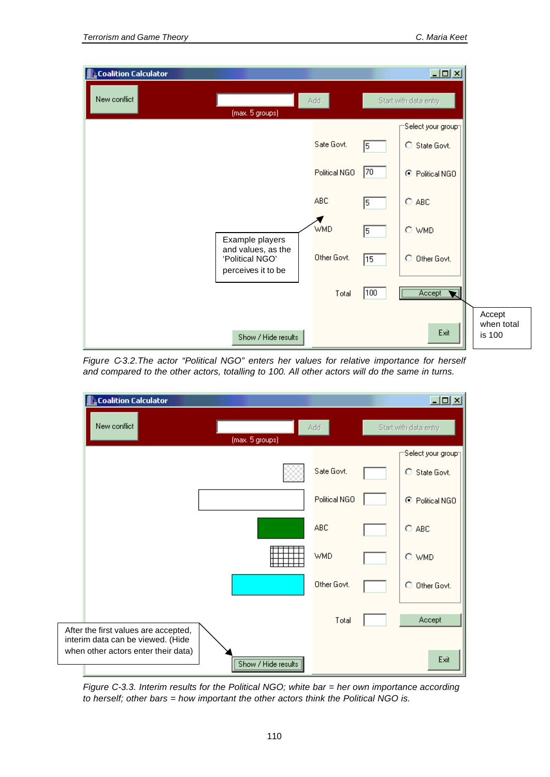| L Coalition Calculator |                                                             |               |     | $\Box$ D $\times$      |                                |
|------------------------|-------------------------------------------------------------|---------------|-----|------------------------|--------------------------------|
| New conflict           |                                                             | Add           |     | Start with data entry  |                                |
|                        | (max. 5 groups)                                             |               |     | -Select your group⊤    |                                |
|                        |                                                             | Sate Govt.    | 5   | C State Govt.          |                                |
|                        |                                                             | Political NGO | 70  | ⊙<br>Political NGO     |                                |
|                        |                                                             | <b>ABC</b>    | 5   | $O$ ABC                |                                |
|                        | Example players                                             | <b>WMD</b>    | 5   | O WMD                  |                                |
|                        | and values, as the<br>'Political NGO'<br>perceives it to be | Other Govt.   | 15  | $\circ$<br>Other Govt. |                                |
|                        |                                                             | Total         | 100 | Accept<br><br>Z.       |                                |
|                        | Show / Hide results                                         |               |     | Exit                   | Accept<br>when total<br>is 100 |

*Figure C-3.2.The actor "Political NGO" enters her values for relative importance for herself and compared to the other actors, totalling to 100. All other actors will do the same in turns.*



*Figure C-3.3. Interim results for the Political NGO; white bar = her own importance according to herself; other bars = how important the other actors think the Political NGO is.*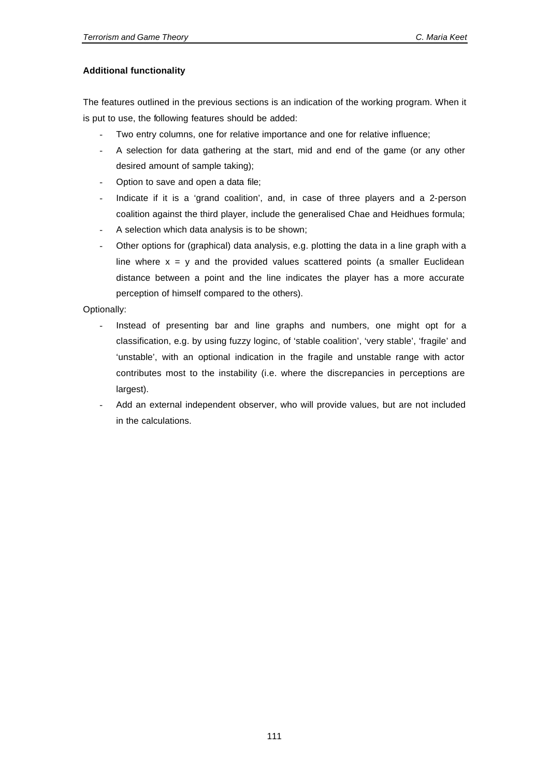# **Additional functionality**

The features outlined in the previous sections is an indication of the working program. When it is put to use, the following features should be added:

- Two entry columns, one for relative importance and one for relative influence;
- A selection for data gathering at the start, mid and end of the game (or any other desired amount of sample taking);
- Option to save and open a data file;
- Indicate if it is a 'grand coalition', and, in case of three players and a 2-person coalition against the third player, include the generalised Chae and Heidhues formula;
- A selection which data analysis is to be shown;
- Other options for (graphical) data analysis, e.g. plotting the data in a line graph with a line where  $x = y$  and the provided values scattered points (a smaller Euclidean distance between a point and the line indicates the player has a more accurate perception of himself compared to the others).

Optionally:

- Instead of presenting bar and line graphs and numbers, one might opt for a classification, e.g. by using fuzzy loginc, of 'stable coalition', 'very stable', 'fragile' and 'unstable', with an optional indication in the fragile and unstable range with actor contributes most to the instability (i.e. where the discrepancies in perceptions are largest).
- Add an external independent observer, who will provide values, but are not included in the calculations.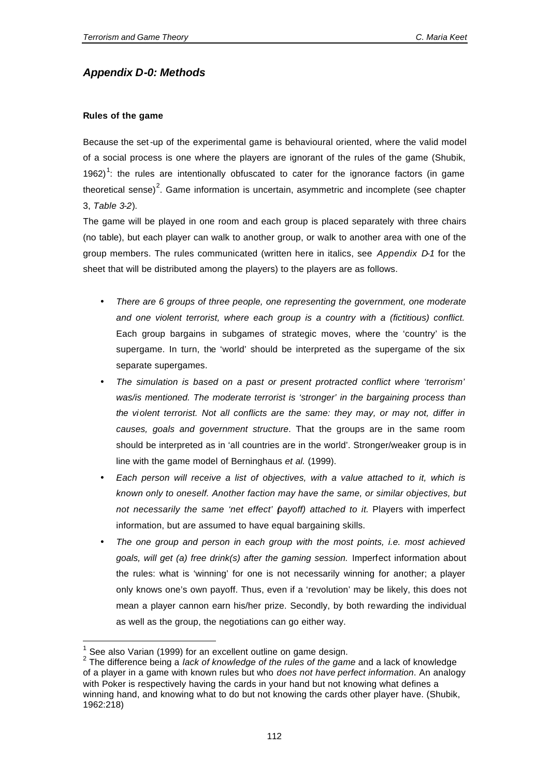# *Appendix D-0: Methods*

# **Rules of the game**

Because the set-up of the experimental game is behavioural oriented, where the valid model of a social process is one where the players are ignorant of the rules of the game (Shubik, 1962)<sup>1</sup>: the rules are intentionally obfuscated to cater for the ignorance factors (in game theoretical sense)<sup>2</sup>. Game information is uncertain, asymmetric and incomplete (see chapter 3, *Table 3-2*).

The game will be played in one room and each group is placed separately with three chairs (no table), but each player can walk to another group, or walk to another area with one of the group members. The rules communicated (written here in italics, see *Appendix D-1* for the sheet that will be distributed among the players) to the players are as follows.

- *There are 6 groups of three people, one representing the government, one moderate and one violent terrorist, where each group is a country with a (fictitious) conflict.*  Each group bargains in subgames of strategic moves, where the 'country' is the supergame. In turn, the 'world' should be interpreted as the supergame of the six separate supergames.
- *The simulation is based on a past or present protracted conflict where 'terrorism' was/is mentioned. The moderate terrorist is 'stronger' in the bargaining process than the violent terrorist. Not all conflicts are the same: they may, or may not, differ in causes, goals and government structure*. That the groups are in the same room should be interpreted as in 'all countries are in the world'. Stronger/weaker group is in line with the game model of Berninghaus *et al.* (1999).
- *Each person will receive a list of objectives, with a value attached to it, which is known only to oneself. Another faction may have the same, or similar objectives, but not necessarily the same 'net effect' (payoff) attached to it.* Players with imperfect information, but are assumed to have equal bargaining skills.
- *The one group and person in each group with the most points, i.e. most achieved goals, will get (a) free drink(s) after the gaming session.* Imperfect information about the rules: what is 'winning' for one is not necessarily winning for another; a player only knows one's own payoff. Thus, even if a 'revolution' may be likely, this does not mean a player cannon earn his/her prize. Secondly, by both rewarding the individual as well as the group, the negotiations can go either way.

l

<sup>1</sup> See also Varian (1999) for an excellent outline on game design.

<sup>2</sup> The difference being a *lack of knowledge of the rules of the game* and a lack of knowledge of a player in a game with known rules but who *does not have perfect information*. An analogy with Poker is respectively having the cards in your hand but not knowing what defines a winning hand, and knowing what to do but not knowing the cards other player have. (Shubik, 1962:218)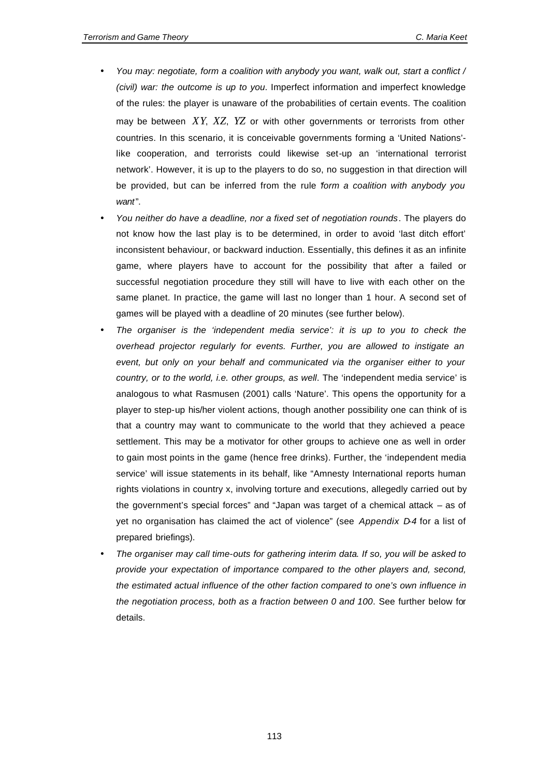- *You may: negotiate, form a coalition with anybody you want, walk out, start a conflict / (civil) war: the outcome is up to you*. Imperfect information and imperfect knowledge of the rules: the player is unaware of the probabilities of certain events. The coalition may be between *XY*, *XZ*, *YZ* or with other governments or terrorists from other countries. In this scenario, it is conceivable governments forming a 'United Nations' like cooperation, and terrorists could likewise set-up an 'international terrorist network'. However, it is up to the players to do so, no suggestion in that direction will be provided, but can be inferred from the rule "*form a coalition with anybody you want*".
- *You neither do have a deadline, nor a fixed set of negotiation rounds*. The players do not know how the last play is to be determined, in order to avoid 'last ditch effort' inconsistent behaviour, or backward induction. Essentially, this defines it as an infinite game, where players have to account for the possibility that after a failed or successful negotiation procedure they still will have to live with each other on the same planet. In practice, the game will last no longer than 1 hour. A second set of games will be played with a deadline of 20 minutes (see further below).
- *The organiser is the 'independent media service': it is up to you to check the overhead projector regularly for events. Further, you are allowed to instigate an event, but only on your behalf and communicated via the organiser either to your country, or to the world, i.e. other groups, as well*. The 'independent media service' is analogous to what Rasmusen (2001) calls 'Nature'. This opens the opportunity for a player to step-up his/her violent actions, though another possibility one can think of is that a country may want to communicate to the world that they achieved a peace settlement. This may be a motivator for other groups to achieve one as well in order to gain most points in the game (hence free drinks). Further, the 'independent media service' will issue statements in its behalf, like "Amnesty International reports human rights violations in country x, involving torture and executions, allegedly carried out by the government's special forces" and "Japan was target of a chemical attack – as of yet no organisation has claimed the act of violence" (see *Appendix D-4* for a list of prepared briefings).
- *The organiser may call time-outs for gathering interim data*. *If so, you will be asked to provide your expectation of importance compared to the other players and, second, the estimated actual influence of the other faction compared to one's own influence in the negotiation process, both as a fraction between 0 and 100*. See further below for details.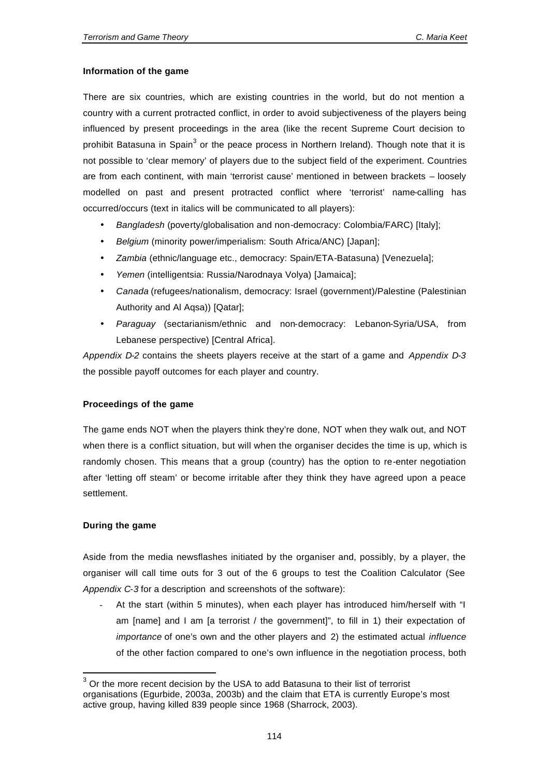## **Information of the game**

There are six countries, which are existing countries in the world, but do not mention a country with a current protracted conflict, in order to avoid subjectiveness of the players being influenced by present proceedings in the area (like the recent Supreme Court decision to prohibit Batasuna in Spain<sup>3</sup> or the peace process in Northern Ireland). Though note that it is not possible to 'clear memory' of players due to the subject field of the experiment. Countries are from each continent, with main 'terrorist cause' mentioned in between brackets – loosely modelled on past and present protracted conflict where 'terrorist' name-calling has occurred/occurs (text in italics will be communicated to all players):

- *Bangladesh* (poverty/globalisation and non-democracy: Colombia/FARC) [Italy];
- *Belgium* (minority power/imperialism: South Africa/ANC) [Japan];
- *Zambia* (ethnic/language etc., democracy: Spain/ETA-Batasuna) [Venezuela];
- *Yemen* (intelligentsia: Russia/Narodnaya Volya) [Jamaica];
- *Canada* (refugees/nationalism, democracy: Israel (government)/Palestine (Palestinian Authority and Al Aqsa)) [Qatar];
- *Paraguay* (sectarianism/ethnic and non-democracy: Lebanon-Syria/USA, from Lebanese perspective) [Central Africa].

*Appendix D-2* contains the sheets players receive at the start of a game and *Appendix D-3* the possible payoff outcomes for each player and country.

# **Proceedings of the game**

The game ends NOT when the players think they're done, NOT when they walk out, and NOT when there is a conflict situation, but will when the organiser decides the time is up, which is randomly chosen. This means that a group (country) has the option to re-enter negotiation after 'letting off steam' or become irritable after they think they have agreed upon a peace settlement.

# **During the game**

l

Aside from the media newsflashes initiated by the organiser and, possibly, by a player, the organiser will call time outs for 3 out of the 6 groups to test the Coalition Calculator (See *Appendix C-3* for a description and screenshots of the software):

At the start (within 5 minutes), when each player has introduced him/herself with "I am [name] and I am [a terrorist / the government]", to fill in 1) their expectation of *importance* of one's own and the other players and 2) the estimated actual *influence* of the other faction compared to one's own influence in the negotiation process, both

 $3$  Or the more recent decision by the USA to add Batasuna to their list of terrorist organisations (Egurbide, 2003a, 2003b) and the claim that ETA is currently Europe's most active group, having killed 839 people since 1968 (Sharrock, 2003).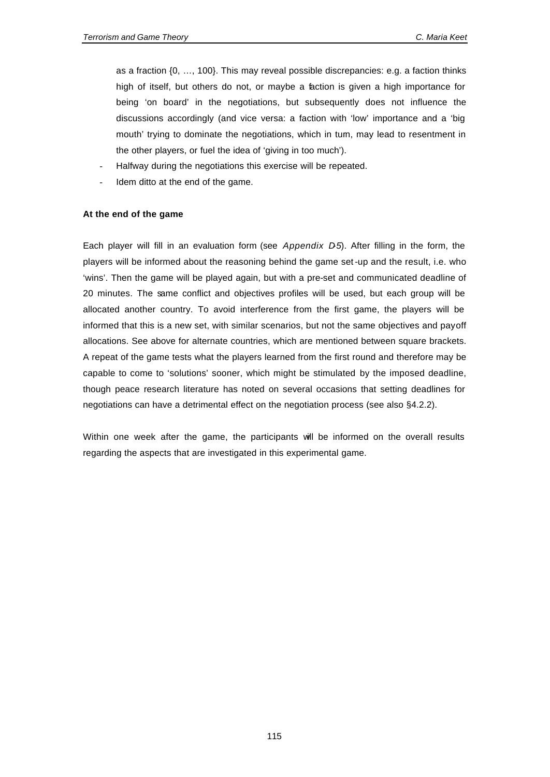as a fraction {0, …, 100}. This may reveal possible discrepancies: e.g. a faction thinks high of itself, but others do not, or maybe a faction is given a high importance for being 'on board' in the negotiations, but subsequently does not influence the discussions accordingly (and vice versa: a faction with 'low' importance and a 'big mouth' trying to dominate the negotiations, which in turn, may lead to resentment in the other players, or fuel the idea of 'giving in too much').

- Halfway during the negotiations this exercise will be repeated.
- Idem ditto at the end of the game.

#### **At the end of the game**

Each player will fill in an evaluation form (see *Appendix D-5*). After filling in the form, the players will be informed about the reasoning behind the game set-up and the result, i.e. who 'wins'. Then the game will be played again, but with a pre-set and communicated deadline of 20 minutes. The same conflict and objectives profiles will be used, but each group will be allocated another country. To avoid interference from the first game, the players will be informed that this is a new set, with similar scenarios, but not the same objectives and payoff allocations. See above for alternate countries, which are mentioned between square brackets. A repeat of the game tests what the players learned from the first round and therefore may be capable to come to 'solutions' sooner, which might be stimulated by the imposed deadline, though peace research literature has noted on several occasions that setting deadlines for negotiations can have a detrimental effect on the negotiation process (see also §4.2.2).

Within one week after the game, the participants will be informed on the overall results regarding the aspects that are investigated in this experimental game.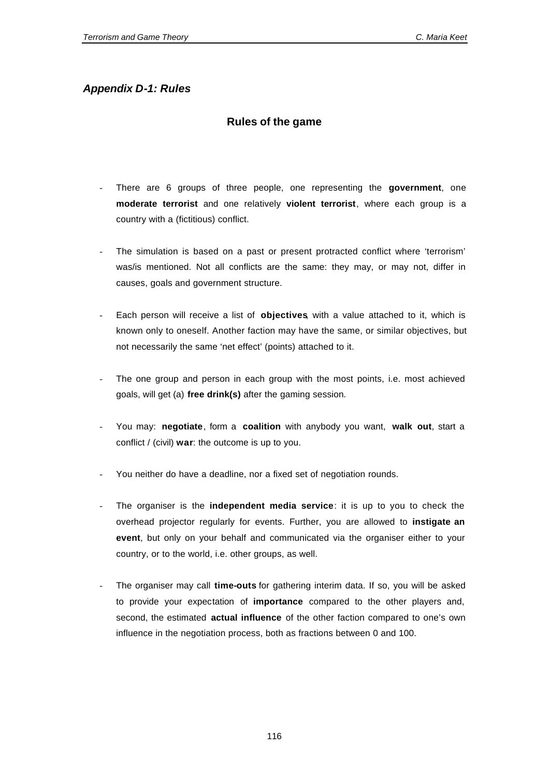# *Appendix D-1: Rules*

# **Rules of the game**

- There are 6 groups of three people, one representing the **government**, one **moderate terrorist** and one relatively **violent terrorist**, where each group is a country with a (fictitious) conflict.
- The simulation is based on a past or present protracted conflict where 'terrorism' was/is mentioned. Not all conflicts are the same: they may, or may not, differ in causes, goals and government structure.
- Each person will receive a list of **objectives**, with a value attached to it, which is known only to oneself. Another faction may have the same, or similar objectives, but not necessarily the same 'net effect' (points) attached to it.
- The one group and person in each group with the most points, i.e. most achieved goals, will get (a) **free drink(s)** after the gaming session*.*
- You may: **negotiate**, form a **coalition** with anybody you want, **walk out**, start a conflict / (civil) **war**: the outcome is up to you.
- You neither do have a deadline, nor a fixed set of negotiation rounds.
- The organiser is the *independent* media service: it is up to you to check the overhead projector regularly for events. Further, you are allowed to **instigate an event**, but only on your behalf and communicated via the organiser either to your country, or to the world, i.e. other groups, as well.
- The organiser may call **time-outs** for gathering interim data. If so, you will be asked to provide your expectation of **importance** compared to the other players and, second, the estimated **actual influence** of the other faction compared to one's own influence in the negotiation process, both as fractions between 0 and 100.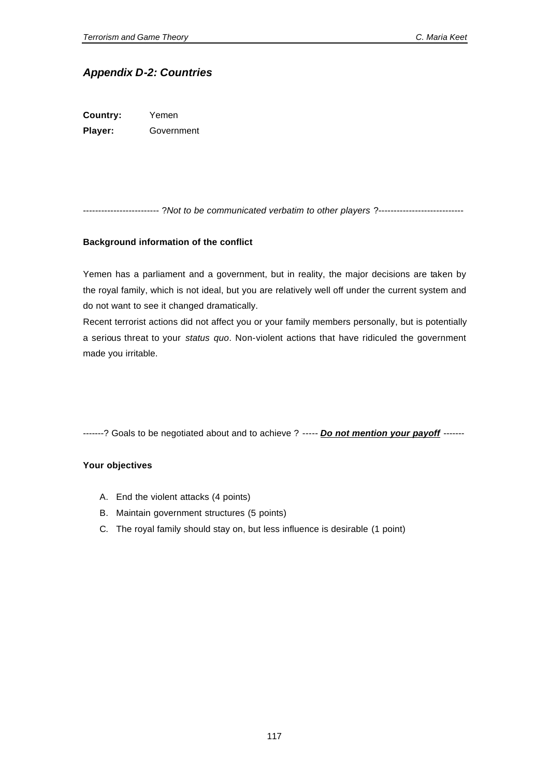# *Appendix D-2: Countries*

**Country:** Yemen **Player:** Government

------------------------- ?*Not to be communicated verbatim to other players* ?----------------------------

#### **Background information of the conflict**

Yemen has a parliament and a government, but in reality, the major decisions are taken by the royal family, which is not ideal, but you are relatively well off under the current system and do not want to see it changed dramatically.

Recent terrorist actions did not affect you or your family members personally, but is potentially a serious threat to your *status quo*. Non-violent actions that have ridiculed the government made you irritable.

-------? Goals to be negotiated about and to achieve ? ----- *Do not mention your payoff* -------

- A. End the violent attacks (4 points)
- B. Maintain government structures (5 points)
- C. The royal family should stay on, but less influence is desirable (1 point)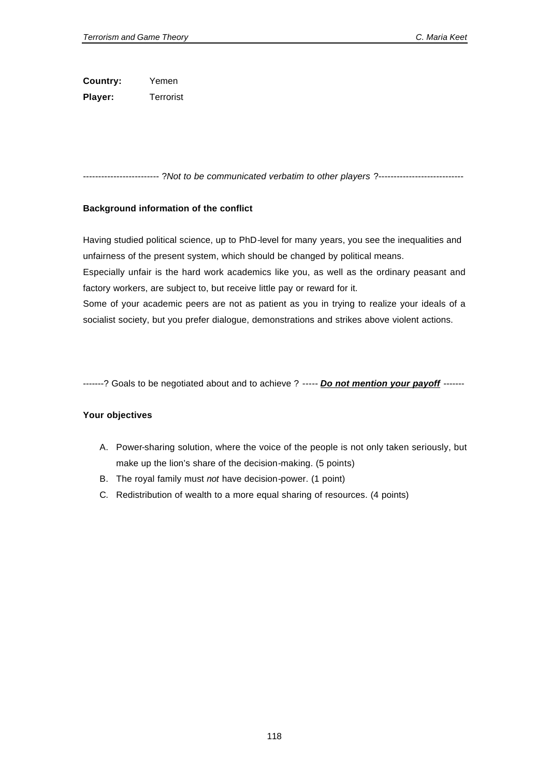**Country:** Yemen **Player:** Terrorist

------------------------- ?*Not to be communicated verbatim to other players* ?----------------------------

# **Background information of the conflict**

Having studied political science, up to PhD-level for many years, you see the inequalities and unfairness of the present system, which should be changed by political means.

Especially unfair is the hard work academics like you, as well as the ordinary peasant and factory workers, are subject to, but receive little pay or reward for it.

Some of your academic peers are not as patient as you in trying to realize your ideals of a socialist society, but you prefer dialogue, demonstrations and strikes above violent actions.

-------? Goals to be negotiated about and to achieve ? ----- *Do not mention your payoff* -------

- A. Power-sharing solution, where the voice of the people is not only taken seriously, but make up the lion's share of the decision-making. (5 points)
- B. The royal family must *not* have decision-power. (1 point)
- C. Redistribution of wealth to a more equal sharing of resources. (4 points)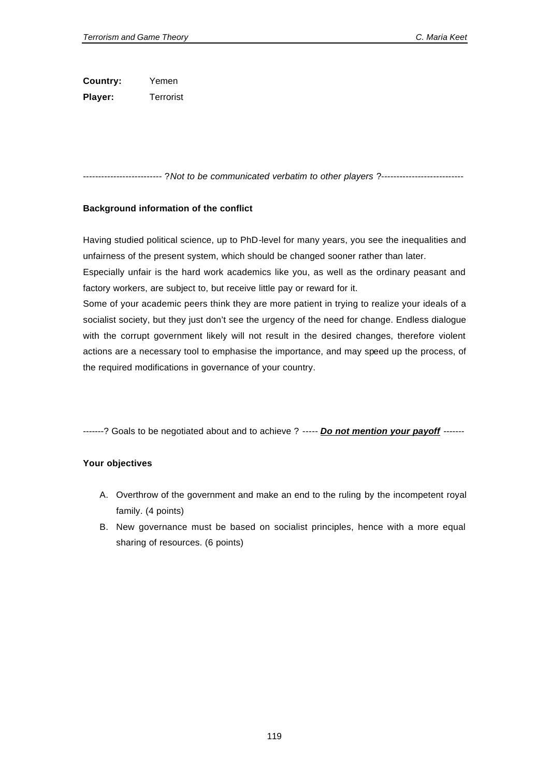**Country:** Yemen **Player:** Terrorist

-------------------------- ?*Not to be communicated verbatim to other players* ?---------------------------

## **Background information of the conflict**

Having studied political science, up to PhD-level for many years, you see the inequalities and unfairness of the present system, which should be changed sooner rather than later.

Especially unfair is the hard work academics like you, as well as the ordinary peasant and factory workers, are subject to, but receive little pay or reward for it.

Some of your academic peers think they are more patient in trying to realize your ideals of a socialist society, but they just don't see the urgency of the need for change. Endless dialogue with the corrupt government likely will not result in the desired changes, therefore violent actions are a necessary tool to emphasise the importance, and may speed up the process, of the required modifications in governance of your country.

-------? Goals to be negotiated about and to achieve ? ----- *Do not mention your payoff* -------

- A. Overthrow of the government and make an end to the ruling by the incompetent royal family. (4 points)
- B. New governance must be based on socialist principles, hence with a more equal sharing of resources. (6 points)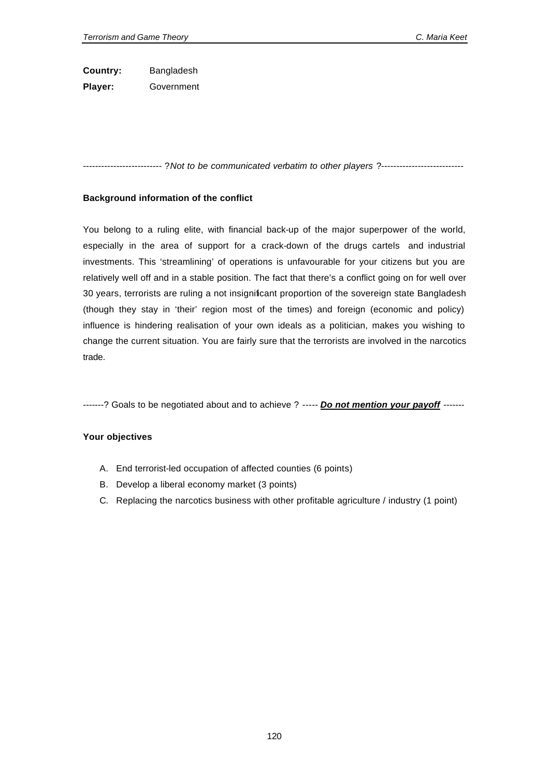**Country:** Bangladesh **Player:** Government

-------------------------- ?*Not to be communicated verbatim to other players* ?---------------------------

## **Background information of the conflict**

You belong to a ruling elite, with financial back-up of the major superpower of the world, especially in the area of support for a crack-down of the drugs cartels and industrial investments. This 'streamlining' of operations is unfavourable for your citizens but you are relatively well off and in a stable position. The fact that there's a conflict going on for well over 30 years, terrorists are ruling a not insignificant proportion of the sovereign state Bangladesh (though they stay in 'their' region most of the times) and foreign (economic and policy) influence is hindering realisation of your own ideals as a politician, makes you wishing to change the current situation. You are fairly sure that the terrorists are involved in the narcotics trade.

-------? Goals to be negotiated about and to achieve ? ----- *Do not mention your payoff* -------

- A. End terrorist-led occupation of affected counties (6 points)
- B. Develop a liberal economy market (3 points)
- C. Replacing the narcotics business with other profitable agriculture / industry (1 point)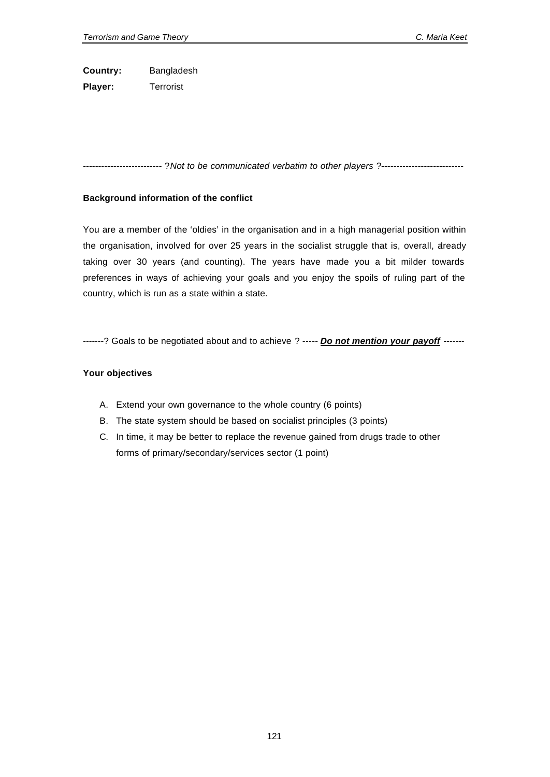**Country:** Bangladesh **Player:** Terrorist

-------------------------- ?*Not to be communicated verbatim to other players* ?---------------------------

## **Background information of the conflict**

You are a member of the 'oldies' in the organisation and in a high managerial position within the organisation, involved for over 25 years in the socialist struggle that is, overall, dready taking over 30 years (and counting). The years have made you a bit milder towards preferences in ways of achieving your goals and you enjoy the spoils of ruling part of the country, which is run as a state within a state.

-------? Goals to be negotiated about and to achieve ? ----- *Do not mention your payoff* -------

- A. Extend your own governance to the whole country (6 points)
- B. The state system should be based on socialist principles (3 points)
- C. In time, it may be better to replace the revenue gained from drugs trade to other forms of primary/secondary/services sector (1 point)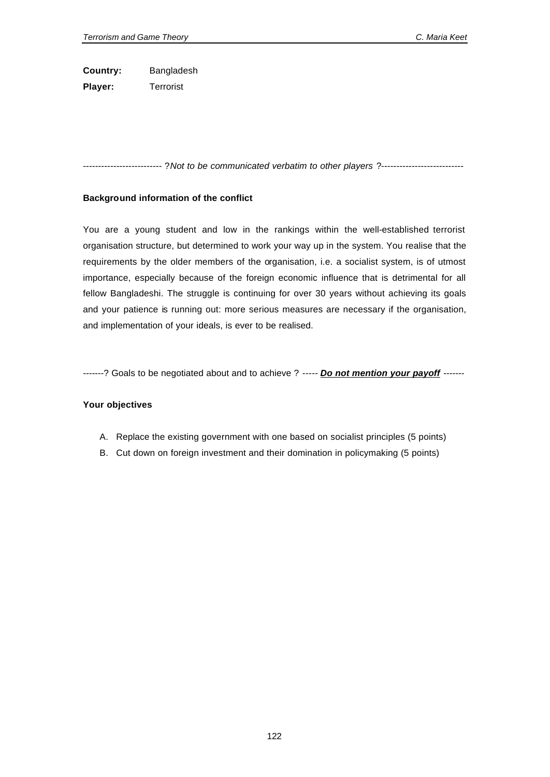**Country:** Bangladesh **Player:** Terrorist

-------------------------- ?*Not to be communicated verbatim to other players* ?---------------------------

## **Background information of the conflict**

You are a young student and low in the rankings within the well-established terrorist organisation structure, but determined to work your way up in the system. You realise that the requirements by the older members of the organisation, i.e. a socialist system, is of utmost importance, especially because of the foreign economic influence that is detrimental for all fellow Bangladeshi. The struggle is continuing for over 30 years without achieving its goals and your patience is running out: more serious measures are necessary if the organisation, and implementation of your ideals, is ever to be realised.

-------? Goals to be negotiated about and to achieve ? ----- *Do not mention your payoff* -------

- A. Replace the existing government with one based on socialist principles (5 points)
- B. Cut down on foreign investment and their domination in policymaking (5 points)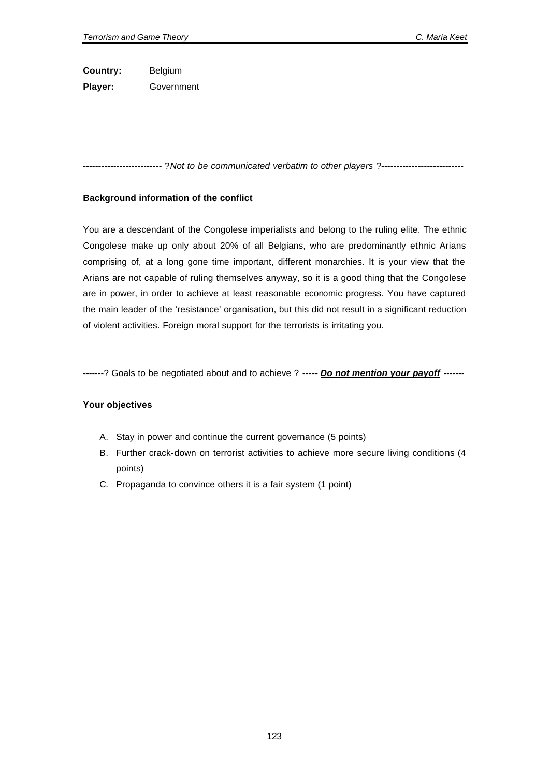**Country:** Belgium **Player:** Government

-------------------------- ?*Not to be communicated verbatim to other players* ?---------------------------

## **Background information of the conflict**

You are a descendant of the Congolese imperialists and belong to the ruling elite. The ethnic Congolese make up only about 20% of all Belgians, who are predominantly ethnic Arians comprising of, at a long gone time important, different monarchies. It is your view that the Arians are not capable of ruling themselves anyway, so it is a good thing that the Congolese are in power, in order to achieve at least reasonable economic progress. You have captured the main leader of the 'resistance' organisation, but this did not result in a significant reduction of violent activities. Foreign moral support for the terrorists is irritating you.

-------? Goals to be negotiated about and to achieve ? ----- *Do not mention your payoff* -------

- A. Stay in power and continue the current governance (5 points)
- B. Further crack-down on terrorist activities to achieve more secure living conditions (4 points)
- C. Propaganda to convince others it is a fair system (1 point)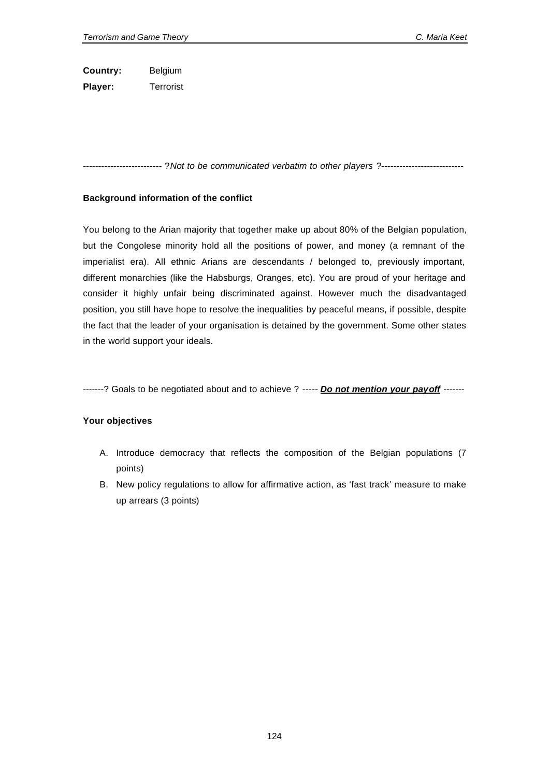**Country:** Belgium **Player:** Terrorist

-------------------------- ?*Not to be communicated verbatim to other players* ?---------------------------

## **Background information of the conflict**

You belong to the Arian majority that together make up about 80% of the Belgian population, but the Congolese minority hold all the positions of power, and money (a remnant of the imperialist era). All ethnic Arians are descendants / belonged to, previously important, different monarchies (like the Habsburgs, Oranges, etc). You are proud of your heritage and consider it highly unfair being discriminated against. However much the disadvantaged position, you still have hope to resolve the inequalities by peaceful means, if possible, despite the fact that the leader of your organisation is detained by the government. Some other states in the world support your ideals.

-------? Goals to be negotiated about and to achieve ? ----- *Do not mention your payoff* -------

- A. Introduce democracy that reflects the composition of the Belgian populations (7 points)
- B. New policy regulations to allow for affirmative action, as 'fast track' measure to make up arrears (3 points)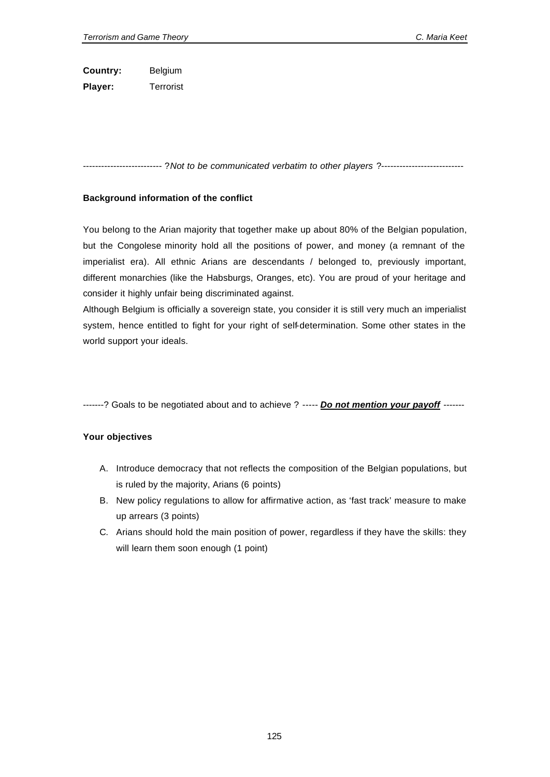**Country:** Belgium **Player:** Terrorist

-------------------------- ?*Not to be communicated verbatim to other players* ?---------------------------

## **Background information of the conflict**

You belong to the Arian majority that together make up about 80% of the Belgian population, but the Congolese minority hold all the positions of power, and money (a remnant of the imperialist era). All ethnic Arians are descendants / belonged to, previously important, different monarchies (like the Habsburgs, Oranges, etc). You are proud of your heritage and consider it highly unfair being discriminated against.

Although Belgium is officially a sovereign state, you consider it is still very much an imperialist system, hence entitled to fight for your right of self-determination. Some other states in the world support your ideals.

-------? Goals to be negotiated about and to achieve ? ----- *Do not mention your payoff* -------

- A. Introduce democracy that not reflects the composition of the Belgian populations, but is ruled by the majority, Arians (6 points)
- B. New policy regulations to allow for affirmative action, as 'fast track' measure to make up arrears (3 points)
- C. Arians should hold the main position of power, regardless if they have the skills: they will learn them soon enough (1 point)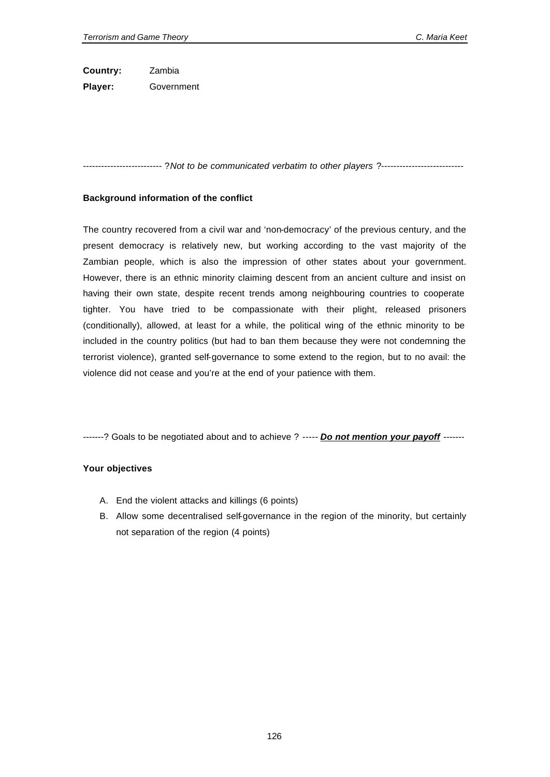**Country:** Zambia **Player:** Government

-------------------------- ?*Not to be communicated verbatim to other players* ?---------------------------

#### **Background information of the conflict**

The country recovered from a civil war and 'non-democracy' of the previous century, and the present democracy is relatively new, but working according to the vast majority of the Zambian people, which is also the impression of other states about your government. However, there is an ethnic minority claiming descent from an ancient culture and insist on having their own state, despite recent trends among neighbouring countries to cooperate tighter. You have tried to be compassionate with their plight, released prisoners (conditionally), allowed, at least for a while, the political wing of the ethnic minority to be included in the country politics (but had to ban them because they were not condemning the terrorist violence), granted self-governance to some extend to the region, but to no avail: the violence did not cease and you're at the end of your patience with them.

-------? Goals to be negotiated about and to achieve ? ----- *Do not mention your payoff* -------

- A. End the violent attacks and killings (6 points)
- B. Allow some decentralised self-governance in the region of the minority, but certainly not separation of the region (4 points)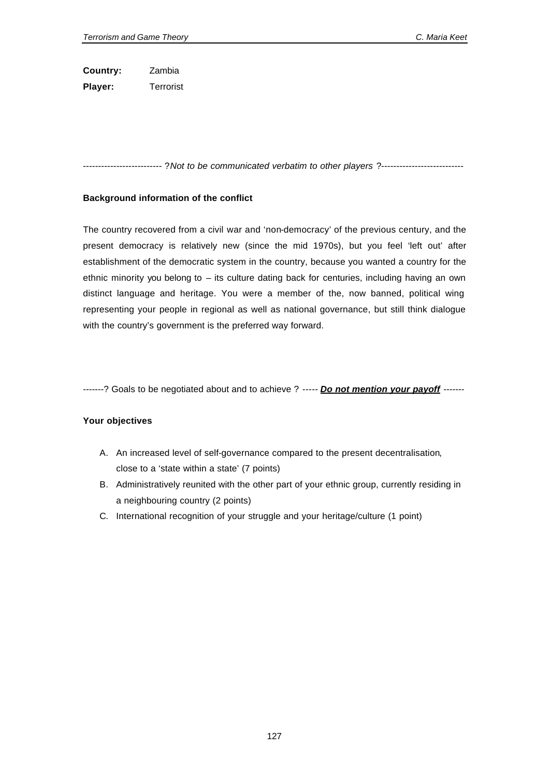**Country:** Zambia **Player:** Terrorist

-------------------------- ?*Not to be communicated verbatim to other players* ?---------------------------

## **Background information of the conflict**

The country recovered from a civil war and 'non-democracy' of the previous century, and the present democracy is relatively new (since the mid 1970s), but you feel 'left out' after establishment of the democratic system in the country, because you wanted a country for the ethnic minority you belong to – its culture dating back for centuries, including having an own distinct language and heritage. You were a member of the, now banned, political wing representing your people in regional as well as national governance, but still think dialogue with the country's government is the preferred way forward.

-------? Goals to be negotiated about and to achieve ? ----- *Do not mention your payoff* -------

- A. An increased level of self-governance compared to the present decentralisation, close to a 'state within a state' (7 points)
- B. Administratively reunited with the other part of your ethnic group, currently residing in a neighbouring country (2 points)
- C. International recognition of your struggle and your heritage/culture (1 point)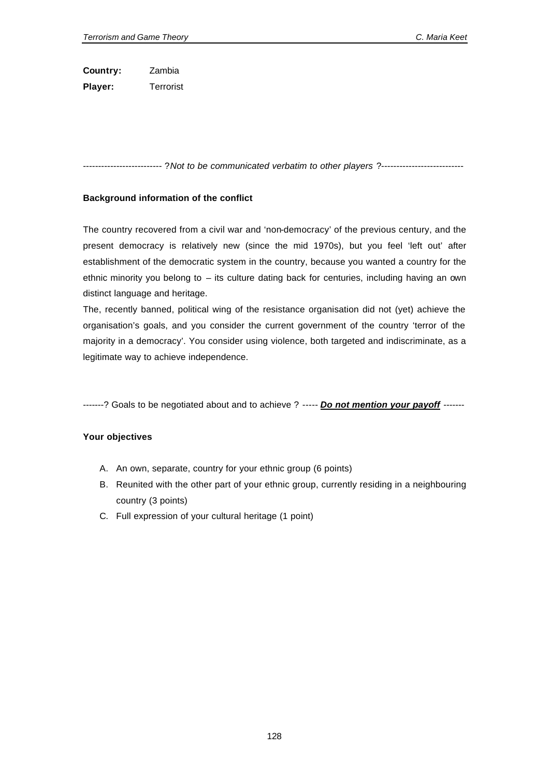**Country:** Zambia **Player:** Terrorist

-------------------------- ?*Not to be communicated verbatim to other players* ?---------------------------

## **Background information of the conflict**

The country recovered from a civil war and 'non-democracy' of the previous century, and the present democracy is relatively new (since the mid 1970s), but you feel 'left out' after establishment of the democratic system in the country, because you wanted a country for the ethnic minority you belong to – its culture dating back for centuries, including having an own distinct language and heritage.

The, recently banned, political wing of the resistance organisation did not (yet) achieve the organisation's goals, and you consider the current government of the country 'terror of the majority in a democracy'. You consider using violence, both targeted and indiscriminate, as a legitimate way to achieve independence.

-------? Goals to be negotiated about and to achieve ? ----- *Do not mention your payoff* -------

- A. An own, separate, country for your ethnic group (6 points)
- B. Reunited with the other part of your ethnic group, currently residing in a neighbouring country (3 points)
- C. Full expression of your cultural heritage (1 point)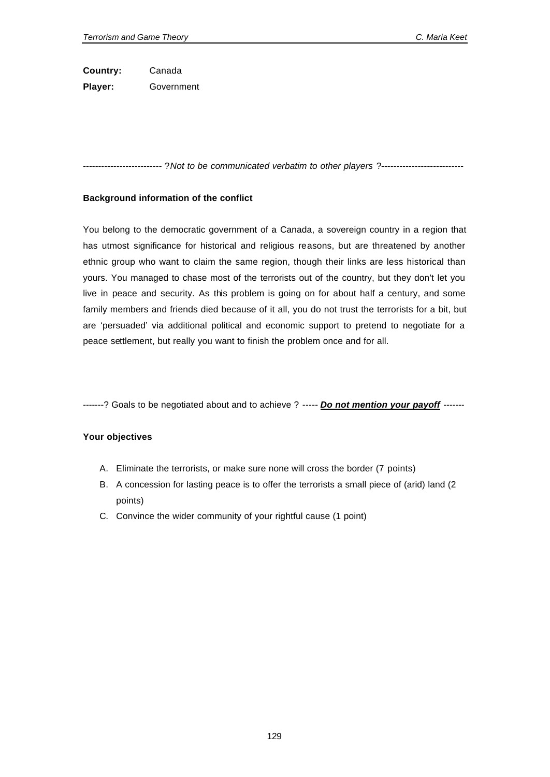**Country:** Canada **Player:** Government

-------------------------- ?*Not to be communicated verbatim to other players* ?---------------------------

#### **Background information of the conflict**

You belong to the democratic government of a Canada, a sovereign country in a region that has utmost significance for historical and religious reasons, but are threatened by another ethnic group who want to claim the same region, though their links are less historical than yours. You managed to chase most of the terrorists out of the country, but they don't let you live in peace and security. As this problem is going on for about half a century, and some family members and friends died because of it all, you do not trust the terrorists for a bit, but are 'persuaded' via additional political and economic support to pretend to negotiate for a peace settlement, but really you want to finish the problem once and for all.

-------? Goals to be negotiated about and to achieve ? ----- *Do not mention your payoff* -------

- A. Eliminate the terrorists, or make sure none will cross the border (7 points)
- B. A concession for lasting peace is to offer the terrorists a small piece of (arid) land (2 points)
- C. Convince the wider community of your rightful cause (1 point)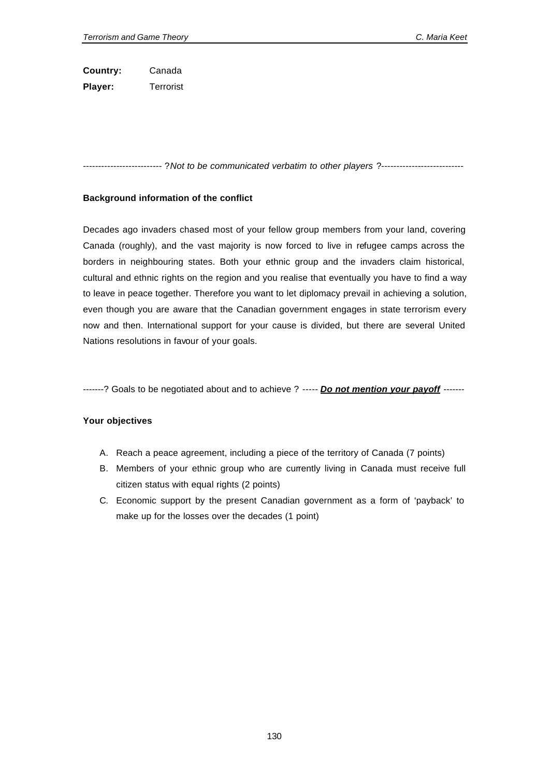**Country:** Canada **Player:** Terrorist

-------------------------- ?*Not to be communicated verbatim to other players* ?---------------------------

## **Background information of the conflict**

Decades ago invaders chased most of your fellow group members from your land, covering Canada (roughly), and the vast majority is now forced to live in refugee camps across the borders in neighbouring states. Both your ethnic group and the invaders claim historical, cultural and ethnic rights on the region and you realise that eventually you have to find a way to leave in peace together. Therefore you want to let diplomacy prevail in achieving a solution, even though you are aware that the Canadian government engages in state terrorism every now and then. International support for your cause is divided, but there are several United Nations resolutions in favour of your goals.

-------? Goals to be negotiated about and to achieve ? ----- *Do not mention your payoff* -------

- A. Reach a peace agreement, including a piece of the territory of Canada (7 points)
- B. Members of your ethnic group who are currently living in Canada must receive full citizen status with equal rights (2 points)
- C. Economic support by the present Canadian government as a form of 'payback' to make up for the losses over the decades (1 point)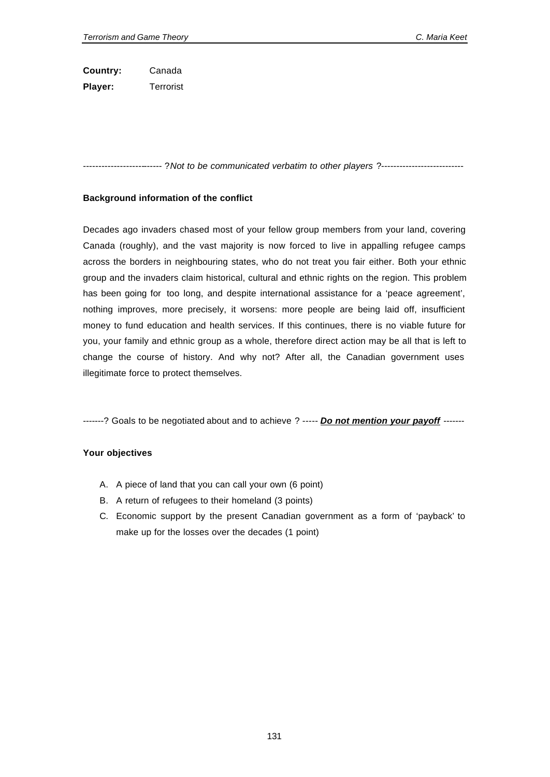**Country:** Canada **Player:** Terrorist

-------------------------- ?*Not to be communicated verbatim to other players* ?---------------------------

## **Background information of the conflict**

Decades ago invaders chased most of your fellow group members from your land, covering Canada (roughly), and the vast majority is now forced to live in appalling refugee camps across the borders in neighbouring states, who do not treat you fair either. Both your ethnic group and the invaders claim historical, cultural and ethnic rights on the region. This problem has been going for too long, and despite international assistance for a 'peace agreement', nothing improves, more precisely, it worsens: more people are being laid off, insufficient money to fund education and health services. If this continues, there is no viable future for you, your family and ethnic group as a whole, therefore direct action may be all that is left to change the course of history. And why not? After all, the Canadian government uses illegitimate force to protect themselves.

-------? Goals to be negotiated about and to achieve ? ----- *Do not mention your payoff* -------

- A. A piece of land that you can call your own (6 point)
- B. A return of refugees to their homeland (3 points)
- C. Economic support by the present Canadian government as a form of 'payback' to make up for the losses over the decades (1 point)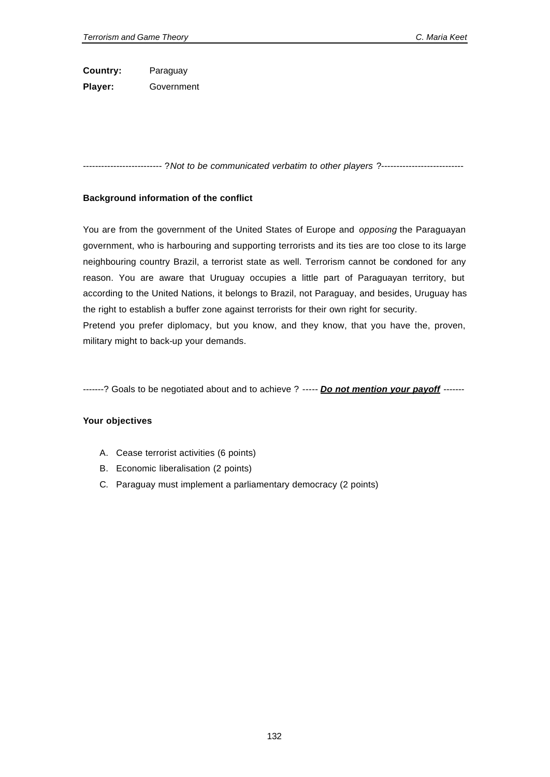**Country:** Paraguay **Player:** Government

-------------------------- ?*Not to be communicated verbatim to other players* ?---------------------------

## **Background information of the conflict**

You are from the government of the United States of Europe and *opposing* the Paraguayan government, who is harbouring and supporting terrorists and its ties are too close to its large neighbouring country Brazil, a terrorist state as well. Terrorism cannot be condoned for any reason. You are aware that Uruguay occupies a little part of Paraguayan territory, but according to the United Nations, it belongs to Brazil, not Paraguay, and besides, Uruguay has the right to establish a buffer zone against terrorists for their own right for security. Pretend you prefer diplomacy, but you know, and they know, that you have the, proven, military might to back-up your demands.

-------? Goals to be negotiated about and to achieve ? ----- *Do not mention your payoff* -------

- A. Cease terrorist activities (6 points)
- B. Economic liberalisation (2 points)
- C. Paraguay must implement a parliamentary democracy (2 points)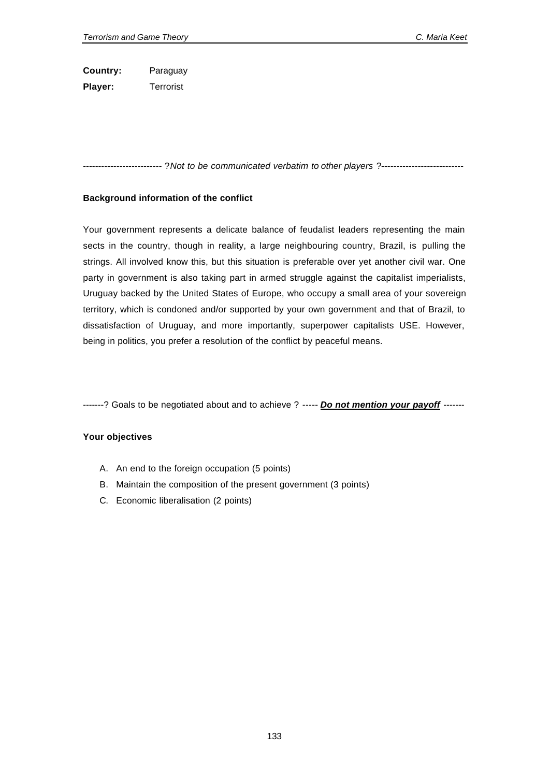**Country:** Paraguay **Player:** Terrorist

-------------------------- ?*Not to be communicated verbatim to other players* ?---------------------------

#### **Background information of the conflict**

Your government represents a delicate balance of feudalist leaders representing the main sects in the country, though in reality, a large neighbouring country, Brazil, is pulling the strings. All involved know this, but this situation is preferable over yet another civil war. One party in government is also taking part in armed struggle against the capitalist imperialists, Uruguay backed by the United States of Europe, who occupy a small area of your sovereign territory, which is condoned and/or supported by your own government and that of Brazil, to dissatisfaction of Uruguay, and more importantly, superpower capitalists USE. However, being in politics, you prefer a resolution of the conflict by peaceful means.

-------? Goals to be negotiated about and to achieve ? ----- *Do not mention your payoff* -------

- A. An end to the foreign occupation (5 points)
- B. Maintain the composition of the present government (3 points)
- C. Economic liberalisation (2 points)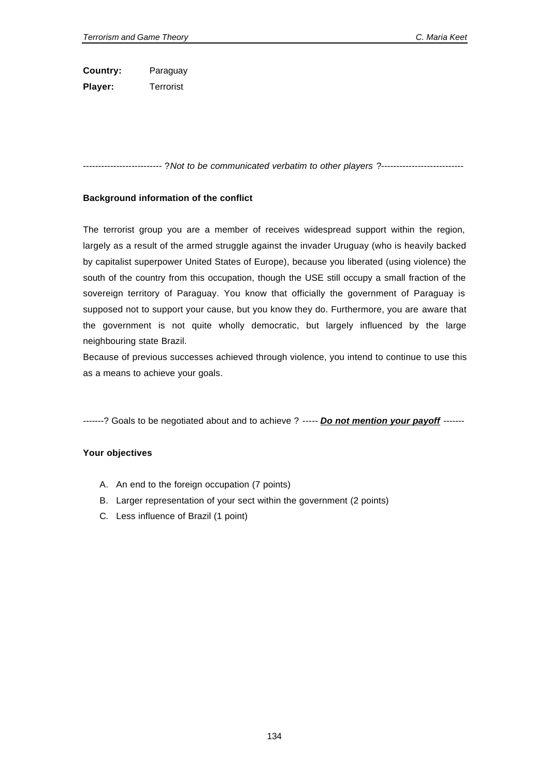**Country:** Paraguay **Player:** Terrorist

-------------------------- ?*Not to be communicated verbatim to other players* ?---------------------------

## **Background information of the conflict**

The terrorist group you are a member of receives widespread support within the region, largely as a result of the armed struggle against the invader Uruguay (who is heavily backed by capitalist superpower United States of Europe), because you liberated (using violence) the south of the country from this occupation, though the USE still occupy a small fraction of the sovereign territory of Paraguay. You know that officially the government of Paraguay is supposed not to support your cause, but you know they do. Furthermore, you are aware that the government is not quite wholly democratic, but largely influenced by the large neighbouring state Brazil.

Because of previous successes achieved through violence, you intend to continue to use this as a means to achieve your goals.

-------? Goals to be negotiated about and to achieve ? ----- *Do not mention your payoff* -------

- A. An end to the foreign occupation (7 points)
- B. Larger representation of your sect within the government (2 points)
- C. Less influence of Brazil (1 point)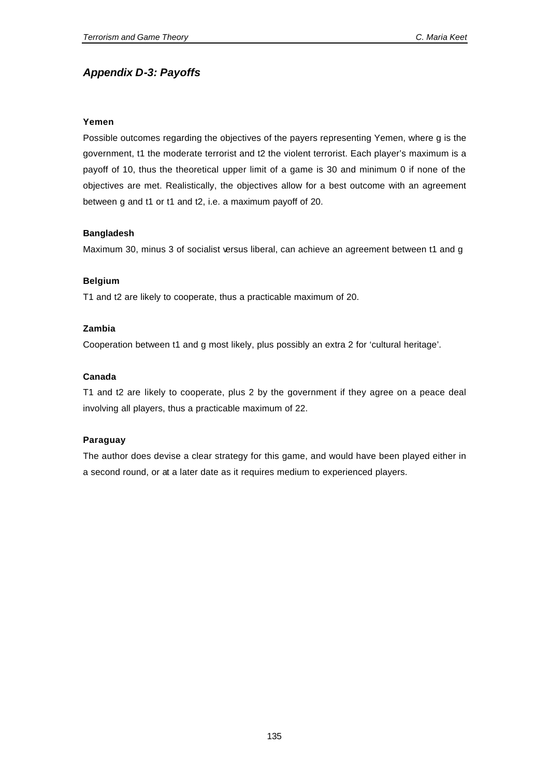# *Appendix D-3: Payoffs*

## **Yemen**

Possible outcomes regarding the objectives of the payers representing Yemen, where g is the government, t1 the moderate terrorist and t2 the violent terrorist. Each player's maximum is a payoff of 10, thus the theoretical upper limit of a game is 30 and minimum 0 if none of the objectives are met. Realistically, the objectives allow for a best outcome with an agreement between g and t1 or t1 and t2, i.e. a maximum payoff of 20.

# **Bangladesh**

Maximum 30, minus 3 of socialist versus liberal, can achieve an agreement between t1 and g

# **Belgium**

T1 and t2 are likely to cooperate, thus a practicable maximum of 20.

# **Zambia**

Cooperation between t1 and g most likely, plus possibly an extra 2 for 'cultural heritage'.

## **Canada**

T1 and t2 are likely to cooperate, plus 2 by the government if they agree on a peace deal involving all players, thus a practicable maximum of 22.

# **Paraguay**

The author does devise a clear strategy for this game, and would have been played either in a second round, or at a later date as it requires medium to experienced players.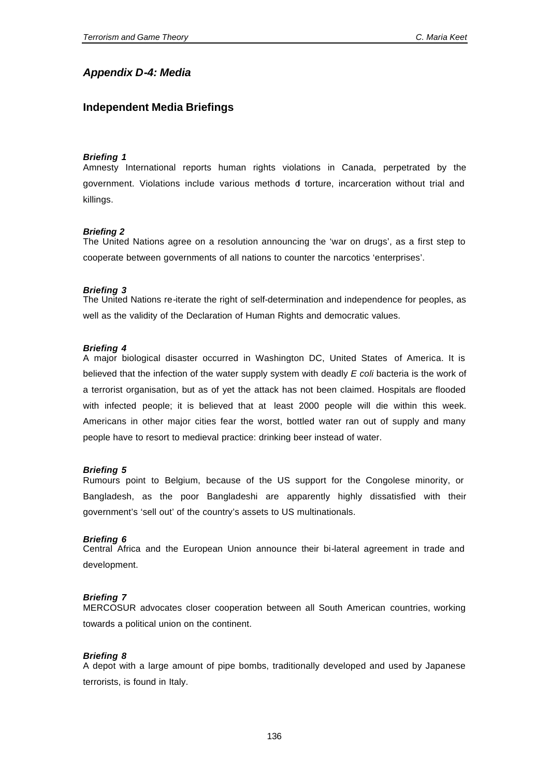# *Appendix D-4: Media*

# **Independent Media Briefings**

#### *Briefing 1*

Amnesty International reports human rights violations in Canada, perpetrated by the government. Violations include various methods of torture, incarceration without trial and killings.

#### *Briefing 2*

The United Nations agree on a resolution announcing the 'war on drugs', as a first step to cooperate between governments of all nations to counter the narcotics 'enterprises'.

#### *Briefing 3*

The United Nations re-iterate the right of self-determination and independence for peoples, as well as the validity of the Declaration of Human Rights and democratic values.

#### *Briefing 4*

A major biological disaster occurred in Washington DC, United States of America. It is believed that the infection of the water supply system with deadly *E coli* bacteria is the work of a terrorist organisation, but as of yet the attack has not been claimed. Hospitals are flooded with infected people; it is believed that at least 2000 people will die within this week. Americans in other major cities fear the worst, bottled water ran out of supply and many people have to resort to medieval practice: drinking beer instead of water.

#### *Briefing 5*

Rumours point to Belgium, because of the US support for the Congolese minority, or Bangladesh, as the poor Bangladeshi are apparently highly dissatisfied with their government's 'sell out' of the country's assets to US multinationals.

#### *Briefing 6*

Central Africa and the European Union announce their bi-lateral agreement in trade and development.

#### *Briefing 7*

MERCOSUR advocates closer cooperation between all South American countries, working towards a political union on the continent.

#### *Briefing 8*

A depot with a large amount of pipe bombs, traditionally developed and used by Japanese terrorists, is found in Italy.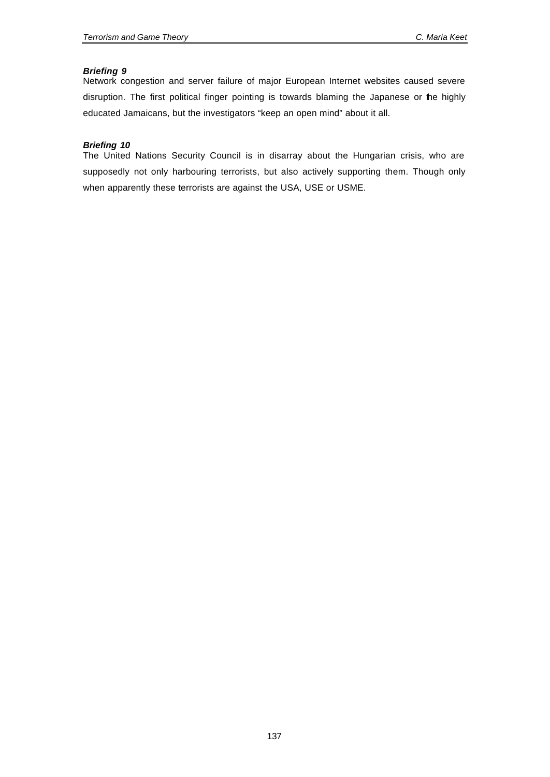# *Briefing 9*

Network congestion and server failure of major European Internet websites caused severe disruption. The first political finger pointing is towards blaming the Japanese or the highly educated Jamaicans, but the investigators "keep an open mind" about it all.

# *Briefing 10*

The United Nations Security Council is in disarray about the Hungarian crisis, who are supposedly not only harbouring terrorists, but also actively supporting them. Though only when apparently these terrorists are against the USA, USE or USME.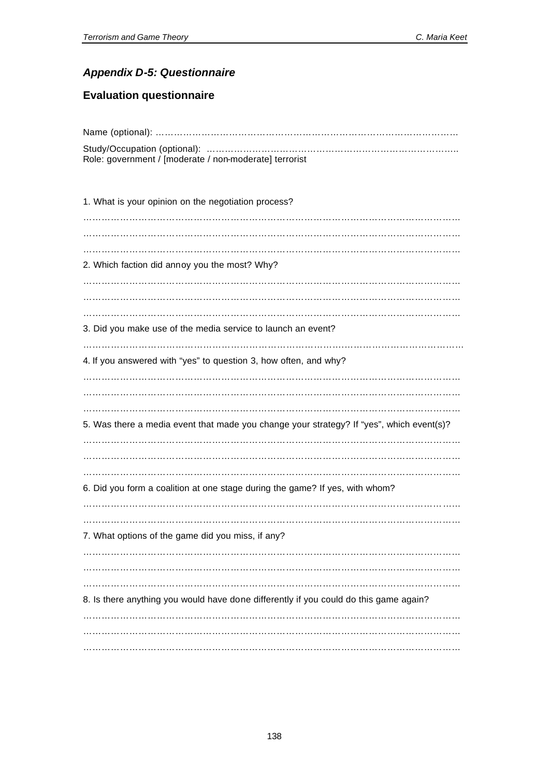# *Appendix D-5: Questionnaire*

# **Evaluation questionnaire**

| Role: government / [moderate / non-moderate] terrorist                                   |
|------------------------------------------------------------------------------------------|
|                                                                                          |
| 1. What is your opinion on the negotiation process?                                      |
|                                                                                          |
|                                                                                          |
| 2. Which faction did annoy you the most? Why?                                            |
|                                                                                          |
|                                                                                          |
| 3. Did you make use of the media service to launch an event?                             |
|                                                                                          |
| 4. If you answered with "yes" to question 3, how often, and why?                         |
|                                                                                          |
|                                                                                          |
|                                                                                          |
| 5. Was there a media event that made you change your strategy? If "yes", which event(s)? |
|                                                                                          |
|                                                                                          |
| 6. Did you form a coalition at one stage during the game? If yes, with whom?             |
|                                                                                          |
|                                                                                          |
| 7. What options of the game did you miss, if any?                                        |
|                                                                                          |
|                                                                                          |
| 8. Is there anything you would have done differently if you could do this game again?    |
|                                                                                          |
|                                                                                          |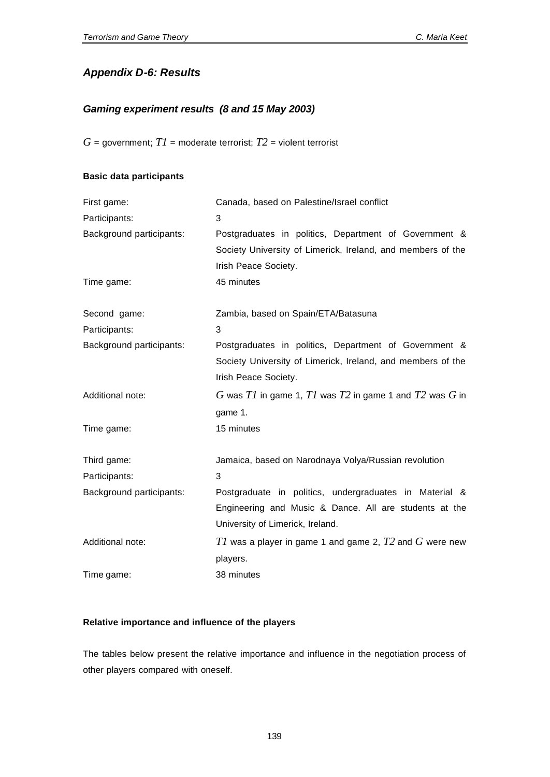# *Appendix D-6: Results*

## *Gaming experiment results (8 and 15 May 2003)*

 $G =$  government;  $TI =$  moderate terrorist;  $T2 =$  violent terrorist

# **Basic data participants**

| First game:              | Canada, based on Palestine/Israel conflict                  |  |  |  |  |  |
|--------------------------|-------------------------------------------------------------|--|--|--|--|--|
| Participants:            | 3                                                           |  |  |  |  |  |
| Background participants: | Postgraduates in politics, Department of Government &       |  |  |  |  |  |
|                          | Society University of Limerick, Ireland, and members of the |  |  |  |  |  |
|                          | Irish Peace Society.                                        |  |  |  |  |  |
| Time game:               | 45 minutes                                                  |  |  |  |  |  |
| Second game:             | Zambia, based on Spain/ETA/Batasuna                         |  |  |  |  |  |
| Participants:            | 3                                                           |  |  |  |  |  |
| Background participants: | Postgraduates in politics, Department of Government &       |  |  |  |  |  |
|                          | Society University of Limerick, Ireland, and members of the |  |  |  |  |  |
|                          | Irish Peace Society.                                        |  |  |  |  |  |
| Additional note:         | G was T1 in game 1, T1 was T2 in game 1 and T2 was G in     |  |  |  |  |  |
|                          | game 1.                                                     |  |  |  |  |  |
| Time game:               | 15 minutes                                                  |  |  |  |  |  |
| Third game:              | Jamaica, based on Narodnaya Volya/Russian revolution        |  |  |  |  |  |
| Participants:            | 3                                                           |  |  |  |  |  |
| Background participants: | Postgraduate in politics, undergraduates in Material &      |  |  |  |  |  |
|                          | Engineering and Music & Dance. All are students at the      |  |  |  |  |  |
|                          | University of Limerick, Ireland.                            |  |  |  |  |  |
| Additional note:         | TI was a player in game 1 and game 2, $T2$ and $G$ were new |  |  |  |  |  |
|                          | players.                                                    |  |  |  |  |  |
| Time game:               | 38 minutes                                                  |  |  |  |  |  |

### **Relative importance and influence of the players**

The tables below present the relative importance and influence in the negotiation process of other players compared with oneself.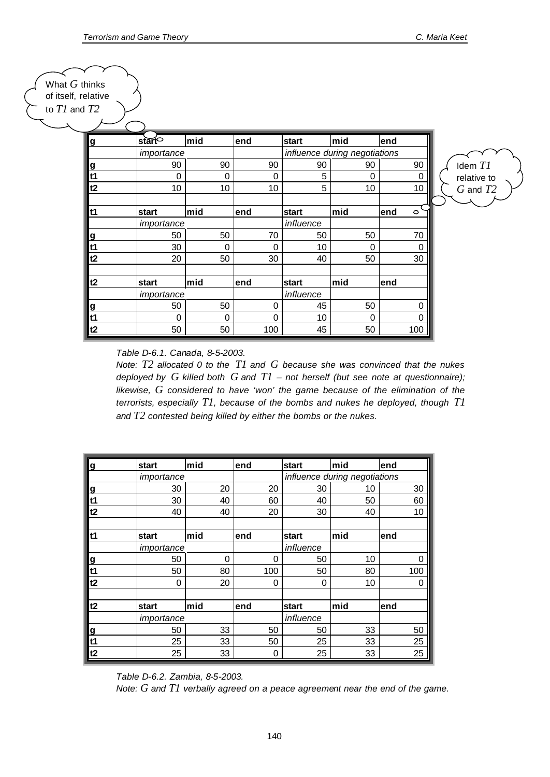Idem *T1* relative to *G* and *T2*

What *G* thinks of itself, relative to *T1* and *T2*

| $\overline{g}$ | start    | mid         | end | start                         | mid | lend            |
|----------------|----------|-------------|-----|-------------------------------|-----|-----------------|
|                |          | importance  |     | influence during negotiations |     |                 |
| <u>g</u>       | 90       | 90          | 90  | 90                            | 90  | 90              |
| t1             | $\Omega$ | $\mathbf 0$ | 0   | 5                             | 0   | 0               |
| t2             | 10       | 10          | 10  | 5                             | 10  | 10              |
|                |          |             |     |                               |     |                 |
| $1$            | start    | mid         | end | start                         | mid | lend<br>$\circ$ |
|                |          | importance  |     | influence                     |     |                 |
| <u>ପ</u>       | 50       | 50          | 70  | 50                            | 50  | 70              |
| lt1            | 30       | 0           | 0   | 10                            | 0   | 0               |
| t2             | 20       | 50          | 30  | 40                            | 50  | 30              |
| t2             | start    | mid         | end | start                         | mid | lend            |
|                |          | importance  |     | influence                     |     |                 |
| <u>ପ</u>       | 50       | 50          | 0   | 45                            | 50  | U               |
| $1$            | 0        | 0           | 0   | 10                            | 0   | U               |
| t2             | 50       | 50          | 100 | 45                            | 50  | 100             |

*Table D-6.1. Canada, 8-5-2003.*

*Note: T2 allocated 0 to the T1 and G because she was convinced that the nukes deployed by G killed both G and T1 – not herself (but see note at questionnaire); likewise, G considered to have 'won' the game because of the elimination of the terrorists, especially T1, because of the bombs and nukes he deployed, though T1 and T2 contested being killed by either the bombs or the nukes.* 

| g        | <b>start</b> | mid         | end | start                         | lmid | end  |  |
|----------|--------------|-------------|-----|-------------------------------|------|------|--|
|          | importance   |             |     | influence during negotiations |      |      |  |
| <u>ପ</u> | 30           | 20          | 20  | 30                            | 10   | 30   |  |
| t1       | 30           | 40          | 60  | 40                            | 50   | 60   |  |
| t2       | 40           | 40          | 20  | 30                            | 40   | 10   |  |
| t1       | start        | mid         | end | start                         | mid  | lend |  |
|          | importance   |             |     | influence                     |      |      |  |
| g        | 50           | $\mathbf 0$ | 0   | 50                            | 10   | 0    |  |
| t1       | 50           | 80          | 100 | 50                            | 80   | 100  |  |
| t2       | 0            | 20          | 0   | 0                             | 10   | 0    |  |
| t2       | start        | mid         | end | start                         | mid  | end  |  |
|          | importance   |             |     | influence                     |      |      |  |
| <u>g</u> | 50           | 33          | 50  | 50                            | 33   | 50   |  |
| t1       | 25           | 33          | 50  | 25                            | 33   | 25   |  |
| t2       | 25           | 33          | 0   | 25                            | 33   | 25   |  |

*Table D-6.2. Zambia, 8-5-2003.*

*Note: G and T1 verbally agreed on a peace agreement near the end of the game.*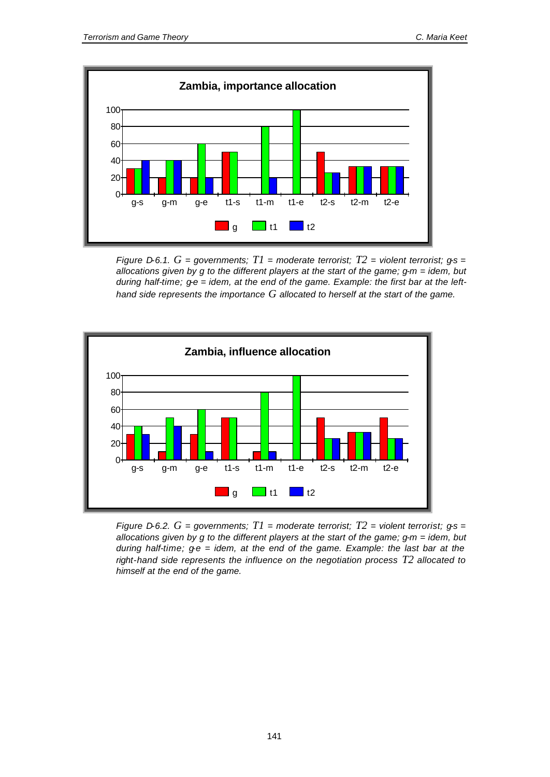

*Figure D-6.1.*  $G =$  governments;  $T1 =$  moderate terrorist;  $T2 =$  violent terrorist;  $gs =$ *allocations given by g to the different players at the start of the game; g-m = idem, but during half-time; g-e = idem, at the end of the game. Example: the first bar at the lefthand side represents the importance G allocated to herself at the start of the game.*



*Figure D-6.2. G = governments; T1 = moderate terrorist; T2 = violent terrorist; g-s = allocations given by g to the different players at the start of the game; g-m = idem, but during half-time; g-e = idem, at the end of the game. Example: the last bar at the right-hand side represents the influence on the negotiation process T2 allocated to himself at the end of the game.*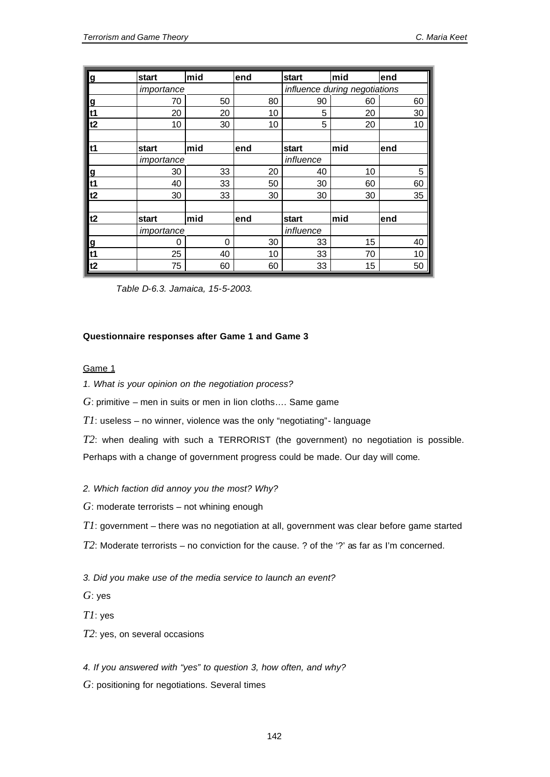| <u>g</u>       | start      | mid      | end | start                         | mid | end |
|----------------|------------|----------|-----|-------------------------------|-----|-----|
|                | importance |          |     | influence during negotiations |     |     |
| <u>g</u>       | 70         | 50       | 80  | 90                            | 60  | 60  |
| t1             | 20         | 20       | 10  | 5                             | 20  | 30  |
| t2             | 10         | 30       | 10  | 5                             | 20  | 10  |
|                |            |          |     |                               |     |     |
| t1             | start      | $ $ mid  | end | start                         | mid | end |
|                | importance |          |     | influence                     |     |     |
| $\overline{g}$ | 30         | 33       | 20  | 40                            | 10  | 5   |
| t1             | 40         | 33       | 50  | 30                            | 60  | 60  |
| t2             | 30         | 33       | 30  | 30                            | 30  | 35  |
|                |            |          |     |                               |     |     |
| t2             | start      | mid      | end | start                         | mid | end |
|                | importance |          |     | influence                     |     |     |
| g              | 0          | $\Omega$ | 30  | 33                            | 15  | 40  |
| t1             | 25         | 40       | 10  | 33                            | 70  | 10  |
| t2             | 75         | 60       | 60  | 33                            | 15  | 50  |

*Table D-6.3. Jamaica, 15-5-2003.*

#### **Questionnaire responses after Game 1 and Game 3**

## Game 1

*1. What is your opinion on the negotiation process?*

*G*: primitive – men in suits or men in lion cloths…. Same game

*T1*: useless – no winner, violence was the only "negotiating"- language

*T2*: when dealing with such a TERRORIST (the government) no negotiation is possible. Perhaps with a change of government progress could be made. Our day will come.

### *2. Which faction did annoy you the most? Why?*

- *G*: moderate terrorists not whining enough
- *T1*: government there was no negotiation at all, government was clear before game started
- *T2*: Moderate terrorists no conviction for the cause. ? of the '?' as far as I'm concerned.
- *3. Did you make use of the media service to launch an event?*
- *G*: yes
- *T1*: yes
- *T2*: yes, on several occasions
- *4. If you answered with "yes" to question 3, how often, and why?*
- *G*: positioning for negotiations. Several times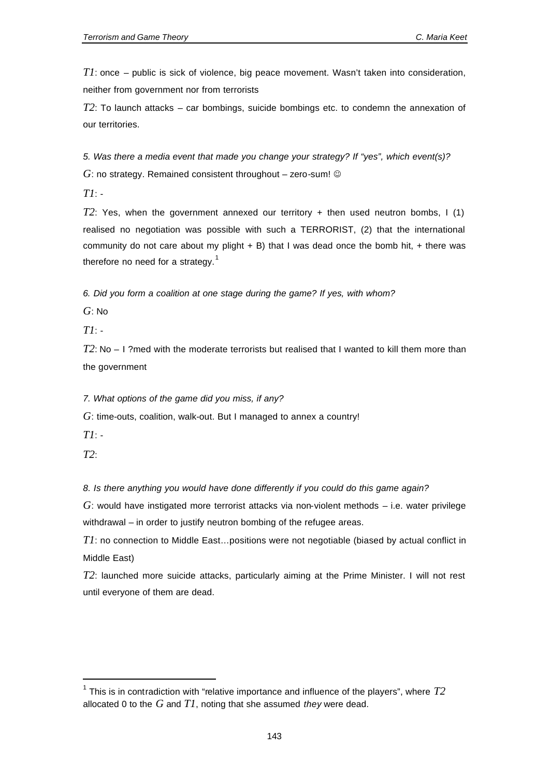*T1*: once – public is sick of violence, big peace movement. Wasn't taken into consideration, neither from government nor from terrorists

*T2*: To launch attacks – car bombings, suicide bombings etc. to condemn the annexation of our territories.

*5. Was there a media event that made you change your strategy? If "yes", which event(s)?*  $G$ : no strategy. Remained consistent throughout  $-$  zero-sum!  $\odot$ 

*T1*: -

*T2*: Yes, when the government annexed our territory + then used neutron bombs, I (1) realised no negotiation was possible with such a TERRORIST, (2) that the international community do not care about my plight  $+$  B) that I was dead once the bomb hit,  $+$  there was therefore no need for a strategy. $1$ 

*6. Did you form a coalition at one stage during the game? If yes, with whom?*

*G*: No

*T1*: -

*T2*: No – I ?med with the moderate terrorists but realised that I wanted to kill them more than the government

*7. What options of the game did you miss, if any?*

*G*: time-outs, coalition, walk-out. But I managed to annex a country!

*T1*: -

*T2*:

l

*8. Is there anything you would have done differently if you could do this game again?*

*G*: would have instigated more terrorist attacks via non-violent methods – i.e. water privilege withdrawal – in order to justify neutron bombing of the refugee areas.

*T1*: no connection to Middle East…positions were not negotiable (biased by actual conflict in Middle East)

*T2*: launched more suicide attacks, particularly aiming at the Prime Minister. I will not rest until everyone of them are dead.

 $^{\text{1}}$  This is in contradiction with "relative importance and influence of the players", where  $T2$ allocated 0 to the *G* and *T1*, noting that she assumed *they* were dead.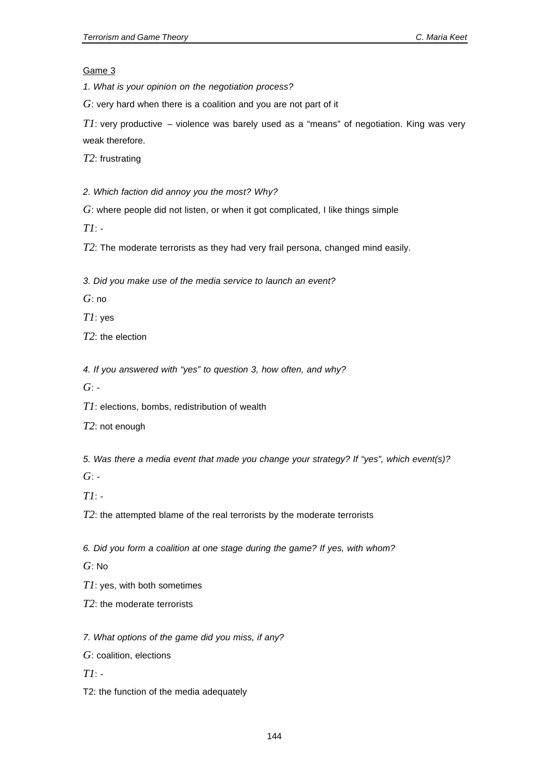Game 3

*1. What is your opinion on the negotiation process?*

*G*: very hard when there is a coalition and you are not part of it

*T1*: very productive – violence was barely used as a "means" of negotiation. King was very weak therefore.

*T2*: frustrating

*2. Which faction did annoy you the most? Why?*

*G*: where people did not listen, or when it got complicated, I like things simple

*T1*: -

*T2*: The moderate terrorists as they had very frail persona, changed mind easily.

*3. Did you make use of the media service to launch an event?*

*G*: no

*T1*: yes

*T2*: the election

*4. If you answered with "yes" to question 3, how often, and why?*

*G*: -

*T1*: elections, bombs, redistribution of wealth

*T2*: not enough

*5. Was there a media event that made you change your strategy? If "yes", which event(s)?*

*G*: -

*T1*: -

*T2*: the attempted blame of the real terrorists by the moderate terrorists

*6. Did you form a coalition at one stage during the game? If yes, with whom?*

*G*: No

*T1*: yes, with both sometimes

*T2*: the moderate terrorists

*7. What options of the game did you miss, if any?*

*G*: coalition, elections

*T1*: -

T2: the function of the media adequately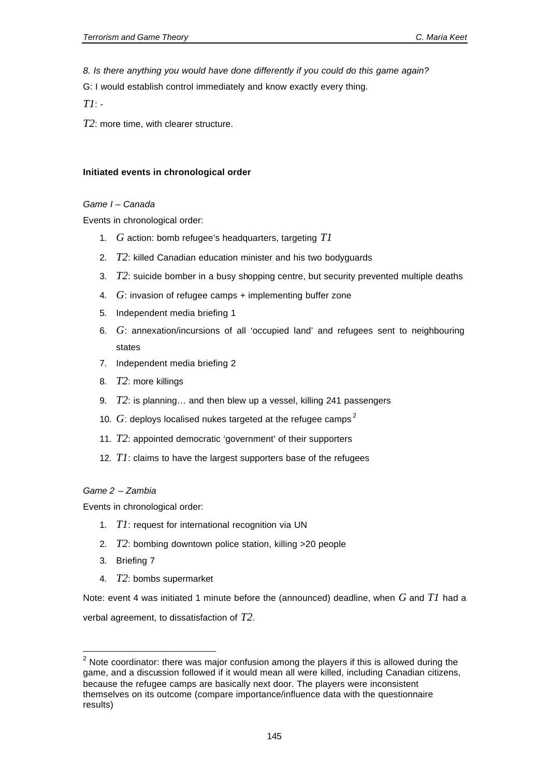*8. Is there anything you would have done differently if you could do this game again?*

G: I would establish control immediately and know exactly every thing.

*T1*: -

*T2*: more time, with clearer structure.

#### **Initiated events in chronological order**

#### *Game I – Canada*

Events in chronological order:

- 1. *G* action: bomb refugee's headquarters, targeting *T1*
- 2. *T2*: killed Canadian education minister and his two bodyguards
- 3. *T2*: suicide bomber in a busy shopping centre, but security prevented multiple deaths
- 4. *G*: invasion of refugee camps + implementing buffer zone
- 5. Independent media briefing 1
- 6. *G*: annexation/incursions of all 'occupied land' and refugees sent to neighbouring states
- 7. Independent media briefing 2
- 8. *T2*: more killings
- 9. *T2*: is planning… and then blew up a vessel, killing 241 passengers
- 10.  $G$ : deploys localised nukes targeted at the refugee camps<sup>2</sup>
- 11. *T2*: appointed democratic 'government' of their supporters
- 12. *T1*: claims to have the largest supporters base of the refugees

### *Game 2 – Zambia*

Events in chronological order:

- 1. *T1*: request for international recognition via UN
- 2. *T2*: bombing downtown police station, killing >20 people
- 3. Briefing 7

l

4. *T2*: bombs supermarket

Note: event 4 was initiated 1 minute before the (announced) deadline, when *G* and *T1* had a verbal agreement, to dissatisfaction of *T2*.

 $2$  Note coordinator: there was major confusion among the players if this is allowed during the game, and a discussion followed if it would mean all were killed, including Canadian citizens, because the refugee camps are basically next door. The players were inconsistent themselves on its outcome (compare importance/influence data with the questionnaire results)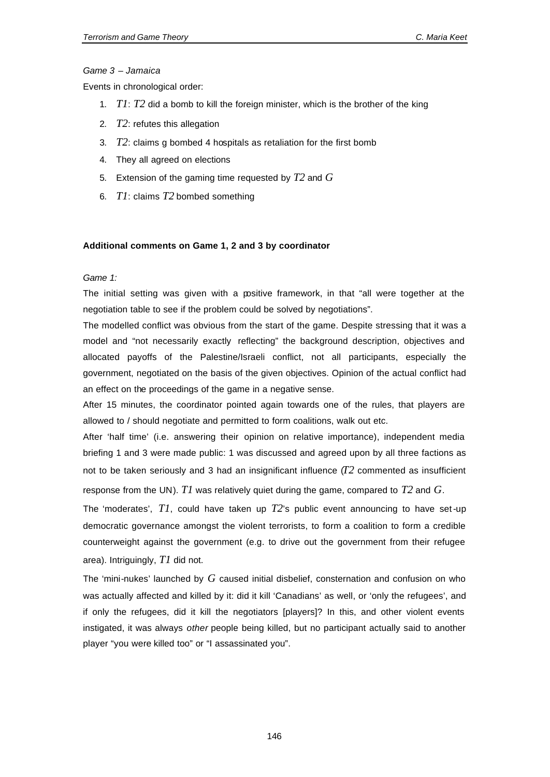#### *Game 3 – Jamaica*

Events in chronological order:

- 1. *T1*: *T2* did a bomb to kill the foreign minister, which is the brother of the king
- 2. *T2*: refutes this allegation
- 3. *T2*: claims g bombed 4 hospitals as retaliation for the first bomb
- 4. They all agreed on elections
- 5. Extension of the gaming time requested by *T2* and *G*
- 6. *T1*: claims *T2* bombed something

#### **Additional comments on Game 1, 2 and 3 by coordinator**

#### *Game 1:*

The initial setting was given with a positive framework, in that "all were together at the negotiation table to see if the problem could be solved by negotiations".

The modelled conflict was obvious from the start of the game. Despite stressing that it was a model and "not necessarily exactly reflecting" the background description, objectives and allocated payoffs of the Palestine/Israeli conflict, not all participants, especially the government, negotiated on the basis of the given objectives. Opinion of the actual conflict had an effect on the proceedings of the game in a negative sense.

After 15 minutes, the coordinator pointed again towards one of the rules, that players are allowed to / should negotiate and permitted to form coalitions, walk out etc.

After 'half time' (i.e. answering their opinion on relative importance), independent media briefing 1 and 3 were made public: 1 was discussed and agreed upon by all three factions as not to be taken seriously and 3 had an insignificant influence  $(T2$  commented as insufficient response from the UN). *T1* was relatively quiet during the game, compared to *T2* and *G*.

The 'moderates', *T1*, could have taken up *T2*'s public event announcing to have set-up democratic governance amongst the violent terrorists, to form a coalition to form a credible counterweight against the government (e.g. to drive out the government from their refugee area). Intriguingly, *T1* did not.

The 'mini-nukes' launched by *G* caused initial disbelief, consternation and confusion on who was actually affected and killed by it: did it kill 'Canadians' as well, or 'only the refugees', and if only the refugees, did it kill the negotiators [players]? In this, and other violent events instigated, it was always *other* people being killed, but no participant actually said to another player "you were killed too" or "I assassinated you".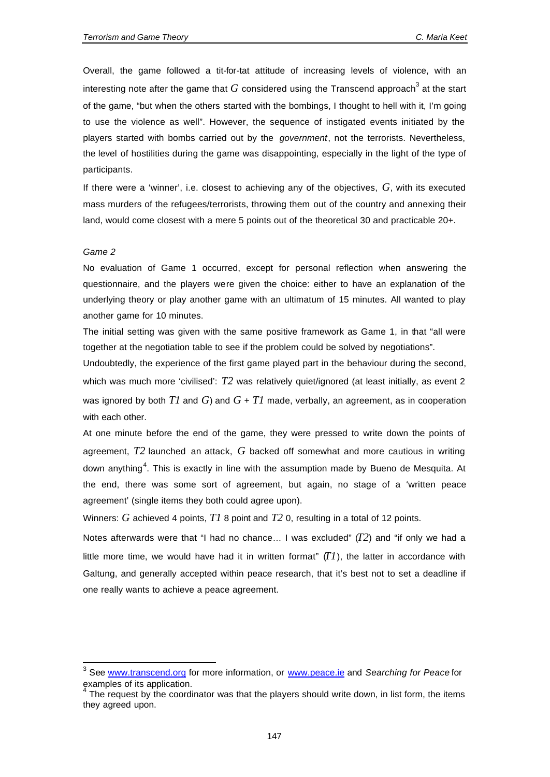Overall, the game followed a tit-for-tat attitude of increasing levels of violence, with an interesting note after the game that  $G$  considered using the Transcend approach $^3$  at the start of the game, "but when the others started with the bombings, I thought to hell with it, I'm going to use the violence as well". However, the sequence of instigated events initiated by the players started with bombs carried out by the *government*, not the terrorists. Nevertheless, the level of hostilities during the game was disappointing, especially in the light of the type of participants.

If there were a 'winner', i.e. closest to achieving any of the objectives, *G*, with its executed mass murders of the refugees/terrorists, throwing them out of the country and annexing their land, would come closest with a mere 5 points out of the theoretical 30 and practicable 20+.

#### *Game 2*

 $\overline{\phantom{a}}$ 

No evaluation of Game 1 occurred, except for personal reflection when answering the questionnaire, and the players were given the choice: either to have an explanation of the underlying theory or play another game with an ultimatum of 15 minutes. All wanted to play another game for 10 minutes.

The initial setting was given with the same positive framework as Game 1, in that "all were together at the negotiation table to see if the problem could be solved by negotiations".

Undoubtedly, the experience of the first game played part in the behaviour during the second, which was much more 'civilised': T<sub>2</sub> was relatively quiet/ignored (at least initially, as event 2 was ignored by both *T1* and *G*) and *G* + *T1* made, verbally, an agreement, as in cooperation with each other.

At one minute before the end of the game, they were pressed to write down the points of agreement, *T2* launched an attack, *G* backed off somewhat and more cautious in writing down anything<sup>4</sup>. This is exactly in line with the assumption made by Bueno de Mesquita. At the end, there was some sort of agreement, but again, no stage of a 'written peace agreement' (single items they both could agree upon).

Winners: *G* achieved 4 points, *T1* 8 point and *T2* 0, resulting in a total of 12 points.

Notes afterwards were that "I had no chance… I was excluded" (*T2*) and "if only we had a little more time, we would have had it in written format"  $(T1)$ , the latter in accordance with Galtung, and generally accepted within peace research, that it's best not to set a deadline if one really wants to achieve a peace agreement.

<sup>&</sup>lt;sup>3</sup> See www.transcend.org for more information, or www.peace.ie and *Searching for Peace* for examples of its application.

The request by the coordinator was that the players should write down, in list form, the items they agreed upon.